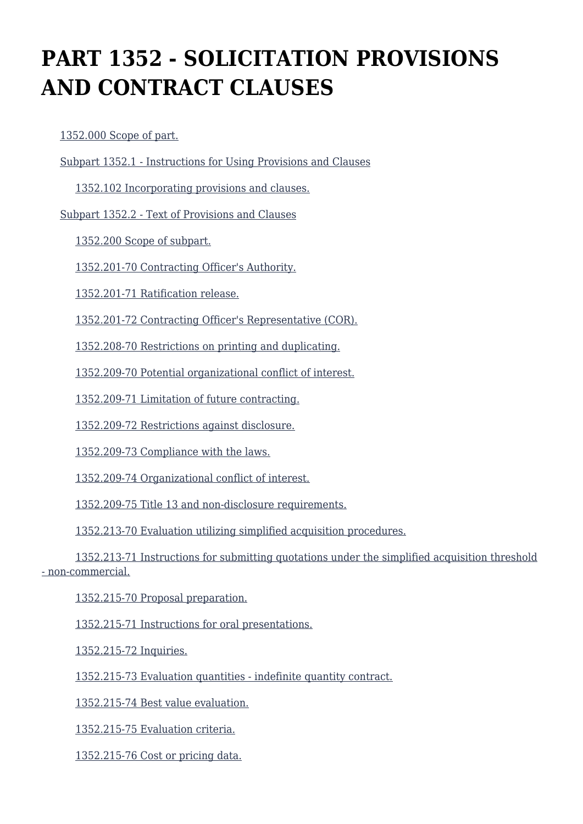# **PART 1352 - SOLICITATION PROVISIONS AND CONTRACT CLAUSES**

[1352.000 Scope of part.](https://login.acquisition.gov/%5Brp:link:car-part-1352%5D#Section_1352_000_T48_5065045011)

[Subpart 1352.1 - Instructions for Using Provisions and Clauses](https://login.acquisition.gov/%5Brp:link:car-part-1352%5D#Subpart_1352_1_T48_50650451)

[1352.102 Incorporating provisions and clauses.](https://login.acquisition.gov/%5Brp:link:car-part-1352%5D#Section_1352_102_T48_5065045111)

[Subpart 1352.2 - Text of Provisions and Clauses](https://login.acquisition.gov/%5Brp:link:car-part-1352%5D#Subpart_1352_2_T48_50650452)

[1352.200 Scope of subpart.](https://login.acquisition.gov/%5Brp:link:car-part-1352%5D#Section_1352_200_T48_5065045211)

[1352.201-70 Contracting Officer's Authority.](https://login.acquisition.gov/%5Brp:link:car-part-1352%5D#Section_1352_201_70_T48_5065045212)

[1352.201-71 Ratification release.](https://login.acquisition.gov/%5Brp:link:car-part-1352%5D#Section_1352_201_71_T48_5065045213)

[1352.201-72 Contracting Officer's Representative \(COR\).](https://login.acquisition.gov/%5Brp:link:car-part-1352%5D#Section_1352_201_72_T48_5065045214)

[1352.208-70 Restrictions on printing and duplicating.](https://login.acquisition.gov/%5Brp:link:car-part-1352%5D#Section_1352_208_70_T48_5065045215)

[1352.209-70 Potential organizational conflict of interest.](https://login.acquisition.gov/%5Brp:link:car-part-1352%5D#Section_1352_209_70_T48_5065045216)

[1352.209-71 Limitation of future contracting.](https://login.acquisition.gov/%5Brp:link:car-part-1352%5D#Section_1352_209_71_T48_5065045217)

[1352.209-72 Restrictions against disclosure.](https://login.acquisition.gov/%5Brp:link:car-part-1352%5D#Section_1352_209_72_T48_5065045218)

[1352.209-73 Compliance with the laws.](https://login.acquisition.gov/%5Brp:link:car-part-1352%5D#Section_1352_209_73_T48_5065045219)

[1352.209-74 Organizational conflict of interest.](https://login.acquisition.gov/%5Brp:link:car-part-1352%5D#Section_1352_209_74_T48_50650452110)

[1352.209-75 Title 13 and non-disclosure requirements.](https://login.acquisition.gov/%5Brp:link:car-part-1352%5D#Section_1352_209_75_T48_50650452111)

[1352.213-70 Evaluation utilizing simplified acquisition procedures.](https://login.acquisition.gov/%5Brp:link:car-part-1352%5D#Section_1352_213_70_T48_50650452112)

 [1352.213-71 Instructions for submitting quotations under the simplified acquisition threshold](https://login.acquisition.gov/%5Brp:link:car-part-1352%5D#Section_1352_213_71_T48_50650452113) [- non-commercial.](https://login.acquisition.gov/%5Brp:link:car-part-1352%5D#Section_1352_213_71_T48_50650452113)

[1352.215-70 Proposal preparation.](https://login.acquisition.gov/%5Brp:link:car-part-1352%5D#Section_1352_215_70_T48_50650452114)

[1352.215-71 Instructions for oral presentations.](https://login.acquisition.gov/%5Brp:link:car-part-1352%5D#Section_1352_215_71_T48_50650452115)

[1352.215-72 Inquiries.](https://login.acquisition.gov/%5Brp:link:car-part-1352%5D#Section_1352_215_72_T48_50650452116)

[1352.215-73 Evaluation quantities - indefinite quantity contract.](https://login.acquisition.gov/%5Brp:link:car-part-1352%5D#Section_1352_215_73_T48_50650452117)

[1352.215-74 Best value evaluation.](https://login.acquisition.gov/%5Brp:link:car-part-1352%5D#Section_1352_215_74_T48_50650452118)

[1352.215-75 Evaluation criteria.](https://login.acquisition.gov/%5Brp:link:car-part-1352%5D#Section_1352_215_75_T48_50650452119)

[1352.215-76 Cost or pricing data.](https://login.acquisition.gov/%5Brp:link:car-part-1352%5D#Section_1352_215_76_T48_50650452120)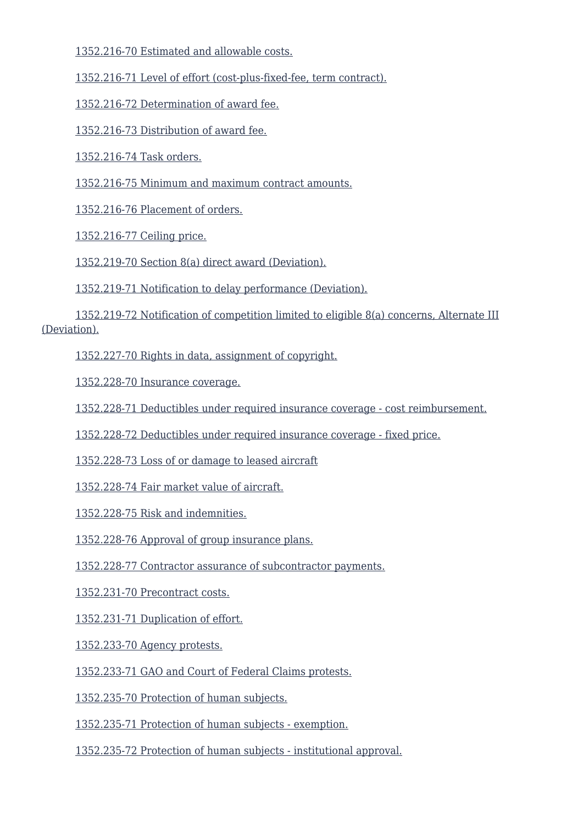[1352.216-70 Estimated and allowable costs.](https://login.acquisition.gov/%5Brp:link:car-part-1352%5D#Section_1352_216_70_T48_50650452121)

[1352.216-71 Level of effort \(cost-plus-fixed-fee, term contract\).](https://login.acquisition.gov/%5Brp:link:car-part-1352%5D#Section_1352_216_71_T48_50650452122)

[1352.216-72 Determination of award fee.](https://login.acquisition.gov/%5Brp:link:car-part-1352%5D#Section_1352_216_72_T48_50650452123)

[1352.216-73 Distribution of award fee.](https://login.acquisition.gov/%5Brp:link:car-part-1352%5D#Section_1352_216_73_T48_50650452124)

[1352.216-74 Task orders.](https://login.acquisition.gov/%5Brp:link:car-part-1352%5D#Section_1352_216_74_T48_50650452125)

[1352.216-75 Minimum and maximum contract amounts.](https://login.acquisition.gov/%5Brp:link:car-part-1352%5D#Section_1352_216_75_T48_50650452126)

[1352.216-76 Placement of orders.](https://login.acquisition.gov/%5Brp:link:car-part-1352%5D#Section_1352_216_76_T48_50650452127)

[1352.216-77 Ceiling price.](https://login.acquisition.gov/%5Brp:link:car-part-1352%5D#Section_1352_216_77_T48_50650452128)

[1352.219-70 Section 8\(a\) direct award \(Deviation\).](https://login.acquisition.gov/%5Brp:link:car-part-1352%5D#Section_1352_219_70_T48_50650452129)

[1352.219-71 Notification to delay performance \(Deviation\).](https://login.acquisition.gov/%5Brp:link:car-part-1352%5D#Section_1352_219_71_T48_50650452130)

 [1352.219-72 Notification of competition limited to eligible 8\(a\) concerns, Alternate III](https://login.acquisition.gov/%5Brp:link:car-part-1352%5D#Section_1352_219_72_T48_50650452131) [\(Deviation\).](https://login.acquisition.gov/%5Brp:link:car-part-1352%5D#Section_1352_219_72_T48_50650452131)

[1352.227-70 Rights in data, assignment of copyright.](https://login.acquisition.gov/%5Brp:link:car-part-1352%5D#Section_1352_227_70_T48_50650452132)

[1352.228-70 Insurance coverage.](https://login.acquisition.gov/%5Brp:link:car-part-1352%5D#Section_1352_228_70_T48_50650452133)

[1352.228-71 Deductibles under required insurance coverage - cost reimbursement.](https://login.acquisition.gov/%5Brp:link:car-part-1352%5D#Section_1352_228_71_T48_50650452134)

[1352.228-72 Deductibles under required insurance coverage - fixed price.](https://login.acquisition.gov/%5Brp:link:car-part-1352%5D#Section_1352_228_72_T48_50650452135)

[1352.228-73 Loss of or damage to leased aircraft](https://login.acquisition.gov/%5Brp:link:car-part-1352%5D#Section_1352_228_73_T48_50650452136)

[1352.228-74 Fair market value of aircraft.](https://login.acquisition.gov/%5Brp:link:car-part-1352%5D#Section_1352_228_74_T48_50650452137)

[1352.228-75 Risk and indemnities.](https://login.acquisition.gov/%5Brp:link:car-part-1352%5D#Section_1352_228_75_T48_50650452138)

[1352.228-76 Approval of group insurance plans.](https://login.acquisition.gov/%5Brp:link:car-part-1352%5D#Section_1352_228_76_T48_50650452139)

[1352.228-77 Contractor assurance of subcontractor payments.](https://login.acquisition.gov/%5Brp:link:car-part-1352%5D#Section_1352_228_77_T48_50650452140)

[1352.231-70 Precontract costs.](https://login.acquisition.gov/%5Brp:link:car-part-1352%5D#Section_1352_231_70_T48_50650452141)

[1352.231-71 Duplication of effort.](https://login.acquisition.gov/%5Brp:link:car-part-1352%5D#Section_1352_231_71_T48_50650452142)

[1352.233-70 Agency protests.](https://login.acquisition.gov/%5Brp:link:car-part-1352%5D#Section_1352_233_70_T48_50650452143)

[1352.233-71 GAO and Court of Federal Claims protests.](https://login.acquisition.gov/%5Brp:link:car-part-1352%5D#Section_1352_233_71_T48_50650452144)

[1352.235-70 Protection of human subjects.](https://login.acquisition.gov/%5Brp:link:car-part-1352%5D#Section_1352_235_70_T48_50650452145)

[1352.235-71 Protection of human subjects - exemption.](https://login.acquisition.gov/%5Brp:link:car-part-1352%5D#Section_1352_235_71_T48_50650452146)

[1352.235-72 Protection of human subjects - institutional approval.](https://login.acquisition.gov/%5Brp:link:car-part-1352%5D#Section_1352_235_72_T48_50650452147)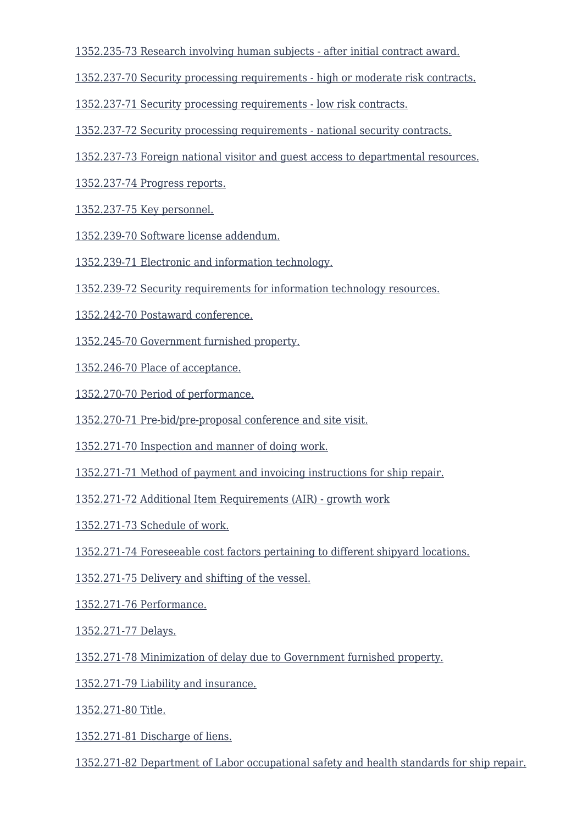[1352.235-73 Research involving human subjects - after initial contract award.](https://login.acquisition.gov/%5Brp:link:car-part-1352%5D#Section_1352_235_73_T48_50650452148)

[1352.237-70 Security processing requirements - high or moderate risk contracts.](https://login.acquisition.gov/%5Brp:link:car-part-1352%5D#Section_1352_237_70_T48_50650452149)

[1352.237-71 Security processing requirements - low risk contracts.](https://login.acquisition.gov/%5Brp:link:car-part-1352%5D#Section_1352_237_71_T48_50650452150)

[1352.237-72 Security processing requirements - national security contracts.](https://login.acquisition.gov/%5Brp:link:car-part-1352%5D#Section_1352_237_72_T48_50650452151)

[1352.237-73 Foreign national visitor and guest access to departmental resources.](https://login.acquisition.gov/%5Brp:link:car-part-1352%5D#Section_1352_237_73_T48_50650452152)

[1352.237-74 Progress reports.](https://login.acquisition.gov/%5Brp:link:car-part-1352%5D#Section_1352_237_74_T48_50650452153)

[1352.237-75 Key personnel.](https://login.acquisition.gov/%5Brp:link:car-part-1352%5D#Section_1352_237_75_T48_50650452154)

[1352.239-70 Software license addendum.](https://login.acquisition.gov/%5Brp:link:car-part-1352%5D#Section_1352_239_70_T48_50650452155)

[1352.239-71 Electronic and information technology.](https://login.acquisition.gov/%5Brp:link:car-part-1352%5D#Section_1352_239_71_T48_50650452156)

[1352.239-72 Security requirements for information technology resources.](https://login.acquisition.gov/%5Brp:link:car-part-1352%5D#Section_1352_239_72_T48_50650452157)

[1352.242-70 Postaward conference.](https://login.acquisition.gov/%5Brp:link:car-part-1352%5D#Section_1352_242_70_T48_50650452158)

[1352.245-70 Government furnished property.](https://login.acquisition.gov/%5Brp:link:car-part-1352%5D#Section_1352_245_70_T48_50650452159)

[1352.246-70 Place of acceptance.](https://login.acquisition.gov/%5Brp:link:car-part-1352%5D#Section_1352_246_70_T48_50650452160)

[1352.270-70 Period of performance.](https://login.acquisition.gov/%5Brp:link:car-part-1352%5D#Section_1352_270_70_T48_50650452161)

[1352.270-71 Pre-bid/pre-proposal conference and site visit.](https://login.acquisition.gov/%5Brp:link:car-part-1352%5D#Section_1352_270_71_T48_50650452162)

[1352.271-70 Inspection and manner of doing work.](https://login.acquisition.gov/%5Brp:link:car-part-1352%5D#Section_1352_271_70_T48_50650452163)

[1352.271-71 Method of payment and invoicing instructions for ship repair.](https://login.acquisition.gov/%5Brp:link:car-part-1352%5D#Section_1352_271_71_T48_50650452164)

[1352.271-72 Additional Item Requirements \(AIR\) - growth work](https://login.acquisition.gov/%5Brp:link:car-part-1352%5D#Section_1352_271_72_T48_50650452165)

[1352.271-73 Schedule of work.](https://login.acquisition.gov/%5Brp:link:car-part-1352%5D#Section_1352_271_73_T48_50650452166)

[1352.271-74 Foreseeable cost factors pertaining to different shipyard locations.](https://login.acquisition.gov/%5Brp:link:car-part-1352%5D#Section_1352_271_74_T48_50650452167)

[1352.271-75 Delivery and shifting of the vessel.](https://login.acquisition.gov/%5Brp:link:car-part-1352%5D#Section_1352_271_75_T48_50650452168)

[1352.271-76 Performance.](https://login.acquisition.gov/%5Brp:link:car-part-1352%5D#Section_1352_271_76_T48_50650452169)

[1352.271-77 Delays.](https://login.acquisition.gov/%5Brp:link:car-part-1352%5D#Section_1352_271_77_T48_50650452170)

[1352.271-78 Minimization of delay due to Government furnished property.](https://login.acquisition.gov/%5Brp:link:car-part-1352%5D#Section_1352_271_78_T48_50650452171)

[1352.271-79 Liability and insurance.](https://login.acquisition.gov/%5Brp:link:car-part-1352%5D#Section_1352_271_79_T48_50650452172)

[1352.271-80 Title.](https://login.acquisition.gov/%5Brp:link:car-part-1352%5D#Section_1352_271_80_T48_50650452173)

[1352.271-81 Discharge of liens.](https://login.acquisition.gov/%5Brp:link:car-part-1352%5D#Section_1352_271_81_T48_50650452174)

[1352.271-82 Department of Labor occupational safety and health standards for ship repair.](https://login.acquisition.gov/%5Brp:link:car-part-1352%5D#Section_1352_271_82_T48_50650452175)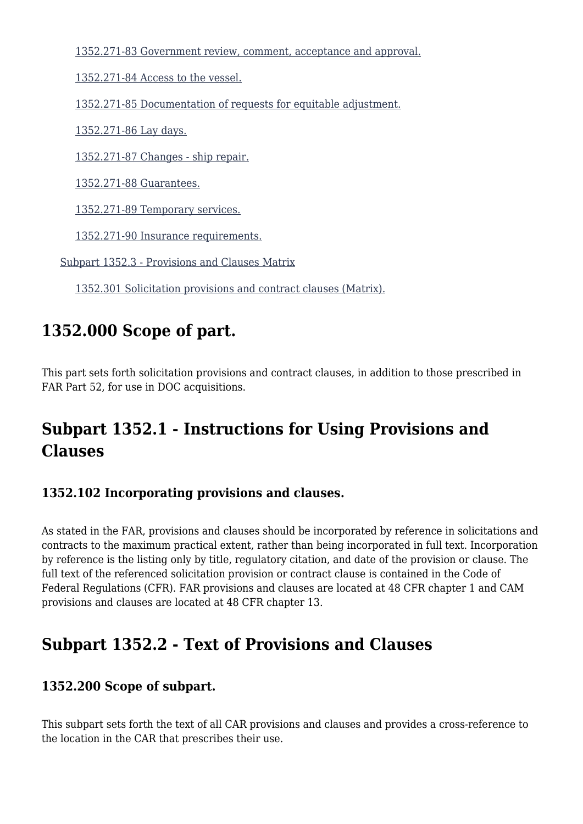[1352.271-83 Government review, comment, acceptance and approval.](https://login.acquisition.gov/%5Brp:link:car-part-1352%5D#Section_1352_271_83_T48_50650452176)

[1352.271-84 Access to the vessel.](https://login.acquisition.gov/%5Brp:link:car-part-1352%5D#Section_1352_271_84_T48_50650452177)

[1352.271-85 Documentation of requests for equitable adjustment.](https://login.acquisition.gov/%5Brp:link:car-part-1352%5D#Section_1352_271_85_T48_50650452178)

[1352.271-86 Lay days.](https://login.acquisition.gov/%5Brp:link:car-part-1352%5D#Section_1352_271_86_T48_50650452179)

[1352.271-87 Changes - ship repair.](https://login.acquisition.gov/%5Brp:link:car-part-1352%5D#Section_1352_271_87_T48_50650452180)

[1352.271-88 Guarantees.](https://login.acquisition.gov/%5Brp:link:car-part-1352%5D#Section_1352_271_88_T48_50650452181)

[1352.271-89 Temporary services.](https://login.acquisition.gov/%5Brp:link:car-part-1352%5D#Section_1352_271_89_T48_50650452182)

[1352.271-90 Insurance requirements.](https://login.acquisition.gov/%5Brp:link:car-part-1352%5D#Section_1352_271_90_T48_50650452183)

[Subpart 1352.3 - Provisions and Clauses Matrix](https://login.acquisition.gov/%5Brp:link:car-part-1352%5D#Subpart_1352_3_T48_50650453)

[1352.301 Solicitation provisions and contract clauses \(Matrix\).](https://login.acquisition.gov/%5Brp:link:car-part-1352%5D#Section_1352_301_T48_5065045311)

# **1352.000 Scope of part.**

This part sets forth solicitation provisions and contract clauses, in addition to those prescribed in FAR Part 52, for use in DOC acquisitions.

# **Subpart 1352.1 - Instructions for Using Provisions and Clauses**

#### **1352.102 Incorporating provisions and clauses.**

As stated in the FAR, provisions and clauses should be incorporated by reference in solicitations and contracts to the maximum practical extent, rather than being incorporated in full text. Incorporation by reference is the listing only by title, regulatory citation, and date of the provision or clause. The full text of the referenced solicitation provision or contract clause is contained in the Code of Federal Regulations (CFR). FAR provisions and clauses are located at 48 CFR chapter 1 and CAM provisions and clauses are located at 48 CFR chapter 13.

# **Subpart 1352.2 - Text of Provisions and Clauses**

#### **1352.200 Scope of subpart.**

This subpart sets forth the text of all CAR provisions and clauses and provides a cross-reference to the location in the CAR that prescribes their use.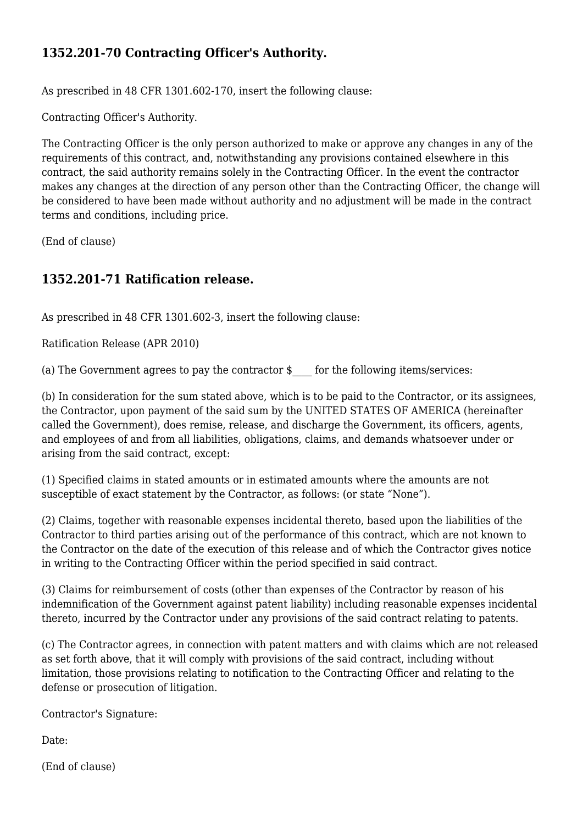#### **1352.201-70 Contracting Officer's Authority.**

As prescribed in 48 CFR 1301.602-170, insert the following clause:

Contracting Officer's Authority.

The Contracting Officer is the only person authorized to make or approve any changes in any of the requirements of this contract, and, notwithstanding any provisions contained elsewhere in this contract, the said authority remains solely in the Contracting Officer. In the event the contractor makes any changes at the direction of any person other than the Contracting Officer, the change will be considered to have been made without authority and no adjustment will be made in the contract terms and conditions, including price.

(End of clause)

#### **1352.201-71 Ratification release.**

As prescribed in 48 CFR 1301.602-3, insert the following clause:

Ratification Release (APR 2010)

(a) The Government agrees to pay the contractor  $\oint$  for the following items/services:

(b) In consideration for the sum stated above, which is to be paid to the Contractor, or its assignees, the Contractor, upon payment of the said sum by the UNITED STATES OF AMERICA (hereinafter called the Government), does remise, release, and discharge the Government, its officers, agents, and employees of and from all liabilities, obligations, claims, and demands whatsoever under or arising from the said contract, except:

(1) Specified claims in stated amounts or in estimated amounts where the amounts are not susceptible of exact statement by the Contractor, as follows: (or state "None").

(2) Claims, together with reasonable expenses incidental thereto, based upon the liabilities of the Contractor to third parties arising out of the performance of this contract, which are not known to the Contractor on the date of the execution of this release and of which the Contractor gives notice in writing to the Contracting Officer within the period specified in said contract.

(3) Claims for reimbursement of costs (other than expenses of the Contractor by reason of his indemnification of the Government against patent liability) including reasonable expenses incidental thereto, incurred by the Contractor under any provisions of the said contract relating to patents.

(c) The Contractor agrees, in connection with patent matters and with claims which are not released as set forth above, that it will comply with provisions of the said contract, including without limitation, those provisions relating to notification to the Contracting Officer and relating to the defense or prosecution of litigation.

Contractor's Signature:

Date:

(End of clause)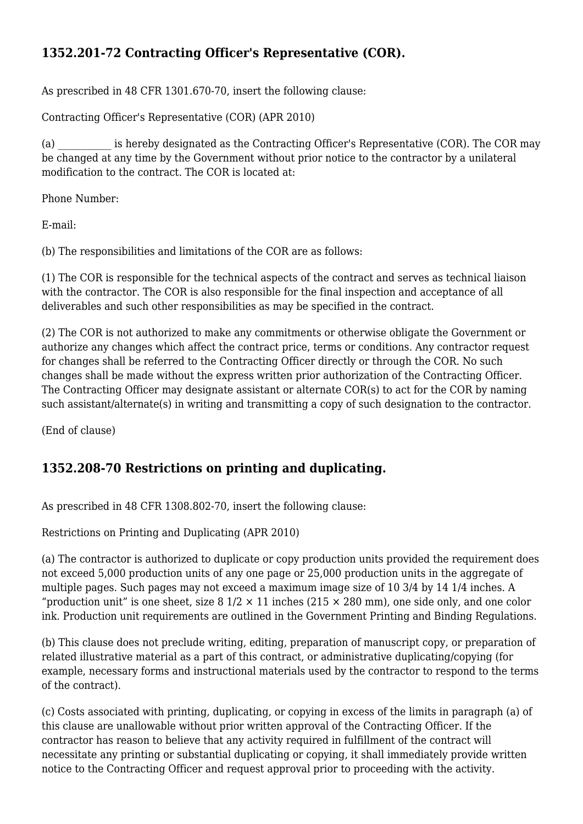# **1352.201-72 Contracting Officer's Representative (COR).**

As prescribed in 48 CFR 1301.670-70, insert the following clause:

Contracting Officer's Representative (COR) (APR 2010)

(a) is hereby designated as the Contracting Officer's Representative (COR). The COR may be changed at any time by the Government without prior notice to the contractor by a unilateral modification to the contract. The COR is located at:

Phone Number:

E-mail:

(b) The responsibilities and limitations of the COR are as follows:

(1) The COR is responsible for the technical aspects of the contract and serves as technical liaison with the contractor. The COR is also responsible for the final inspection and acceptance of all deliverables and such other responsibilities as may be specified in the contract.

(2) The COR is not authorized to make any commitments or otherwise obligate the Government or authorize any changes which affect the contract price, terms or conditions. Any contractor request for changes shall be referred to the Contracting Officer directly or through the COR. No such changes shall be made without the express written prior authorization of the Contracting Officer. The Contracting Officer may designate assistant or alternate COR(s) to act for the COR by naming such assistant/alternate(s) in writing and transmitting a copy of such designation to the contractor.

(End of clause)

#### **1352.208-70 Restrictions on printing and duplicating.**

As prescribed in 48 CFR 1308.802-70, insert the following clause:

Restrictions on Printing and Duplicating (APR 2010)

(a) The contractor is authorized to duplicate or copy production units provided the requirement does not exceed 5,000 production units of any one page or 25,000 production units in the aggregate of multiple pages. Such pages may not exceed a maximum image size of 10 3/4 by 14 1/4 inches. A "production unit" is one sheet, size  $8\frac{1}{2} \times 11$  inches (215  $\times$  280 mm), one side only, and one color ink. Production unit requirements are outlined in the Government Printing and Binding Regulations.

(b) This clause does not preclude writing, editing, preparation of manuscript copy, or preparation of related illustrative material as a part of this contract, or administrative duplicating/copying (for example, necessary forms and instructional materials used by the contractor to respond to the terms of the contract).

(c) Costs associated with printing, duplicating, or copying in excess of the limits in paragraph (a) of this clause are unallowable without prior written approval of the Contracting Officer. If the contractor has reason to believe that any activity required in fulfillment of the contract will necessitate any printing or substantial duplicating or copying, it shall immediately provide written notice to the Contracting Officer and request approval prior to proceeding with the activity.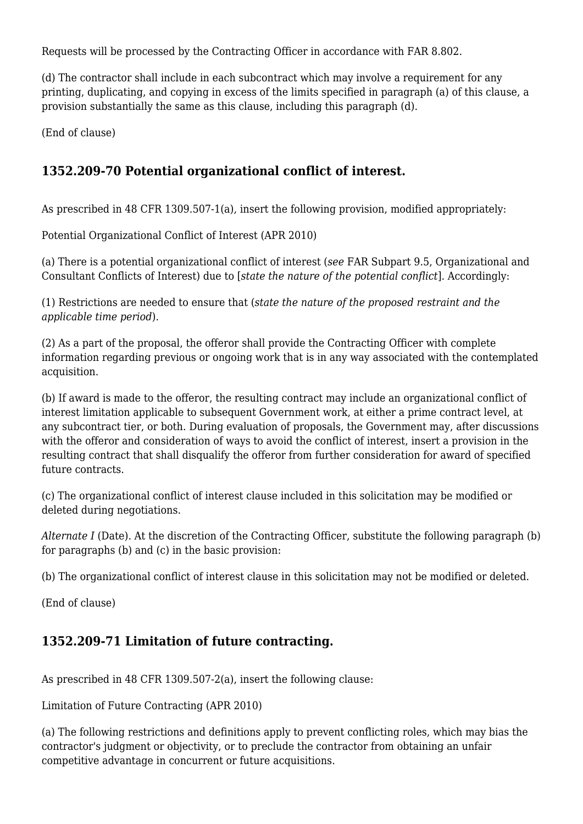Requests will be processed by the Contracting Officer in accordance with FAR 8.802.

(d) The contractor shall include in each subcontract which may involve a requirement for any printing, duplicating, and copying in excess of the limits specified in paragraph (a) of this clause, a provision substantially the same as this clause, including this paragraph (d).

(End of clause)

#### **1352.209-70 Potential organizational conflict of interest.**

As prescribed in 48 CFR 1309.507-1(a), insert the following provision, modified appropriately:

Potential Organizational Conflict of Interest (APR 2010)

(a) There is a potential organizational conflict of interest (*see* FAR Subpart 9.5, Organizational and Consultant Conflicts of Interest) due to [*state the nature of the potential conflict*]. Accordingly:

(1) Restrictions are needed to ensure that (*state the nature of the proposed restraint and the applicable time period*).

(2) As a part of the proposal, the offeror shall provide the Contracting Officer with complete information regarding previous or ongoing work that is in any way associated with the contemplated acquisition.

(b) If award is made to the offeror, the resulting contract may include an organizational conflict of interest limitation applicable to subsequent Government work, at either a prime contract level, at any subcontract tier, or both. During evaluation of proposals, the Government may, after discussions with the offeror and consideration of ways to avoid the conflict of interest, insert a provision in the resulting contract that shall disqualify the offeror from further consideration for award of specified future contracts.

(c) The organizational conflict of interest clause included in this solicitation may be modified or deleted during negotiations.

*Alternate I* (Date). At the discretion of the Contracting Officer, substitute the following paragraph (b) for paragraphs (b) and (c) in the basic provision:

(b) The organizational conflict of interest clause in this solicitation may not be modified or deleted.

(End of clause)

#### **1352.209-71 Limitation of future contracting.**

As prescribed in 48 CFR 1309.507-2(a), insert the following clause:

Limitation of Future Contracting (APR 2010)

(a) The following restrictions and definitions apply to prevent conflicting roles, which may bias the contractor's judgment or objectivity, or to preclude the contractor from obtaining an unfair competitive advantage in concurrent or future acquisitions.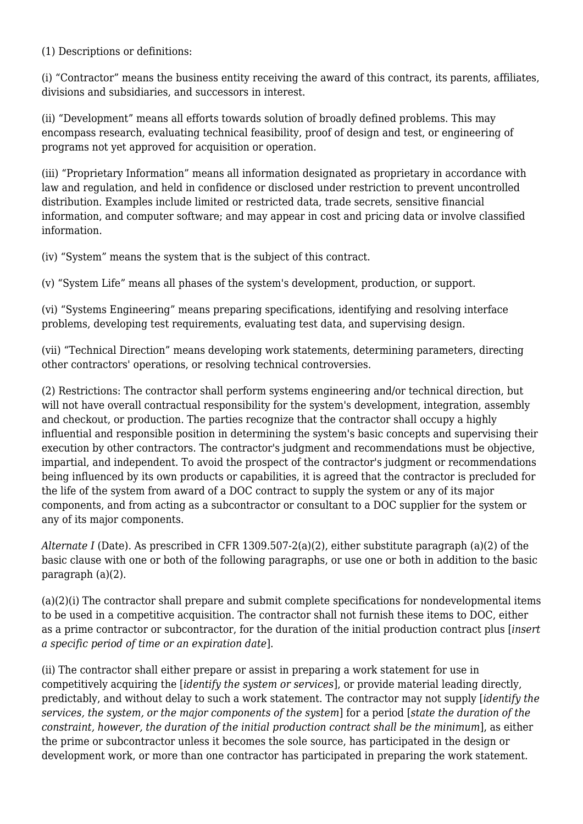(1) Descriptions or definitions:

(i) "Contractor" means the business entity receiving the award of this contract, its parents, affiliates, divisions and subsidiaries, and successors in interest.

(ii) "Development" means all efforts towards solution of broadly defined problems. This may encompass research, evaluating technical feasibility, proof of design and test, or engineering of programs not yet approved for acquisition or operation.

(iii) "Proprietary Information" means all information designated as proprietary in accordance with law and regulation, and held in confidence or disclosed under restriction to prevent uncontrolled distribution. Examples include limited or restricted data, trade secrets, sensitive financial information, and computer software; and may appear in cost and pricing data or involve classified information.

(iv) "System" means the system that is the subject of this contract.

(v) "System Life" means all phases of the system's development, production, or support.

(vi) "Systems Engineering" means preparing specifications, identifying and resolving interface problems, developing test requirements, evaluating test data, and supervising design.

(vii) "Technical Direction" means developing work statements, determining parameters, directing other contractors' operations, or resolving technical controversies.

(2) Restrictions: The contractor shall perform systems engineering and/or technical direction, but will not have overall contractual responsibility for the system's development, integration, assembly and checkout, or production. The parties recognize that the contractor shall occupy a highly influential and responsible position in determining the system's basic concepts and supervising their execution by other contractors. The contractor's judgment and recommendations must be objective, impartial, and independent. To avoid the prospect of the contractor's judgment or recommendations being influenced by its own products or capabilities, it is agreed that the contractor is precluded for the life of the system from award of a DOC contract to supply the system or any of its major components, and from acting as a subcontractor or consultant to a DOC supplier for the system or any of its major components.

*Alternate I* (Date). As prescribed in CFR 1309.507-2(a)(2), either substitute paragraph (a)(2) of the basic clause with one or both of the following paragraphs, or use one or both in addition to the basic paragraph (a)(2).

(a)(2)(i) The contractor shall prepare and submit complete specifications for nondevelopmental items to be used in a competitive acquisition. The contractor shall not furnish these items to DOC, either as a prime contractor or subcontractor, for the duration of the initial production contract plus [*insert a specific period of time or an expiration date*].

(ii) The contractor shall either prepare or assist in preparing a work statement for use in competitively acquiring the [*identify the system or services*], or provide material leading directly, predictably, and without delay to such a work statement. The contractor may not supply [*identify the services, the system, or the major components of the system*] for a period [*state the duration of the constraint, however, the duration of the initial production contract shall be the minimum*], as either the prime or subcontractor unless it becomes the sole source, has participated in the design or development work, or more than one contractor has participated in preparing the work statement.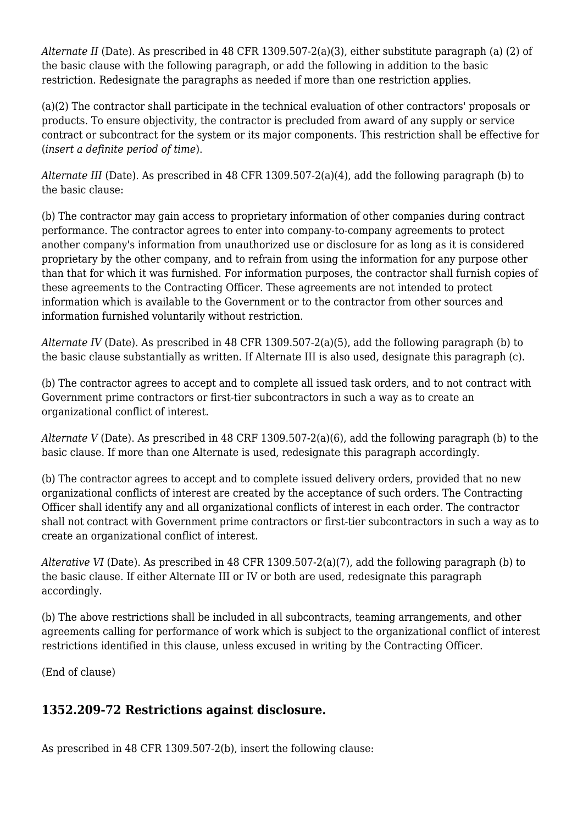*Alternate II* (Date). As prescribed in 48 CFR 1309.507-2(a)(3), either substitute paragraph (a) (2) of the basic clause with the following paragraph, or add the following in addition to the basic restriction. Redesignate the paragraphs as needed if more than one restriction applies.

(a)(2) The contractor shall participate in the technical evaluation of other contractors' proposals or products. To ensure objectivity, the contractor is precluded from award of any supply or service contract or subcontract for the system or its major components. This restriction shall be effective for (*insert a definite period of time*).

*Alternate III* (Date). As prescribed in 48 CFR 1309.507-2(a)(4), add the following paragraph (b) to the basic clause:

(b) The contractor may gain access to proprietary information of other companies during contract performance. The contractor agrees to enter into company-to-company agreements to protect another company's information from unauthorized use or disclosure for as long as it is considered proprietary by the other company, and to refrain from using the information for any purpose other than that for which it was furnished. For information purposes, the contractor shall furnish copies of these agreements to the Contracting Officer. These agreements are not intended to protect information which is available to the Government or to the contractor from other sources and information furnished voluntarily without restriction.

*Alternate IV* (Date). As prescribed in 48 CFR 1309.507-2(a)(5), add the following paragraph (b) to the basic clause substantially as written. If Alternate III is also used, designate this paragraph (c).

(b) The contractor agrees to accept and to complete all issued task orders, and to not contract with Government prime contractors or first-tier subcontractors in such a way as to create an organizational conflict of interest.

*Alternate V* (Date). As prescribed in 48 CRF 1309.507-2(a)(6), add the following paragraph (b) to the basic clause. If more than one Alternate is used, redesignate this paragraph accordingly.

(b) The contractor agrees to accept and to complete issued delivery orders, provided that no new organizational conflicts of interest are created by the acceptance of such orders. The Contracting Officer shall identify any and all organizational conflicts of interest in each order. The contractor shall not contract with Government prime contractors or first-tier subcontractors in such a way as to create an organizational conflict of interest.

*Alterative VI* (Date). As prescribed in 48 CFR 1309.507-2(a)(7), add the following paragraph (b) to the basic clause. If either Alternate III or IV or both are used, redesignate this paragraph accordingly.

(b) The above restrictions shall be included in all subcontracts, teaming arrangements, and other agreements calling for performance of work which is subject to the organizational conflict of interest restrictions identified in this clause, unless excused in writing by the Contracting Officer.

(End of clause)

#### **1352.209-72 Restrictions against disclosure.**

As prescribed in 48 CFR 1309.507-2(b), insert the following clause: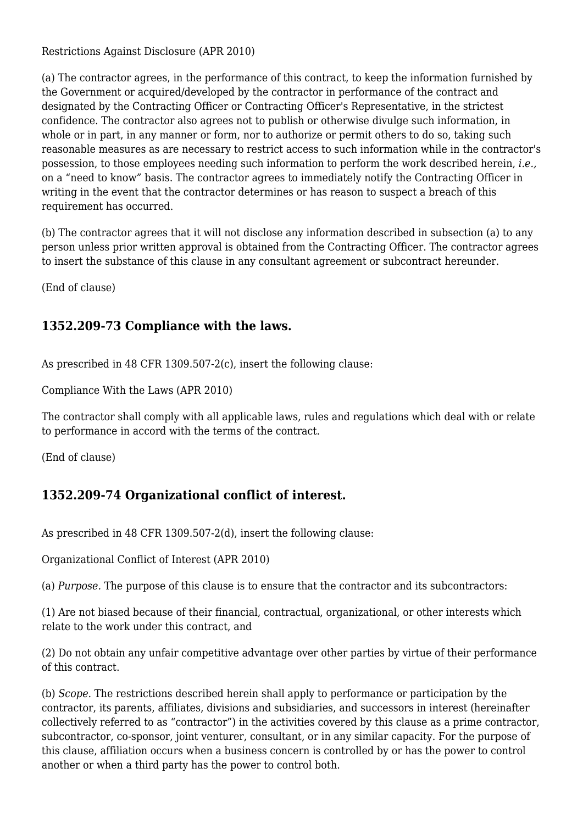Restrictions Against Disclosure (APR 2010)

(a) The contractor agrees, in the performance of this contract, to keep the information furnished by the Government or acquired/developed by the contractor in performance of the contract and designated by the Contracting Officer or Contracting Officer's Representative, in the strictest confidence. The contractor also agrees not to publish or otherwise divulge such information, in whole or in part, in any manner or form, nor to authorize or permit others to do so, taking such reasonable measures as are necessary to restrict access to such information while in the contractor's possession, to those employees needing such information to perform the work described herein, *i.e.,* on a "need to know" basis. The contractor agrees to immediately notify the Contracting Officer in writing in the event that the contractor determines or has reason to suspect a breach of this requirement has occurred.

(b) The contractor agrees that it will not disclose any information described in subsection (a) to any person unless prior written approval is obtained from the Contracting Officer. The contractor agrees to insert the substance of this clause in any consultant agreement or subcontract hereunder.

(End of clause)

#### **1352.209-73 Compliance with the laws.**

As prescribed in 48 CFR 1309.507-2(c), insert the following clause:

Compliance With the Laws (APR 2010)

The contractor shall comply with all applicable laws, rules and regulations which deal with or relate to performance in accord with the terms of the contract.

(End of clause)

#### **1352.209-74 Organizational conflict of interest.**

As prescribed in 48 CFR 1309.507-2(d), insert the following clause:

Organizational Conflict of Interest (APR 2010)

(a) *Purpose.* The purpose of this clause is to ensure that the contractor and its subcontractors:

(1) Are not biased because of their financial, contractual, organizational, or other interests which relate to the work under this contract, and

(2) Do not obtain any unfair competitive advantage over other parties by virtue of their performance of this contract.

(b) *Scope.* The restrictions described herein shall apply to performance or participation by the contractor, its parents, affiliates, divisions and subsidiaries, and successors in interest (hereinafter collectively referred to as "contractor") in the activities covered by this clause as a prime contractor, subcontractor, co-sponsor, joint venturer, consultant, or in any similar capacity. For the purpose of this clause, affiliation occurs when a business concern is controlled by or has the power to control another or when a third party has the power to control both.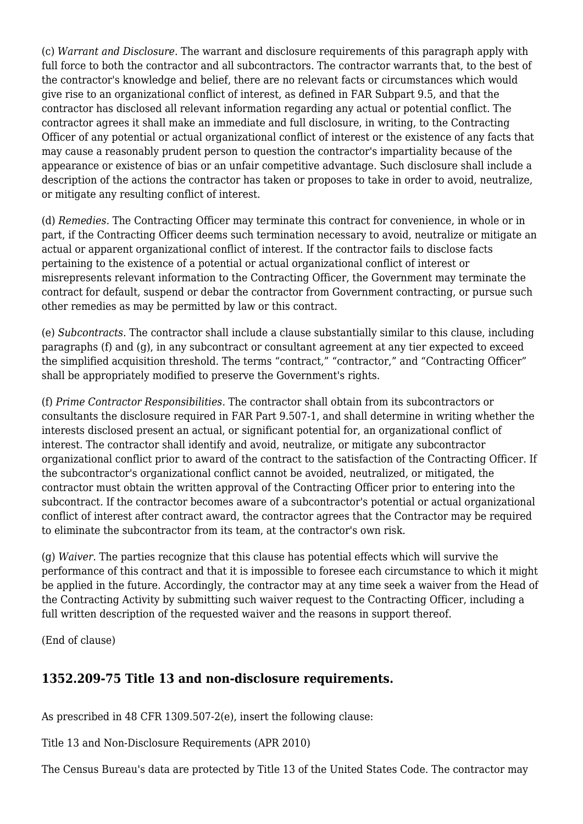(c) *Warrant and Disclosure.* The warrant and disclosure requirements of this paragraph apply with full force to both the contractor and all subcontractors. The contractor warrants that, to the best of the contractor's knowledge and belief, there are no relevant facts or circumstances which would give rise to an organizational conflict of interest, as defined in FAR Subpart 9.5, and that the contractor has disclosed all relevant information regarding any actual or potential conflict. The contractor agrees it shall make an immediate and full disclosure, in writing, to the Contracting Officer of any potential or actual organizational conflict of interest or the existence of any facts that may cause a reasonably prudent person to question the contractor's impartiality because of the appearance or existence of bias or an unfair competitive advantage. Such disclosure shall include a description of the actions the contractor has taken or proposes to take in order to avoid, neutralize, or mitigate any resulting conflict of interest.

(d) *Remedies.* The Contracting Officer may terminate this contract for convenience, in whole or in part, if the Contracting Officer deems such termination necessary to avoid, neutralize or mitigate an actual or apparent organizational conflict of interest. If the contractor fails to disclose facts pertaining to the existence of a potential or actual organizational conflict of interest or misrepresents relevant information to the Contracting Officer, the Government may terminate the contract for default, suspend or debar the contractor from Government contracting, or pursue such other remedies as may be permitted by law or this contract.

(e) *Subcontracts.* The contractor shall include a clause substantially similar to this clause, including paragraphs (f) and (g), in any subcontract or consultant agreement at any tier expected to exceed the simplified acquisition threshold. The terms "contract," "contractor," and "Contracting Officer" shall be appropriately modified to preserve the Government's rights.

(f) *Prime Contractor Responsibilities.* The contractor shall obtain from its subcontractors or consultants the disclosure required in FAR Part 9.507-1, and shall determine in writing whether the interests disclosed present an actual, or significant potential for, an organizational conflict of interest. The contractor shall identify and avoid, neutralize, or mitigate any subcontractor organizational conflict prior to award of the contract to the satisfaction of the Contracting Officer. If the subcontractor's organizational conflict cannot be avoided, neutralized, or mitigated, the contractor must obtain the written approval of the Contracting Officer prior to entering into the subcontract. If the contractor becomes aware of a subcontractor's potential or actual organizational conflict of interest after contract award, the contractor agrees that the Contractor may be required to eliminate the subcontractor from its team, at the contractor's own risk.

(g) *Waiver.* The parties recognize that this clause has potential effects which will survive the performance of this contract and that it is impossible to foresee each circumstance to which it might be applied in the future. Accordingly, the contractor may at any time seek a waiver from the Head of the Contracting Activity by submitting such waiver request to the Contracting Officer, including a full written description of the requested waiver and the reasons in support thereof.

(End of clause)

#### **1352.209-75 Title 13 and non-disclosure requirements.**

As prescribed in 48 CFR 1309.507-2(e), insert the following clause:

Title 13 and Non-Disclosure Requirements (APR 2010)

The Census Bureau's data are protected by Title 13 of the United States Code. The contractor may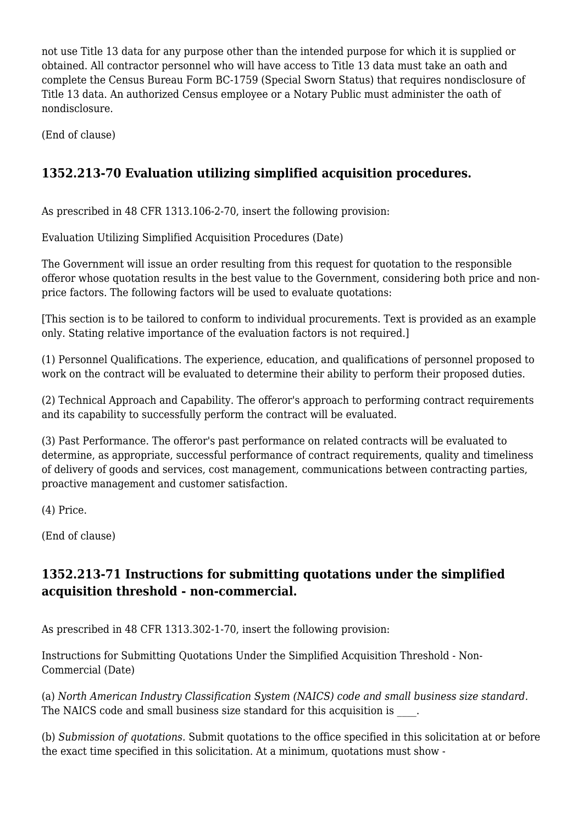not use Title 13 data for any purpose other than the intended purpose for which it is supplied or obtained. All contractor personnel who will have access to Title 13 data must take an oath and complete the Census Bureau Form BC-1759 (Special Sworn Status) that requires nondisclosure of Title 13 data. An authorized Census employee or a Notary Public must administer the oath of nondisclosure.

(End of clause)

# **1352.213-70 Evaluation utilizing simplified acquisition procedures.**

As prescribed in 48 CFR 1313.106-2-70, insert the following provision:

Evaluation Utilizing Simplified Acquisition Procedures (Date)

The Government will issue an order resulting from this request for quotation to the responsible offeror whose quotation results in the best value to the Government, considering both price and nonprice factors. The following factors will be used to evaluate quotations:

[This section is to be tailored to conform to individual procurements. Text is provided as an example only. Stating relative importance of the evaluation factors is not required.]

(1) Personnel Qualifications. The experience, education, and qualifications of personnel proposed to work on the contract will be evaluated to determine their ability to perform their proposed duties.

(2) Technical Approach and Capability. The offeror's approach to performing contract requirements and its capability to successfully perform the contract will be evaluated.

(3) Past Performance. The offeror's past performance on related contracts will be evaluated to determine, as appropriate, successful performance of contract requirements, quality and timeliness of delivery of goods and services, cost management, communications between contracting parties, proactive management and customer satisfaction.

(4) Price.

(End of clause)

#### **1352.213-71 Instructions for submitting quotations under the simplified acquisition threshold - non-commercial.**

As prescribed in 48 CFR 1313.302-1-70, insert the following provision:

Instructions for Submitting Quotations Under the Simplified Acquisition Threshold - Non-Commercial (Date)

(a) *North American Industry Classification System (NAICS) code and small business size standard.* The NAICS code and small business size standard for this acquisition is  $\blacksquare$ .

(b) *Submission of quotations.* Submit quotations to the office specified in this solicitation at or before the exact time specified in this solicitation. At a minimum, quotations must show -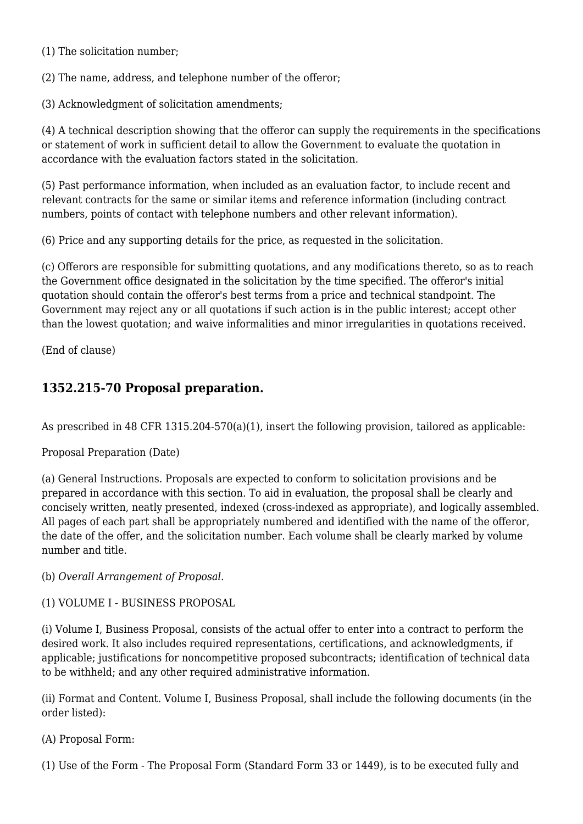(1) The solicitation number;

(2) The name, address, and telephone number of the offeror;

(3) Acknowledgment of solicitation amendments;

(4) A technical description showing that the offeror can supply the requirements in the specifications or statement of work in sufficient detail to allow the Government to evaluate the quotation in accordance with the evaluation factors stated in the solicitation.

(5) Past performance information, when included as an evaluation factor, to include recent and relevant contracts for the same or similar items and reference information (including contract numbers, points of contact with telephone numbers and other relevant information).

(6) Price and any supporting details for the price, as requested in the solicitation.

(c) Offerors are responsible for submitting quotations, and any modifications thereto, so as to reach the Government office designated in the solicitation by the time specified. The offeror's initial quotation should contain the offeror's best terms from a price and technical standpoint. The Government may reject any or all quotations if such action is in the public interest; accept other than the lowest quotation; and waive informalities and minor irregularities in quotations received.

(End of clause)

# **1352.215-70 Proposal preparation.**

As prescribed in 48 CFR 1315.204-570(a)(1), insert the following provision, tailored as applicable:

Proposal Preparation (Date)

(a) General Instructions. Proposals are expected to conform to solicitation provisions and be prepared in accordance with this section. To aid in evaluation, the proposal shall be clearly and concisely written, neatly presented, indexed (cross-indexed as appropriate), and logically assembled. All pages of each part shall be appropriately numbered and identified with the name of the offeror, the date of the offer, and the solicitation number. Each volume shall be clearly marked by volume number and title.

(b) *Overall Arrangement of Proposal.*

(1) VOLUME I - BUSINESS PROPOSAL

(i) Volume I, Business Proposal, consists of the actual offer to enter into a contract to perform the desired work. It also includes required representations, certifications, and acknowledgments, if applicable; justifications for noncompetitive proposed subcontracts; identification of technical data to be withheld; and any other required administrative information.

(ii) Format and Content. Volume I, Business Proposal, shall include the following documents (in the order listed):

#### (A) Proposal Form:

(1) Use of the Form - The Proposal Form (Standard Form 33 or 1449), is to be executed fully and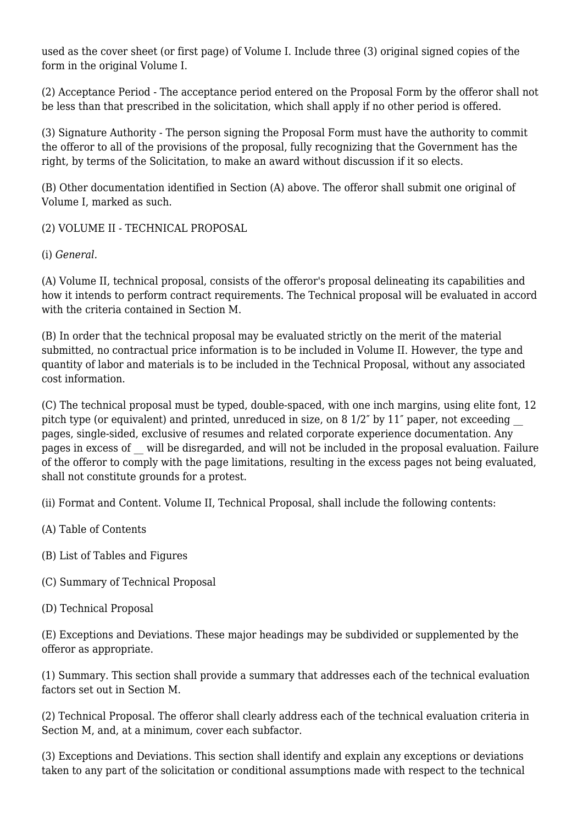used as the cover sheet (or first page) of Volume I. Include three (3) original signed copies of the form in the original Volume I.

(2) Acceptance Period - The acceptance period entered on the Proposal Form by the offeror shall not be less than that prescribed in the solicitation, which shall apply if no other period is offered.

(3) Signature Authority - The person signing the Proposal Form must have the authority to commit the offeror to all of the provisions of the proposal, fully recognizing that the Government has the right, by terms of the Solicitation, to make an award without discussion if it so elects.

(B) Other documentation identified in Section (A) above. The offeror shall submit one original of Volume I, marked as such.

(2) VOLUME II - TECHNICAL PROPOSAL

(i) *General.*

(A) Volume II, technical proposal, consists of the offeror's proposal delineating its capabilities and how it intends to perform contract requirements. The Technical proposal will be evaluated in accord with the criteria contained in Section M.

(B) In order that the technical proposal may be evaluated strictly on the merit of the material submitted, no contractual price information is to be included in Volume II. However, the type and quantity of labor and materials is to be included in the Technical Proposal, without any associated cost information.

(C) The technical proposal must be typed, double-spaced, with one inch margins, using elite font, 12 pitch type (or equivalent) and printed, unreduced in size, on 8 1/2" by 11" paper, not exceeding pages, single-sided, exclusive of resumes and related corporate experience documentation. Any pages in excess of \_\_ will be disregarded, and will not be included in the proposal evaluation. Failure of the offeror to comply with the page limitations, resulting in the excess pages not being evaluated, shall not constitute grounds for a protest.

(ii) Format and Content. Volume II, Technical Proposal, shall include the following contents:

- (A) Table of Contents
- (B) List of Tables and Figures
- (C) Summary of Technical Proposal
- (D) Technical Proposal

(E) Exceptions and Deviations. These major headings may be subdivided or supplemented by the offeror as appropriate.

(1) Summary. This section shall provide a summary that addresses each of the technical evaluation factors set out in Section M.

(2) Technical Proposal. The offeror shall clearly address each of the technical evaluation criteria in Section M, and, at a minimum, cover each subfactor.

(3) Exceptions and Deviations. This section shall identify and explain any exceptions or deviations taken to any part of the solicitation or conditional assumptions made with respect to the technical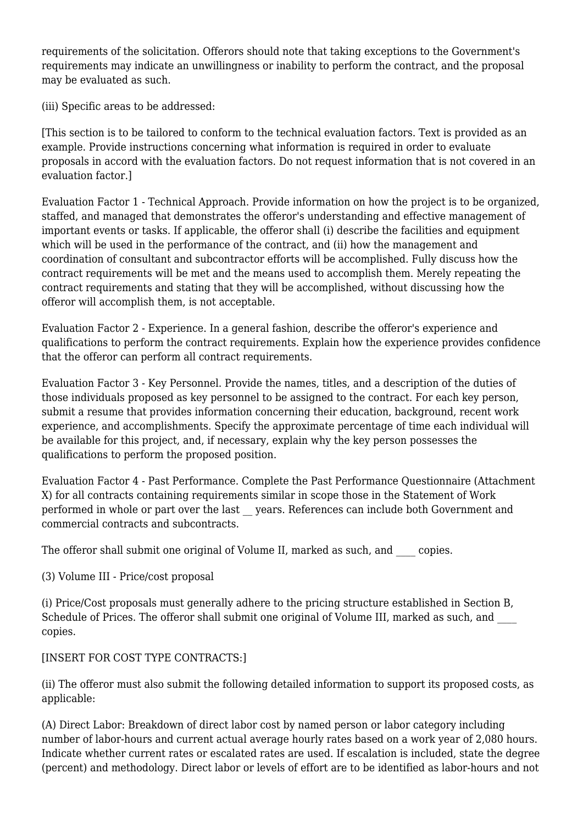requirements of the solicitation. Offerors should note that taking exceptions to the Government's requirements may indicate an unwillingness or inability to perform the contract, and the proposal may be evaluated as such.

(iii) Specific areas to be addressed:

[This section is to be tailored to conform to the technical evaluation factors. Text is provided as an example. Provide instructions concerning what information is required in order to evaluate proposals in accord with the evaluation factors. Do not request information that is not covered in an evaluation factor.]

Evaluation Factor 1 - Technical Approach. Provide information on how the project is to be organized, staffed, and managed that demonstrates the offeror's understanding and effective management of important events or tasks. If applicable, the offeror shall (i) describe the facilities and equipment which will be used in the performance of the contract, and (ii) how the management and coordination of consultant and subcontractor efforts will be accomplished. Fully discuss how the contract requirements will be met and the means used to accomplish them. Merely repeating the contract requirements and stating that they will be accomplished, without discussing how the offeror will accomplish them, is not acceptable.

Evaluation Factor 2 - Experience. In a general fashion, describe the offeror's experience and qualifications to perform the contract requirements. Explain how the experience provides confidence that the offeror can perform all contract requirements.

Evaluation Factor 3 - Key Personnel. Provide the names, titles, and a description of the duties of those individuals proposed as key personnel to be assigned to the contract. For each key person, submit a resume that provides information concerning their education, background, recent work experience, and accomplishments. Specify the approximate percentage of time each individual will be available for this project, and, if necessary, explain why the key person possesses the qualifications to perform the proposed position.

Evaluation Factor 4 - Past Performance. Complete the Past Performance Questionnaire (Attachment X) for all contracts containing requirements similar in scope those in the Statement of Work performed in whole or part over the last years. References can include both Government and commercial contracts and subcontracts.

The offeror shall submit one original of Volume II, marked as such, and copies.

(3) Volume III - Price/cost proposal

(i) Price/Cost proposals must generally adhere to the pricing structure established in Section B, Schedule of Prices. The offeror shall submit one original of Volume III, marked as such, and copies.

[INSERT FOR COST TYPE CONTRACTS:]

(ii) The offeror must also submit the following detailed information to support its proposed costs, as applicable:

(A) Direct Labor: Breakdown of direct labor cost by named person or labor category including number of labor-hours and current actual average hourly rates based on a work year of 2,080 hours. Indicate whether current rates or escalated rates are used. If escalation is included, state the degree (percent) and methodology. Direct labor or levels of effort are to be identified as labor-hours and not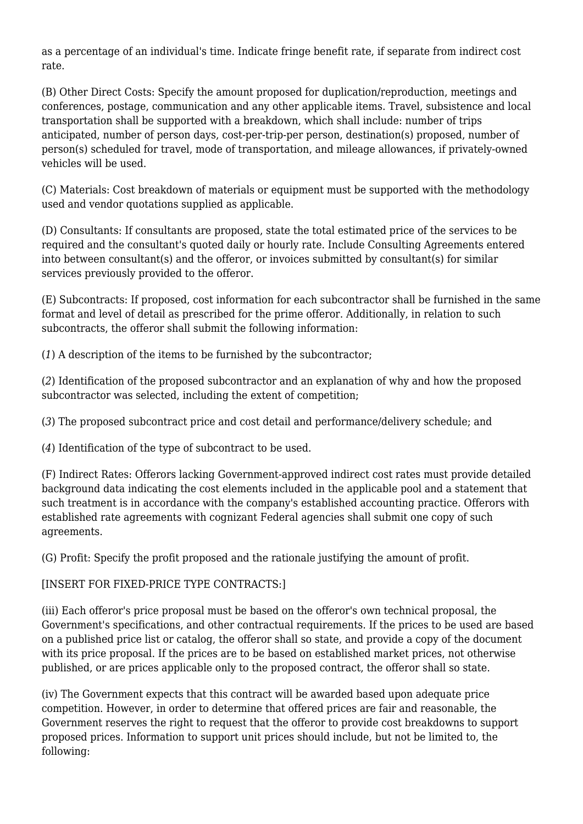as a percentage of an individual's time. Indicate fringe benefit rate, if separate from indirect cost rate.

(B) Other Direct Costs: Specify the amount proposed for duplication/reproduction, meetings and conferences, postage, communication and any other applicable items. Travel, subsistence and local transportation shall be supported with a breakdown, which shall include: number of trips anticipated, number of person days, cost-per-trip-per person, destination(s) proposed, number of person(s) scheduled for travel, mode of transportation, and mileage allowances, if privately-owned vehicles will be used.

(C) Materials: Cost breakdown of materials or equipment must be supported with the methodology used and vendor quotations supplied as applicable.

(D) Consultants: If consultants are proposed, state the total estimated price of the services to be required and the consultant's quoted daily or hourly rate. Include Consulting Agreements entered into between consultant(s) and the offeror, or invoices submitted by consultant(s) for similar services previously provided to the offeror.

(E) Subcontracts: If proposed, cost information for each subcontractor shall be furnished in the same format and level of detail as prescribed for the prime offeror. Additionally, in relation to such subcontracts, the offeror shall submit the following information:

(*1*) A description of the items to be furnished by the subcontractor;

(*2*) Identification of the proposed subcontractor and an explanation of why and how the proposed subcontractor was selected, including the extent of competition;

(*3*) The proposed subcontract price and cost detail and performance/delivery schedule; and

(*4*) Identification of the type of subcontract to be used.

(F) Indirect Rates: Offerors lacking Government-approved indirect cost rates must provide detailed background data indicating the cost elements included in the applicable pool and a statement that such treatment is in accordance with the company's established accounting practice. Offerors with established rate agreements with cognizant Federal agencies shall submit one copy of such agreements.

(G) Profit: Specify the profit proposed and the rationale justifying the amount of profit.

#### [INSERT FOR FIXED-PRICE TYPE CONTRACTS:]

(iii) Each offeror's price proposal must be based on the offeror's own technical proposal, the Government's specifications, and other contractual requirements. If the prices to be used are based on a published price list or catalog, the offeror shall so state, and provide a copy of the document with its price proposal. If the prices are to be based on established market prices, not otherwise published, or are prices applicable only to the proposed contract, the offeror shall so state.

(iv) The Government expects that this contract will be awarded based upon adequate price competition. However, in order to determine that offered prices are fair and reasonable, the Government reserves the right to request that the offeror to provide cost breakdowns to support proposed prices. Information to support unit prices should include, but not be limited to, the following: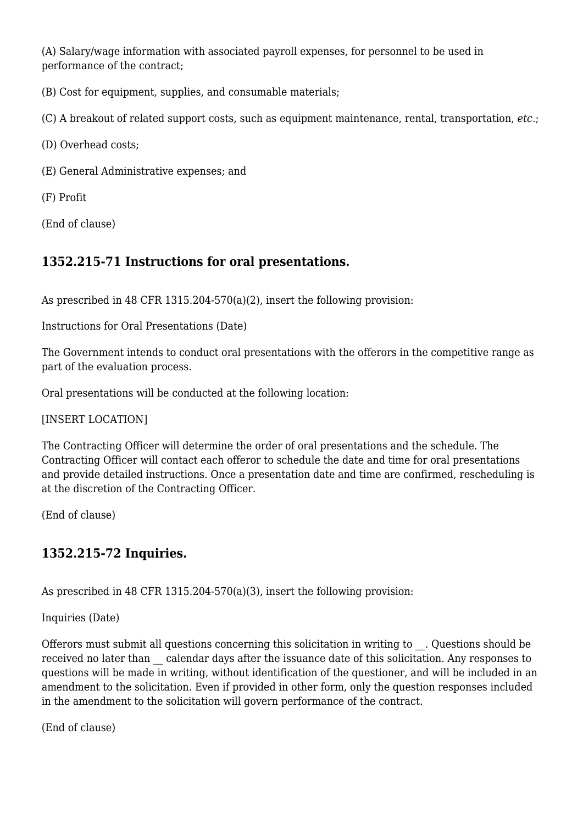(A) Salary/wage information with associated payroll expenses, for personnel to be used in performance of the contract;

(B) Cost for equipment, supplies, and consumable materials;

(C) A breakout of related support costs, such as equipment maintenance, rental, transportation, *etc.*;

(D) Overhead costs;

(E) General Administrative expenses; and

(F) Profit

(End of clause)

#### **1352.215-71 Instructions for oral presentations.**

As prescribed in 48 CFR 1315.204-570(a)(2), insert the following provision:

Instructions for Oral Presentations (Date)

The Government intends to conduct oral presentations with the offerors in the competitive range as part of the evaluation process.

Oral presentations will be conducted at the following location:

[INSERT LOCATION]

The Contracting Officer will determine the order of oral presentations and the schedule. The Contracting Officer will contact each offeror to schedule the date and time for oral presentations and provide detailed instructions. Once a presentation date and time are confirmed, rescheduling is at the discretion of the Contracting Officer.

(End of clause)

#### **1352.215-72 Inquiries.**

As prescribed in 48 CFR 1315.204-570(a)(3), insert the following provision:

Inquiries (Date)

Offerors must submit all questions concerning this solicitation in writing to . Questions should be received no later than \_\_ calendar days after the issuance date of this solicitation. Any responses to questions will be made in writing, without identification of the questioner, and will be included in an amendment to the solicitation. Even if provided in other form, only the question responses included in the amendment to the solicitation will govern performance of the contract.

(End of clause)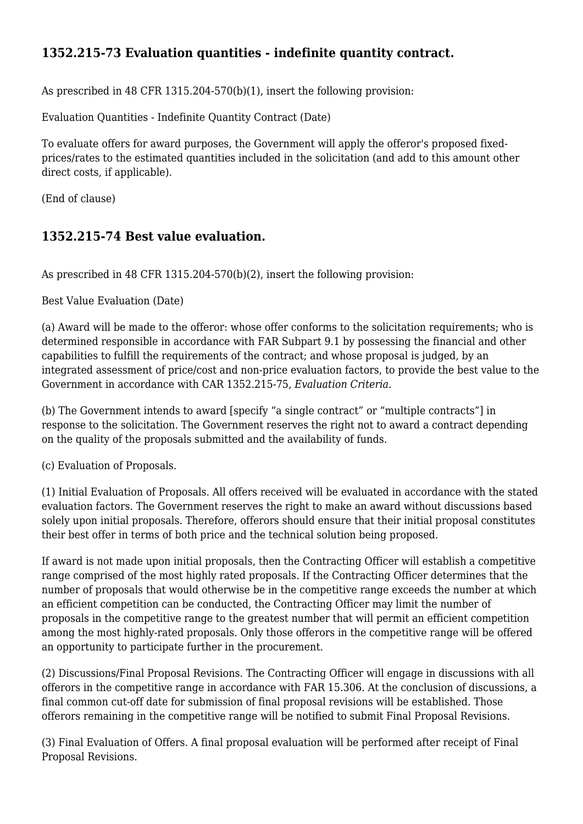### **1352.215-73 Evaluation quantities - indefinite quantity contract.**

As prescribed in 48 CFR 1315.204-570(b)(1), insert the following provision:

Evaluation Quantities - Indefinite Quantity Contract (Date)

To evaluate offers for award purposes, the Government will apply the offeror's proposed fixedprices/rates to the estimated quantities included in the solicitation (and add to this amount other direct costs, if applicable).

(End of clause)

#### **1352.215-74 Best value evaluation.**

As prescribed in 48 CFR 1315.204-570(b)(2), insert the following provision:

Best Value Evaluation (Date)

(a) Award will be made to the offeror: whose offer conforms to the solicitation requirements; who is determined responsible in accordance with FAR Subpart 9.1 by possessing the financial and other capabilities to fulfill the requirements of the contract; and whose proposal is judged, by an integrated assessment of price/cost and non-price evaluation factors, to provide the best value to the Government in accordance with CAR 1352.215-75, *Evaluation Criteria.*

(b) The Government intends to award [specify "a single contract" or "multiple contracts"] in response to the solicitation. The Government reserves the right not to award a contract depending on the quality of the proposals submitted and the availability of funds.

(c) Evaluation of Proposals.

(1) Initial Evaluation of Proposals. All offers received will be evaluated in accordance with the stated evaluation factors. The Government reserves the right to make an award without discussions based solely upon initial proposals. Therefore, offerors should ensure that their initial proposal constitutes their best offer in terms of both price and the technical solution being proposed.

If award is not made upon initial proposals, then the Contracting Officer will establish a competitive range comprised of the most highly rated proposals. If the Contracting Officer determines that the number of proposals that would otherwise be in the competitive range exceeds the number at which an efficient competition can be conducted, the Contracting Officer may limit the number of proposals in the competitive range to the greatest number that will permit an efficient competition among the most highly-rated proposals. Only those offerors in the competitive range will be offered an opportunity to participate further in the procurement.

(2) Discussions/Final Proposal Revisions. The Contracting Officer will engage in discussions with all offerors in the competitive range in accordance with FAR 15.306. At the conclusion of discussions, a final common cut-off date for submission of final proposal revisions will be established. Those offerors remaining in the competitive range will be notified to submit Final Proposal Revisions.

(3) Final Evaluation of Offers. A final proposal evaluation will be performed after receipt of Final Proposal Revisions.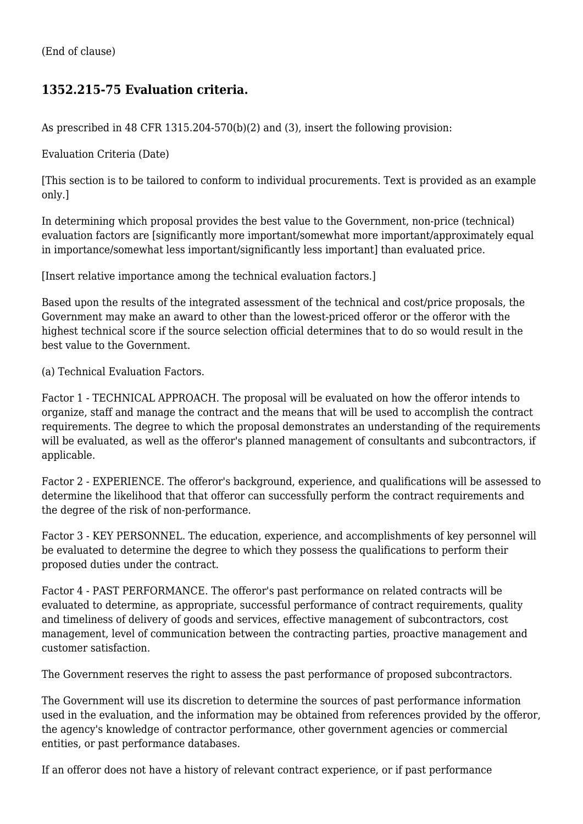#### **1352.215-75 Evaluation criteria.**

As prescribed in 48 CFR 1315.204-570(b)(2) and (3), insert the following provision:

Evaluation Criteria (Date)

[This section is to be tailored to conform to individual procurements. Text is provided as an example only.]

In determining which proposal provides the best value to the Government, non-price (technical) evaluation factors are [significantly more important/somewhat more important/approximately equal in importance/somewhat less important/significantly less important] than evaluated price.

[Insert relative importance among the technical evaluation factors.]

Based upon the results of the integrated assessment of the technical and cost/price proposals, the Government may make an award to other than the lowest-priced offeror or the offeror with the highest technical score if the source selection official determines that to do so would result in the best value to the Government.

(a) Technical Evaluation Factors.

Factor 1 - TECHNICAL APPROACH. The proposal will be evaluated on how the offeror intends to organize, staff and manage the contract and the means that will be used to accomplish the contract requirements. The degree to which the proposal demonstrates an understanding of the requirements will be evaluated, as well as the offeror's planned management of consultants and subcontractors, if applicable.

Factor 2 - EXPERIENCE. The offeror's background, experience, and qualifications will be assessed to determine the likelihood that that offeror can successfully perform the contract requirements and the degree of the risk of non-performance.

Factor 3 - KEY PERSONNEL. The education, experience, and accomplishments of key personnel will be evaluated to determine the degree to which they possess the qualifications to perform their proposed duties under the contract.

Factor 4 - PAST PERFORMANCE. The offeror's past performance on related contracts will be evaluated to determine, as appropriate, successful performance of contract requirements, quality and timeliness of delivery of goods and services, effective management of subcontractors, cost management, level of communication between the contracting parties, proactive management and customer satisfaction.

The Government reserves the right to assess the past performance of proposed subcontractors.

The Government will use its discretion to determine the sources of past performance information used in the evaluation, and the information may be obtained from references provided by the offeror, the agency's knowledge of contractor performance, other government agencies or commercial entities, or past performance databases.

If an offeror does not have a history of relevant contract experience, or if past performance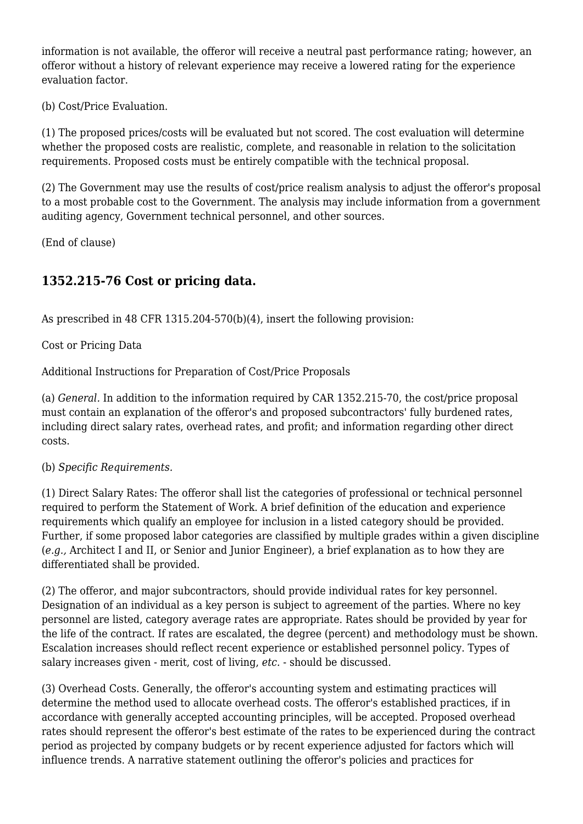information is not available, the offeror will receive a neutral past performance rating; however, an offeror without a history of relevant experience may receive a lowered rating for the experience evaluation factor.

(b) Cost/Price Evaluation.

(1) The proposed prices/costs will be evaluated but not scored. The cost evaluation will determine whether the proposed costs are realistic, complete, and reasonable in relation to the solicitation requirements. Proposed costs must be entirely compatible with the technical proposal.

(2) The Government may use the results of cost/price realism analysis to adjust the offeror's proposal to a most probable cost to the Government. The analysis may include information from a government auditing agency, Government technical personnel, and other sources.

(End of clause)

# **1352.215-76 Cost or pricing data.**

As prescribed in 48 CFR 1315.204-570(b)(4), insert the following provision:

Cost or Pricing Data

Additional Instructions for Preparation of Cost/Price Proposals

(a) *General.* In addition to the information required by CAR 1352.215-70, the cost/price proposal must contain an explanation of the offeror's and proposed subcontractors' fully burdened rates, including direct salary rates, overhead rates, and profit; and information regarding other direct costs.

(b) *Specific Requirements.*

(1) Direct Salary Rates: The offeror shall list the categories of professional or technical personnel required to perform the Statement of Work. A brief definition of the education and experience requirements which qualify an employee for inclusion in a listed category should be provided. Further, if some proposed labor categories are classified by multiple grades within a given discipline (*e.g.,* Architect I and II, or Senior and Junior Engineer), a brief explanation as to how they are differentiated shall be provided.

(2) The offeror, and major subcontractors, should provide individual rates for key personnel. Designation of an individual as a key person is subject to agreement of the parties. Where no key personnel are listed, category average rates are appropriate. Rates should be provided by year for the life of the contract. If rates are escalated, the degree (percent) and methodology must be shown. Escalation increases should reflect recent experience or established personnel policy. Types of salary increases given - merit, cost of living, *etc.* - should be discussed.

(3) Overhead Costs. Generally, the offeror's accounting system and estimating practices will determine the method used to allocate overhead costs. The offeror's established practices, if in accordance with generally accepted accounting principles, will be accepted. Proposed overhead rates should represent the offeror's best estimate of the rates to be experienced during the contract period as projected by company budgets or by recent experience adjusted for factors which will influence trends. A narrative statement outlining the offeror's policies and practices for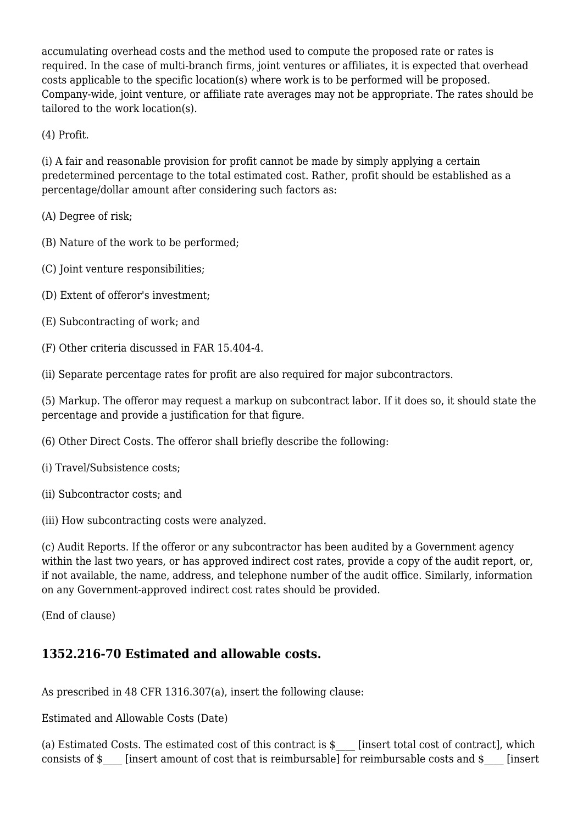accumulating overhead costs and the method used to compute the proposed rate or rates is required. In the case of multi-branch firms, joint ventures or affiliates, it is expected that overhead costs applicable to the specific location(s) where work is to be performed will be proposed. Company-wide, joint venture, or affiliate rate averages may not be appropriate. The rates should be tailored to the work location(s).

(4) Profit.

(i) A fair and reasonable provision for profit cannot be made by simply applying a certain predetermined percentage to the total estimated cost. Rather, profit should be established as a percentage/dollar amount after considering such factors as:

(A) Degree of risk;

(B) Nature of the work to be performed;

- (C) Joint venture responsibilities;
- (D) Extent of offeror's investment;
- (E) Subcontracting of work; and
- (F) Other criteria discussed in FAR 15.404-4.

(ii) Separate percentage rates for profit are also required for major subcontractors.

(5) Markup. The offeror may request a markup on subcontract labor. If it does so, it should state the percentage and provide a justification for that figure.

- (6) Other Direct Costs. The offeror shall briefly describe the following:
- (i) Travel/Subsistence costs;
- (ii) Subcontractor costs; and

(iii) How subcontracting costs were analyzed.

(c) Audit Reports. If the offeror or any subcontractor has been audited by a Government agency within the last two years, or has approved indirect cost rates, provide a copy of the audit report, or, if not available, the name, address, and telephone number of the audit office. Similarly, information on any Government-approved indirect cost rates should be provided.

(End of clause)

#### **1352.216-70 Estimated and allowable costs.**

As prescribed in 48 CFR 1316.307(a), insert the following clause:

Estimated and Allowable Costs (Date)

(a) Estimated Costs. The estimated cost of this contract is \$\_\_\_\_ [insert total cost of contract], which consists of \$\_\_\_\_ [insert amount of cost that is reimbursable] for reimbursable costs and \$\_\_\_\_ [insert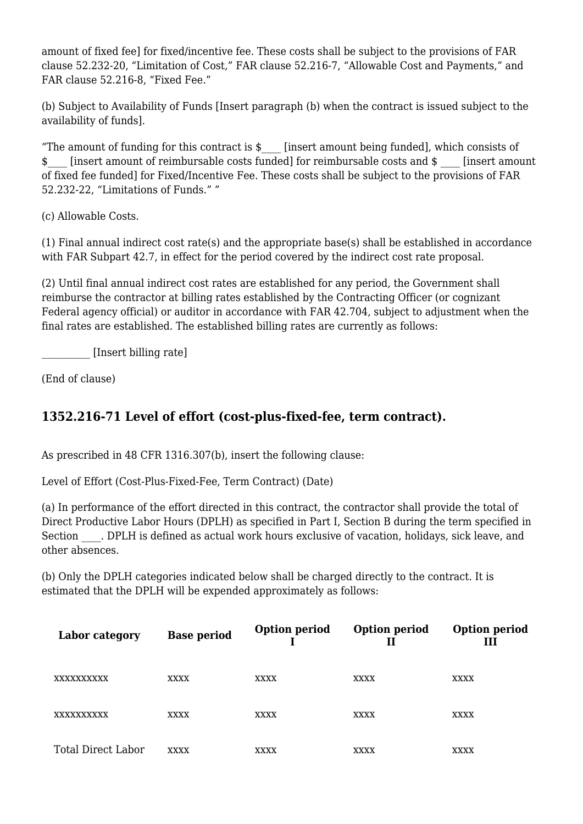amount of fixed fee] for fixed/incentive fee. These costs shall be subject to the provisions of FAR clause 52.232-20, "Limitation of Cost," FAR clause 52.216-7, "Allowable Cost and Payments," and FAR clause 52.216-8, "Fixed Fee."

(b) Subject to Availability of Funds [Insert paragraph (b) when the contract is issued subject to the availability of funds].

"The amount of funding for this contract is  $\phi$  [insert amount being funded], which consists of \$ [insert amount of reimbursable costs funded] for reimbursable costs and \$ [insert amount of fixed fee funded] for Fixed/Incentive Fee. These costs shall be subject to the provisions of FAR 52.232-22, "Limitations of Funds." "

(c) Allowable Costs.

(1) Final annual indirect cost rate(s) and the appropriate base(s) shall be established in accordance with FAR Subpart 42.7, in effect for the period covered by the indirect cost rate proposal.

(2) Until final annual indirect cost rates are established for any period, the Government shall reimburse the contractor at billing rates established by the Contracting Officer (or cognizant Federal agency official) or auditor in accordance with FAR 42.704, subject to adjustment when the final rates are established. The established billing rates are currently as follows:

\_\_\_\_\_\_\_\_\_\_ [Insert billing rate]

(End of clause)

#### **1352.216-71 Level of effort (cost-plus-fixed-fee, term contract).**

As prescribed in 48 CFR 1316.307(b), insert the following clause:

Level of Effort (Cost-Plus-Fixed-Fee, Term Contract) (Date)

(a) In performance of the effort directed in this contract, the contractor shall provide the total of Direct Productive Labor Hours (DPLH) as specified in Part I, Section B during the term specified in Section \_\_\_\_. DPLH is defined as actual work hours exclusive of vacation, holidays, sick leave, and other absences.

(b) Only the DPLH categories indicated below shall be charged directly to the contract. It is estimated that the DPLH will be expended approximately as follows:

| Labor category     | <b>Base period</b> | <b>Option period</b> | <b>Option period</b><br>Н | <b>Option period</b><br>III |
|--------------------|--------------------|----------------------|---------------------------|-----------------------------|
| XXXXXXXXXX         | XXXX               | <b>XXXX</b>          | <b>XXXX</b>               | <b>XXXX</b>                 |
| XXXXXXXXXX         | <b>XXXX</b>        | <b>XXXX</b>          | <b>XXXX</b>               | <b>XXXX</b>                 |
| Total Direct Labor | <b>XXXX</b>        | <b>XXXX</b>          | <b>XXXX</b>               | XXXX                        |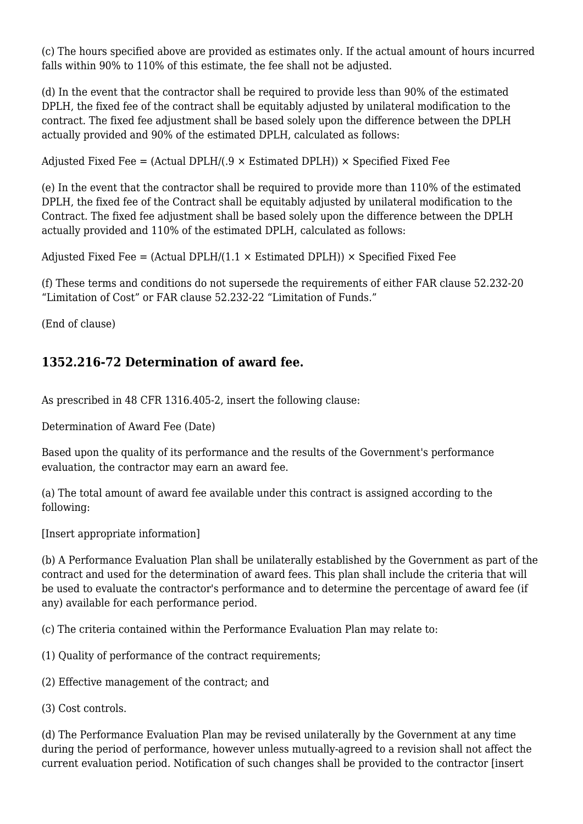(c) The hours specified above are provided as estimates only. If the actual amount of hours incurred falls within 90% to 110% of this estimate, the fee shall not be adjusted.

(d) In the event that the contractor shall be required to provide less than 90% of the estimated DPLH, the fixed fee of the contract shall be equitably adjusted by unilateral modification to the contract. The fixed fee adjustment shall be based solely upon the difference between the DPLH actually provided and 90% of the estimated DPLH, calculated as follows:

Adjusted Fixed Fee = (Actual DPLH/(.9  $\times$  Estimated DPLH))  $\times$  Specified Fixed Fee

(e) In the event that the contractor shall be required to provide more than 110% of the estimated DPLH, the fixed fee of the Contract shall be equitably adjusted by unilateral modification to the Contract. The fixed fee adjustment shall be based solely upon the difference between the DPLH actually provided and 110% of the estimated DPLH, calculated as follows:

Adjusted Fixed Fee = (Actual DPLH/(1.1  $\times$  Estimated DPLH))  $\times$  Specified Fixed Fee

(f) These terms and conditions do not supersede the requirements of either FAR clause 52.232-20 "Limitation of Cost" or FAR clause 52.232-22 "Limitation of Funds."

(End of clause)

#### **1352.216-72 Determination of award fee.**

As prescribed in 48 CFR 1316.405-2, insert the following clause:

Determination of Award Fee (Date)

Based upon the quality of its performance and the results of the Government's performance evaluation, the contractor may earn an award fee.

(a) The total amount of award fee available under this contract is assigned according to the following:

[Insert appropriate information]

(b) A Performance Evaluation Plan shall be unilaterally established by the Government as part of the contract and used for the determination of award fees. This plan shall include the criteria that will be used to evaluate the contractor's performance and to determine the percentage of award fee (if any) available for each performance period.

(c) The criteria contained within the Performance Evaluation Plan may relate to:

- (1) Quality of performance of the contract requirements;
- (2) Effective management of the contract; and
- (3) Cost controls.

(d) The Performance Evaluation Plan may be revised unilaterally by the Government at any time during the period of performance, however unless mutually-agreed to a revision shall not affect the current evaluation period. Notification of such changes shall be provided to the contractor [insert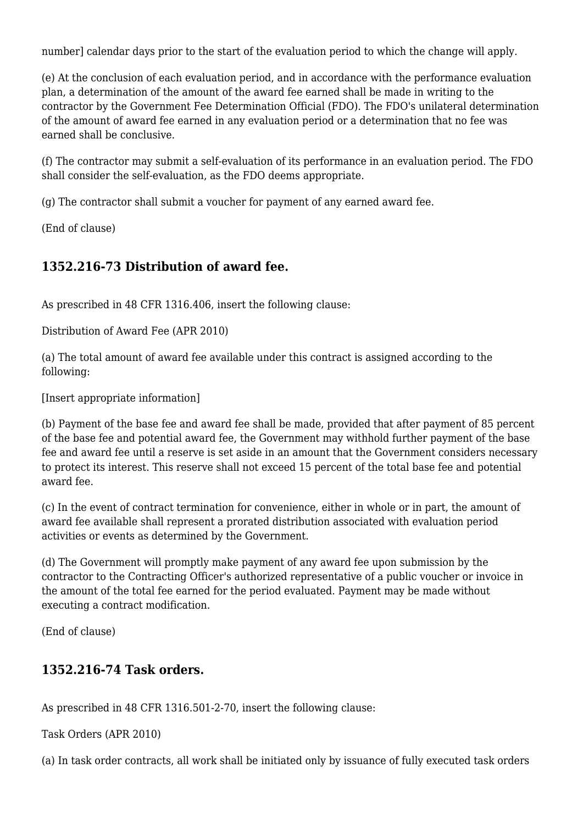number] calendar days prior to the start of the evaluation period to which the change will apply.

(e) At the conclusion of each evaluation period, and in accordance with the performance evaluation plan, a determination of the amount of the award fee earned shall be made in writing to the contractor by the Government Fee Determination Official (FDO). The FDO's unilateral determination of the amount of award fee earned in any evaluation period or a determination that no fee was earned shall be conclusive.

(f) The contractor may submit a self-evaluation of its performance in an evaluation period. The FDO shall consider the self-evaluation, as the FDO deems appropriate.

(g) The contractor shall submit a voucher for payment of any earned award fee.

(End of clause)

#### **1352.216-73 Distribution of award fee.**

As prescribed in 48 CFR 1316.406, insert the following clause:

Distribution of Award Fee (APR 2010)

(a) The total amount of award fee available under this contract is assigned according to the following:

[Insert appropriate information]

(b) Payment of the base fee and award fee shall be made, provided that after payment of 85 percent of the base fee and potential award fee, the Government may withhold further payment of the base fee and award fee until a reserve is set aside in an amount that the Government considers necessary to protect its interest. This reserve shall not exceed 15 percent of the total base fee and potential award fee.

(c) In the event of contract termination for convenience, either in whole or in part, the amount of award fee available shall represent a prorated distribution associated with evaluation period activities or events as determined by the Government.

(d) The Government will promptly make payment of any award fee upon submission by the contractor to the Contracting Officer's authorized representative of a public voucher or invoice in the amount of the total fee earned for the period evaluated. Payment may be made without executing a contract modification.

(End of clause)

#### **1352.216-74 Task orders.**

As prescribed in 48 CFR 1316.501-2-70, insert the following clause:

Task Orders (APR 2010)

(a) In task order contracts, all work shall be initiated only by issuance of fully executed task orders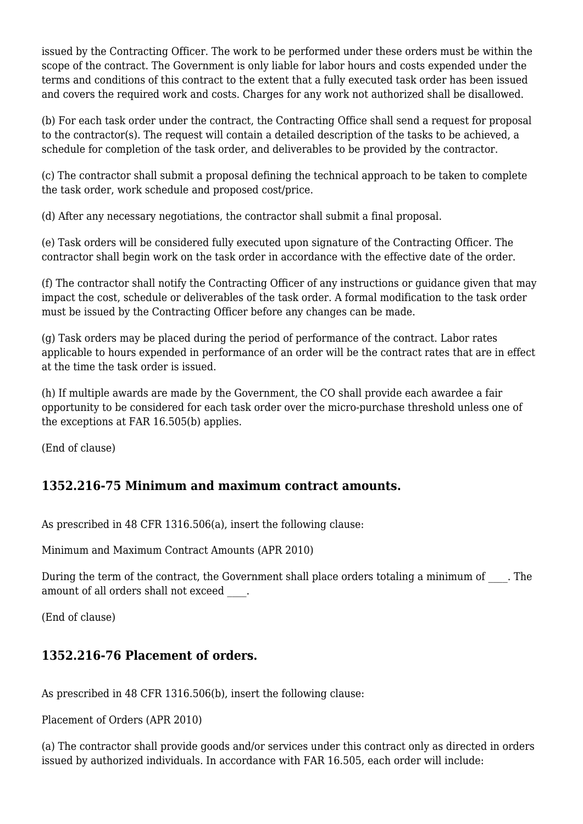issued by the Contracting Officer. The work to be performed under these orders must be within the scope of the contract. The Government is only liable for labor hours and costs expended under the terms and conditions of this contract to the extent that a fully executed task order has been issued and covers the required work and costs. Charges for any work not authorized shall be disallowed.

(b) For each task order under the contract, the Contracting Office shall send a request for proposal to the contractor(s). The request will contain a detailed description of the tasks to be achieved, a schedule for completion of the task order, and deliverables to be provided by the contractor.

(c) The contractor shall submit a proposal defining the technical approach to be taken to complete the task order, work schedule and proposed cost/price.

(d) After any necessary negotiations, the contractor shall submit a final proposal.

(e) Task orders will be considered fully executed upon signature of the Contracting Officer. The contractor shall begin work on the task order in accordance with the effective date of the order.

(f) The contractor shall notify the Contracting Officer of any instructions or guidance given that may impact the cost, schedule or deliverables of the task order. A formal modification to the task order must be issued by the Contracting Officer before any changes can be made.

(g) Task orders may be placed during the period of performance of the contract. Labor rates applicable to hours expended in performance of an order will be the contract rates that are in effect at the time the task order is issued.

(h) If multiple awards are made by the Government, the CO shall provide each awardee a fair opportunity to be considered for each task order over the micro-purchase threshold unless one of the exceptions at FAR 16.505(b) applies.

(End of clause)

#### **1352.216-75 Minimum and maximum contract amounts.**

As prescribed in 48 CFR 1316.506(a), insert the following clause:

Minimum and Maximum Contract Amounts (APR 2010)

During the term of the contract, the Government shall place orders totaling a minimum of The amount of all orders shall not exceed  $\qquad$ .

(End of clause)

#### **1352.216-76 Placement of orders.**

As prescribed in 48 CFR 1316.506(b), insert the following clause:

Placement of Orders (APR 2010)

(a) The contractor shall provide goods and/or services under this contract only as directed in orders issued by authorized individuals. In accordance with FAR 16.505, each order will include: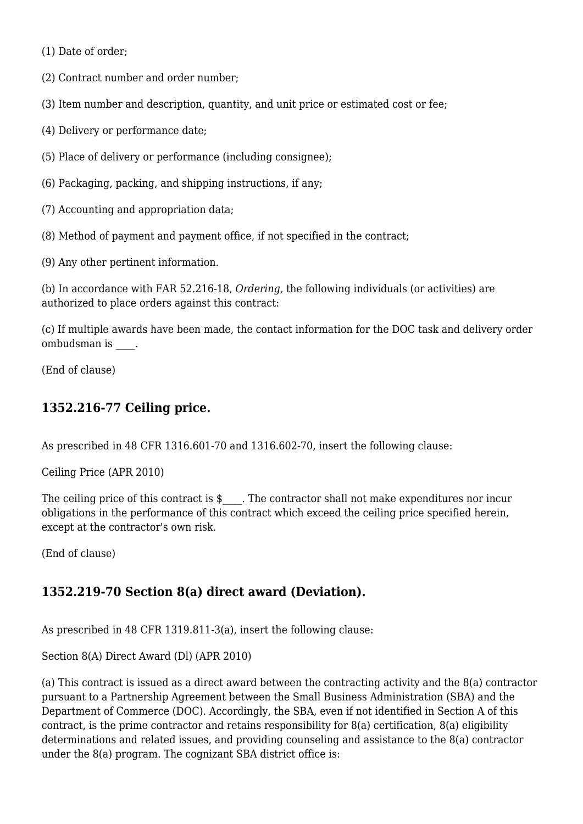(1) Date of order;

(2) Contract number and order number;

(3) Item number and description, quantity, and unit price or estimated cost or fee;

(4) Delivery or performance date;

(5) Place of delivery or performance (including consignee);

(6) Packaging, packing, and shipping instructions, if any;

(7) Accounting and appropriation data;

(8) Method of payment and payment office, if not specified in the contract;

(9) Any other pertinent information.

(b) In accordance with FAR 52.216-18, *Ordering,* the following individuals (or activities) are authorized to place orders against this contract:

(c) If multiple awards have been made, the contact information for the DOC task and delivery order ombudsman is  $\qquad$ .

(End of clause)

#### **1352.216-77 Ceiling price.**

As prescribed in 48 CFR 1316.601-70 and 1316.602-70, insert the following clause:

Ceiling Price (APR 2010)

The ceiling price of this contract is  $\frac{1}{2}$ . The contractor shall not make expenditures nor incur obligations in the performance of this contract which exceed the ceiling price specified herein, except at the contractor's own risk.

(End of clause)

#### **1352.219-70 Section 8(a) direct award (Deviation).**

As prescribed in 48 CFR 1319.811-3(a), insert the following clause:

Section 8(A) Direct Award (Dl) (APR 2010)

(a) This contract is issued as a direct award between the contracting activity and the 8(a) contractor pursuant to a Partnership Agreement between the Small Business Administration (SBA) and the Department of Commerce (DOC). Accordingly, the SBA, even if not identified in Section A of this contract, is the prime contractor and retains responsibility for 8(a) certification, 8(a) eligibility determinations and related issues, and providing counseling and assistance to the 8(a) contractor under the 8(a) program. The cognizant SBA district office is: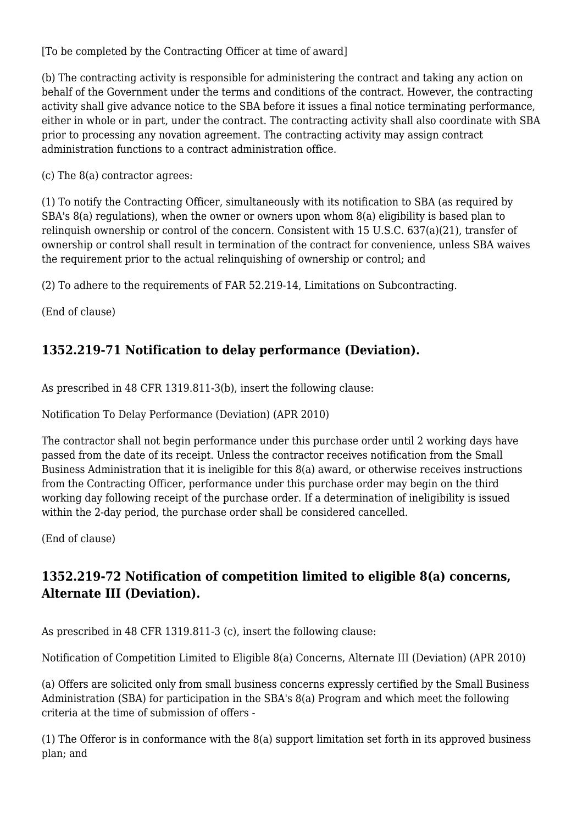[To be completed by the Contracting Officer at time of award]

(b) The contracting activity is responsible for administering the contract and taking any action on behalf of the Government under the terms and conditions of the contract. However, the contracting activity shall give advance notice to the SBA before it issues a final notice terminating performance, either in whole or in part, under the contract. The contracting activity shall also coordinate with SBA prior to processing any novation agreement. The contracting activity may assign contract administration functions to a contract administration office.

(c) The 8(a) contractor agrees:

(1) To notify the Contracting Officer, simultaneously with its notification to SBA (as required by SBA's 8(a) regulations), when the owner or owners upon whom 8(a) eligibility is based plan to relinquish ownership or control of the concern. Consistent with 15 U.S.C. 637(a)(21), transfer of ownership or control shall result in termination of the contract for convenience, unless SBA waives the requirement prior to the actual relinquishing of ownership or control; and

(2) To adhere to the requirements of FAR 52.219-14, Limitations on Subcontracting.

(End of clause)

# **1352.219-71 Notification to delay performance (Deviation).**

As prescribed in 48 CFR 1319.811-3(b), insert the following clause:

Notification To Delay Performance (Deviation) (APR 2010)

The contractor shall not begin performance under this purchase order until 2 working days have passed from the date of its receipt. Unless the contractor receives notification from the Small Business Administration that it is ineligible for this 8(a) award, or otherwise receives instructions from the Contracting Officer, performance under this purchase order may begin on the third working day following receipt of the purchase order. If a determination of ineligibility is issued within the 2-day period, the purchase order shall be considered cancelled.

(End of clause)

# **1352.219-72 Notification of competition limited to eligible 8(a) concerns, Alternate III (Deviation).**

As prescribed in 48 CFR 1319.811-3 (c), insert the following clause:

Notification of Competition Limited to Eligible 8(a) Concerns, Alternate III (Deviation) (APR 2010)

(a) Offers are solicited only from small business concerns expressly certified by the Small Business Administration (SBA) for participation in the SBA's 8(a) Program and which meet the following criteria at the time of submission of offers -

(1) The Offeror is in conformance with the 8(a) support limitation set forth in its approved business plan; and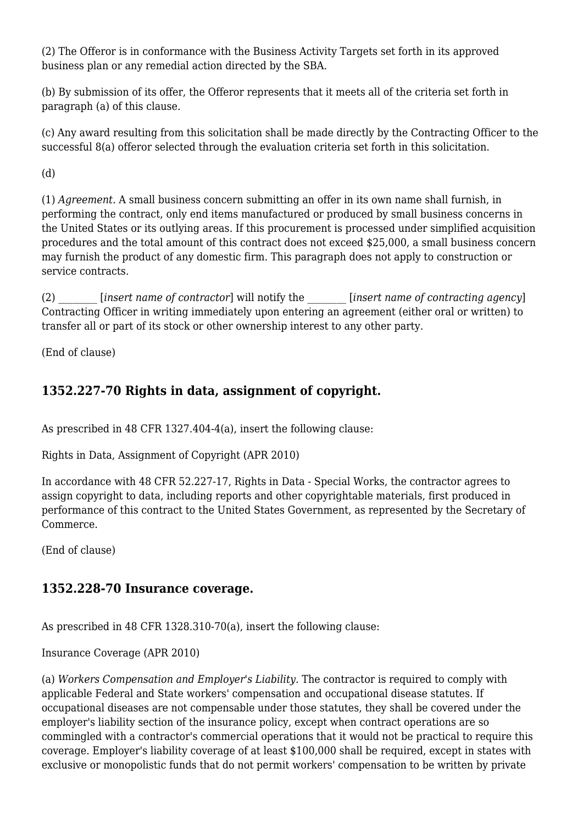(2) The Offeror is in conformance with the Business Activity Targets set forth in its approved business plan or any remedial action directed by the SBA.

(b) By submission of its offer, the Offeror represents that it meets all of the criteria set forth in paragraph (a) of this clause.

(c) Any award resulting from this solicitation shall be made directly by the Contracting Officer to the successful 8(a) offeror selected through the evaluation criteria set forth in this solicitation.

(d)

(1) *Agreement.* A small business concern submitting an offer in its own name shall furnish, in performing the contract, only end items manufactured or produced by small business concerns in the United States or its outlying areas. If this procurement is processed under simplified acquisition procedures and the total amount of this contract does not exceed \$25,000, a small business concern may furnish the product of any domestic firm. This paragraph does not apply to construction or service contracts.

(2) \_\_\_\_\_\_\_\_ [*insert name of contractor*] will notify the \_\_\_\_\_\_\_\_ [*insert name of contracting agency*] Contracting Officer in writing immediately upon entering an agreement (either oral or written) to transfer all or part of its stock or other ownership interest to any other party.

(End of clause)

# **1352.227-70 Rights in data, assignment of copyright.**

As prescribed in 48 CFR 1327.404-4(a), insert the following clause:

Rights in Data, Assignment of Copyright (APR 2010)

In accordance with 48 CFR 52.227-17, Rights in Data - Special Works, the contractor agrees to assign copyright to data, including reports and other copyrightable materials, first produced in performance of this contract to the United States Government, as represented by the Secretary of Commerce.

(End of clause)

# **1352.228-70 Insurance coverage.**

As prescribed in 48 CFR 1328.310-70(a), insert the following clause:

Insurance Coverage (APR 2010)

(a) *Workers Compensation and Employer's Liability.* The contractor is required to comply with applicable Federal and State workers' compensation and occupational disease statutes. If occupational diseases are not compensable under those statutes, they shall be covered under the employer's liability section of the insurance policy, except when contract operations are so commingled with a contractor's commercial operations that it would not be practical to require this coverage. Employer's liability coverage of at least \$100,000 shall be required, except in states with exclusive or monopolistic funds that do not permit workers' compensation to be written by private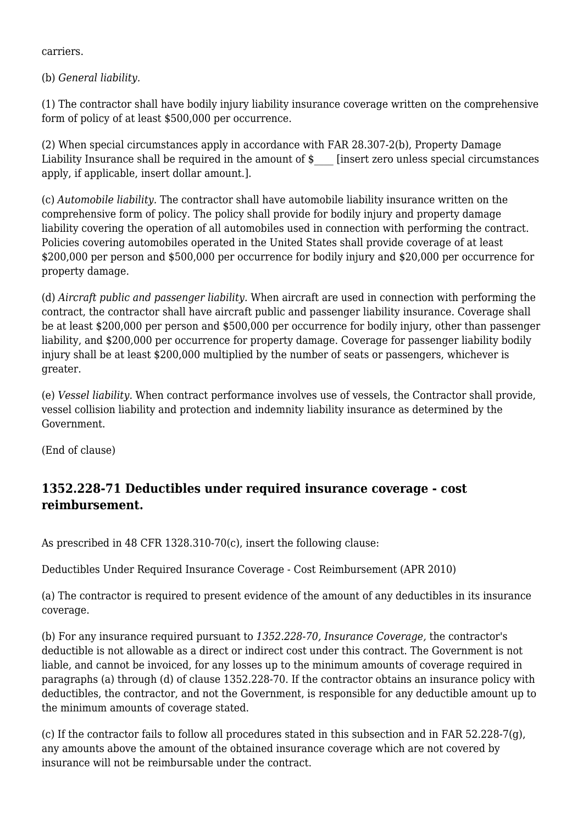carriers.

(b) *General liability.*

(1) The contractor shall have bodily injury liability insurance coverage written on the comprehensive form of policy of at least \$500,000 per occurrence.

(2) When special circumstances apply in accordance with FAR 28.307-2(b), Property Damage Liability Insurance shall be required in the amount of  $\frac{1}{2}$  [insert zero unless special circumstances] apply, if applicable, insert dollar amount.].

(c) *Automobile liability.* The contractor shall have automobile liability insurance written on the comprehensive form of policy. The policy shall provide for bodily injury and property damage liability covering the operation of all automobiles used in connection with performing the contract. Policies covering automobiles operated in the United States shall provide coverage of at least \$200,000 per person and \$500,000 per occurrence for bodily injury and \$20,000 per occurrence for property damage.

(d) *Aircraft public and passenger liability.* When aircraft are used in connection with performing the contract, the contractor shall have aircraft public and passenger liability insurance. Coverage shall be at least \$200,000 per person and \$500,000 per occurrence for bodily injury, other than passenger liability, and \$200,000 per occurrence for property damage. Coverage for passenger liability bodily injury shall be at least \$200,000 multiplied by the number of seats or passengers, whichever is greater.

(e) *Vessel liability.* When contract performance involves use of vessels, the Contractor shall provide, vessel collision liability and protection and indemnity liability insurance as determined by the Government.

(End of clause)

#### **1352.228-71 Deductibles under required insurance coverage - cost reimbursement.**

As prescribed in 48 CFR 1328.310-70(c), insert the following clause:

Deductibles Under Required Insurance Coverage - Cost Reimbursement (APR 2010)

(a) The contractor is required to present evidence of the amount of any deductibles in its insurance coverage.

(b) For any insurance required pursuant to *1352.228-70, Insurance Coverage,* the contractor's deductible is not allowable as a direct or indirect cost under this contract. The Government is not liable, and cannot be invoiced, for any losses up to the minimum amounts of coverage required in paragraphs (a) through (d) of clause 1352.228-70. If the contractor obtains an insurance policy with deductibles, the contractor, and not the Government, is responsible for any deductible amount up to the minimum amounts of coverage stated.

(c) If the contractor fails to follow all procedures stated in this subsection and in FAR 52.228-7(g), any amounts above the amount of the obtained insurance coverage which are not covered by insurance will not be reimbursable under the contract.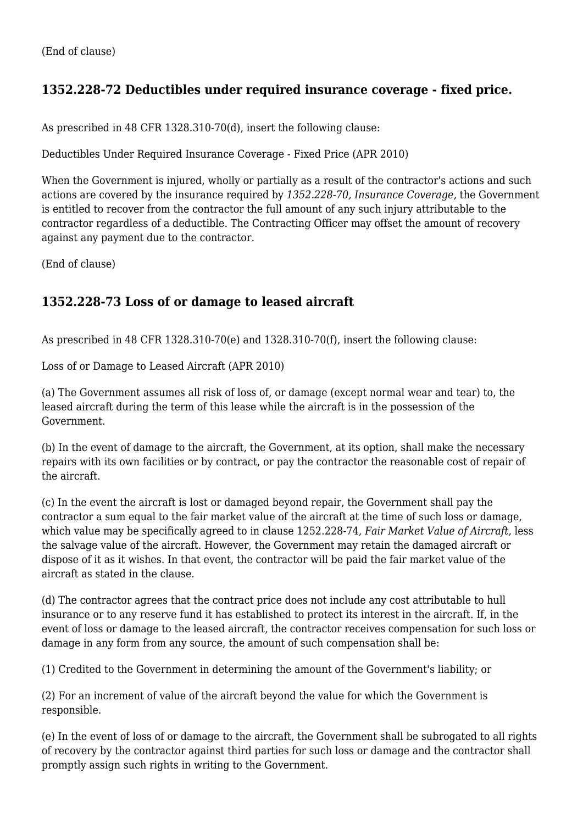# **1352.228-72 Deductibles under required insurance coverage - fixed price.**

As prescribed in 48 CFR 1328.310-70(d), insert the following clause:

Deductibles Under Required Insurance Coverage - Fixed Price (APR 2010)

When the Government is injured, wholly or partially as a result of the contractor's actions and such actions are covered by the insurance required by *1352.228-70, Insurance Coverage,* the Government is entitled to recover from the contractor the full amount of any such injury attributable to the contractor regardless of a deductible. The Contracting Officer may offset the amount of recovery against any payment due to the contractor.

(End of clause)

#### **1352.228-73 Loss of or damage to leased aircraft**

As prescribed in 48 CFR 1328.310-70(e) and 1328.310-70(f), insert the following clause:

Loss of or Damage to Leased Aircraft (APR 2010)

(a) The Government assumes all risk of loss of, or damage (except normal wear and tear) to, the leased aircraft during the term of this lease while the aircraft is in the possession of the Government.

(b) In the event of damage to the aircraft, the Government, at its option, shall make the necessary repairs with its own facilities or by contract, or pay the contractor the reasonable cost of repair of the aircraft.

(c) In the event the aircraft is lost or damaged beyond repair, the Government shall pay the contractor a sum equal to the fair market value of the aircraft at the time of such loss or damage, which value may be specifically agreed to in clause 1252.228-74, *Fair Market Value of Aircraft,* less the salvage value of the aircraft. However, the Government may retain the damaged aircraft or dispose of it as it wishes. In that event, the contractor will be paid the fair market value of the aircraft as stated in the clause.

(d) The contractor agrees that the contract price does not include any cost attributable to hull insurance or to any reserve fund it has established to protect its interest in the aircraft. If, in the event of loss or damage to the leased aircraft, the contractor receives compensation for such loss or damage in any form from any source, the amount of such compensation shall be:

(1) Credited to the Government in determining the amount of the Government's liability; or

(2) For an increment of value of the aircraft beyond the value for which the Government is responsible.

(e) In the event of loss of or damage to the aircraft, the Government shall be subrogated to all rights of recovery by the contractor against third parties for such loss or damage and the contractor shall promptly assign such rights in writing to the Government.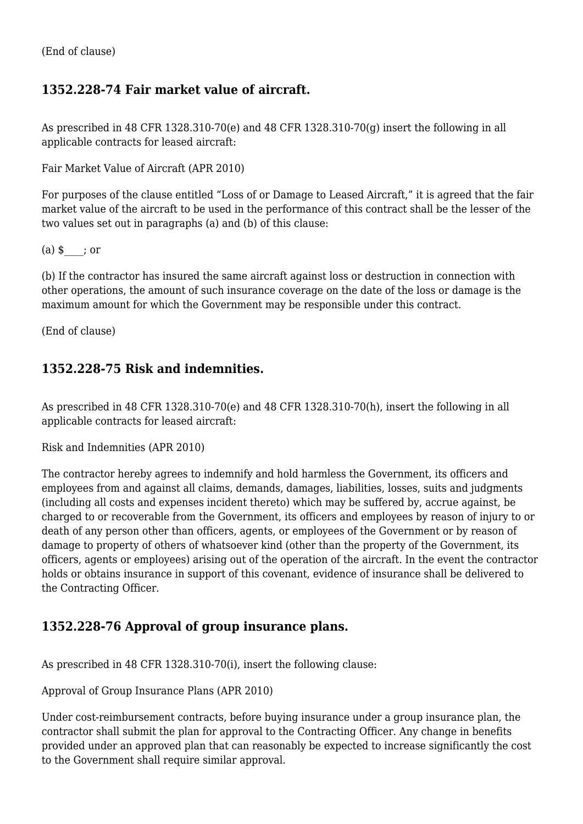#### **1352.228-74 Fair market value of aircraft.**

As prescribed in 48 CFR 1328.310-70(e) and 48 CFR 1328.310-70(g) insert the following in all applicable contracts for leased aircraft:

Fair Market Value of Aircraft (APR 2010)

For purposes of the clause entitled "Loss of or Damage to Leased Aircraft," it is agreed that the fair market value of the aircraft to be used in the performance of this contract shall be the lesser of the two values set out in paragraphs (a) and (b) of this clause:

 $(a)$ \$; or

(b) If the contractor has insured the same aircraft against loss or destruction in connection with other operations, the amount of such insurance coverage on the date of the loss or damage is the maximum amount for which the Government may be responsible under this contract.

(End of clause)

#### **1352.228-75 Risk and indemnities.**

As prescribed in 48 CFR 1328.310-70(e) and 48 CFR 1328.310-70(h), insert the following in all applicable contracts for leased aircraft:

Risk and Indemnities (APR 2010)

The contractor hereby agrees to indemnify and hold harmless the Government, its officers and employees from and against all claims, demands, damages, liabilities, losses, suits and judgments (including all costs and expenses incident thereto) which may be suffered by, accrue against, be charged to or recoverable from the Government, its officers and employees by reason of injury to or death of any person other than officers, agents, or employees of the Government or by reason of damage to property of others of whatsoever kind (other than the property of the Government, its officers, agents or employees) arising out of the operation of the aircraft. In the event the contractor holds or obtains insurance in support of this covenant, evidence of insurance shall be delivered to the Contracting Officer.

#### **1352.228-76 Approval of group insurance plans.**

As prescribed in 48 CFR 1328.310-70(i), insert the following clause:

Approval of Group Insurance Plans (APR 2010)

Under cost-reimbursement contracts, before buying insurance under a group insurance plan, the contractor shall submit the plan for approval to the Contracting Officer. Any change in benefits provided under an approved plan that can reasonably be expected to increase significantly the cost to the Government shall require similar approval.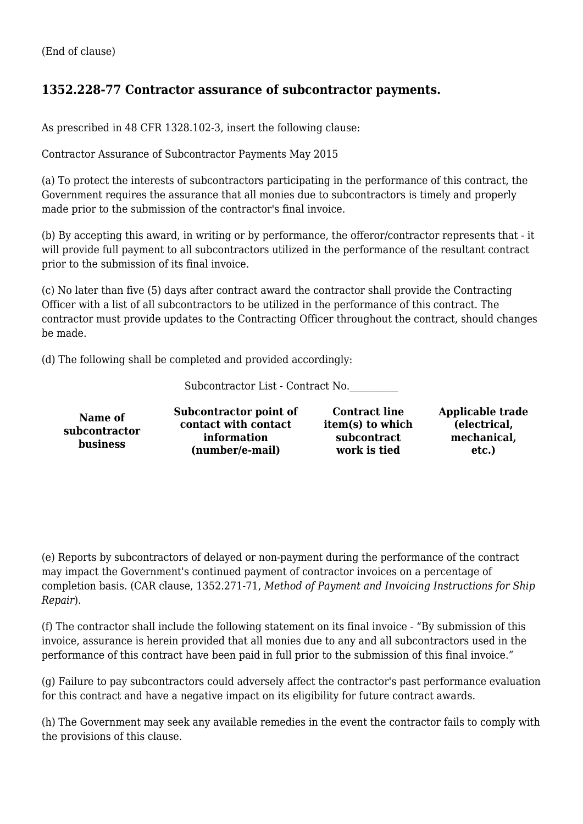#### **1352.228-77 Contractor assurance of subcontractor payments.**

As prescribed in 48 CFR 1328.102-3, insert the following clause:

Contractor Assurance of Subcontractor Payments May 2015

(a) To protect the interests of subcontractors participating in the performance of this contract, the Government requires the assurance that all monies due to subcontractors is timely and properly made prior to the submission of the contractor's final invoice.

(b) By accepting this award, in writing or by performance, the offeror/contractor represents that - it will provide full payment to all subcontractors utilized in the performance of the resultant contract prior to the submission of its final invoice.

(c) No later than five (5) days after contract award the contractor shall provide the Contracting Officer with a list of all subcontractors to be utilized in the performance of this contract. The contractor must provide updates to the Contracting Officer throughout the contract, should changes be made.

(d) The following shall be completed and provided accordingly:

Subcontractor List - Contract No.\_\_\_\_\_\_\_\_\_\_

| <b>business</b><br>(number/e-mail)<br>work is tied<br>etc.) | Name of<br>subcontractor | Subcontractor point of<br>contact with contact<br>information | <b>Contract line</b><br>item(s) to which<br>subcontract | <b>Applicable trade</b><br>(electrical,<br>mechanical, |
|-------------------------------------------------------------|--------------------------|---------------------------------------------------------------|---------------------------------------------------------|--------------------------------------------------------|
|-------------------------------------------------------------|--------------------------|---------------------------------------------------------------|---------------------------------------------------------|--------------------------------------------------------|

(e) Reports by subcontractors of delayed or non-payment during the performance of the contract may impact the Government's continued payment of contractor invoices on a percentage of completion basis. (CAR clause, 1352.271-71, *Method of Payment and Invoicing Instructions for Ship Repair*).

(f) The contractor shall include the following statement on its final invoice - "By submission of this invoice, assurance is herein provided that all monies due to any and all subcontractors used in the performance of this contract have been paid in full prior to the submission of this final invoice."

(g) Failure to pay subcontractors could adversely affect the contractor's past performance evaluation for this contract and have a negative impact on its eligibility for future contract awards.

(h) The Government may seek any available remedies in the event the contractor fails to comply with the provisions of this clause.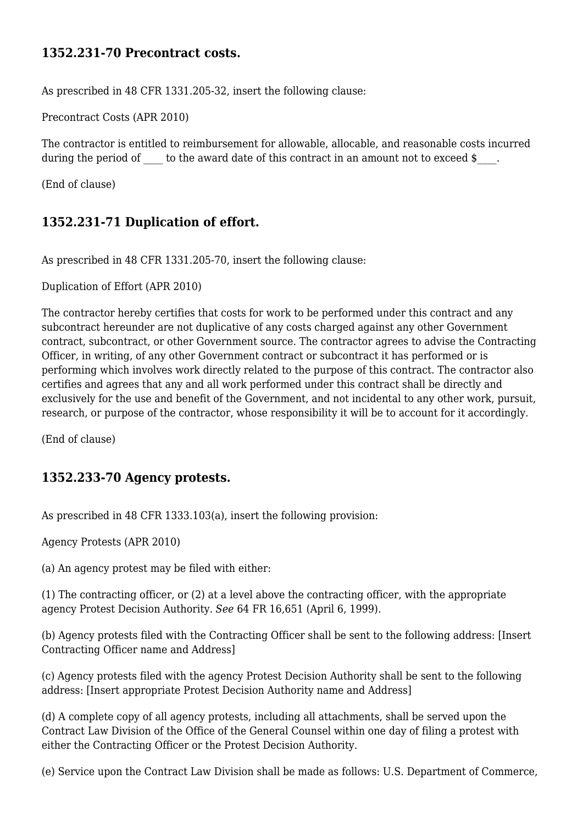#### **1352.231-70 Precontract costs.**

As prescribed in 48 CFR 1331.205-32, insert the following clause:

Precontract Costs (APR 2010)

The contractor is entitled to reimbursement for allowable, allocable, and reasonable costs incurred during the period of to the award date of this contract in an amount not to exceed \$.

(End of clause)

#### **1352.231-71 Duplication of effort.**

As prescribed in 48 CFR 1331.205-70, insert the following clause:

Duplication of Effort (APR 2010)

The contractor hereby certifies that costs for work to be performed under this contract and any subcontract hereunder are not duplicative of any costs charged against any other Government contract, subcontract, or other Government source. The contractor agrees to advise the Contracting Officer, in writing, of any other Government contract or subcontract it has performed or is performing which involves work directly related to the purpose of this contract. The contractor also certifies and agrees that any and all work performed under this contract shall be directly and exclusively for the use and benefit of the Government, and not incidental to any other work, pursuit, research, or purpose of the contractor, whose responsibility it will be to account for it accordingly.

(End of clause)

#### **1352.233-70 Agency protests.**

As prescribed in 48 CFR 1333.103(a), insert the following provision:

Agency Protests (APR 2010)

(a) An agency protest may be filed with either:

(1) The contracting officer, or (2) at a level above the contracting officer, with the appropriate agency Protest Decision Authority. *See* 64 FR 16,651 (April 6, 1999).

(b) Agency protests filed with the Contracting Officer shall be sent to the following address: [Insert Contracting Officer name and Address]

(c) Agency protests filed with the agency Protest Decision Authority shall be sent to the following address: [Insert appropriate Protest Decision Authority name and Address]

(d) A complete copy of all agency protests, including all attachments, shall be served upon the Contract Law Division of the Office of the General Counsel within one day of filing a protest with either the Contracting Officer or the Protest Decision Authority.

(e) Service upon the Contract Law Division shall be made as follows: U.S. Department of Commerce,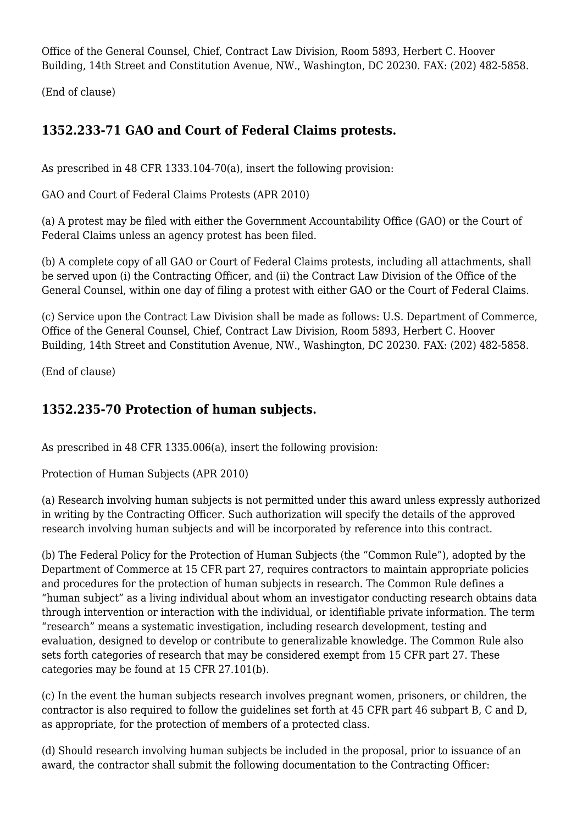Office of the General Counsel, Chief, Contract Law Division, Room 5893, Herbert C. Hoover Building, 14th Street and Constitution Avenue, NW., Washington, DC 20230. FAX: (202) 482-5858.

(End of clause)

# **1352.233-71 GAO and Court of Federal Claims protests.**

As prescribed in 48 CFR 1333.104-70(a), insert the following provision:

GAO and Court of Federal Claims Protests (APR 2010)

(a) A protest may be filed with either the Government Accountability Office (GAO) or the Court of Federal Claims unless an agency protest has been filed.

(b) A complete copy of all GAO or Court of Federal Claims protests, including all attachments, shall be served upon (i) the Contracting Officer, and (ii) the Contract Law Division of the Office of the General Counsel, within one day of filing a protest with either GAO or the Court of Federal Claims.

(c) Service upon the Contract Law Division shall be made as follows: U.S. Department of Commerce, Office of the General Counsel, Chief, Contract Law Division, Room 5893, Herbert C. Hoover Building, 14th Street and Constitution Avenue, NW., Washington, DC 20230. FAX: (202) 482-5858.

(End of clause)

#### **1352.235-70 Protection of human subjects.**

As prescribed in 48 CFR 1335.006(a), insert the following provision:

Protection of Human Subjects (APR 2010)

(a) Research involving human subjects is not permitted under this award unless expressly authorized in writing by the Contracting Officer. Such authorization will specify the details of the approved research involving human subjects and will be incorporated by reference into this contract.

(b) The Federal Policy for the Protection of Human Subjects (the "Common Rule"), adopted by the Department of Commerce at 15 CFR part 27, requires contractors to maintain appropriate policies and procedures for the protection of human subjects in research. The Common Rule defines a "human subject" as a living individual about whom an investigator conducting research obtains data through intervention or interaction with the individual, or identifiable private information. The term "research" means a systematic investigation, including research development, testing and evaluation, designed to develop or contribute to generalizable knowledge. The Common Rule also sets forth categories of research that may be considered exempt from 15 CFR part 27. These categories may be found at 15 CFR 27.101(b).

(c) In the event the human subjects research involves pregnant women, prisoners, or children, the contractor is also required to follow the guidelines set forth at 45 CFR part 46 subpart B, C and D, as appropriate, for the protection of members of a protected class.

(d) Should research involving human subjects be included in the proposal, prior to issuance of an award, the contractor shall submit the following documentation to the Contracting Officer: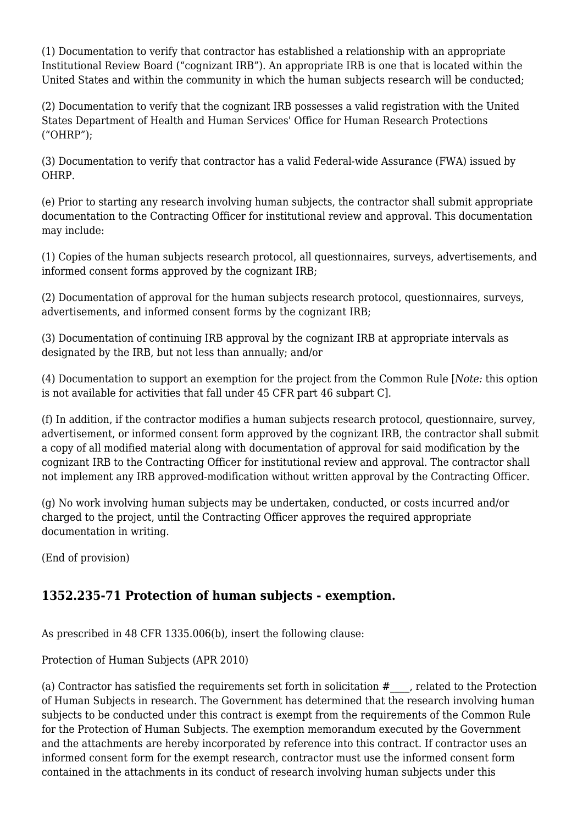(1) Documentation to verify that contractor has established a relationship with an appropriate Institutional Review Board ("cognizant IRB"). An appropriate IRB is one that is located within the United States and within the community in which the human subjects research will be conducted;

(2) Documentation to verify that the cognizant IRB possesses a valid registration with the United States Department of Health and Human Services' Office for Human Research Protections ("OHRP");

(3) Documentation to verify that contractor has a valid Federal-wide Assurance (FWA) issued by OHRP.

(e) Prior to starting any research involving human subjects, the contractor shall submit appropriate documentation to the Contracting Officer for institutional review and approval. This documentation may include:

(1) Copies of the human subjects research protocol, all questionnaires, surveys, advertisements, and informed consent forms approved by the cognizant IRB;

(2) Documentation of approval for the human subjects research protocol, questionnaires, surveys, advertisements, and informed consent forms by the cognizant IRB;

(3) Documentation of continuing IRB approval by the cognizant IRB at appropriate intervals as designated by the IRB, but not less than annually; and/or

(4) Documentation to support an exemption for the project from the Common Rule [*Note:* this option is not available for activities that fall under 45 CFR part 46 subpart C].

(f) In addition, if the contractor modifies a human subjects research protocol, questionnaire, survey, advertisement, or informed consent form approved by the cognizant IRB, the contractor shall submit a copy of all modified material along with documentation of approval for said modification by the cognizant IRB to the Contracting Officer for institutional review and approval. The contractor shall not implement any IRB approved-modification without written approval by the Contracting Officer.

(g) No work involving human subjects may be undertaken, conducted, or costs incurred and/or charged to the project, until the Contracting Officer approves the required appropriate documentation in writing.

(End of provision)

#### **1352.235-71 Protection of human subjects - exemption.**

As prescribed in 48 CFR 1335.006(b), insert the following clause:

Protection of Human Subjects (APR 2010)

(a) Contractor has satisfied the requirements set forth in solicitation  $#$ , related to the Protection of Human Subjects in research. The Government has determined that the research involving human subjects to be conducted under this contract is exempt from the requirements of the Common Rule for the Protection of Human Subjects. The exemption memorandum executed by the Government and the attachments are hereby incorporated by reference into this contract. If contractor uses an informed consent form for the exempt research, contractor must use the informed consent form contained in the attachments in its conduct of research involving human subjects under this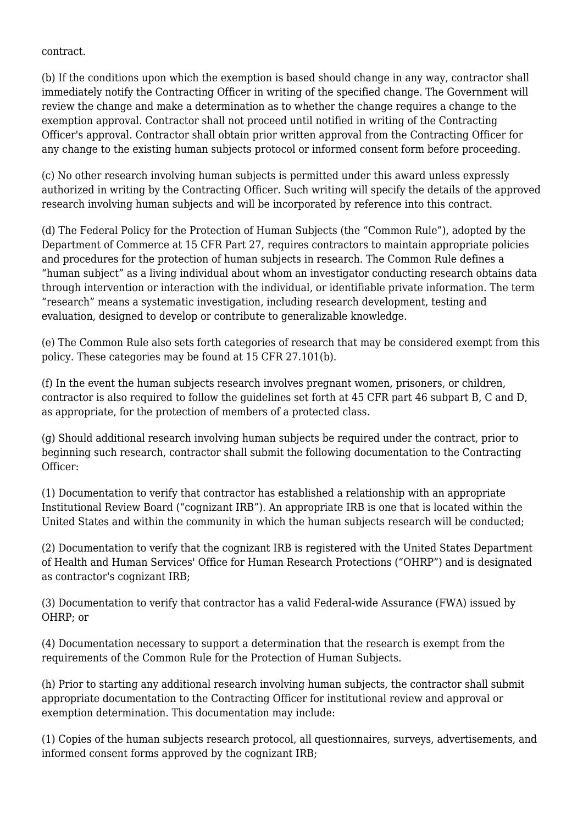contract.

(b) If the conditions upon which the exemption is based should change in any way, contractor shall immediately notify the Contracting Officer in writing of the specified change. The Government will review the change and make a determination as to whether the change requires a change to the exemption approval. Contractor shall not proceed until notified in writing of the Contracting Officer's approval. Contractor shall obtain prior written approval from the Contracting Officer for any change to the existing human subjects protocol or informed consent form before proceeding.

(c) No other research involving human subjects is permitted under this award unless expressly authorized in writing by the Contracting Officer. Such writing will specify the details of the approved research involving human subjects and will be incorporated by reference into this contract.

(d) The Federal Policy for the Protection of Human Subjects (the "Common Rule"), adopted by the Department of Commerce at 15 CFR Part 27, requires contractors to maintain appropriate policies and procedures for the protection of human subjects in research. The Common Rule defines a "human subject" as a living individual about whom an investigator conducting research obtains data through intervention or interaction with the individual, or identifiable private information. The term "research" means a systematic investigation, including research development, testing and evaluation, designed to develop or contribute to generalizable knowledge.

(e) The Common Rule also sets forth categories of research that may be considered exempt from this policy. These categories may be found at 15 CFR 27.101(b).

(f) In the event the human subjects research involves pregnant women, prisoners, or children, contractor is also required to follow the guidelines set forth at 45 CFR part 46 subpart B, C and D, as appropriate, for the protection of members of a protected class.

(g) Should additional research involving human subjects be required under the contract, prior to beginning such research, contractor shall submit the following documentation to the Contracting Officer:

(1) Documentation to verify that contractor has established a relationship with an appropriate Institutional Review Board ("cognizant IRB"). An appropriate IRB is one that is located within the United States and within the community in which the human subjects research will be conducted;

(2) Documentation to verify that the cognizant IRB is registered with the United States Department of Health and Human Services' Office for Human Research Protections ("OHRP") and is designated as contractor's cognizant IRB;

(3) Documentation to verify that contractor has a valid Federal-wide Assurance (FWA) issued by OHRP; or

(4) Documentation necessary to support a determination that the research is exempt from the requirements of the Common Rule for the Protection of Human Subjects.

(h) Prior to starting any additional research involving human subjects, the contractor shall submit appropriate documentation to the Contracting Officer for institutional review and approval or exemption determination. This documentation may include:

(1) Copies of the human subjects research protocol, all questionnaires, surveys, advertisements, and informed consent forms approved by the cognizant IRB;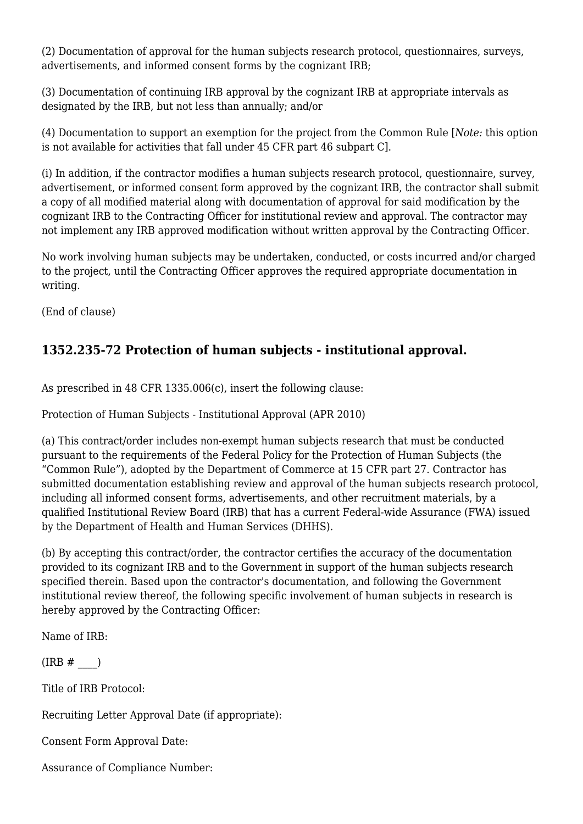(2) Documentation of approval for the human subjects research protocol, questionnaires, surveys, advertisements, and informed consent forms by the cognizant IRB;

(3) Documentation of continuing IRB approval by the cognizant IRB at appropriate intervals as designated by the IRB, but not less than annually; and/or

(4) Documentation to support an exemption for the project from the Common Rule [*Note:* this option is not available for activities that fall under 45 CFR part 46 subpart C].

(i) In addition, if the contractor modifies a human subjects research protocol, questionnaire, survey, advertisement, or informed consent form approved by the cognizant IRB, the contractor shall submit a copy of all modified material along with documentation of approval for said modification by the cognizant IRB to the Contracting Officer for institutional review and approval. The contractor may not implement any IRB approved modification without written approval by the Contracting Officer.

No work involving human subjects may be undertaken, conducted, or costs incurred and/or charged to the project, until the Contracting Officer approves the required appropriate documentation in writing.

(End of clause)

# **1352.235-72 Protection of human subjects - institutional approval.**

As prescribed in 48 CFR 1335.006(c), insert the following clause:

Protection of Human Subjects - Institutional Approval (APR 2010)

(a) This contract/order includes non-exempt human subjects research that must be conducted pursuant to the requirements of the Federal Policy for the Protection of Human Subjects (the "Common Rule"), adopted by the Department of Commerce at 15 CFR part 27. Contractor has submitted documentation establishing review and approval of the human subjects research protocol, including all informed consent forms, advertisements, and other recruitment materials, by a qualified Institutional Review Board (IRB) that has a current Federal-wide Assurance (FWA) issued by the Department of Health and Human Services (DHHS).

(b) By accepting this contract/order, the contractor certifies the accuracy of the documentation provided to its cognizant IRB and to the Government in support of the human subjects research specified therein. Based upon the contractor's documentation, and following the Government institutional review thereof, the following specific involvement of human subjects in research is hereby approved by the Contracting Officer:

Name of IRB:

 $(IRB \# )$ 

Title of IRB Protocol:

Recruiting Letter Approval Date (if appropriate):

Consent Form Approval Date:

Assurance of Compliance Number: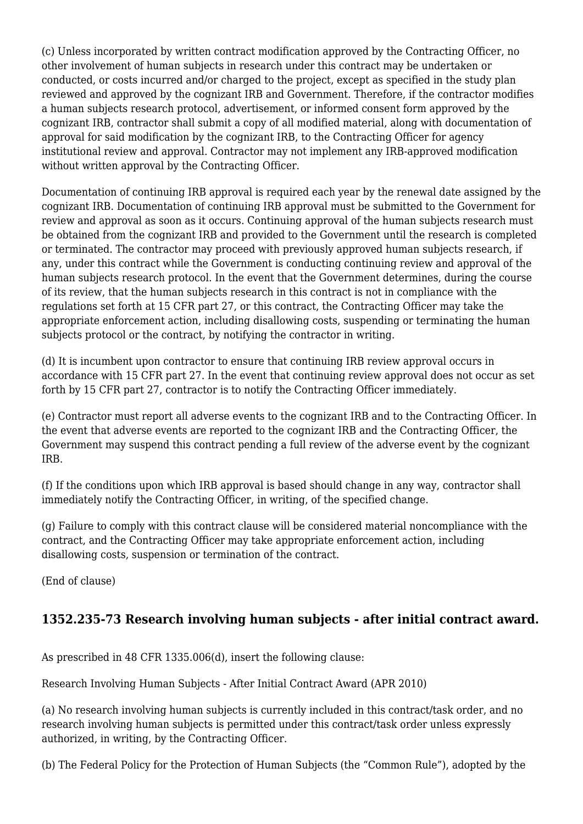(c) Unless incorporated by written contract modification approved by the Contracting Officer, no other involvement of human subjects in research under this contract may be undertaken or conducted, or costs incurred and/or charged to the project, except as specified in the study plan reviewed and approved by the cognizant IRB and Government. Therefore, if the contractor modifies a human subjects research protocol, advertisement, or informed consent form approved by the cognizant IRB, contractor shall submit a copy of all modified material, along with documentation of approval for said modification by the cognizant IRB, to the Contracting Officer for agency institutional review and approval. Contractor may not implement any IRB-approved modification without written approval by the Contracting Officer.

Documentation of continuing IRB approval is required each year by the renewal date assigned by the cognizant IRB. Documentation of continuing IRB approval must be submitted to the Government for review and approval as soon as it occurs. Continuing approval of the human subjects research must be obtained from the cognizant IRB and provided to the Government until the research is completed or terminated. The contractor may proceed with previously approved human subjects research, if any, under this contract while the Government is conducting continuing review and approval of the human subjects research protocol. In the event that the Government determines, during the course of its review, that the human subjects research in this contract is not in compliance with the regulations set forth at 15 CFR part 27, or this contract, the Contracting Officer may take the appropriate enforcement action, including disallowing costs, suspending or terminating the human subjects protocol or the contract, by notifying the contractor in writing.

(d) It is incumbent upon contractor to ensure that continuing IRB review approval occurs in accordance with 15 CFR part 27. In the event that continuing review approval does not occur as set forth by 15 CFR part 27, contractor is to notify the Contracting Officer immediately.

(e) Contractor must report all adverse events to the cognizant IRB and to the Contracting Officer. In the event that adverse events are reported to the cognizant IRB and the Contracting Officer, the Government may suspend this contract pending a full review of the adverse event by the cognizant IRB.

(f) If the conditions upon which IRB approval is based should change in any way, contractor shall immediately notify the Contracting Officer, in writing, of the specified change.

(g) Failure to comply with this contract clause will be considered material noncompliance with the contract, and the Contracting Officer may take appropriate enforcement action, including disallowing costs, suspension or termination of the contract.

(End of clause)

# **1352.235-73 Research involving human subjects - after initial contract award.**

As prescribed in 48 CFR 1335.006(d), insert the following clause:

Research Involving Human Subjects - After Initial Contract Award (APR 2010)

(a) No research involving human subjects is currently included in this contract/task order, and no research involving human subjects is permitted under this contract/task order unless expressly authorized, in writing, by the Contracting Officer.

(b) The Federal Policy for the Protection of Human Subjects (the "Common Rule"), adopted by the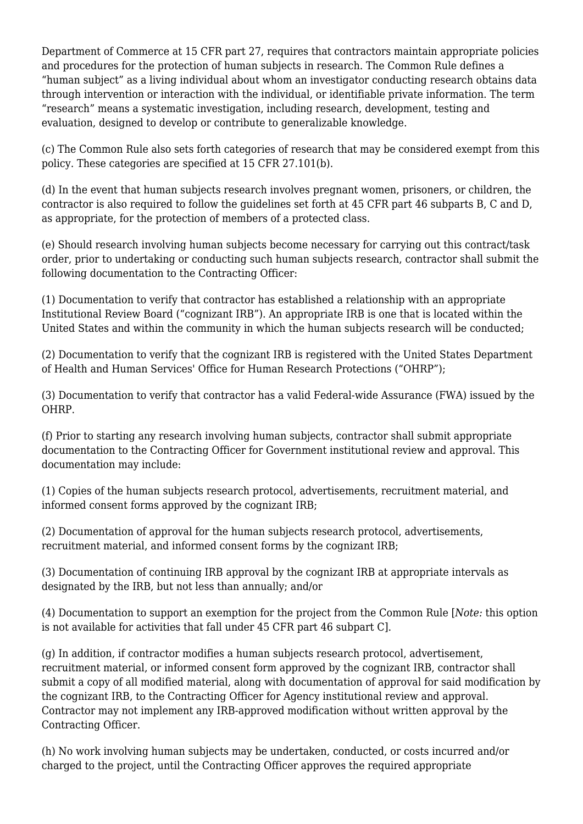Department of Commerce at 15 CFR part 27, requires that contractors maintain appropriate policies and procedures for the protection of human subjects in research. The Common Rule defines a "human subject" as a living individual about whom an investigator conducting research obtains data through intervention or interaction with the individual, or identifiable private information. The term "research" means a systematic investigation, including research, development, testing and evaluation, designed to develop or contribute to generalizable knowledge.

(c) The Common Rule also sets forth categories of research that may be considered exempt from this policy. These categories are specified at 15 CFR 27.101(b).

(d) In the event that human subjects research involves pregnant women, prisoners, or children, the contractor is also required to follow the guidelines set forth at 45 CFR part 46 subparts B, C and D, as appropriate, for the protection of members of a protected class.

(e) Should research involving human subjects become necessary for carrying out this contract/task order, prior to undertaking or conducting such human subjects research, contractor shall submit the following documentation to the Contracting Officer:

(1) Documentation to verify that contractor has established a relationship with an appropriate Institutional Review Board ("cognizant IRB"). An appropriate IRB is one that is located within the United States and within the community in which the human subjects research will be conducted;

(2) Documentation to verify that the cognizant IRB is registered with the United States Department of Health and Human Services' Office for Human Research Protections ("OHRP");

(3) Documentation to verify that contractor has a valid Federal-wide Assurance (FWA) issued by the OHRP.

(f) Prior to starting any research involving human subjects, contractor shall submit appropriate documentation to the Contracting Officer for Government institutional review and approval. This documentation may include:

(1) Copies of the human subjects research protocol, advertisements, recruitment material, and informed consent forms approved by the cognizant IRB;

(2) Documentation of approval for the human subjects research protocol, advertisements, recruitment material, and informed consent forms by the cognizant IRB;

(3) Documentation of continuing IRB approval by the cognizant IRB at appropriate intervals as designated by the IRB, but not less than annually; and/or

(4) Documentation to support an exemption for the project from the Common Rule [*Note:* this option is not available for activities that fall under 45 CFR part 46 subpart C].

(g) In addition, if contractor modifies a human subjects research protocol, advertisement, recruitment material, or informed consent form approved by the cognizant IRB, contractor shall submit a copy of all modified material, along with documentation of approval for said modification by the cognizant IRB, to the Contracting Officer for Agency institutional review and approval. Contractor may not implement any IRB-approved modification without written approval by the Contracting Officer.

(h) No work involving human subjects may be undertaken, conducted, or costs incurred and/or charged to the project, until the Contracting Officer approves the required appropriate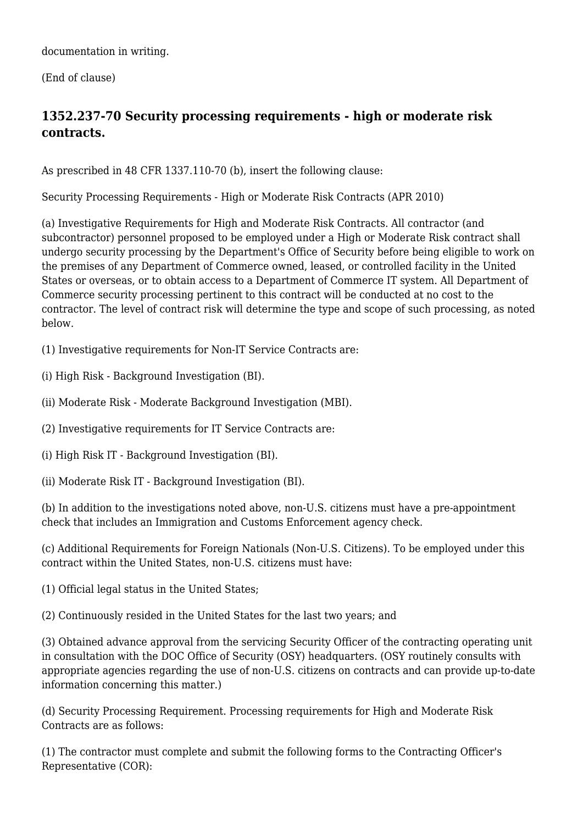documentation in writing.

(End of clause)

# **1352.237-70 Security processing requirements - high or moderate risk contracts.**

As prescribed in 48 CFR 1337.110-70 (b), insert the following clause:

Security Processing Requirements - High or Moderate Risk Contracts (APR 2010)

(a) Investigative Requirements for High and Moderate Risk Contracts. All contractor (and subcontractor) personnel proposed to be employed under a High or Moderate Risk contract shall undergo security processing by the Department's Office of Security before being eligible to work on the premises of any Department of Commerce owned, leased, or controlled facility in the United States or overseas, or to obtain access to a Department of Commerce IT system. All Department of Commerce security processing pertinent to this contract will be conducted at no cost to the contractor. The level of contract risk will determine the type and scope of such processing, as noted below.

(1) Investigative requirements for Non-IT Service Contracts are:

(i) High Risk - Background Investigation (BI).

(ii) Moderate Risk - Moderate Background Investigation (MBI).

(2) Investigative requirements for IT Service Contracts are:

(i) High Risk IT - Background Investigation (BI).

(ii) Moderate Risk IT - Background Investigation (BI).

(b) In addition to the investigations noted above, non-U.S. citizens must have a pre-appointment check that includes an Immigration and Customs Enforcement agency check.

(c) Additional Requirements for Foreign Nationals (Non-U.S. Citizens). To be employed under this contract within the United States, non-U.S. citizens must have:

(1) Official legal status in the United States;

(2) Continuously resided in the United States for the last two years; and

(3) Obtained advance approval from the servicing Security Officer of the contracting operating unit in consultation with the DOC Office of Security (OSY) headquarters. (OSY routinely consults with appropriate agencies regarding the use of non-U.S. citizens on contracts and can provide up-to-date information concerning this matter.)

(d) Security Processing Requirement. Processing requirements for High and Moderate Risk Contracts are as follows:

(1) The contractor must complete and submit the following forms to the Contracting Officer's Representative (COR):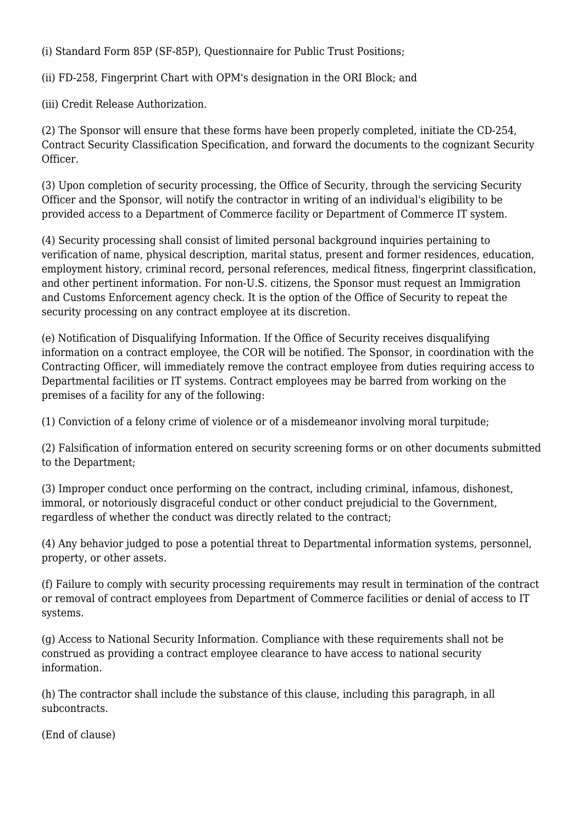(i) Standard Form 85P (SF-85P), Questionnaire for Public Trust Positions;

(ii) FD-258, Fingerprint Chart with OPM's designation in the ORI Block; and

(iii) Credit Release Authorization.

(2) The Sponsor will ensure that these forms have been properly completed, initiate the CD-254, Contract Security Classification Specification, and forward the documents to the cognizant Security Officer.

(3) Upon completion of security processing, the Office of Security, through the servicing Security Officer and the Sponsor, will notify the contractor in writing of an individual's eligibility to be provided access to a Department of Commerce facility or Department of Commerce IT system.

(4) Security processing shall consist of limited personal background inquiries pertaining to verification of name, physical description, marital status, present and former residences, education, employment history, criminal record, personal references, medical fitness, fingerprint classification, and other pertinent information. For non-U.S. citizens, the Sponsor must request an Immigration and Customs Enforcement agency check. It is the option of the Office of Security to repeat the security processing on any contract employee at its discretion.

(e) Notification of Disqualifying Information. If the Office of Security receives disqualifying information on a contract employee, the COR will be notified. The Sponsor, in coordination with the Contracting Officer, will immediately remove the contract employee from duties requiring access to Departmental facilities or IT systems. Contract employees may be barred from working on the premises of a facility for any of the following:

(1) Conviction of a felony crime of violence or of a misdemeanor involving moral turpitude;

(2) Falsification of information entered on security screening forms or on other documents submitted to the Department;

(3) Improper conduct once performing on the contract, including criminal, infamous, dishonest, immoral, or notoriously disgraceful conduct or other conduct prejudicial to the Government, regardless of whether the conduct was directly related to the contract;

(4) Any behavior judged to pose a potential threat to Departmental information systems, personnel, property, or other assets.

(f) Failure to comply with security processing requirements may result in termination of the contract or removal of contract employees from Department of Commerce facilities or denial of access to IT systems.

(g) Access to National Security Information. Compliance with these requirements shall not be construed as providing a contract employee clearance to have access to national security information.

(h) The contractor shall include the substance of this clause, including this paragraph, in all subcontracts.

(End of clause)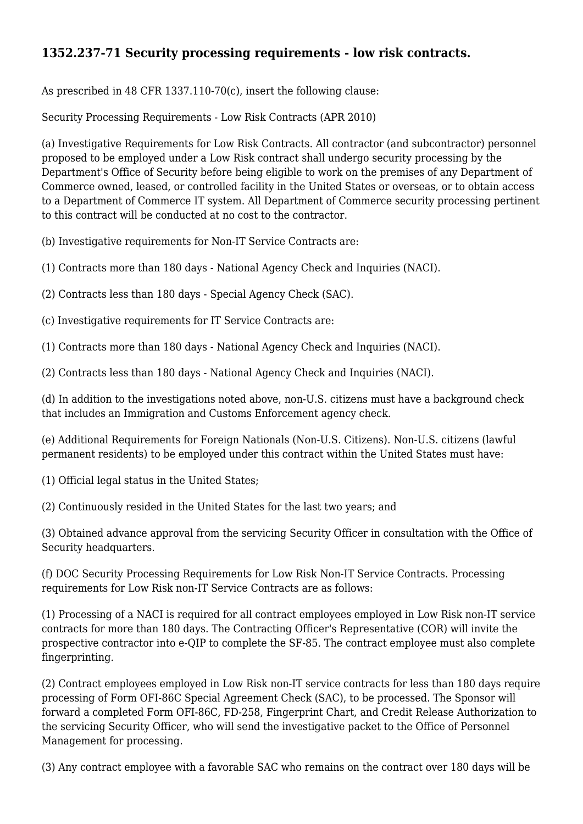# **1352.237-71 Security processing requirements - low risk contracts.**

As prescribed in 48 CFR 1337.110-70(c), insert the following clause:

Security Processing Requirements - Low Risk Contracts (APR 2010)

(a) Investigative Requirements for Low Risk Contracts. All contractor (and subcontractor) personnel proposed to be employed under a Low Risk contract shall undergo security processing by the Department's Office of Security before being eligible to work on the premises of any Department of Commerce owned, leased, or controlled facility in the United States or overseas, or to obtain access to a Department of Commerce IT system. All Department of Commerce security processing pertinent to this contract will be conducted at no cost to the contractor.

(b) Investigative requirements for Non-IT Service Contracts are:

(1) Contracts more than 180 days - National Agency Check and Inquiries (NACI).

(2) Contracts less than 180 days - Special Agency Check (SAC).

(c) Investigative requirements for IT Service Contracts are:

(1) Contracts more than 180 days - National Agency Check and Inquiries (NACI).

(2) Contracts less than 180 days - National Agency Check and Inquiries (NACI).

(d) In addition to the investigations noted above, non-U.S. citizens must have a background check that includes an Immigration and Customs Enforcement agency check.

(e) Additional Requirements for Foreign Nationals (Non-U.S. Citizens). Non-U.S. citizens (lawful permanent residents) to be employed under this contract within the United States must have:

(1) Official legal status in the United States;

(2) Continuously resided in the United States for the last two years; and

(3) Obtained advance approval from the servicing Security Officer in consultation with the Office of Security headquarters.

(f) DOC Security Processing Requirements for Low Risk Non-IT Service Contracts. Processing requirements for Low Risk non-IT Service Contracts are as follows:

(1) Processing of a NACI is required for all contract employees employed in Low Risk non-IT service contracts for more than 180 days. The Contracting Officer's Representative (COR) will invite the prospective contractor into e-QIP to complete the SF-85. The contract employee must also complete fingerprinting.

(2) Contract employees employed in Low Risk non-IT service contracts for less than 180 days require processing of Form OFI-86C Special Agreement Check (SAC), to be processed. The Sponsor will forward a completed Form OFI-86C, FD-258, Fingerprint Chart, and Credit Release Authorization to the servicing Security Officer, who will send the investigative packet to the Office of Personnel Management for processing.

(3) Any contract employee with a favorable SAC who remains on the contract over 180 days will be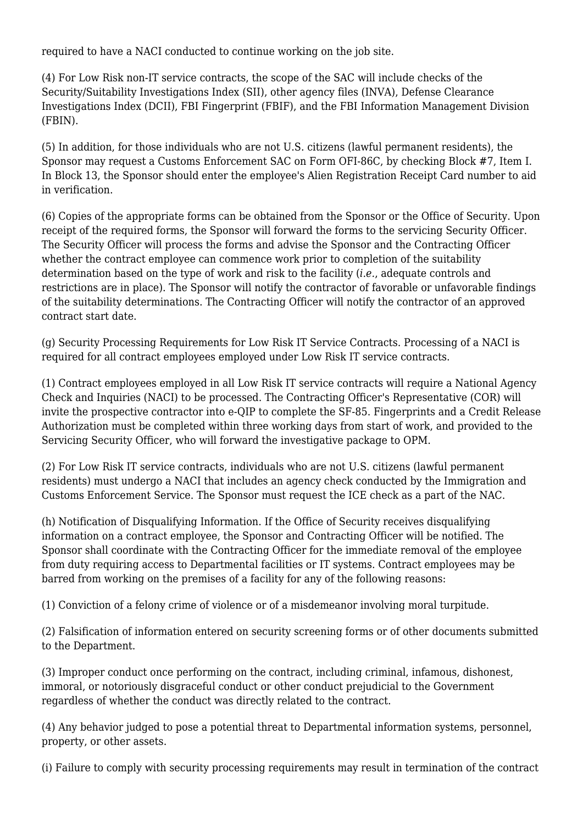required to have a NACI conducted to continue working on the job site.

(4) For Low Risk non-IT service contracts, the scope of the SAC will include checks of the Security/Suitability Investigations Index (SII), other agency files (INVA), Defense Clearance Investigations Index (DCII), FBI Fingerprint (FBIF), and the FBI Information Management Division (FBIN).

(5) In addition, for those individuals who are not U.S. citizens (lawful permanent residents), the Sponsor may request a Customs Enforcement SAC on Form OFI-86C, by checking Block #7, Item I. In Block 13, the Sponsor should enter the employee's Alien Registration Receipt Card number to aid in verification.

(6) Copies of the appropriate forms can be obtained from the Sponsor or the Office of Security. Upon receipt of the required forms, the Sponsor will forward the forms to the servicing Security Officer. The Security Officer will process the forms and advise the Sponsor and the Contracting Officer whether the contract employee can commence work prior to completion of the suitability determination based on the type of work and risk to the facility (*i.e.*, adequate controls and restrictions are in place). The Sponsor will notify the contractor of favorable or unfavorable findings of the suitability determinations. The Contracting Officer will notify the contractor of an approved contract start date.

(g) Security Processing Requirements for Low Risk IT Service Contracts. Processing of a NACI is required for all contract employees employed under Low Risk IT service contracts.

(1) Contract employees employed in all Low Risk IT service contracts will require a National Agency Check and Inquiries (NACI) to be processed. The Contracting Officer's Representative (COR) will invite the prospective contractor into e-QIP to complete the SF-85. Fingerprints and a Credit Release Authorization must be completed within three working days from start of work, and provided to the Servicing Security Officer, who will forward the investigative package to OPM.

(2) For Low Risk IT service contracts, individuals who are not U.S. citizens (lawful permanent residents) must undergo a NACI that includes an agency check conducted by the Immigration and Customs Enforcement Service. The Sponsor must request the ICE check as a part of the NAC.

(h) Notification of Disqualifying Information. If the Office of Security receives disqualifying information on a contract employee, the Sponsor and Contracting Officer will be notified. The Sponsor shall coordinate with the Contracting Officer for the immediate removal of the employee from duty requiring access to Departmental facilities or IT systems. Contract employees may be barred from working on the premises of a facility for any of the following reasons:

(1) Conviction of a felony crime of violence or of a misdemeanor involving moral turpitude.

(2) Falsification of information entered on security screening forms or of other documents submitted to the Department.

(3) Improper conduct once performing on the contract, including criminal, infamous, dishonest, immoral, or notoriously disgraceful conduct or other conduct prejudicial to the Government regardless of whether the conduct was directly related to the contract.

(4) Any behavior judged to pose a potential threat to Departmental information systems, personnel, property, or other assets.

(i) Failure to comply with security processing requirements may result in termination of the contract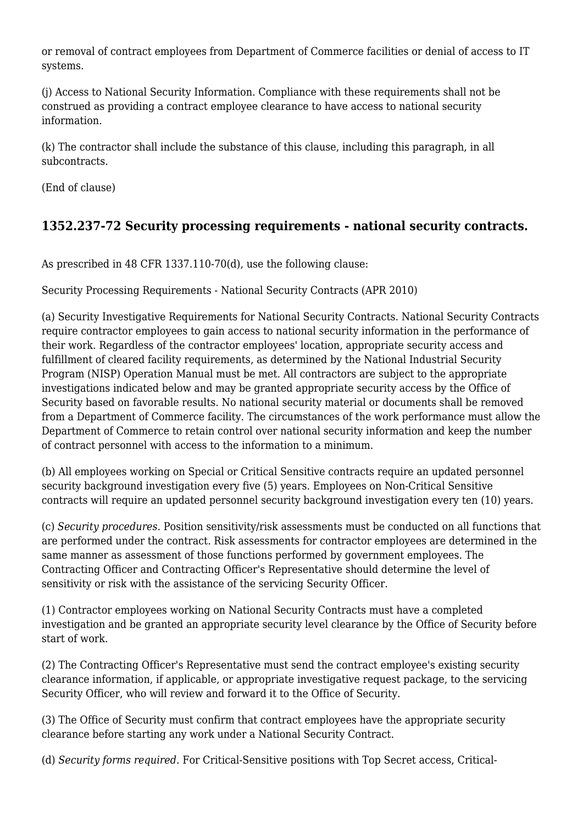or removal of contract employees from Department of Commerce facilities or denial of access to IT systems.

(j) Access to National Security Information. Compliance with these requirements shall not be construed as providing a contract employee clearance to have access to national security information.

(k) The contractor shall include the substance of this clause, including this paragraph, in all subcontracts.

(End of clause)

# **1352.237-72 Security processing requirements - national security contracts.**

As prescribed in 48 CFR 1337.110-70(d), use the following clause:

Security Processing Requirements - National Security Contracts (APR 2010)

(a) Security Investigative Requirements for National Security Contracts. National Security Contracts require contractor employees to gain access to national security information in the performance of their work. Regardless of the contractor employees' location, appropriate security access and fulfillment of cleared facility requirements, as determined by the National Industrial Security Program (NISP) Operation Manual must be met. All contractors are subject to the appropriate investigations indicated below and may be granted appropriate security access by the Office of Security based on favorable results. No national security material or documents shall be removed from a Department of Commerce facility. The circumstances of the work performance must allow the Department of Commerce to retain control over national security information and keep the number of contract personnel with access to the information to a minimum.

(b) All employees working on Special or Critical Sensitive contracts require an updated personnel security background investigation every five (5) years. Employees on Non-Critical Sensitive contracts will require an updated personnel security background investigation every ten (10) years.

(c) *Security procedures.* Position sensitivity/risk assessments must be conducted on all functions that are performed under the contract. Risk assessments for contractor employees are determined in the same manner as assessment of those functions performed by government employees. The Contracting Officer and Contracting Officer's Representative should determine the level of sensitivity or risk with the assistance of the servicing Security Officer.

(1) Contractor employees working on National Security Contracts must have a completed investigation and be granted an appropriate security level clearance by the Office of Security before start of work.

(2) The Contracting Officer's Representative must send the contract employee's existing security clearance information, if applicable, or appropriate investigative request package, to the servicing Security Officer, who will review and forward it to the Office of Security.

(3) The Office of Security must confirm that contract employees have the appropriate security clearance before starting any work under a National Security Contract.

(d) *Security forms required.* For Critical-Sensitive positions with Top Secret access, Critical-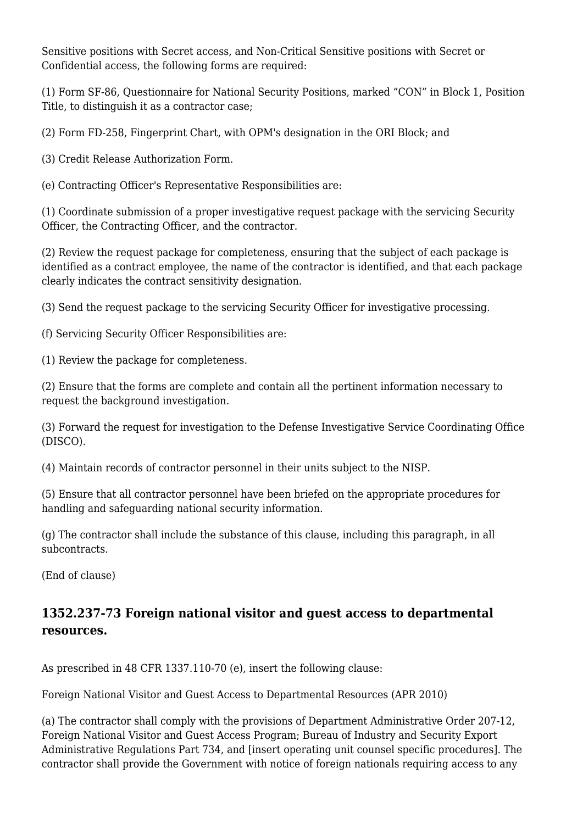Sensitive positions with Secret access, and Non-Critical Sensitive positions with Secret or Confidential access, the following forms are required:

(1) Form SF-86, Questionnaire for National Security Positions, marked "CON" in Block 1, Position Title, to distinguish it as a contractor case;

(2) Form FD-258, Fingerprint Chart, with OPM's designation in the ORI Block; and

(3) Credit Release Authorization Form.

(e) Contracting Officer's Representative Responsibilities are:

(1) Coordinate submission of a proper investigative request package with the servicing Security Officer, the Contracting Officer, and the contractor.

(2) Review the request package for completeness, ensuring that the subject of each package is identified as a contract employee, the name of the contractor is identified, and that each package clearly indicates the contract sensitivity designation.

(3) Send the request package to the servicing Security Officer for investigative processing.

(f) Servicing Security Officer Responsibilities are:

(1) Review the package for completeness.

(2) Ensure that the forms are complete and contain all the pertinent information necessary to request the background investigation.

(3) Forward the request for investigation to the Defense Investigative Service Coordinating Office (DISCO).

(4) Maintain records of contractor personnel in their units subject to the NISP.

(5) Ensure that all contractor personnel have been briefed on the appropriate procedures for handling and safeguarding national security information.

(g) The contractor shall include the substance of this clause, including this paragraph, in all subcontracts.

(End of clause)

#### **1352.237-73 Foreign national visitor and guest access to departmental resources.**

As prescribed in 48 CFR 1337.110-70 (e), insert the following clause:

Foreign National Visitor and Guest Access to Departmental Resources (APR 2010)

(a) The contractor shall comply with the provisions of Department Administrative Order 207-12, Foreign National Visitor and Guest Access Program; Bureau of Industry and Security Export Administrative Regulations Part 734, and [insert operating unit counsel specific procedures]. The contractor shall provide the Government with notice of foreign nationals requiring access to any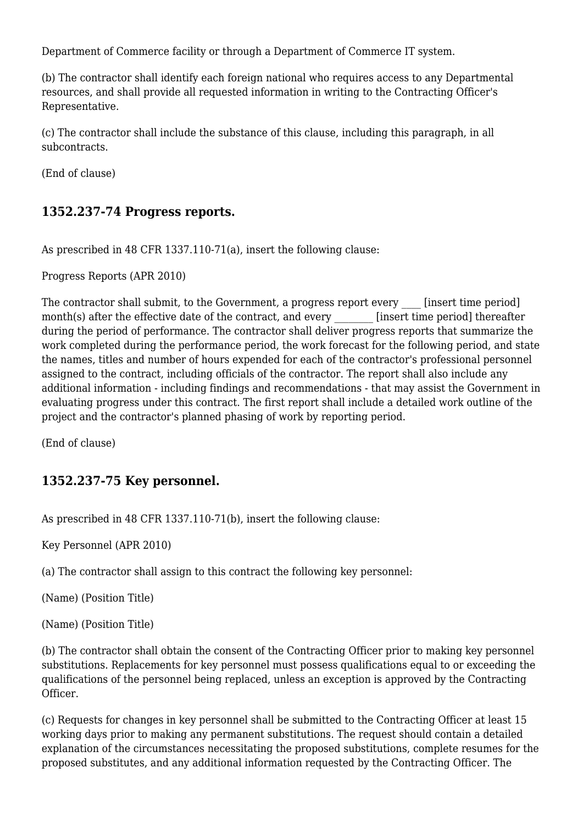Department of Commerce facility or through a Department of Commerce IT system.

(b) The contractor shall identify each foreign national who requires access to any Departmental resources, and shall provide all requested information in writing to the Contracting Officer's Representative.

(c) The contractor shall include the substance of this clause, including this paragraph, in all subcontracts.

(End of clause)

#### **1352.237-74 Progress reports.**

As prescribed in 48 CFR 1337.110-71(a), insert the following clause:

Progress Reports (APR 2010)

The contractor shall submit, to the Government, a progress report every [insert time period] month(s) after the effective date of the contract, and every [insert time period] thereafter during the period of performance. The contractor shall deliver progress reports that summarize the work completed during the performance period, the work forecast for the following period, and state the names, titles and number of hours expended for each of the contractor's professional personnel assigned to the contract, including officials of the contractor. The report shall also include any additional information - including findings and recommendations - that may assist the Government in evaluating progress under this contract. The first report shall include a detailed work outline of the project and the contractor's planned phasing of work by reporting period.

(End of clause)

#### **1352.237-75 Key personnel.**

As prescribed in 48 CFR 1337.110-71(b), insert the following clause:

Key Personnel (APR 2010)

(a) The contractor shall assign to this contract the following key personnel:

(Name) (Position Title)

(Name) (Position Title)

(b) The contractor shall obtain the consent of the Contracting Officer prior to making key personnel substitutions. Replacements for key personnel must possess qualifications equal to or exceeding the qualifications of the personnel being replaced, unless an exception is approved by the Contracting Officer.

(c) Requests for changes in key personnel shall be submitted to the Contracting Officer at least 15 working days prior to making any permanent substitutions. The request should contain a detailed explanation of the circumstances necessitating the proposed substitutions, complete resumes for the proposed substitutes, and any additional information requested by the Contracting Officer. The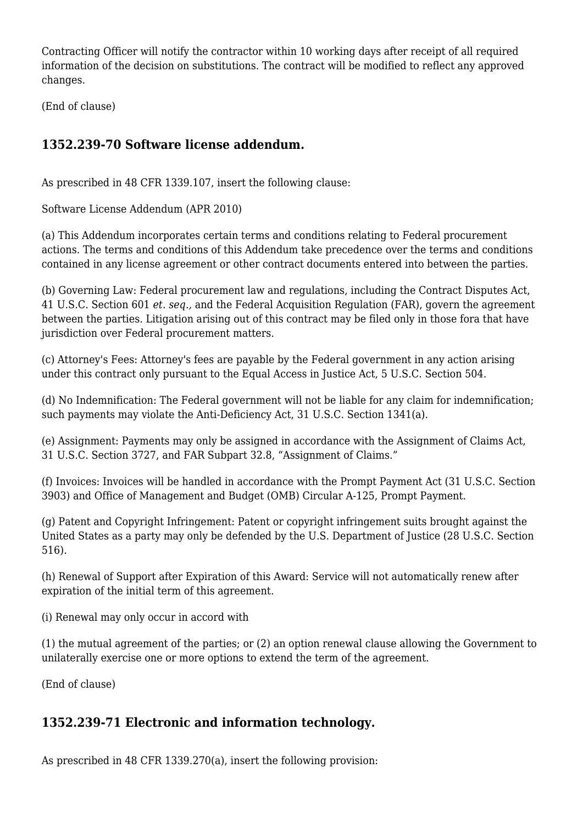Contracting Officer will notify the contractor within 10 working days after receipt of all required information of the decision on substitutions. The contract will be modified to reflect any approved changes.

(End of clause)

# **1352.239-70 Software license addendum.**

As prescribed in 48 CFR 1339.107, insert the following clause:

Software License Addendum (APR 2010)

(a) This Addendum incorporates certain terms and conditions relating to Federal procurement actions. The terms and conditions of this Addendum take precedence over the terms and conditions contained in any license agreement or other contract documents entered into between the parties.

(b) Governing Law: Federal procurement law and regulations, including the Contract Disputes Act, 41 U.S.C. Section 601 *et. seq.,* and the Federal Acquisition Regulation (FAR), govern the agreement between the parties. Litigation arising out of this contract may be filed only in those fora that have jurisdiction over Federal procurement matters.

(c) Attorney's Fees: Attorney's fees are payable by the Federal government in any action arising under this contract only pursuant to the Equal Access in Justice Act, 5 U.S.C. Section 504.

(d) No Indemnification: The Federal government will not be liable for any claim for indemnification; such payments may violate the Anti-Deficiency Act, 31 U.S.C. Section 1341(a).

(e) Assignment: Payments may only be assigned in accordance with the Assignment of Claims Act, 31 U.S.C. Section 3727, and FAR Subpart 32.8, "Assignment of Claims."

(f) Invoices: Invoices will be handled in accordance with the Prompt Payment Act (31 U.S.C. Section 3903) and Office of Management and Budget (OMB) Circular A-125, Prompt Payment.

(g) Patent and Copyright Infringement: Patent or copyright infringement suits brought against the United States as a party may only be defended by the U.S. Department of Justice (28 U.S.C. Section 516).

(h) Renewal of Support after Expiration of this Award: Service will not automatically renew after expiration of the initial term of this agreement.

(i) Renewal may only occur in accord with

(1) the mutual agreement of the parties; or (2) an option renewal clause allowing the Government to unilaterally exercise one or more options to extend the term of the agreement.

(End of clause)

# **1352.239-71 Electronic and information technology.**

As prescribed in 48 CFR 1339.270(a), insert the following provision: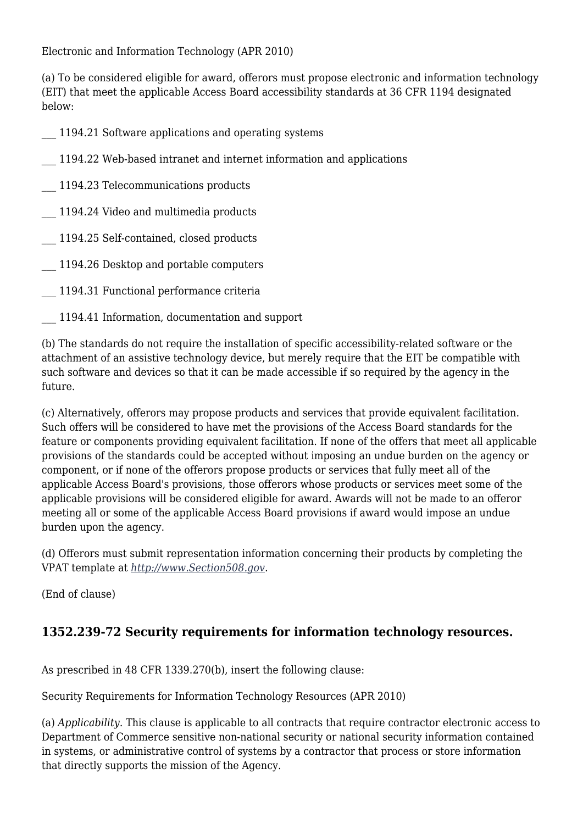Electronic and Information Technology (APR 2010)

(a) To be considered eligible for award, offerors must propose electronic and information technology (EIT) that meet the applicable Access Board accessibility standards at 36 CFR 1194 designated below:

- 1194.21 Software applications and operating systems
- \_\_\_ 1194.22 Web-based intranet and internet information and applications

\_\_\_ 1194.23 Telecommunications products

- \_\_\_ 1194.24 Video and multimedia products
- \_\_\_ 1194.25 Self-contained, closed products
- 1194.26 Desktop and portable computers
- \_\_\_ 1194.31 Functional performance criteria
- \_\_\_ 1194.41 Information, documentation and support

(b) The standards do not require the installation of specific accessibility-related software or the attachment of an assistive technology device, but merely require that the EIT be compatible with such software and devices so that it can be made accessible if so required by the agency in the future.

(c) Alternatively, offerors may propose products and services that provide equivalent facilitation. Such offers will be considered to have met the provisions of the Access Board standards for the feature or components providing equivalent facilitation. If none of the offers that meet all applicable provisions of the standards could be accepted without imposing an undue burden on the agency or component, or if none of the offerors propose products or services that fully meet all of the applicable Access Board's provisions, those offerors whose products or services meet some of the applicable provisions will be considered eligible for award. Awards will not be made to an offeror meeting all or some of the applicable Access Board provisions if award would impose an undue burden upon the agency.

(d) Offerors must submit representation information concerning their products by completing the VPAT template at *[http://www.Section508.gov.](http://www.Section508.gov)*

(End of clause)

#### **1352.239-72 Security requirements for information technology resources.**

As prescribed in 48 CFR 1339.270(b), insert the following clause:

Security Requirements for Information Technology Resources (APR 2010)

(a) *Applicability.* This clause is applicable to all contracts that require contractor electronic access to Department of Commerce sensitive non-national security or national security information contained in systems, or administrative control of systems by a contractor that process or store information that directly supports the mission of the Agency.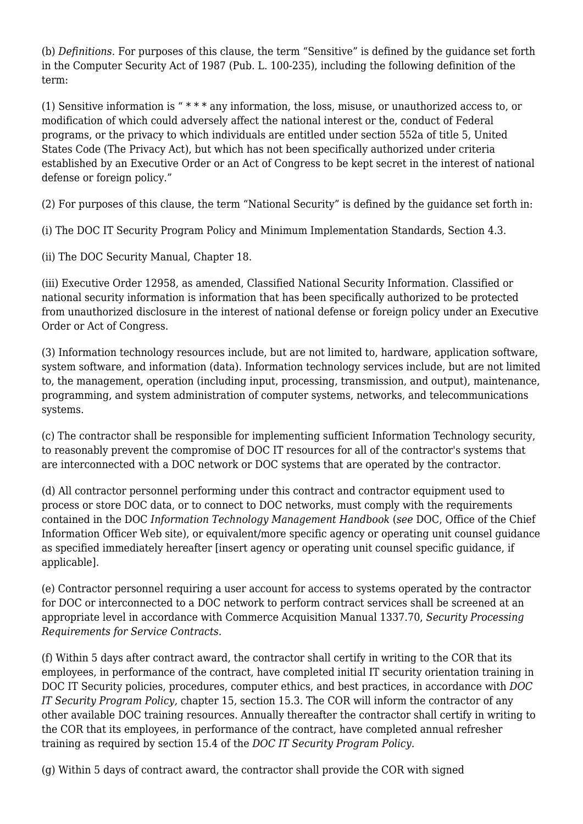(b) *Definitions.* For purposes of this clause, the term "Sensitive" is defined by the guidance set forth in the Computer Security Act of 1987 (Pub. L. 100-235), including the following definition of the term:

(1) Sensitive information is " \* \* \* any information, the loss, misuse, or unauthorized access to, or modification of which could adversely affect the national interest or the, conduct of Federal programs, or the privacy to which individuals are entitled under section 552a of title 5, United States Code (The Privacy Act), but which has not been specifically authorized under criteria established by an Executive Order or an Act of Congress to be kept secret in the interest of national defense or foreign policy."

(2) For purposes of this clause, the term "National Security" is defined by the guidance set forth in:

(i) The DOC IT Security Program Policy and Minimum Implementation Standards, Section 4.3.

(ii) The DOC Security Manual, Chapter 18.

(iii) Executive Order 12958, as amended, Classified National Security Information. Classified or national security information is information that has been specifically authorized to be protected from unauthorized disclosure in the interest of national defense or foreign policy under an Executive Order or Act of Congress.

(3) Information technology resources include, but are not limited to, hardware, application software, system software, and information (data). Information technology services include, but are not limited to, the management, operation (including input, processing, transmission, and output), maintenance, programming, and system administration of computer systems, networks, and telecommunications systems.

(c) The contractor shall be responsible for implementing sufficient Information Technology security, to reasonably prevent the compromise of DOC IT resources for all of the contractor's systems that are interconnected with a DOC network or DOC systems that are operated by the contractor.

(d) All contractor personnel performing under this contract and contractor equipment used to process or store DOC data, or to connect to DOC networks, must comply with the requirements contained in the DOC *Information Technology Management Handbook* (*see* DOC, Office of the Chief Information Officer Web site), or equivalent/more specific agency or operating unit counsel guidance as specified immediately hereafter [insert agency or operating unit counsel specific guidance, if applicable].

(e) Contractor personnel requiring a user account for access to systems operated by the contractor for DOC or interconnected to a DOC network to perform contract services shall be screened at an appropriate level in accordance with Commerce Acquisition Manual 1337.70, *Security Processing Requirements for Service Contracts.*

(f) Within 5 days after contract award, the contractor shall certify in writing to the COR that its employees, in performance of the contract, have completed initial IT security orientation training in DOC IT Security policies, procedures, computer ethics, and best practices, in accordance with *DOC IT Security Program Policy,* chapter 15, section 15.3. The COR will inform the contractor of any other available DOC training resources. Annually thereafter the contractor shall certify in writing to the COR that its employees, in performance of the contract, have completed annual refresher training as required by section 15.4 of the *DOC IT Security Program Policy.*

(g) Within 5 days of contract award, the contractor shall provide the COR with signed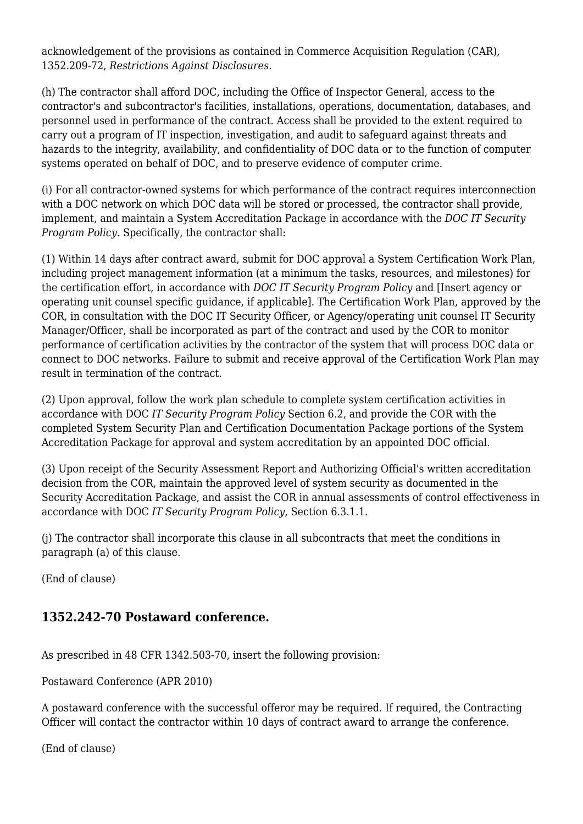acknowledgement of the provisions as contained in Commerce Acquisition Regulation (CAR), 1352.209-72, *Restrictions Against Disclosures.*

(h) The contractor shall afford DOC, including the Office of Inspector General, access to the contractor's and subcontractor's facilities, installations, operations, documentation, databases, and personnel used in performance of the contract. Access shall be provided to the extent required to carry out a program of IT inspection, investigation, and audit to safeguard against threats and hazards to the integrity, availability, and confidentiality of DOC data or to the function of computer systems operated on behalf of DOC, and to preserve evidence of computer crime.

(i) For all contractor-owned systems for which performance of the contract requires interconnection with a DOC network on which DOC data will be stored or processed, the contractor shall provide, implement, and maintain a System Accreditation Package in accordance with the *DOC IT Security Program Policy.* Specifically, the contractor shall:

(1) Within 14 days after contract award, submit for DOC approval a System Certification Work Plan, including project management information (at a minimum the tasks, resources, and milestones) for the certification effort, in accordance with *DOC IT Security Program Policy* and [Insert agency or operating unit counsel specific guidance, if applicable]. The Certification Work Plan, approved by the COR, in consultation with the DOC IT Security Officer, or Agency/operating unit counsel IT Security Manager/Officer, shall be incorporated as part of the contract and used by the COR to monitor performance of certification activities by the contractor of the system that will process DOC data or connect to DOC networks. Failure to submit and receive approval of the Certification Work Plan may result in termination of the contract.

(2) Upon approval, follow the work plan schedule to complete system certification activities in accordance with DOC *IT Security Program Policy* Section 6.2, and provide the COR with the completed System Security Plan and Certification Documentation Package portions of the System Accreditation Package for approval and system accreditation by an appointed DOC official.

(3) Upon receipt of the Security Assessment Report and Authorizing Official's written accreditation decision from the COR, maintain the approved level of system security as documented in the Security Accreditation Package, and assist the COR in annual assessments of control effectiveness in accordance with DOC *IT Security Program Policy,* Section 6.3.1.1.

(j) The contractor shall incorporate this clause in all subcontracts that meet the conditions in paragraph (a) of this clause.

(End of clause)

# **1352.242-70 Postaward conference.**

As prescribed in 48 CFR 1342.503-70, insert the following provision:

Postaward Conference (APR 2010)

A postaward conference with the successful offeror may be required. If required, the Contracting Officer will contact the contractor within 10 days of contract award to arrange the conference.

(End of clause)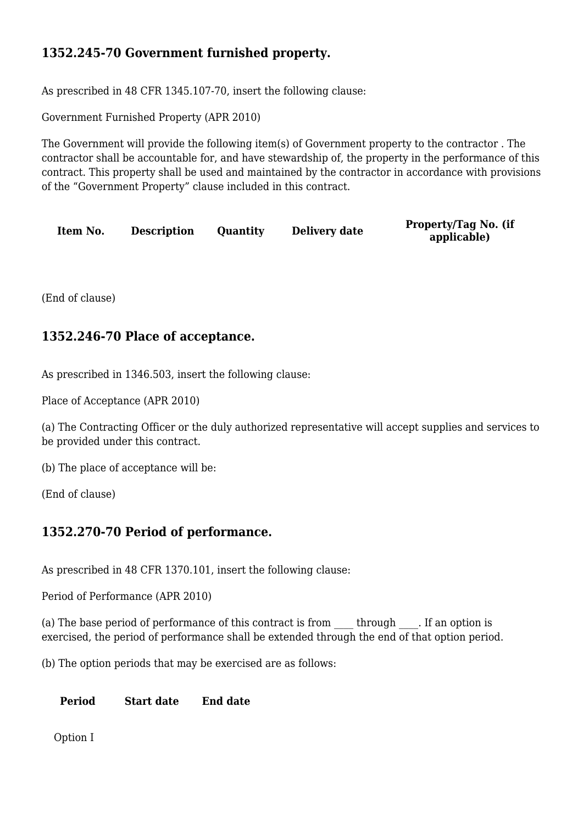#### **1352.245-70 Government furnished property.**

As prescribed in 48 CFR 1345.107-70, insert the following clause:

Government Furnished Property (APR 2010)

The Government will provide the following item(s) of Government property to the contractor . The contractor shall be accountable for, and have stewardship of, the property in the performance of this contract. This property shall be used and maintained by the contractor in accordance with provisions of the "Government Property" clause included in this contract.

**Item No. Description Quantity Delivery date Property/Tag No. (if**

**applicable)**

(End of clause)

#### **1352.246-70 Place of acceptance.**

As prescribed in 1346.503, insert the following clause:

Place of Acceptance (APR 2010)

(a) The Contracting Officer or the duly authorized representative will accept supplies and services to be provided under this contract.

(b) The place of acceptance will be:

(End of clause)

#### **1352.270-70 Period of performance.**

As prescribed in 48 CFR 1370.101, insert the following clause:

Period of Performance (APR 2010)

(a) The base period of performance of this contract is from  $\Box$  through  $\Box$ . If an option is exercised, the period of performance shall be extended through the end of that option period.

(b) The option periods that may be exercised are as follows:

#### **Period Start date End date**

Option I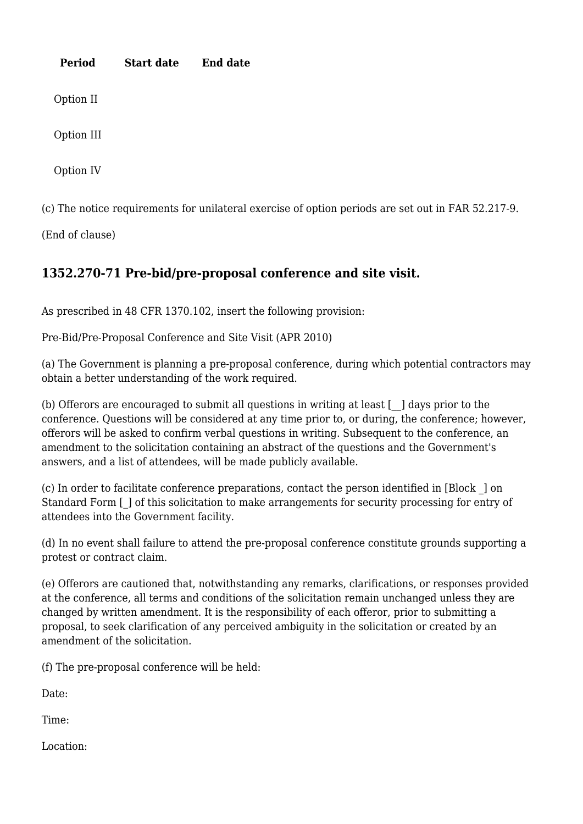| Period     | <b>Start date</b> | <b>End date</b> |  |  |
|------------|-------------------|-----------------|--|--|
| Option II  |                   |                 |  |  |
| Option III |                   |                 |  |  |
| Option IV  |                   |                 |  |  |
|            |                   |                 |  |  |

(c) The notice requirements for unilateral exercise of option periods are set out in FAR 52.217-9.

(End of clause)

# **1352.270-71 Pre-bid/pre-proposal conference and site visit.**

As prescribed in 48 CFR 1370.102, insert the following provision:

Pre-Bid/Pre-Proposal Conference and Site Visit (APR 2010)

(a) The Government is planning a pre-proposal conference, during which potential contractors may obtain a better understanding of the work required.

(b) Offerors are encouraged to submit all questions in writing at least  $\lceil \cdot \rceil$  days prior to the conference. Questions will be considered at any time prior to, or during, the conference; however, offerors will be asked to confirm verbal questions in writing. Subsequent to the conference, an amendment to the solicitation containing an abstract of the questions and the Government's answers, and a list of attendees, will be made publicly available.

(c) In order to facilitate conference preparations, contact the person identified in [Block \_] on Standard Form  $\lceil \cdot \rceil$  of this solicitation to make arrangements for security processing for entry of attendees into the Government facility.

(d) In no event shall failure to attend the pre-proposal conference constitute grounds supporting a protest or contract claim.

(e) Offerors are cautioned that, notwithstanding any remarks, clarifications, or responses provided at the conference, all terms and conditions of the solicitation remain unchanged unless they are changed by written amendment. It is the responsibility of each offeror, prior to submitting a proposal, to seek clarification of any perceived ambiguity in the solicitation or created by an amendment of the solicitation.

(f) The pre-proposal conference will be held:

Date:

Time:

Location: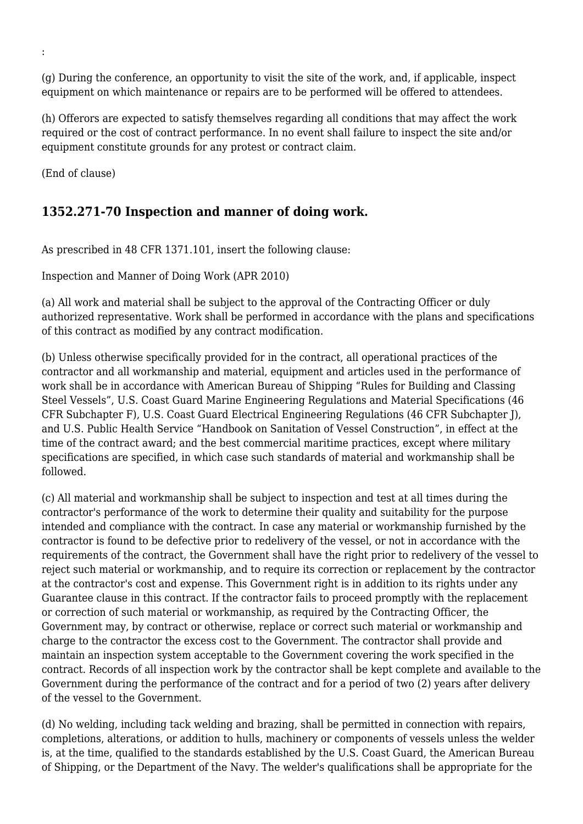(g) During the conference, an opportunity to visit the site of the work, and, if applicable, inspect equipment on which maintenance or repairs are to be performed will be offered to attendees.

(h) Offerors are expected to satisfy themselves regarding all conditions that may affect the work required or the cost of contract performance. In no event shall failure to inspect the site and/or equipment constitute grounds for any protest or contract claim.

(End of clause)

:

#### **1352.271-70 Inspection and manner of doing work.**

As prescribed in 48 CFR 1371.101, insert the following clause:

Inspection and Manner of Doing Work (APR 2010)

(a) All work and material shall be subject to the approval of the Contracting Officer or duly authorized representative. Work shall be performed in accordance with the plans and specifications of this contract as modified by any contract modification.

(b) Unless otherwise specifically provided for in the contract, all operational practices of the contractor and all workmanship and material, equipment and articles used in the performance of work shall be in accordance with American Bureau of Shipping "Rules for Building and Classing Steel Vessels", U.S. Coast Guard Marine Engineering Regulations and Material Specifications (46 CFR Subchapter F), U.S. Coast Guard Electrical Engineering Regulations (46 CFR Subchapter J), and U.S. Public Health Service "Handbook on Sanitation of Vessel Construction", in effect at the time of the contract award; and the best commercial maritime practices, except where military specifications are specified, in which case such standards of material and workmanship shall be followed.

(c) All material and workmanship shall be subject to inspection and test at all times during the contractor's performance of the work to determine their quality and suitability for the purpose intended and compliance with the contract. In case any material or workmanship furnished by the contractor is found to be defective prior to redelivery of the vessel, or not in accordance with the requirements of the contract, the Government shall have the right prior to redelivery of the vessel to reject such material or workmanship, and to require its correction or replacement by the contractor at the contractor's cost and expense. This Government right is in addition to its rights under any Guarantee clause in this contract. If the contractor fails to proceed promptly with the replacement or correction of such material or workmanship, as required by the Contracting Officer, the Government may, by contract or otherwise, replace or correct such material or workmanship and charge to the contractor the excess cost to the Government. The contractor shall provide and maintain an inspection system acceptable to the Government covering the work specified in the contract. Records of all inspection work by the contractor shall be kept complete and available to the Government during the performance of the contract and for a period of two (2) years after delivery of the vessel to the Government.

(d) No welding, including tack welding and brazing, shall be permitted in connection with repairs, completions, alterations, or addition to hulls, machinery or components of vessels unless the welder is, at the time, qualified to the standards established by the U.S. Coast Guard, the American Bureau of Shipping, or the Department of the Navy. The welder's qualifications shall be appropriate for the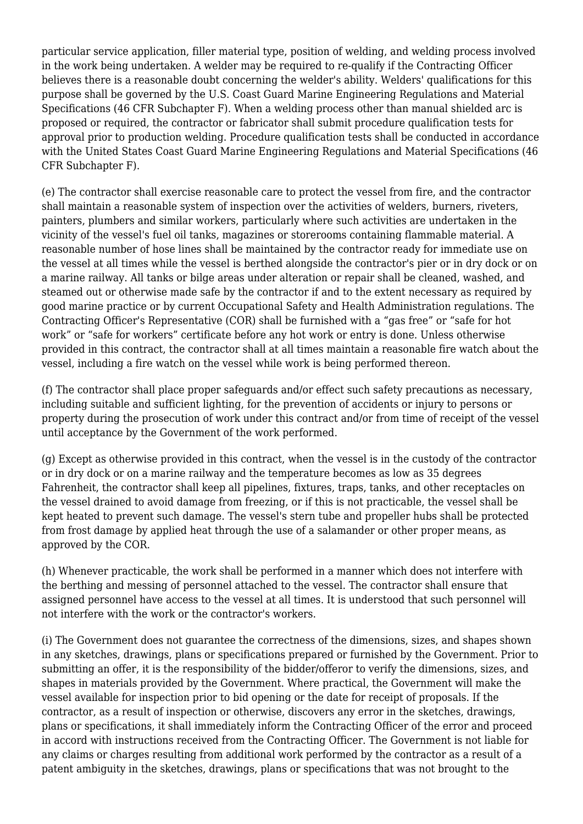particular service application, filler material type, position of welding, and welding process involved in the work being undertaken. A welder may be required to re-qualify if the Contracting Officer believes there is a reasonable doubt concerning the welder's ability. Welders' qualifications for this purpose shall be governed by the U.S. Coast Guard Marine Engineering Regulations and Material Specifications (46 CFR Subchapter F). When a welding process other than manual shielded arc is proposed or required, the contractor or fabricator shall submit procedure qualification tests for approval prior to production welding. Procedure qualification tests shall be conducted in accordance with the United States Coast Guard Marine Engineering Regulations and Material Specifications (46 CFR Subchapter F).

(e) The contractor shall exercise reasonable care to protect the vessel from fire, and the contractor shall maintain a reasonable system of inspection over the activities of welders, burners, riveters, painters, plumbers and similar workers, particularly where such activities are undertaken in the vicinity of the vessel's fuel oil tanks, magazines or storerooms containing flammable material. A reasonable number of hose lines shall be maintained by the contractor ready for immediate use on the vessel at all times while the vessel is berthed alongside the contractor's pier or in dry dock or on a marine railway. All tanks or bilge areas under alteration or repair shall be cleaned, washed, and steamed out or otherwise made safe by the contractor if and to the extent necessary as required by good marine practice or by current Occupational Safety and Health Administration regulations. The Contracting Officer's Representative (COR) shall be furnished with a "gas free" or "safe for hot work" or "safe for workers" certificate before any hot work or entry is done. Unless otherwise provided in this contract, the contractor shall at all times maintain a reasonable fire watch about the vessel, including a fire watch on the vessel while work is being performed thereon.

(f) The contractor shall place proper safeguards and/or effect such safety precautions as necessary, including suitable and sufficient lighting, for the prevention of accidents or injury to persons or property during the prosecution of work under this contract and/or from time of receipt of the vessel until acceptance by the Government of the work performed.

(g) Except as otherwise provided in this contract, when the vessel is in the custody of the contractor or in dry dock or on a marine railway and the temperature becomes as low as 35 degrees Fahrenheit, the contractor shall keep all pipelines, fixtures, traps, tanks, and other receptacles on the vessel drained to avoid damage from freezing, or if this is not practicable, the vessel shall be kept heated to prevent such damage. The vessel's stern tube and propeller hubs shall be protected from frost damage by applied heat through the use of a salamander or other proper means, as approved by the COR.

(h) Whenever practicable, the work shall be performed in a manner which does not interfere with the berthing and messing of personnel attached to the vessel. The contractor shall ensure that assigned personnel have access to the vessel at all times. It is understood that such personnel will not interfere with the work or the contractor's workers.

(i) The Government does not guarantee the correctness of the dimensions, sizes, and shapes shown in any sketches, drawings, plans or specifications prepared or furnished by the Government. Prior to submitting an offer, it is the responsibility of the bidder/offeror to verify the dimensions, sizes, and shapes in materials provided by the Government. Where practical, the Government will make the vessel available for inspection prior to bid opening or the date for receipt of proposals. If the contractor, as a result of inspection or otherwise, discovers any error in the sketches, drawings, plans or specifications, it shall immediately inform the Contracting Officer of the error and proceed in accord with instructions received from the Contracting Officer. The Government is not liable for any claims or charges resulting from additional work performed by the contractor as a result of a patent ambiguity in the sketches, drawings, plans or specifications that was not brought to the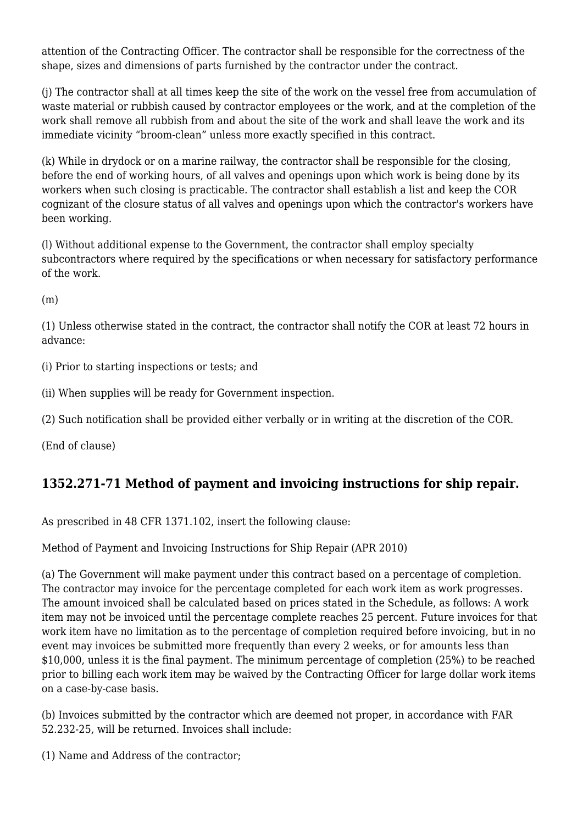attention of the Contracting Officer. The contractor shall be responsible for the correctness of the shape, sizes and dimensions of parts furnished by the contractor under the contract.

(j) The contractor shall at all times keep the site of the work on the vessel free from accumulation of waste material or rubbish caused by contractor employees or the work, and at the completion of the work shall remove all rubbish from and about the site of the work and shall leave the work and its immediate vicinity "broom-clean" unless more exactly specified in this contract.

(k) While in drydock or on a marine railway, the contractor shall be responsible for the closing, before the end of working hours, of all valves and openings upon which work is being done by its workers when such closing is practicable. The contractor shall establish a list and keep the COR cognizant of the closure status of all valves and openings upon which the contractor's workers have been working.

(l) Without additional expense to the Government, the contractor shall employ specialty subcontractors where required by the specifications or when necessary for satisfactory performance of the work.

(m)

(1) Unless otherwise stated in the contract, the contractor shall notify the COR at least 72 hours in advance:

(i) Prior to starting inspections or tests; and

(ii) When supplies will be ready for Government inspection.

(2) Such notification shall be provided either verbally or in writing at the discretion of the COR.

(End of clause)

#### **1352.271-71 Method of payment and invoicing instructions for ship repair.**

As prescribed in 48 CFR 1371.102, insert the following clause:

Method of Payment and Invoicing Instructions for Ship Repair (APR 2010)

(a) The Government will make payment under this contract based on a percentage of completion. The contractor may invoice for the percentage completed for each work item as work progresses. The amount invoiced shall be calculated based on prices stated in the Schedule, as follows: A work item may not be invoiced until the percentage complete reaches 25 percent. Future invoices for that work item have no limitation as to the percentage of completion required before invoicing, but in no event may invoices be submitted more frequently than every 2 weeks, or for amounts less than \$10,000, unless it is the final payment. The minimum percentage of completion (25%) to be reached prior to billing each work item may be waived by the Contracting Officer for large dollar work items on a case-by-case basis.

(b) Invoices submitted by the contractor which are deemed not proper, in accordance with FAR 52.232-25, will be returned. Invoices shall include:

(1) Name and Address of the contractor;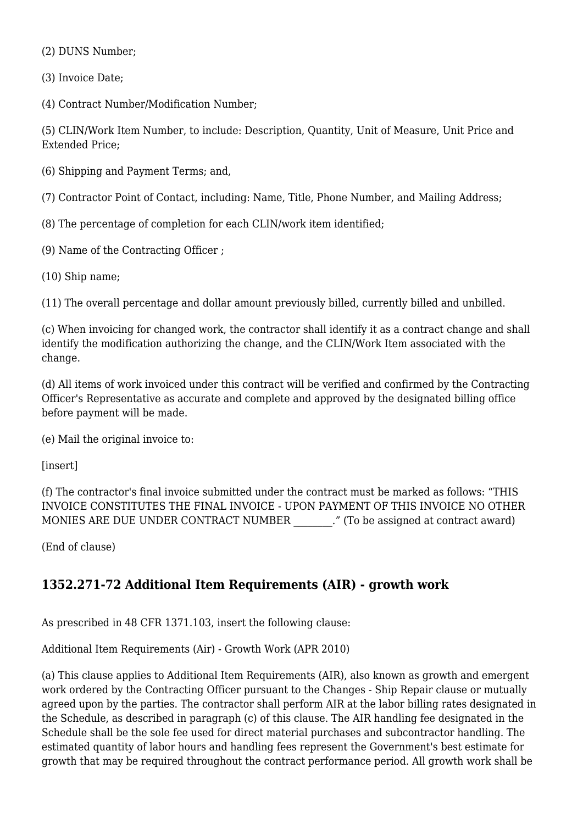(2) DUNS Number;

(3) Invoice Date;

(4) Contract Number/Modification Number;

(5) CLIN/Work Item Number, to include: Description, Quantity, Unit of Measure, Unit Price and Extended Price;

(6) Shipping and Payment Terms; and,

(7) Contractor Point of Contact, including: Name, Title, Phone Number, and Mailing Address;

- (8) The percentage of completion for each CLIN/work item identified;
- (9) Name of the Contracting Officer ;
- (10) Ship name;

(11) The overall percentage and dollar amount previously billed, currently billed and unbilled.

(c) When invoicing for changed work, the contractor shall identify it as a contract change and shall identify the modification authorizing the change, and the CLIN/Work Item associated with the change.

(d) All items of work invoiced under this contract will be verified and confirmed by the Contracting Officer's Representative as accurate and complete and approved by the designated billing office before payment will be made.

(e) Mail the original invoice to:

[insert]

(f) The contractor's final invoice submitted under the contract must be marked as follows: "THIS INVOICE CONSTITUTES THE FINAL INVOICE - UPON PAYMENT OF THIS INVOICE NO OTHER MONIES ARE DUE UNDER CONTRACT NUMBER ... " (To be assigned at contract award)

(End of clause)

# **1352.271-72 Additional Item Requirements (AIR) - growth work**

As prescribed in 48 CFR 1371.103, insert the following clause:

Additional Item Requirements (Air) - Growth Work (APR 2010)

(a) This clause applies to Additional Item Requirements (AIR), also known as growth and emergent work ordered by the Contracting Officer pursuant to the Changes - Ship Repair clause or mutually agreed upon by the parties. The contractor shall perform AIR at the labor billing rates designated in the Schedule, as described in paragraph (c) of this clause. The AIR handling fee designated in the Schedule shall be the sole fee used for direct material purchases and subcontractor handling. The estimated quantity of labor hours and handling fees represent the Government's best estimate for growth that may be required throughout the contract performance period. All growth work shall be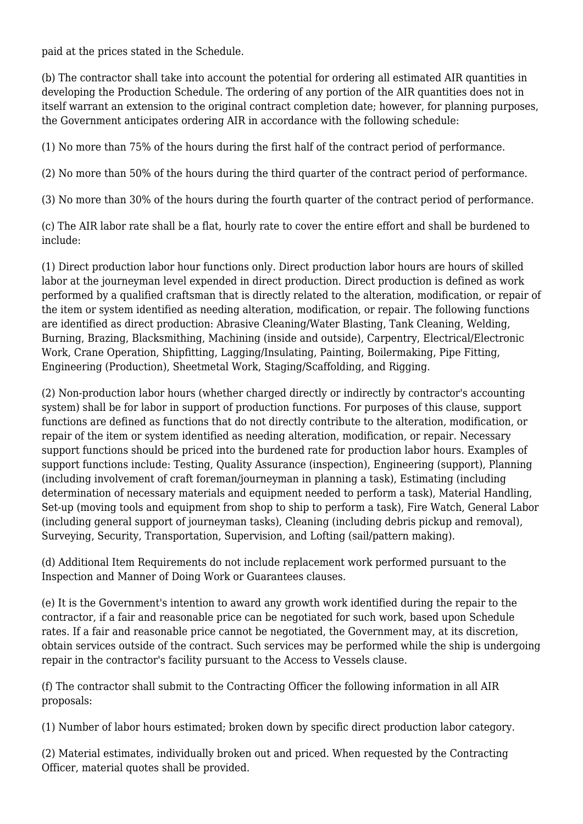paid at the prices stated in the Schedule.

(b) The contractor shall take into account the potential for ordering all estimated AIR quantities in developing the Production Schedule. The ordering of any portion of the AIR quantities does not in itself warrant an extension to the original contract completion date; however, for planning purposes, the Government anticipates ordering AIR in accordance with the following schedule:

(1) No more than 75% of the hours during the first half of the contract period of performance.

(2) No more than 50% of the hours during the third quarter of the contract period of performance.

(3) No more than 30% of the hours during the fourth quarter of the contract period of performance.

(c) The AIR labor rate shall be a flat, hourly rate to cover the entire effort and shall be burdened to include:

(1) Direct production labor hour functions only. Direct production labor hours are hours of skilled labor at the journeyman level expended in direct production. Direct production is defined as work performed by a qualified craftsman that is directly related to the alteration, modification, or repair of the item or system identified as needing alteration, modification, or repair. The following functions are identified as direct production: Abrasive Cleaning/Water Blasting, Tank Cleaning, Welding, Burning, Brazing, Blacksmithing, Machining (inside and outside), Carpentry, Electrical/Electronic Work, Crane Operation, Shipfitting, Lagging/Insulating, Painting, Boilermaking, Pipe Fitting, Engineering (Production), Sheetmetal Work, Staging/Scaffolding, and Rigging.

(2) Non-production labor hours (whether charged directly or indirectly by contractor's accounting system) shall be for labor in support of production functions. For purposes of this clause, support functions are defined as functions that do not directly contribute to the alteration, modification, or repair of the item or system identified as needing alteration, modification, or repair. Necessary support functions should be priced into the burdened rate for production labor hours. Examples of support functions include: Testing, Quality Assurance (inspection), Engineering (support), Planning (including involvement of craft foreman/journeyman in planning a task), Estimating (including determination of necessary materials and equipment needed to perform a task), Material Handling, Set-up (moving tools and equipment from shop to ship to perform a task), Fire Watch, General Labor (including general support of journeyman tasks), Cleaning (including debris pickup and removal), Surveying, Security, Transportation, Supervision, and Lofting (sail/pattern making).

(d) Additional Item Requirements do not include replacement work performed pursuant to the Inspection and Manner of Doing Work or Guarantees clauses.

(e) It is the Government's intention to award any growth work identified during the repair to the contractor, if a fair and reasonable price can be negotiated for such work, based upon Schedule rates. If a fair and reasonable price cannot be negotiated, the Government may, at its discretion, obtain services outside of the contract. Such services may be performed while the ship is undergoing repair in the contractor's facility pursuant to the Access to Vessels clause.

(f) The contractor shall submit to the Contracting Officer the following information in all AIR proposals:

(1) Number of labor hours estimated; broken down by specific direct production labor category.

(2) Material estimates, individually broken out and priced. When requested by the Contracting Officer, material quotes shall be provided.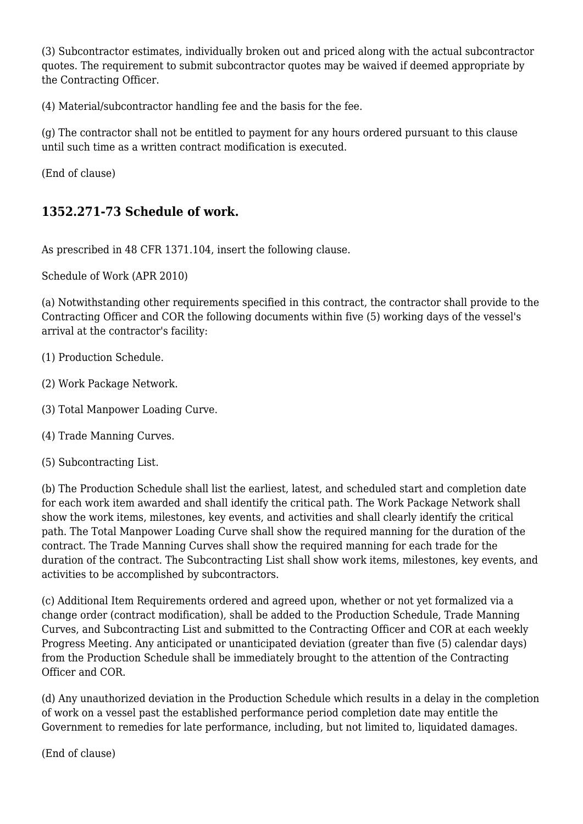(3) Subcontractor estimates, individually broken out and priced along with the actual subcontractor quotes. The requirement to submit subcontractor quotes may be waived if deemed appropriate by the Contracting Officer.

(4) Material/subcontractor handling fee and the basis for the fee.

(g) The contractor shall not be entitled to payment for any hours ordered pursuant to this clause until such time as a written contract modification is executed.

(End of clause)

#### **1352.271-73 Schedule of work.**

As prescribed in 48 CFR 1371.104, insert the following clause.

Schedule of Work (APR 2010)

(a) Notwithstanding other requirements specified in this contract, the contractor shall provide to the Contracting Officer and COR the following documents within five (5) working days of the vessel's arrival at the contractor's facility:

- (1) Production Schedule.
- (2) Work Package Network.
- (3) Total Manpower Loading Curve.
- (4) Trade Manning Curves.
- (5) Subcontracting List.

(b) The Production Schedule shall list the earliest, latest, and scheduled start and completion date for each work item awarded and shall identify the critical path. The Work Package Network shall show the work items, milestones, key events, and activities and shall clearly identify the critical path. The Total Manpower Loading Curve shall show the required manning for the duration of the contract. The Trade Manning Curves shall show the required manning for each trade for the duration of the contract. The Subcontracting List shall show work items, milestones, key events, and activities to be accomplished by subcontractors.

(c) Additional Item Requirements ordered and agreed upon, whether or not yet formalized via a change order (contract modification), shall be added to the Production Schedule, Trade Manning Curves, and Subcontracting List and submitted to the Contracting Officer and COR at each weekly Progress Meeting. Any anticipated or unanticipated deviation (greater than five (5) calendar days) from the Production Schedule shall be immediately brought to the attention of the Contracting Officer and COR.

(d) Any unauthorized deviation in the Production Schedule which results in a delay in the completion of work on a vessel past the established performance period completion date may entitle the Government to remedies for late performance, including, but not limited to, liquidated damages.

(End of clause)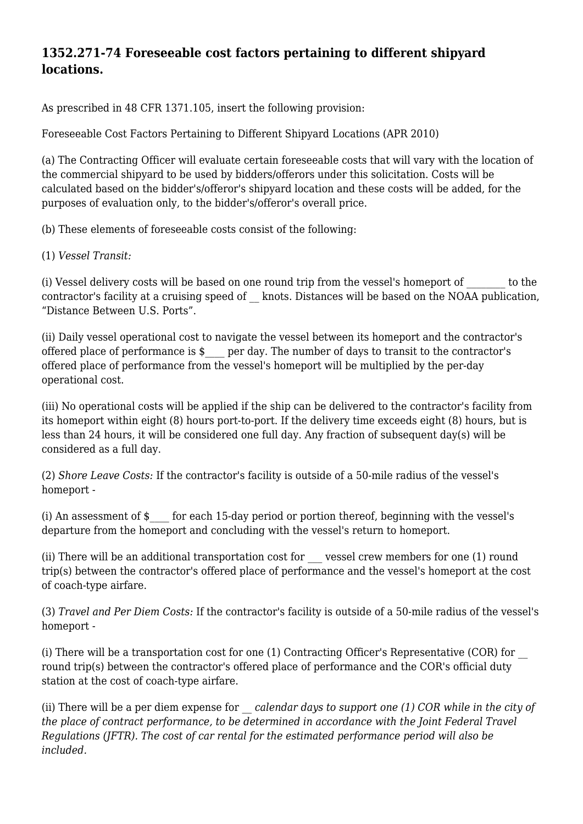#### **1352.271-74 Foreseeable cost factors pertaining to different shipyard locations.**

As prescribed in 48 CFR 1371.105, insert the following provision:

Foreseeable Cost Factors Pertaining to Different Shipyard Locations (APR 2010)

(a) The Contracting Officer will evaluate certain foreseeable costs that will vary with the location of the commercial shipyard to be used by bidders/offerors under this solicitation. Costs will be calculated based on the bidder's/offeror's shipyard location and these costs will be added, for the purposes of evaluation only, to the bidder's/offeror's overall price.

(b) These elements of foreseeable costs consist of the following:

(1) *Vessel Transit:*

(i) Vessel delivery costs will be based on one round trip from the vessel's homeport of to the contractor's facility at a cruising speed of \_\_ knots. Distances will be based on the NOAA publication, "Distance Between U.S. Ports".

(ii) Daily vessel operational cost to navigate the vessel between its homeport and the contractor's offered place of performance is \$\_\_\_\_ per day. The number of days to transit to the contractor's offered place of performance from the vessel's homeport will be multiplied by the per-day operational cost.

(iii) No operational costs will be applied if the ship can be delivered to the contractor's facility from its homeport within eight (8) hours port-to-port. If the delivery time exceeds eight (8) hours, but is less than 24 hours, it will be considered one full day. Any fraction of subsequent day(s) will be considered as a full day.

(2) *Shore Leave Costs:* If the contractor's facility is outside of a 50-mile radius of the vessel's homeport -

(i) An assessment of \$\_\_\_\_ for each 15-day period or portion thereof, beginning with the vessel's departure from the homeport and concluding with the vessel's return to homeport.

(ii) There will be an additional transportation cost for \_\_\_ vessel crew members for one (1) round trip(s) between the contractor's offered place of performance and the vessel's homeport at the cost of coach-type airfare.

(3) *Travel and Per Diem Costs:* If the contractor's facility is outside of a 50-mile radius of the vessel's homeport -

(i) There will be a transportation cost for one (1) Contracting Officer's Representative (COR) for \_\_ round trip(s) between the contractor's offered place of performance and the COR's official duty station at the cost of coach-type airfare.

(ii) There will be a per diem expense for *\_\_ calendar days to support one (1) COR while in the city of the place of contract performance, to be determined in accordance with the Joint Federal Travel Regulations (JFTR). The cost of car rental for the estimated performance period will also be included.*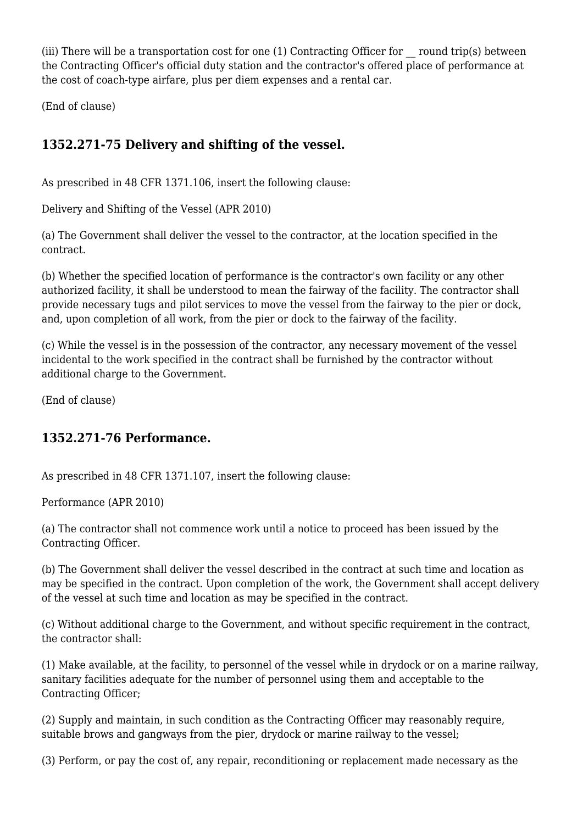(iii) There will be a transportation cost for one  $(1)$  Contracting Officer for  $\Gamma$  round trip(s) between the Contracting Officer's official duty station and the contractor's offered place of performance at the cost of coach-type airfare, plus per diem expenses and a rental car.

(End of clause)

# **1352.271-75 Delivery and shifting of the vessel.**

As prescribed in 48 CFR 1371.106, insert the following clause:

Delivery and Shifting of the Vessel (APR 2010)

(a) The Government shall deliver the vessel to the contractor, at the location specified in the contract.

(b) Whether the specified location of performance is the contractor's own facility or any other authorized facility, it shall be understood to mean the fairway of the facility. The contractor shall provide necessary tugs and pilot services to move the vessel from the fairway to the pier or dock, and, upon completion of all work, from the pier or dock to the fairway of the facility.

(c) While the vessel is in the possession of the contractor, any necessary movement of the vessel incidental to the work specified in the contract shall be furnished by the contractor without additional charge to the Government.

(End of clause)

# **1352.271-76 Performance.**

As prescribed in 48 CFR 1371.107, insert the following clause:

Performance (APR 2010)

(a) The contractor shall not commence work until a notice to proceed has been issued by the Contracting Officer.

(b) The Government shall deliver the vessel described in the contract at such time and location as may be specified in the contract. Upon completion of the work, the Government shall accept delivery of the vessel at such time and location as may be specified in the contract.

(c) Without additional charge to the Government, and without specific requirement in the contract, the contractor shall:

(1) Make available, at the facility, to personnel of the vessel while in drydock or on a marine railway, sanitary facilities adequate for the number of personnel using them and acceptable to the Contracting Officer;

(2) Supply and maintain, in such condition as the Contracting Officer may reasonably require, suitable brows and gangways from the pier, drydock or marine railway to the vessel;

(3) Perform, or pay the cost of, any repair, reconditioning or replacement made necessary as the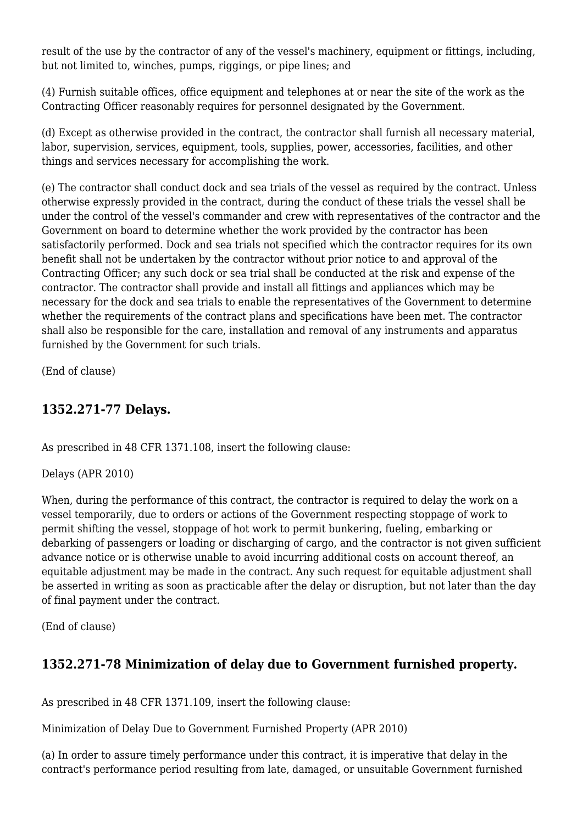result of the use by the contractor of any of the vessel's machinery, equipment or fittings, including, but not limited to, winches, pumps, riggings, or pipe lines; and

(4) Furnish suitable offices, office equipment and telephones at or near the site of the work as the Contracting Officer reasonably requires for personnel designated by the Government.

(d) Except as otherwise provided in the contract, the contractor shall furnish all necessary material, labor, supervision, services, equipment, tools, supplies, power, accessories, facilities, and other things and services necessary for accomplishing the work.

(e) The contractor shall conduct dock and sea trials of the vessel as required by the contract. Unless otherwise expressly provided in the contract, during the conduct of these trials the vessel shall be under the control of the vessel's commander and crew with representatives of the contractor and the Government on board to determine whether the work provided by the contractor has been satisfactorily performed. Dock and sea trials not specified which the contractor requires for its own benefit shall not be undertaken by the contractor without prior notice to and approval of the Contracting Officer; any such dock or sea trial shall be conducted at the risk and expense of the contractor. The contractor shall provide and install all fittings and appliances which may be necessary for the dock and sea trials to enable the representatives of the Government to determine whether the requirements of the contract plans and specifications have been met. The contractor shall also be responsible for the care, installation and removal of any instruments and apparatus furnished by the Government for such trials.

(End of clause)

#### **1352.271-77 Delays.**

As prescribed in 48 CFR 1371.108, insert the following clause:

Delays (APR 2010)

When, during the performance of this contract, the contractor is required to delay the work on a vessel temporarily, due to orders or actions of the Government respecting stoppage of work to permit shifting the vessel, stoppage of hot work to permit bunkering, fueling, embarking or debarking of passengers or loading or discharging of cargo, and the contractor is not given sufficient advance notice or is otherwise unable to avoid incurring additional costs on account thereof, an equitable adjustment may be made in the contract. Any such request for equitable adjustment shall be asserted in writing as soon as practicable after the delay or disruption, but not later than the day of final payment under the contract.

(End of clause)

# **1352.271-78 Minimization of delay due to Government furnished property.**

As prescribed in 48 CFR 1371.109, insert the following clause:

Minimization of Delay Due to Government Furnished Property (APR 2010)

(a) In order to assure timely performance under this contract, it is imperative that delay in the contract's performance period resulting from late, damaged, or unsuitable Government furnished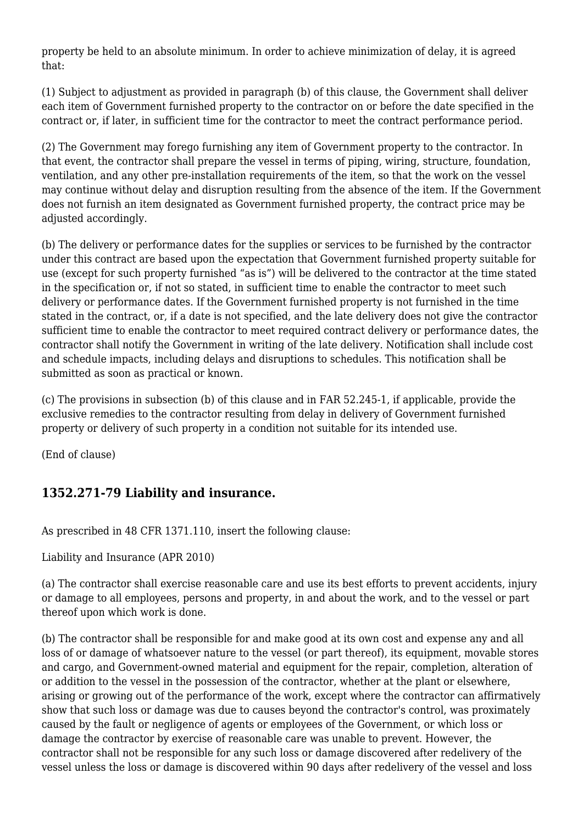property be held to an absolute minimum. In order to achieve minimization of delay, it is agreed that:

(1) Subject to adjustment as provided in paragraph (b) of this clause, the Government shall deliver each item of Government furnished property to the contractor on or before the date specified in the contract or, if later, in sufficient time for the contractor to meet the contract performance period.

(2) The Government may forego furnishing any item of Government property to the contractor. In that event, the contractor shall prepare the vessel in terms of piping, wiring, structure, foundation, ventilation, and any other pre-installation requirements of the item, so that the work on the vessel may continue without delay and disruption resulting from the absence of the item. If the Government does not furnish an item designated as Government furnished property, the contract price may be adjusted accordingly.

(b) The delivery or performance dates for the supplies or services to be furnished by the contractor under this contract are based upon the expectation that Government furnished property suitable for use (except for such property furnished "as is") will be delivered to the contractor at the time stated in the specification or, if not so stated, in sufficient time to enable the contractor to meet such delivery or performance dates. If the Government furnished property is not furnished in the time stated in the contract, or, if a date is not specified, and the late delivery does not give the contractor sufficient time to enable the contractor to meet required contract delivery or performance dates, the contractor shall notify the Government in writing of the late delivery. Notification shall include cost and schedule impacts, including delays and disruptions to schedules. This notification shall be submitted as soon as practical or known.

(c) The provisions in subsection (b) of this clause and in FAR 52.245-1, if applicable, provide the exclusive remedies to the contractor resulting from delay in delivery of Government furnished property or delivery of such property in a condition not suitable for its intended use.

(End of clause)

# **1352.271-79 Liability and insurance.**

As prescribed in 48 CFR 1371.110, insert the following clause:

Liability and Insurance (APR 2010)

(a) The contractor shall exercise reasonable care and use its best efforts to prevent accidents, injury or damage to all employees, persons and property, in and about the work, and to the vessel or part thereof upon which work is done.

(b) The contractor shall be responsible for and make good at its own cost and expense any and all loss of or damage of whatsoever nature to the vessel (or part thereof), its equipment, movable stores and cargo, and Government-owned material and equipment for the repair, completion, alteration of or addition to the vessel in the possession of the contractor, whether at the plant or elsewhere, arising or growing out of the performance of the work, except where the contractor can affirmatively show that such loss or damage was due to causes beyond the contractor's control, was proximately caused by the fault or negligence of agents or employees of the Government, or which loss or damage the contractor by exercise of reasonable care was unable to prevent. However, the contractor shall not be responsible for any such loss or damage discovered after redelivery of the vessel unless the loss or damage is discovered within 90 days after redelivery of the vessel and loss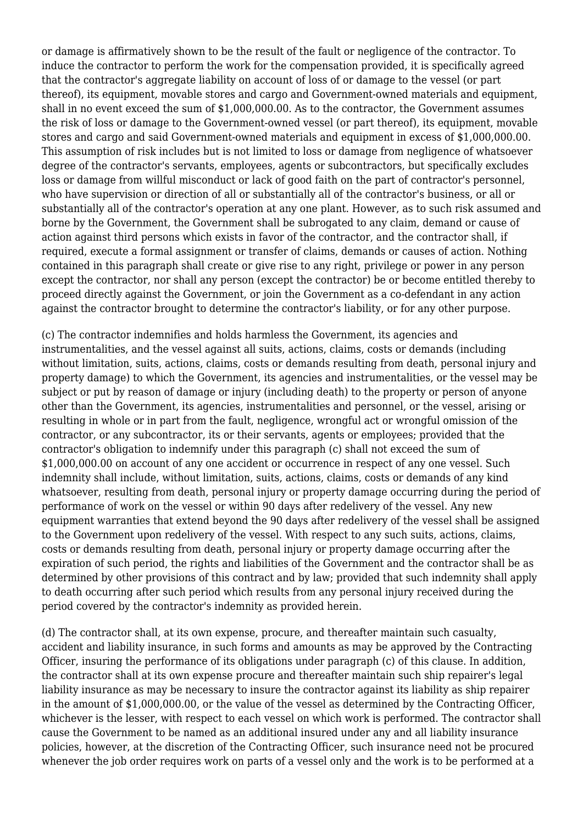or damage is affirmatively shown to be the result of the fault or negligence of the contractor. To induce the contractor to perform the work for the compensation provided, it is specifically agreed that the contractor's aggregate liability on account of loss of or damage to the vessel (or part thereof), its equipment, movable stores and cargo and Government-owned materials and equipment, shall in no event exceed the sum of \$1,000,000.00. As to the contractor, the Government assumes the risk of loss or damage to the Government-owned vessel (or part thereof), its equipment, movable stores and cargo and said Government-owned materials and equipment in excess of \$1,000,000.00. This assumption of risk includes but is not limited to loss or damage from negligence of whatsoever degree of the contractor's servants, employees, agents or subcontractors, but specifically excludes loss or damage from willful misconduct or lack of good faith on the part of contractor's personnel, who have supervision or direction of all or substantially all of the contractor's business, or all or substantially all of the contractor's operation at any one plant. However, as to such risk assumed and borne by the Government, the Government shall be subrogated to any claim, demand or cause of action against third persons which exists in favor of the contractor, and the contractor shall, if required, execute a formal assignment or transfer of claims, demands or causes of action. Nothing contained in this paragraph shall create or give rise to any right, privilege or power in any person except the contractor, nor shall any person (except the contractor) be or become entitled thereby to proceed directly against the Government, or join the Government as a co-defendant in any action against the contractor brought to determine the contractor's liability, or for any other purpose.

(c) The contractor indemnifies and holds harmless the Government, its agencies and instrumentalities, and the vessel against all suits, actions, claims, costs or demands (including without limitation, suits, actions, claims, costs or demands resulting from death, personal injury and property damage) to which the Government, its agencies and instrumentalities, or the vessel may be subject or put by reason of damage or injury (including death) to the property or person of anyone other than the Government, its agencies, instrumentalities and personnel, or the vessel, arising or resulting in whole or in part from the fault, negligence, wrongful act or wrongful omission of the contractor, or any subcontractor, its or their servants, agents or employees; provided that the contractor's obligation to indemnify under this paragraph (c) shall not exceed the sum of \$1,000,000.00 on account of any one accident or occurrence in respect of any one vessel. Such indemnity shall include, without limitation, suits, actions, claims, costs or demands of any kind whatsoever, resulting from death, personal injury or property damage occurring during the period of performance of work on the vessel or within 90 days after redelivery of the vessel. Any new equipment warranties that extend beyond the 90 days after redelivery of the vessel shall be assigned to the Government upon redelivery of the vessel. With respect to any such suits, actions, claims, costs or demands resulting from death, personal injury or property damage occurring after the expiration of such period, the rights and liabilities of the Government and the contractor shall be as determined by other provisions of this contract and by law; provided that such indemnity shall apply to death occurring after such period which results from any personal injury received during the period covered by the contractor's indemnity as provided herein.

(d) The contractor shall, at its own expense, procure, and thereafter maintain such casualty, accident and liability insurance, in such forms and amounts as may be approved by the Contracting Officer, insuring the performance of its obligations under paragraph (c) of this clause. In addition, the contractor shall at its own expense procure and thereafter maintain such ship repairer's legal liability insurance as may be necessary to insure the contractor against its liability as ship repairer in the amount of \$1,000,000.00, or the value of the vessel as determined by the Contracting Officer, whichever is the lesser, with respect to each vessel on which work is performed. The contractor shall cause the Government to be named as an additional insured under any and all liability insurance policies, however, at the discretion of the Contracting Officer, such insurance need not be procured whenever the job order requires work on parts of a vessel only and the work is to be performed at a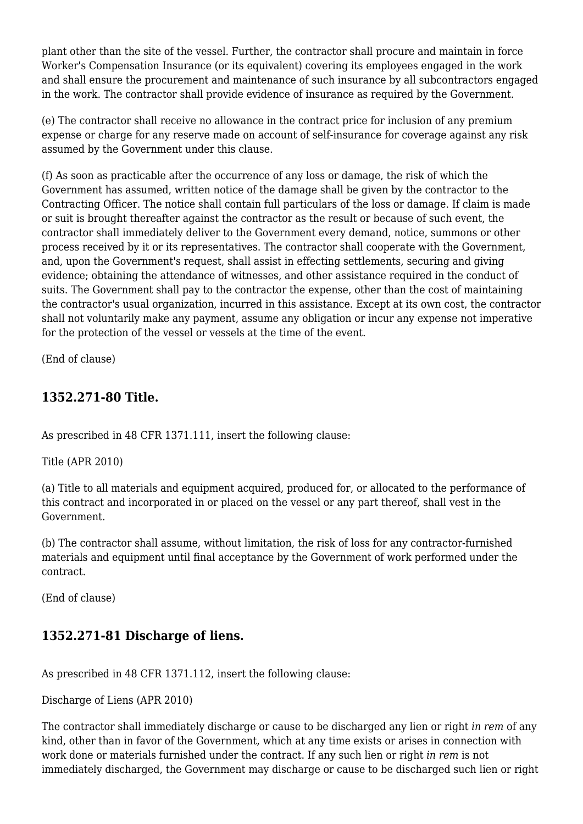plant other than the site of the vessel. Further, the contractor shall procure and maintain in force Worker's Compensation Insurance (or its equivalent) covering its employees engaged in the work and shall ensure the procurement and maintenance of such insurance by all subcontractors engaged in the work. The contractor shall provide evidence of insurance as required by the Government.

(e) The contractor shall receive no allowance in the contract price for inclusion of any premium expense or charge for any reserve made on account of self-insurance for coverage against any risk assumed by the Government under this clause.

(f) As soon as practicable after the occurrence of any loss or damage, the risk of which the Government has assumed, written notice of the damage shall be given by the contractor to the Contracting Officer. The notice shall contain full particulars of the loss or damage. If claim is made or suit is brought thereafter against the contractor as the result or because of such event, the contractor shall immediately deliver to the Government every demand, notice, summons or other process received by it or its representatives. The contractor shall cooperate with the Government, and, upon the Government's request, shall assist in effecting settlements, securing and giving evidence; obtaining the attendance of witnesses, and other assistance required in the conduct of suits. The Government shall pay to the contractor the expense, other than the cost of maintaining the contractor's usual organization, incurred in this assistance. Except at its own cost, the contractor shall not voluntarily make any payment, assume any obligation or incur any expense not imperative for the protection of the vessel or vessels at the time of the event.

(End of clause)

#### **1352.271-80 Title.**

As prescribed in 48 CFR 1371.111, insert the following clause:

Title (APR 2010)

(a) Title to all materials and equipment acquired, produced for, or allocated to the performance of this contract and incorporated in or placed on the vessel or any part thereof, shall vest in the Government.

(b) The contractor shall assume, without limitation, the risk of loss for any contractor-furnished materials and equipment until final acceptance by the Government of work performed under the contract.

(End of clause)

# **1352.271-81 Discharge of liens.**

As prescribed in 48 CFR 1371.112, insert the following clause:

Discharge of Liens (APR 2010)

The contractor shall immediately discharge or cause to be discharged any lien or right *in rem* of any kind, other than in favor of the Government, which at any time exists or arises in connection with work done or materials furnished under the contract. If any such lien or right *in rem* is not immediately discharged, the Government may discharge or cause to be discharged such lien or right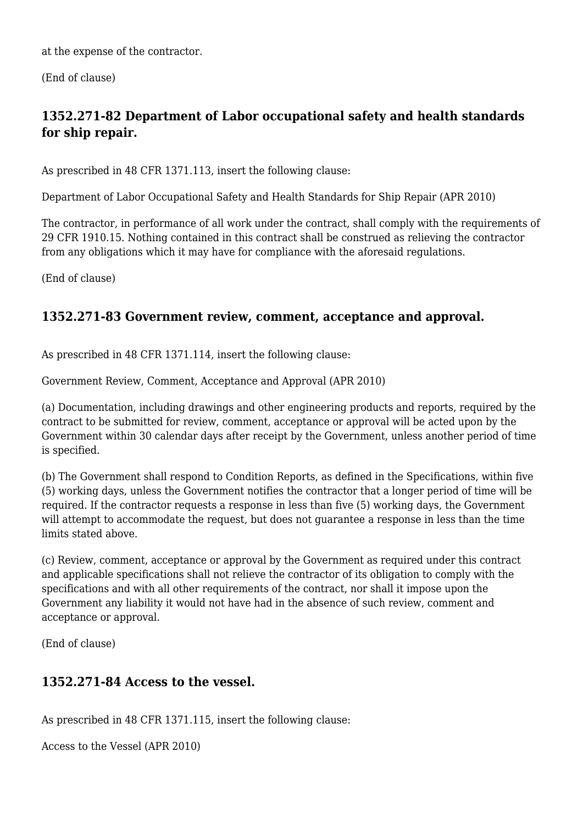at the expense of the contractor.

(End of clause)

# **1352.271-82 Department of Labor occupational safety and health standards for ship repair.**

As prescribed in 48 CFR 1371.113, insert the following clause:

Department of Labor Occupational Safety and Health Standards for Ship Repair (APR 2010)

The contractor, in performance of all work under the contract, shall comply with the requirements of 29 CFR 1910.15. Nothing contained in this contract shall be construed as relieving the contractor from any obligations which it may have for compliance with the aforesaid regulations.

(End of clause)

#### **1352.271-83 Government review, comment, acceptance and approval.**

As prescribed in 48 CFR 1371.114, insert the following clause:

Government Review, Comment, Acceptance and Approval (APR 2010)

(a) Documentation, including drawings and other engineering products and reports, required by the contract to be submitted for review, comment, acceptance or approval will be acted upon by the Government within 30 calendar days after receipt by the Government, unless another period of time is specified.

(b) The Government shall respond to Condition Reports, as defined in the Specifications, within five (5) working days, unless the Government notifies the contractor that a longer period of time will be required. If the contractor requests a response in less than five (5) working days, the Government will attempt to accommodate the request, but does not guarantee a response in less than the time limits stated above.

(c) Review, comment, acceptance or approval by the Government as required under this contract and applicable specifications shall not relieve the contractor of its obligation to comply with the specifications and with all other requirements of the contract, nor shall it impose upon the Government any liability it would not have had in the absence of such review, comment and acceptance or approval.

(End of clause)

#### **1352.271-84 Access to the vessel.**

As prescribed in 48 CFR 1371.115, insert the following clause:

Access to the Vessel (APR 2010)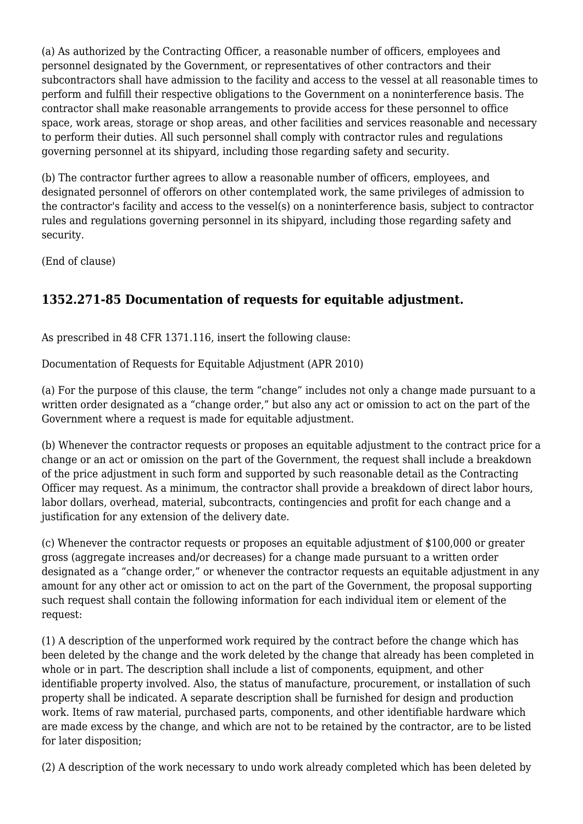(a) As authorized by the Contracting Officer, a reasonable number of officers, employees and personnel designated by the Government, or representatives of other contractors and their subcontractors shall have admission to the facility and access to the vessel at all reasonable times to perform and fulfill their respective obligations to the Government on a noninterference basis. The contractor shall make reasonable arrangements to provide access for these personnel to office space, work areas, storage or shop areas, and other facilities and services reasonable and necessary to perform their duties. All such personnel shall comply with contractor rules and regulations governing personnel at its shipyard, including those regarding safety and security.

(b) The contractor further agrees to allow a reasonable number of officers, employees, and designated personnel of offerors on other contemplated work, the same privileges of admission to the contractor's facility and access to the vessel(s) on a noninterference basis, subject to contractor rules and regulations governing personnel in its shipyard, including those regarding safety and security.

(End of clause)

# **1352.271-85 Documentation of requests for equitable adjustment.**

As prescribed in 48 CFR 1371.116, insert the following clause:

Documentation of Requests for Equitable Adjustment (APR 2010)

(a) For the purpose of this clause, the term "change" includes not only a change made pursuant to a written order designated as a "change order," but also any act or omission to act on the part of the Government where a request is made for equitable adjustment.

(b) Whenever the contractor requests or proposes an equitable adjustment to the contract price for a change or an act or omission on the part of the Government, the request shall include a breakdown of the price adjustment in such form and supported by such reasonable detail as the Contracting Officer may request. As a minimum, the contractor shall provide a breakdown of direct labor hours, labor dollars, overhead, material, subcontracts, contingencies and profit for each change and a justification for any extension of the delivery date.

(c) Whenever the contractor requests or proposes an equitable adjustment of \$100,000 or greater gross (aggregate increases and/or decreases) for a change made pursuant to a written order designated as a "change order," or whenever the contractor requests an equitable adjustment in any amount for any other act or omission to act on the part of the Government, the proposal supporting such request shall contain the following information for each individual item or element of the request:

(1) A description of the unperformed work required by the contract before the change which has been deleted by the change and the work deleted by the change that already has been completed in whole or in part. The description shall include a list of components, equipment, and other identifiable property involved. Also, the status of manufacture, procurement, or installation of such property shall be indicated. A separate description shall be furnished for design and production work. Items of raw material, purchased parts, components, and other identifiable hardware which are made excess by the change, and which are not to be retained by the contractor, are to be listed for later disposition;

(2) A description of the work necessary to undo work already completed which has been deleted by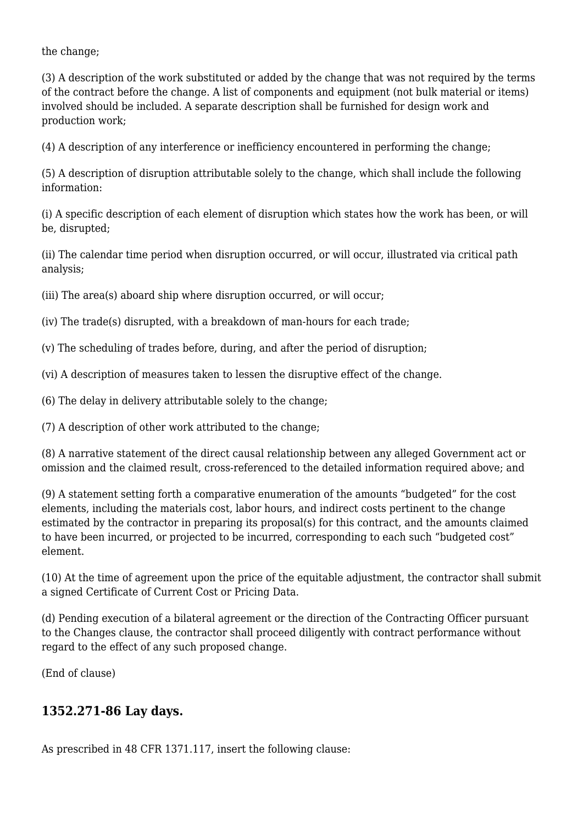the change;

(3) A description of the work substituted or added by the change that was not required by the terms of the contract before the change. A list of components and equipment (not bulk material or items) involved should be included. A separate description shall be furnished for design work and production work;

(4) A description of any interference or inefficiency encountered in performing the change;

(5) A description of disruption attributable solely to the change, which shall include the following information:

(i) A specific description of each element of disruption which states how the work has been, or will be, disrupted;

(ii) The calendar time period when disruption occurred, or will occur, illustrated via critical path analysis;

(iii) The area(s) aboard ship where disruption occurred, or will occur;

(iv) The trade(s) disrupted, with a breakdown of man-hours for each trade;

(v) The scheduling of trades before, during, and after the period of disruption;

(vi) A description of measures taken to lessen the disruptive effect of the change.

(6) The delay in delivery attributable solely to the change;

(7) A description of other work attributed to the change;

(8) A narrative statement of the direct causal relationship between any alleged Government act or omission and the claimed result, cross-referenced to the detailed information required above; and

(9) A statement setting forth a comparative enumeration of the amounts "budgeted" for the cost elements, including the materials cost, labor hours, and indirect costs pertinent to the change estimated by the contractor in preparing its proposal(s) for this contract, and the amounts claimed to have been incurred, or projected to be incurred, corresponding to each such "budgeted cost" element.

(10) At the time of agreement upon the price of the equitable adjustment, the contractor shall submit a signed Certificate of Current Cost or Pricing Data.

(d) Pending execution of a bilateral agreement or the direction of the Contracting Officer pursuant to the Changes clause, the contractor shall proceed diligently with contract performance without regard to the effect of any such proposed change.

(End of clause)

# **1352.271-86 Lay days.**

As prescribed in 48 CFR 1371.117, insert the following clause: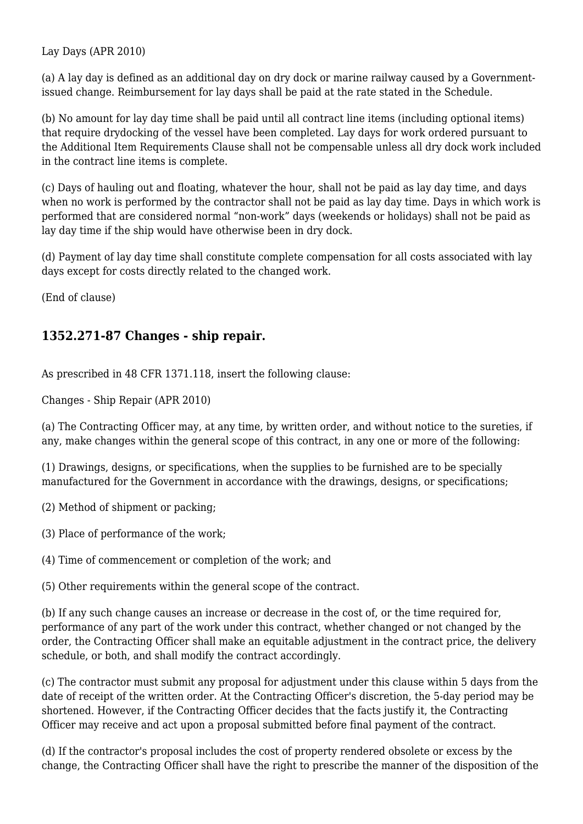Lay Days (APR 2010)

(a) A lay day is defined as an additional day on dry dock or marine railway caused by a Governmentissued change. Reimbursement for lay days shall be paid at the rate stated in the Schedule.

(b) No amount for lay day time shall be paid until all contract line items (including optional items) that require drydocking of the vessel have been completed. Lay days for work ordered pursuant to the Additional Item Requirements Clause shall not be compensable unless all dry dock work included in the contract line items is complete.

(c) Days of hauling out and floating, whatever the hour, shall not be paid as lay day time, and days when no work is performed by the contractor shall not be paid as lay day time. Days in which work is performed that are considered normal "non-work" days (weekends or holidays) shall not be paid as lay day time if the ship would have otherwise been in dry dock.

(d) Payment of lay day time shall constitute complete compensation for all costs associated with lay days except for costs directly related to the changed work.

(End of clause)

#### **1352.271-87 Changes - ship repair.**

As prescribed in 48 CFR 1371.118, insert the following clause:

Changes - Ship Repair (APR 2010)

(a) The Contracting Officer may, at any time, by written order, and without notice to the sureties, if any, make changes within the general scope of this contract, in any one or more of the following:

(1) Drawings, designs, or specifications, when the supplies to be furnished are to be specially manufactured for the Government in accordance with the drawings, designs, or specifications;

(2) Method of shipment or packing;

(3) Place of performance of the work;

(4) Time of commencement or completion of the work; and

(5) Other requirements within the general scope of the contract.

(b) If any such change causes an increase or decrease in the cost of, or the time required for, performance of any part of the work under this contract, whether changed or not changed by the order, the Contracting Officer shall make an equitable adjustment in the contract price, the delivery schedule, or both, and shall modify the contract accordingly.

(c) The contractor must submit any proposal for adjustment under this clause within 5 days from the date of receipt of the written order. At the Contracting Officer's discretion, the 5-day period may be shortened. However, if the Contracting Officer decides that the facts justify it, the Contracting Officer may receive and act upon a proposal submitted before final payment of the contract.

(d) If the contractor's proposal includes the cost of property rendered obsolete or excess by the change, the Contracting Officer shall have the right to prescribe the manner of the disposition of the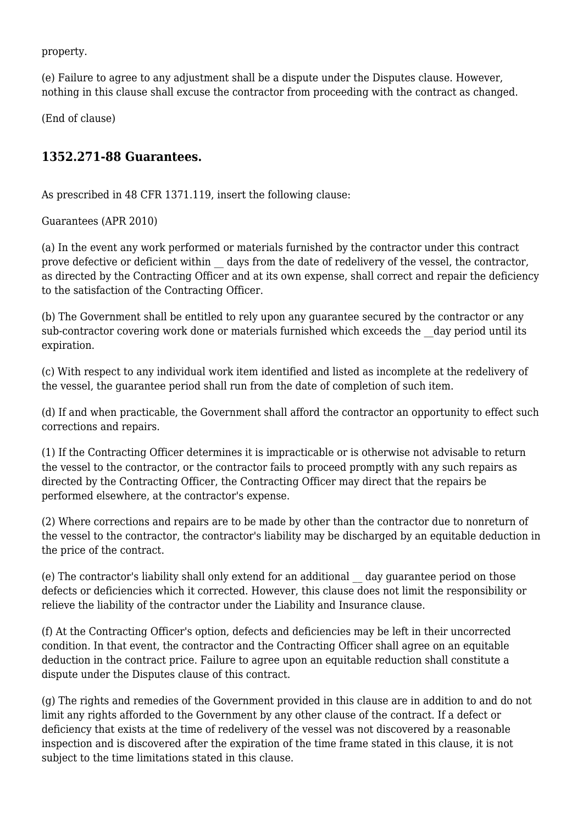property.

(e) Failure to agree to any adjustment shall be a dispute under the Disputes clause. However, nothing in this clause shall excuse the contractor from proceeding with the contract as changed.

(End of clause)

#### **1352.271-88 Guarantees.**

As prescribed in 48 CFR 1371.119, insert the following clause:

Guarantees (APR 2010)

(a) In the event any work performed or materials furnished by the contractor under this contract prove defective or deficient within \_\_ days from the date of redelivery of the vessel, the contractor, as directed by the Contracting Officer and at its own expense, shall correct and repair the deficiency to the satisfaction of the Contracting Officer.

(b) The Government shall be entitled to rely upon any guarantee secured by the contractor or any sub-contractor covering work done or materials furnished which exceeds the day period until its expiration.

(c) With respect to any individual work item identified and listed as incomplete at the redelivery of the vessel, the guarantee period shall run from the date of completion of such item.

(d) If and when practicable, the Government shall afford the contractor an opportunity to effect such corrections and repairs.

(1) If the Contracting Officer determines it is impracticable or is otherwise not advisable to return the vessel to the contractor, or the contractor fails to proceed promptly with any such repairs as directed by the Contracting Officer, the Contracting Officer may direct that the repairs be performed elsewhere, at the contractor's expense.

(2) Where corrections and repairs are to be made by other than the contractor due to nonreturn of the vessel to the contractor, the contractor's liability may be discharged by an equitable deduction in the price of the contract.

(e) The contractor's liability shall only extend for an additional \_\_ day guarantee period on those defects or deficiencies which it corrected. However, this clause does not limit the responsibility or relieve the liability of the contractor under the Liability and Insurance clause.

(f) At the Contracting Officer's option, defects and deficiencies may be left in their uncorrected condition. In that event, the contractor and the Contracting Officer shall agree on an equitable deduction in the contract price. Failure to agree upon an equitable reduction shall constitute a dispute under the Disputes clause of this contract.

(g) The rights and remedies of the Government provided in this clause are in addition to and do not limit any rights afforded to the Government by any other clause of the contract. If a defect or deficiency that exists at the time of redelivery of the vessel was not discovered by a reasonable inspection and is discovered after the expiration of the time frame stated in this clause, it is not subject to the time limitations stated in this clause.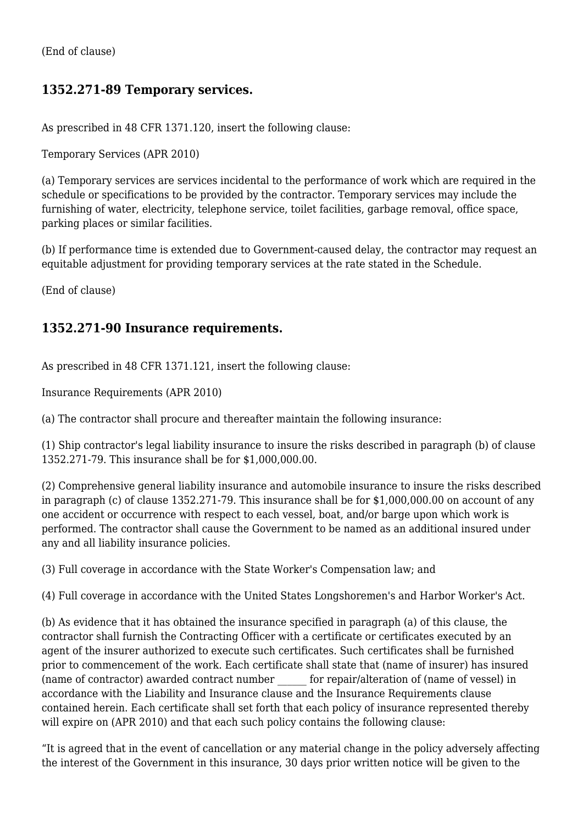(End of clause)

# **1352.271-89 Temporary services.**

As prescribed in 48 CFR 1371.120, insert the following clause:

Temporary Services (APR 2010)

(a) Temporary services are services incidental to the performance of work which are required in the schedule or specifications to be provided by the contractor. Temporary services may include the furnishing of water, electricity, telephone service, toilet facilities, garbage removal, office space, parking places or similar facilities.

(b) If performance time is extended due to Government-caused delay, the contractor may request an equitable adjustment for providing temporary services at the rate stated in the Schedule.

(End of clause)

#### **1352.271-90 Insurance requirements.**

As prescribed in 48 CFR 1371.121, insert the following clause:

Insurance Requirements (APR 2010)

(a) The contractor shall procure and thereafter maintain the following insurance:

(1) Ship contractor's legal liability insurance to insure the risks described in paragraph (b) of clause 1352.271-79. This insurance shall be for \$1,000,000.00.

(2) Comprehensive general liability insurance and automobile insurance to insure the risks described in paragraph (c) of clause 1352.271-79. This insurance shall be for \$1,000,000.00 on account of any one accident or occurrence with respect to each vessel, boat, and/or barge upon which work is performed. The contractor shall cause the Government to be named as an additional insured under any and all liability insurance policies.

(3) Full coverage in accordance with the State Worker's Compensation law; and

(4) Full coverage in accordance with the United States Longshoremen's and Harbor Worker's Act.

(b) As evidence that it has obtained the insurance specified in paragraph (a) of this clause, the contractor shall furnish the Contracting Officer with a certificate or certificates executed by an agent of the insurer authorized to execute such certificates. Such certificates shall be furnished prior to commencement of the work. Each certificate shall state that (name of insurer) has insured (name of contractor) awarded contract number \_\_\_\_\_\_ for repair/alteration of (name of vessel) in accordance with the Liability and Insurance clause and the Insurance Requirements clause contained herein. Each certificate shall set forth that each policy of insurance represented thereby will expire on (APR 2010) and that each such policy contains the following clause:

"It is agreed that in the event of cancellation or any material change in the policy adversely affecting the interest of the Government in this insurance, 30 days prior written notice will be given to the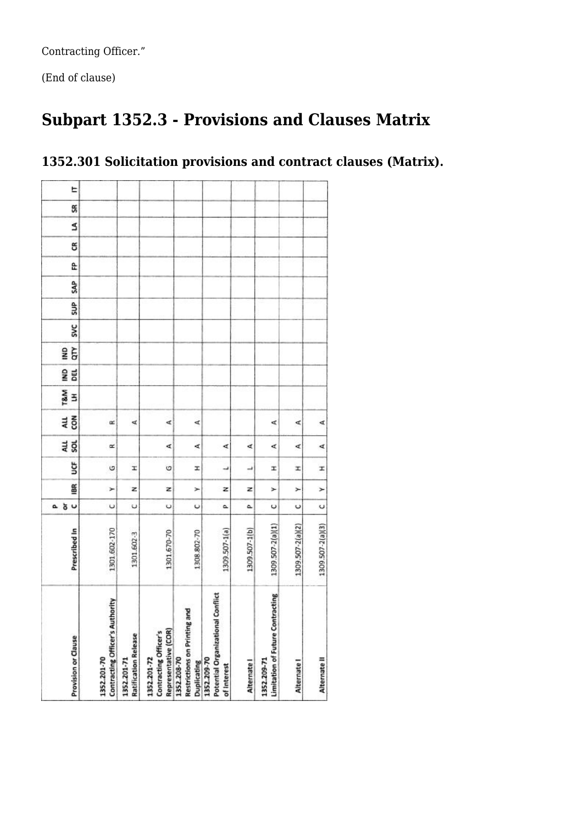Contracting Officer."

(End of clause)

# **Subpart 1352.3 - Provisions and Clauses Matrix**

| Provision or Clause | Contracting Officer's Authority<br>1352.201-70 | <b>Ratification Release</b><br>1352.201-71 | Representative (COR)<br>Contracting Officer's<br>1352.201-72 | and<br><b>Restrictions on Printing</b><br>1352.208-70<br>Duplicating | Potential Organizational Conflict<br>1352.209-70<br>of Interest | Alternate I   | Limitation of Future Contracting<br>1352.209-71 | Alternate I      | Alternate II     |
|---------------------|------------------------------------------------|--------------------------------------------|--------------------------------------------------------------|----------------------------------------------------------------------|-----------------------------------------------------------------|---------------|-------------------------------------------------|------------------|------------------|
| Prescribed In       | 1301.602-170                                   | 1301.602-3                                 | 1301.670-70                                                  | 1308.802-70                                                          | 1309.507-1(a)                                                   | 1309.507-1(b) | 1309.507-2(a)(1)                                | 1309.507-2(a)(2) | 1309.507-2(a)(3) |
| 5 <sub>o</sub><br>۵ | $\cup$                                         | υ                                          | U                                                            | $\cup$                                                               | ۵                                                               | ۵             | U                                               | U                | U                |
| 66                  | ×                                              | z                                          | z                                                            | ×                                                                    | z                                                               | z             | ≻                                               | ۶                | ≻                |
| ğ                   | G                                              | I                                          | Ò                                                            | x                                                                    | ᆏ                                                               | د             | I                                               | x,               | x,               |
| 4LL<br>SOL          | œ                                              |                                            | d                                                            | ∢                                                                    | ∢                                                               | ∢             | ∢                                               | ⊄                | ∢                |
| δ<br>ЯÎ             | œ                                              | ₫                                          | 4,                                                           | ₫                                                                    |                                                                 |               | ⋖                                               | ⋖                | ∢                |
| T&M<br>3            |                                                |                                            |                                                              |                                                                      |                                                                 |               |                                                 |                  |                  |
| g<br>DEL            |                                                |                                            |                                                              |                                                                      |                                                                 |               |                                                 |                  |                  |
| Ğ<br>g              |                                                |                                            |                                                              |                                                                      |                                                                 |               |                                                 |                  |                  |
| <b>SVC</b>          |                                                |                                            |                                                              |                                                                      |                                                                 |               |                                                 |                  |                  |
| SUP                 |                                                |                                            |                                                              |                                                                      |                                                                 |               |                                                 |                  |                  |
| <b>SAP</b>          |                                                |                                            |                                                              |                                                                      |                                                                 |               |                                                 |                  |                  |
| Ê.                  |                                                |                                            |                                                              |                                                                      |                                                                 |               |                                                 |                  |                  |
| g                   |                                                |                                            |                                                              |                                                                      |                                                                 |               |                                                 |                  |                  |
| S                   |                                                |                                            |                                                              |                                                                      |                                                                 |               |                                                 |                  |                  |
| E<br>S              |                                                |                                            |                                                              |                                                                      |                                                                 |               |                                                 |                  |                  |

# **1352.301 Solicitation provisions and contract clauses (Matrix).**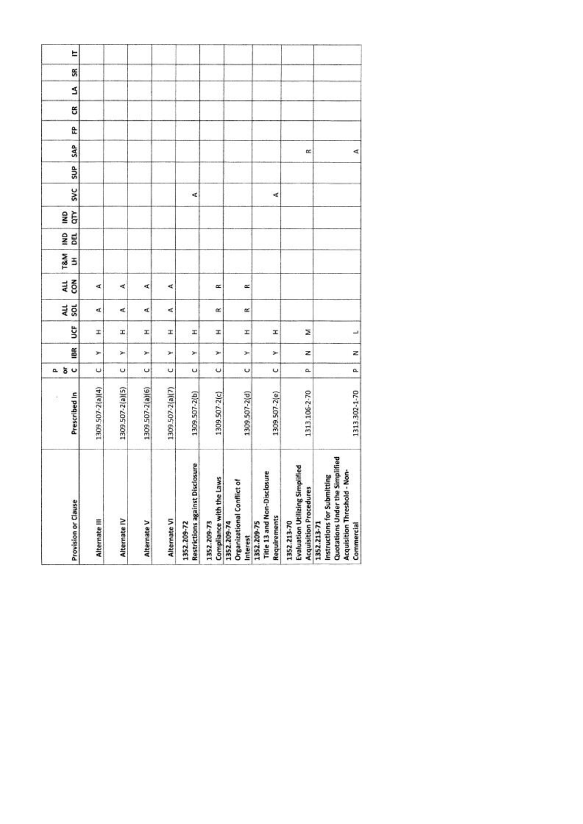| Alternate III    | Alternate IV     | Alternate V      | Alternate VI     | <b>Restrictions against Disclosure</b><br>1352.209-72 | Compliance with the Laws<br>1352.209-73 | đ<br>Organizational Conflict<br>1352.209-74<br>Interest | Title 13 and Non-Disclosure<br><b>Requirements</b><br>1352.209-75 | <b>Evaluation Utilizing Simplified</b><br><b>Acquisition Procedures</b><br>1352.213-70 | Quotations Under the Simplified<br>Non-<br>Instructions for Submitting<br>Acquisition Threshold -<br>1352.213-71<br>Commercial |
|------------------|------------------|------------------|------------------|-------------------------------------------------------|-----------------------------------------|---------------------------------------------------------|-------------------------------------------------------------------|----------------------------------------------------------------------------------------|--------------------------------------------------------------------------------------------------------------------------------|
| 1309 507-2(a)(4) | 1309.507-2(a)(5) | 1309.507-2(a)(6) | 1309.507-2(a)(7) | 1309.507-2(b)                                         | 1309.507-2(c)                           | 1309.507-2(d)                                           | 1309.507-2(e)                                                     | 1313.106-2-70                                                                          | 1313.302-1-70                                                                                                                  |
| U                | ပ                | $\cup$           | $\breve{}$       | Ü                                                     | U                                       | U                                                       | U                                                                 | a.                                                                                     | a                                                                                                                              |
| ×                | Y                | ×                | ×                | ×                                                     | ×                                       | ×                                                       | r                                                                 | z                                                                                      | z                                                                                                                              |
| I                | H                | x                | x                | x                                                     | H                                       | I                                                       | I                                                                 | z                                                                                      | H                                                                                                                              |
| Æ                | ⋖                | ď                | ∢                |                                                       | α                                       | œ                                                       |                                                                   |                                                                                        |                                                                                                                                |
| ₫                | ∢                | ¢                | ⋖                |                                                       | œ                                       | œ                                                       |                                                                   |                                                                                        |                                                                                                                                |
|                  |                  |                  |                  |                                                       |                                         |                                                         |                                                                   |                                                                                        |                                                                                                                                |
|                  |                  |                  |                  |                                                       |                                         |                                                         |                                                                   |                                                                                        |                                                                                                                                |
|                  |                  |                  |                  |                                                       |                                         |                                                         |                                                                   |                                                                                        |                                                                                                                                |
|                  |                  |                  |                  | ₫                                                     |                                         |                                                         | ∢                                                                 |                                                                                        |                                                                                                                                |
|                  |                  |                  |                  |                                                       |                                         |                                                         |                                                                   |                                                                                        |                                                                                                                                |
|                  |                  |                  |                  |                                                       |                                         |                                                         |                                                                   | œ                                                                                      | ⋖                                                                                                                              |
|                  |                  |                  |                  |                                                       |                                         |                                                         |                                                                   |                                                                                        |                                                                                                                                |
|                  |                  |                  |                  |                                                       |                                         |                                                         |                                                                   |                                                                                        |                                                                                                                                |
|                  |                  |                  |                  |                                                       |                                         |                                                         |                                                                   |                                                                                        |                                                                                                                                |
|                  |                  |                  |                  |                                                       |                                         |                                                         |                                                                   |                                                                                        |                                                                                                                                |
|                  |                  |                  |                  |                                                       |                                         |                                                         |                                                                   |                                                                                        |                                                                                                                                |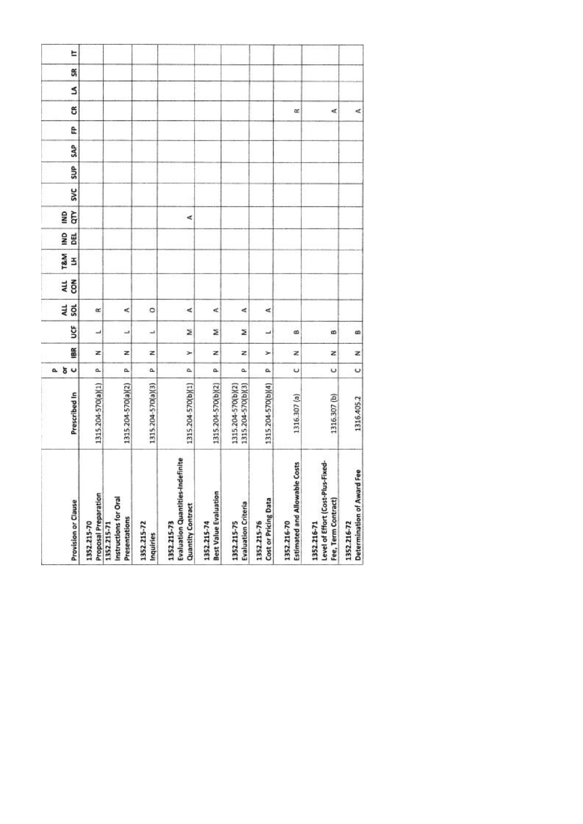| <b>Provision or Clause</b>                                                  | Prescribed In                            | 5 <sub>o</sub><br>۵. | 18R | ຮູ | 4L<br><b>SOL</b> | č<br>ALL | T&M<br>3 | BEL<br>ŝ | Ğ<br>SNI | <b>SVC</b> | SUP <sub></sub> | SAP | e | g | Ś | S | E |
|-----------------------------------------------------------------------------|------------------------------------------|----------------------|-----|----|------------------|----------|----------|----------|----------|------------|-----------------|-----|---|---|---|---|---|
| Proposal Preparation<br>1352.215-70                                         | 1315.204-570(a)(1)                       | a.                   | z   | ┙  | œ                |          |          |          |          |            |                 |     |   |   |   |   |   |
| Instructions for Oral<br>Presentations<br>1352.215-71                       | 1315.204-570(a)(2)                       | a.                   | z   | ┙  | ⋖                |          |          |          |          |            |                 |     |   |   |   |   |   |
| 1352.215-72<br>Inquiries                                                    | 1315.204-570(a)(3)                       | ۵                    | z   | پ  | ۰                |          |          |          |          |            |                 |     |   |   |   |   |   |
| Evaluation Quantities-Indefinite<br><b>Quantity Contract</b><br>1352.215-73 | 1315.204-570(b)(1)                       | a.                   | ×   | Σ  | ⋖                |          |          |          | ⋖        |            |                 |     |   |   |   |   |   |
| <b>Best Value Evaluation</b><br>1352.215-74                                 | 1315.204-570(b)(2)                       | a.                   | z   | ż  | ¢                |          |          |          |          |            |                 |     |   |   |   |   |   |
| <b>Evaluation Criteria</b><br>1352.215-75                                   | 1315.204-570(b)(3)<br>1315.204-570(b)(2) | a.                   | z   | z  | ⋖                |          |          |          |          |            |                 |     |   |   |   |   |   |
| Cost or Pricing Data<br>1352.215-76                                         | 1315.204-570(b)(4)                       | a.                   | ≻   | ب  | ⋖                |          |          |          |          |            |                 |     |   |   |   |   |   |
| Estimated and Allowable Costs<br>1352.216-70                                | 1316.307 (a)                             | ပ                    | z   | ß  |                  |          |          |          |          |            |                 |     |   | œ |   |   |   |
| Level of Effort (Cost-Plus-Fixed-<br>Fee, Term Contract)<br>1352.216-71     | 1316.307 (b)                             | U                    | z   | œ  |                  |          |          |          |          |            |                 |     |   | ∢ |   |   |   |
| Determination of Award Fee<br>1352.216-72                                   | 1316.405.2                               | $\circ$              | z   | œ  |                  |          |          |          |          |            |                 |     |   | ⋖ |   |   |   |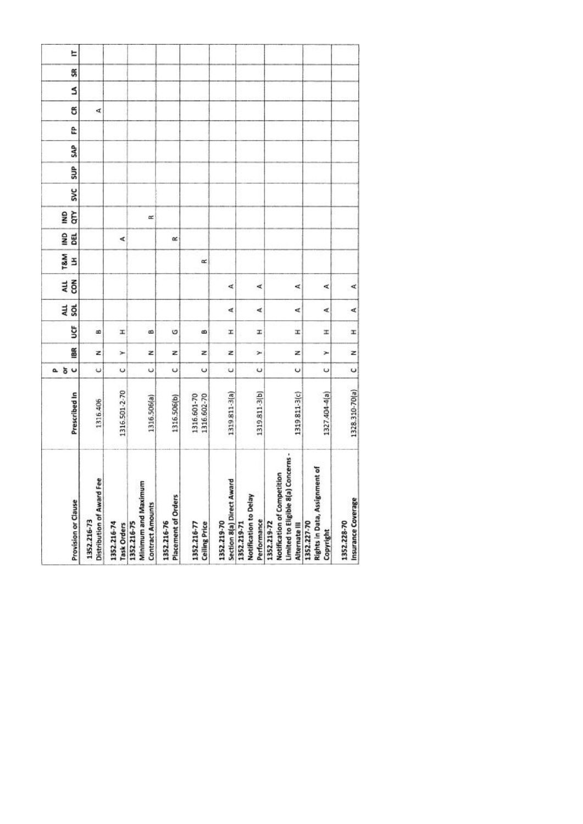| Distribution of Award Fee<br>Provision or Clause<br>1352.216-73<br>1352.216-74                        | Prescribed In<br>1316.406    | ăυ<br>$\ddot{\phantom{0}}$<br>۵ | BR<br>z | ğ<br>B | ALL<br><b>SOL</b> | č<br>ALL | T&M<br>E | gNI<br>BEL | GTY<br><b>ONI</b> | <b>SVC</b> | SUP | SAP | ĉ | g<br>₫ | S |
|-------------------------------------------------------------------------------------------------------|------------------------------|---------------------------------|---------|--------|-------------------|----------|----------|------------|-------------------|------------|-----|-----|---|--------|---|
| Minimum and Maximum<br><b>Contract Amounts</b><br>1352.216-75<br>Task Orders                          | 1316.501-2-70<br>1316.506(a) | $\circ$<br>U                    | Ż<br>Y  | H<br>œ |                   |          |          | ∢          | œ                 |            |     |     |   |        |   |
| Placement of Orders<br>1352.216-76                                                                    | 1316.506(b)                  | $\circ$                         | z       | O      |                   |          |          | œ          |                   |            |     |     |   |        |   |
| <b>Ceiling Price</b><br>1352.216-77                                                                   | 1316.601-70<br>1316.602-70   | U                               | z       | œ      |                   |          | œ        |            |                   |            |     |     |   |        |   |
| Section 8(a) Direct Award<br>1352.219-70                                                              | 1319811-3(a)                 | U                               | z       | I.     | ∢                 | ₫        |          |            |                   |            |     |     |   |        |   |
| Notification to Delay<br>Performance<br>1352.219-71                                                   | 1319.811-3(b)                | U                               | ×       | I.     | ∢                 | ∢        |          |            |                   |            |     |     |   |        |   |
| Concerns -<br>Notification of Competition<br>Limited to Eligible 8(a)<br>1352.219-72<br>Alternate III | 1319.811-3(c)                | U                               | z       | Ŧ      | ₫                 | ⋖        |          |            |                   |            |     |     |   |        |   |
| Rights in Data, Assignment of<br>1352.227-70<br>Copyright                                             | 1327.404-4(a)                | U                               | ×       | ×      | ∢                 | ¢        |          |            |                   |            |     |     |   |        |   |
| Insurance Coverage<br>1352.228-70                                                                     | 1328.310-70(a)               | $\circ$                         | z       | I      | ન                 | ⋖        |          |            |                   |            |     |     |   |        |   |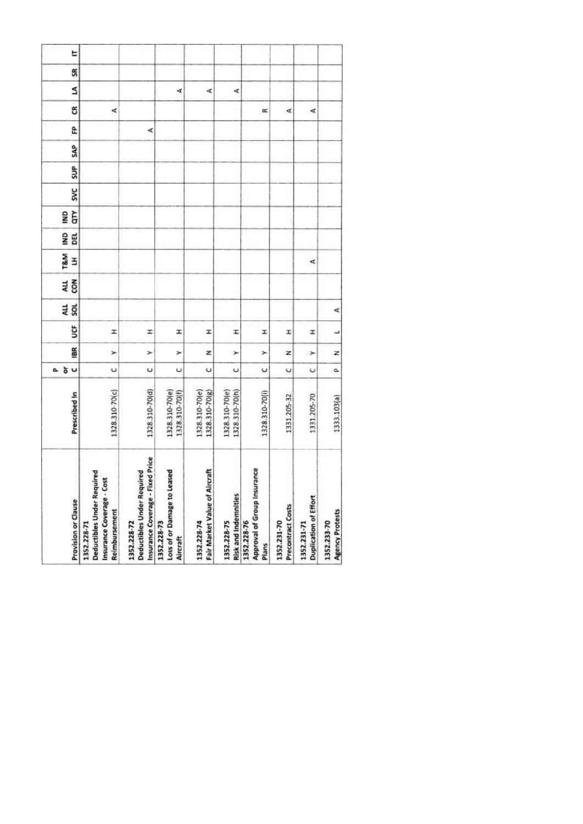| 1328.310-70(c) | 1328.310-70(d) | 1328.310-70(e)<br>1328.310-70(f) | 1328.310-70(e)<br>1328.310-70(g) | 1328.310-70(e)<br>1328.310-70(h) | 1328.310-70(i) | 1331.205-32 | 1331.205-70          | 1333.103(a) |
|----------------|----------------|----------------------------------|----------------------------------|----------------------------------|----------------|-------------|----------------------|-------------|
|                |                |                                  |                                  |                                  |                |             |                      |             |
| U              | U              | Ü                                | U                                | $\ddot{\phantom{0}}$             | ں              | Ü           | $\ddot{\phantom{0}}$ | ۵           |
| ×              | ×              | ×                                | z                                | ×                                | ×              | z           | ⊁                    | z           |
| Ŧ              | I              | I                                | I                                | I                                | I              | I           | x                    | پ           |
|                |                |                                  |                                  |                                  |                |             |                      | ∢           |
|                |                |                                  |                                  |                                  |                |             |                      |             |
|                |                |                                  |                                  |                                  |                |             | ₫                    |             |
|                |                |                                  |                                  |                                  |                |             |                      |             |
|                |                |                                  |                                  |                                  |                |             |                      |             |
|                |                |                                  |                                  |                                  |                |             |                      |             |
|                |                |                                  |                                  |                                  |                |             |                      |             |
|                |                |                                  |                                  |                                  |                |             |                      |             |
|                | 哎              |                                  |                                  |                                  |                |             |                      |             |
| ∢              |                |                                  |                                  |                                  | œ              | ₫           | ∢                    |             |
|                |                | A                                | ∢                                | d,                               |                |             |                      |             |
|                |                |                                  |                                  |                                  |                |             |                      |             |
|                |                |                                  |                                  |                                  |                |             |                      |             |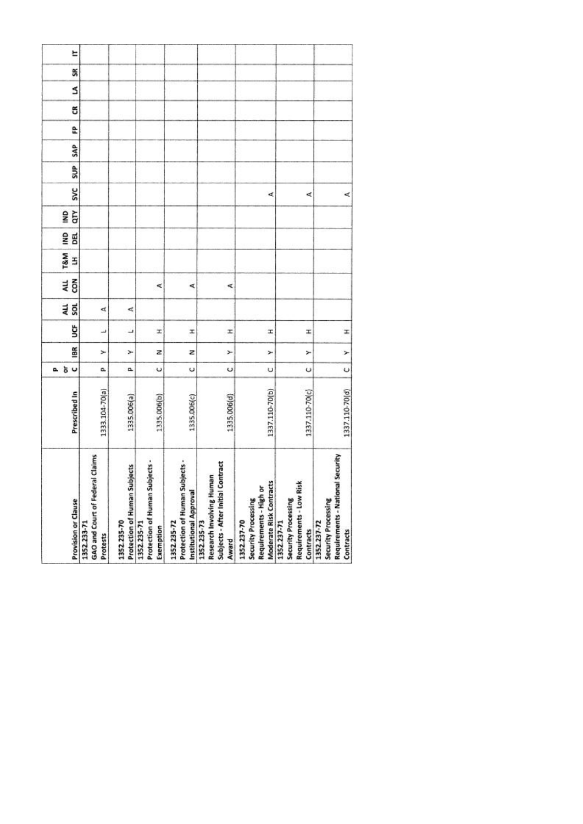| <b>Provision or Clause</b> | GAO and Court of Federal Claims<br>1352.233-71<br>Protests | Protection of Human Subjects<br>1352.235-70 | Protection of Human Subjects -<br>1352.235-71<br>Exemption | Protection of Human Subjects -<br>Institutional Approval<br>1352.235-72 | Subjects - After Initial Contract<br>Research Involving Human<br>1352.235-73<br>Award | Moderate Risk Contracts<br>Requirements - High or<br>Security Processing<br>1352.237-70 | Requirements - Low Risk<br>Security Processing<br>1352.237-71<br>Contracts | Requirements - National Security<br>Security Processing<br>1352.237-72<br>Contracts |
|----------------------------|------------------------------------------------------------|---------------------------------------------|------------------------------------------------------------|-------------------------------------------------------------------------|---------------------------------------------------------------------------------------|-----------------------------------------------------------------------------------------|----------------------------------------------------------------------------|-------------------------------------------------------------------------------------|
| Prescribed In              | 1333.104-70(a)                                             | 1335.006(a)                                 | 1335.006(b)                                                | 1335.006(c)                                                             | 1335.006(d)                                                                           | 1337.110-70(b)                                                                          | 1337.110-70(c)                                                             | 1337.110-70(d)                                                                      |
| 5 <sub>o</sub><br>o.       | a,                                                         | α                                           | $\circ$                                                    | $\cup$                                                                  | Ü                                                                                     | U                                                                                       | U                                                                          | $\cup$                                                                              |
| 18R                        | ≻                                                          | ⊁                                           | z                                                          | z                                                                       | ×                                                                                     | ×                                                                                       | ×                                                                          | $\geq$                                                                              |
| ğ                          | ٮ                                                          | ┙                                           | H                                                          | I                                                                       | I                                                                                     | Ŧ                                                                                       | x                                                                          | I                                                                                   |
| 4LL<br>SOL                 | ₫                                                          | ⋖                                           |                                                            |                                                                         |                                                                                       |                                                                                         |                                                                            |                                                                                     |
| con<br>ALL                 |                                                            |                                             | ₫                                                          | ⋖                                                                       | ⋖                                                                                     |                                                                                         |                                                                            |                                                                                     |
| T&M<br>3                   |                                                            |                                             |                                                            |                                                                         |                                                                                       |                                                                                         |                                                                            |                                                                                     |
| g<br>DEL                   |                                                            |                                             |                                                            |                                                                         |                                                                                       |                                                                                         |                                                                            |                                                                                     |
| qτγ<br>gMI                 |                                                            |                                             |                                                            |                                                                         |                                                                                       |                                                                                         |                                                                            |                                                                                     |
| <b>SVC</b>                 |                                                            |                                             |                                                            |                                                                         |                                                                                       | ¢                                                                                       | ⋖                                                                          | ₫                                                                                   |
| SUP                        |                                                            |                                             |                                                            |                                                                         |                                                                                       |                                                                                         |                                                                            |                                                                                     |
| SAP                        |                                                            |                                             |                                                            |                                                                         |                                                                                       |                                                                                         |                                                                            |                                                                                     |
| £                          |                                                            |                                             |                                                            |                                                                         |                                                                                       |                                                                                         |                                                                            |                                                                                     |
| g                          |                                                            |                                             |                                                            |                                                                         |                                                                                       |                                                                                         |                                                                            |                                                                                     |
| S                          |                                                            |                                             |                                                            |                                                                         |                                                                                       |                                                                                         |                                                                            |                                                                                     |
| SR                         |                                                            |                                             |                                                            |                                                                         |                                                                                       |                                                                                         |                                                                            |                                                                                     |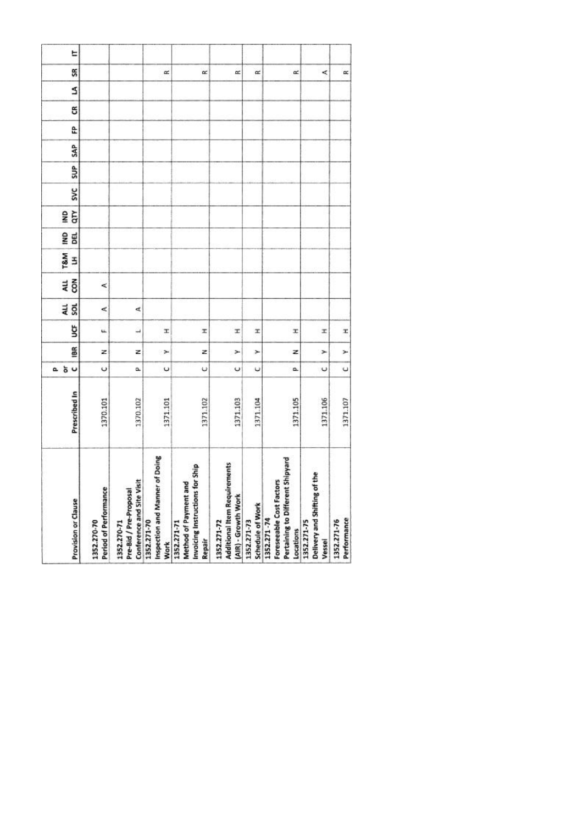| Provision or Clause  | Period of Performance<br>1352.270-70 | Conference and Site Visit<br>Pre-Bid / Pre-Proposal<br>1352.270-71 | of Doing<br>Inspection and Manner<br>1352.271-70<br><b>Work</b> | Invoicing Instructions for Ship<br>ъ<br>Method of Payment an<br>1352.271-71<br>Repair | <b>Additional Item Requirements</b><br>(AIR) - Growth Work<br>1352.271-72 | Schedule of Work<br>1352.271-73 | : Shipyard<br>Foreseeable Cost Factors<br>Pertaining to Different<br>1352.271-74<br>Locations | Delivery and Shifting of the<br>1352.271-75<br>Vessel | Performance<br>1352.271-76 |
|----------------------|--------------------------------------|--------------------------------------------------------------------|-----------------------------------------------------------------|---------------------------------------------------------------------------------------|---------------------------------------------------------------------------|---------------------------------|-----------------------------------------------------------------------------------------------|-------------------------------------------------------|----------------------------|
| Prescribed In        | 1370.101                             | 1370.102                                                           | 1371.101                                                        | 1371.102                                                                              | 1371.103                                                                  | 1371.104                        | 1371.105                                                                                      | 1371.106                                              | 1371.107                   |
| 5 <sub>o</sub><br>a. | $\circ$                              | û.                                                                 | U                                                               | ψ                                                                                     | U                                                                         | υ                               | o.                                                                                            | $\cup$                                                | $\cup$                     |
| iBR                  | z                                    | z                                                                  | ×                                                               | z                                                                                     | ×                                                                         | ×                               | z                                                                                             | ×                                                     | ×                          |
| ğ                    | u.                                   | $\overline{\phantom{a}}$                                           | X,                                                              | x                                                                                     | x                                                                         | x                               | x                                                                                             | x                                                     | x                          |
| au<br>Sol            | ⋖                                    | ₫                                                                  |                                                                 |                                                                                       |                                                                           |                                 |                                                                                               |                                                       |                            |
| 4LL<br>$\tilde{8}$   | ⋖                                    |                                                                    |                                                                 |                                                                                       |                                                                           |                                 |                                                                                               |                                                       |                            |
| <b>T&amp;M</b><br>3  |                                      |                                                                    |                                                                 |                                                                                       |                                                                           |                                 |                                                                                               |                                                       |                            |
| g<br><b>BEL</b>      |                                      |                                                                    |                                                                 |                                                                                       |                                                                           |                                 |                                                                                               |                                                       |                            |
| ξ<br>g               |                                      |                                                                    |                                                                 |                                                                                       |                                                                           |                                 |                                                                                               |                                                       |                            |
| <b>SVC</b>           |                                      |                                                                    |                                                                 |                                                                                       |                                                                           |                                 |                                                                                               |                                                       |                            |
| SUP <sub>1</sub>     |                                      |                                                                    |                                                                 |                                                                                       |                                                                           |                                 |                                                                                               |                                                       |                            |
| <b>SAP</b>           |                                      |                                                                    |                                                                 |                                                                                       |                                                                           |                                 |                                                                                               |                                                       |                            |
| £                    |                                      |                                                                    |                                                                 |                                                                                       |                                                                           |                                 |                                                                                               |                                                       |                            |
| g                    |                                      |                                                                    |                                                                 |                                                                                       |                                                                           |                                 |                                                                                               |                                                       |                            |
| S                    |                                      |                                                                    |                                                                 |                                                                                       |                                                                           |                                 |                                                                                               |                                                       |                            |
| SR                   |                                      |                                                                    | œ                                                               | œ                                                                                     | œ                                                                         | $\approx$                       | œ                                                                                             | ≺                                                     | œ                          |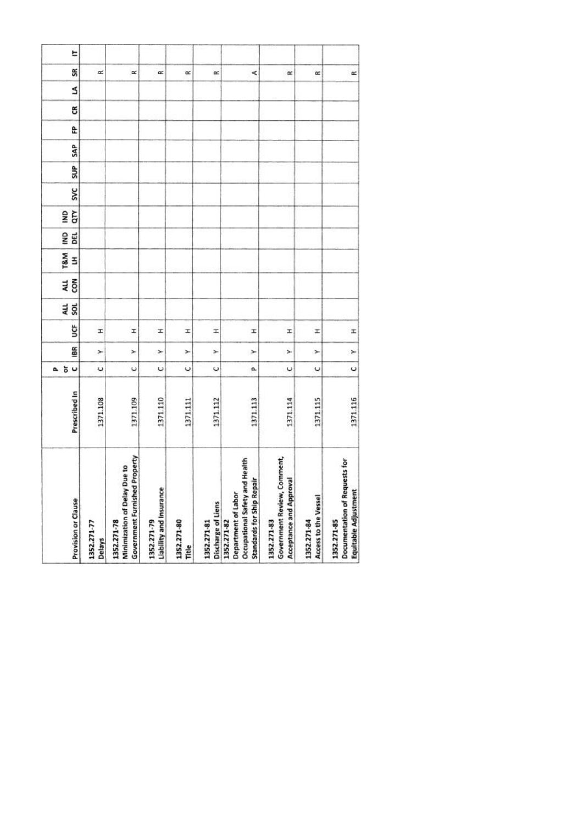| Provision or Clause                                                                                         | Prescribed In | $\cup$<br>ŏ<br>ā.    | 186 | ğ | au<br>sol | ALL<br>con | <b>T&amp;M</b><br>3 | g<br>DEL | qτγ<br>g | <b>SVC</b> | SUP | SAP | £ | g | S | SR        |
|-------------------------------------------------------------------------------------------------------------|---------------|----------------------|-----|---|-----------|------------|---------------------|----------|----------|------------|-----|-----|---|---|---|-----------|
| 1352.271-77<br>Delays                                                                                       | 1371.108      | U                    | ×   | x |           |            |                     |          |          |            |     |     |   |   |   | œ         |
| <b>Government Furnished Property</b><br>Minimization of Delay Due to<br>1352.271-78                         | 1371.109      | $\ddot{\phantom{0}}$ | ×   | I |           |            |                     |          |          |            |     |     |   |   |   | $\propto$ |
| Liability and Insurance<br>1352.271-79                                                                      | 1371.110      | U                    | ×   | x |           |            |                     |          |          |            |     |     |   |   |   | œ         |
| 1352.271-80<br>Title                                                                                        | 1371.111      | $\circ$              | ×   | x |           |            |                     |          |          |            |     |     |   |   |   | œ         |
| Discharge of Liens<br>1352.271-81                                                                           | 1371.112      | U                    | ×   | H |           |            |                     |          |          |            |     |     |   |   |   | œ         |
| Health<br><b>Standards for Ship Repair</b><br>Occupational Safety and<br>Department of Labor<br>1352.271-82 | 1371.113      | a                    | ×   | I |           |            |                     |          |          |            |     |     |   |   |   | ¢         |
| Government Review, Comment,<br>Acceptance and Approval<br>1352.271-83                                       | 1371.114      | $\circ$              | ×   | x |           |            |                     |          |          |            |     |     |   |   |   | œ         |
| Access to the Vessel<br>1352.271-84                                                                         | 1371.115      | U                    | ×   | z |           |            |                     |          |          |            |     |     |   |   |   | $\alpha$  |
| Documentation of Requests for<br>Equitable Adjustment<br>1352.271-85                                        | 1371.116      | $\circ$              | ×   | x |           |            |                     |          |          |            |     |     |   |   |   | $\simeq$  |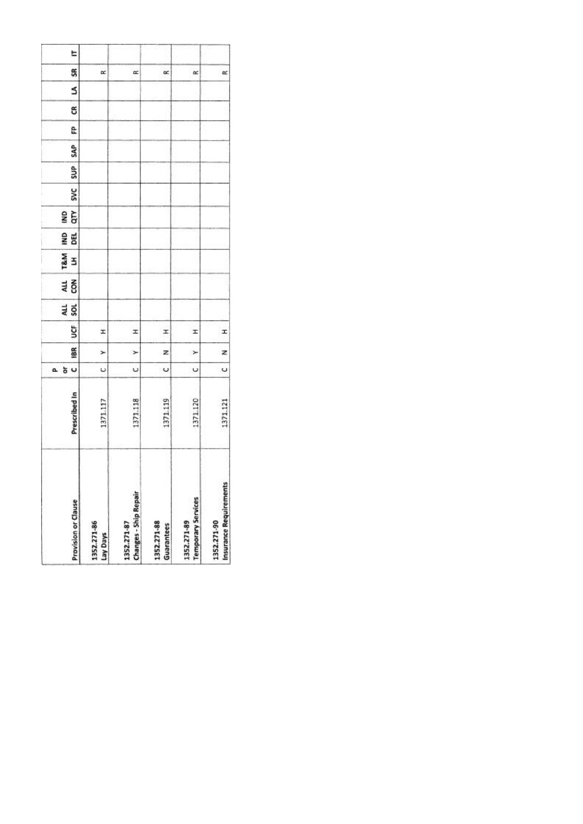|    | <b>Provision or Clause</b> | 1352.271-86<br>Lay Days | <b>Changes - Ship Repair</b><br>1352.271-87 | 1352.271-88<br>Guarantees | <b>Temporary Services</b><br>1352.271-89 | Insurance Requirements<br>1352.271-90 |
|----|----------------------------|-------------------------|---------------------------------------------|---------------------------|------------------------------------------|---------------------------------------|
|    | Prescribed In              | 1371.117                | 1371.118                                    | 1371.119                  | 371.120                                  | 1371.121                              |
| a. | U<br>ð                     | U                       | Ü                                           | U                         | U                                        | Ü                                     |
|    | 18R                        | ⊁                       | $\geq$                                      | z                         | ×                                        | z                                     |
|    | š                          | I                       | I                                           | x                         | I                                        | I                                     |
|    | an<br>Sol                  |                         |                                             |                           |                                          |                                       |
|    | 전<br>GR                    |                         |                                             |                           |                                          |                                       |
|    | T&M<br>3                   |                         |                                             |                           |                                          |                                       |
|    | gwl<br>闻                   |                         |                                             |                           |                                          |                                       |
|    | qτγ<br>g                   |                         |                                             |                           |                                          |                                       |
|    | <b>SVC</b>                 |                         |                                             |                           |                                          |                                       |
|    | SUP <sub></sub>            |                         |                                             |                           |                                          |                                       |
|    | SAP                        |                         |                                             |                           |                                          |                                       |
|    | e                          |                         |                                             |                           |                                          |                                       |
|    | ස                          |                         |                                             |                           |                                          |                                       |
|    | s                          |                         |                                             |                           |                                          |                                       |
|    | SR                         | œ                       | œ                                           | œ                         | œ                                        | $\approx$                             |
|    | E                          |                         |                                             |                           |                                          |                                       |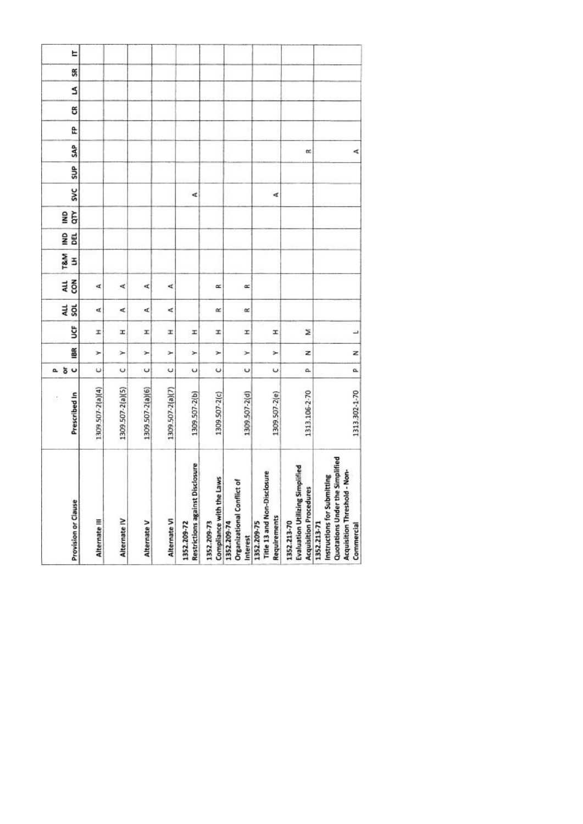| Provision or Clause | Alternate III    | Alternate IV     | Alternate V      | Alternate VI     | <b>Restrictions against Disclosure</b><br>1352.209-72 | Compliance with the Laws<br>1352.209-73 | đ<br>Organizational Conflict<br>1352.209-74<br>Interest | Title 13 and Non-Disclosure<br>Requirements<br>1352.209-75 | <b>Evaluation Utilizing Simplified</b><br><b>Acquisition Procedures</b><br>1352.213-70 | Quotations Under the Simplified<br>Non-<br>Instructions for Submitting<br>Acquisition Threshold -<br>1352.213-71<br>Commercial |
|---------------------|------------------|------------------|------------------|------------------|-------------------------------------------------------|-----------------------------------------|---------------------------------------------------------|------------------------------------------------------------|----------------------------------------------------------------------------------------|--------------------------------------------------------------------------------------------------------------------------------|
| Prescribed In<br>đ  | 1309 507-2(a)(4) | 1309.507-2(a)(5) | 1309.507-2(a)(6) | 1309.507-2(a)(7) | 1309.507-2(b)                                         | 1309.507-2(c)                           | 1309.507-2(d)                                           | 1309.507-2(e)                                              | 1313.106-2-70                                                                          | 1313.302-1-70                                                                                                                  |
| 5 <sub>o</sub><br>α | U                | ပ                | $\cup$           | $\breve{}$       | Ü                                                     | U                                       | U                                                       | U                                                          | a.                                                                                     | a                                                                                                                              |
| 18R                 | ×                | Y                | ×                | ×                | ×                                                     | ×                                       | ×                                                       | r                                                          | z                                                                                      | z                                                                                                                              |
| ğ                   | I                | ×                | x                | x                | x                                                     | H                                       | I                                                       | I                                                          | z                                                                                      | H                                                                                                                              |
| ALL<br>SQL          | Æ                | ⋖                | ď                | ∢                |                                                       | α                                       | œ                                                       |                                                            |                                                                                        |                                                                                                                                |
| con<br>4LL          | ₫                | ∢                | ¢                | ⋖                |                                                       | œ                                       | œ                                                       |                                                            |                                                                                        |                                                                                                                                |
| T&M<br>3            |                  |                  |                  |                  |                                                       |                                         |                                                         |                                                            |                                                                                        |                                                                                                                                |
| g<br>BEL            |                  |                  |                  |                  |                                                       |                                         |                                                         |                                                            |                                                                                        |                                                                                                                                |
| qTY<br>gMI          |                  |                  |                  |                  |                                                       |                                         |                                                         |                                                            |                                                                                        |                                                                                                                                |
| <b>SVC</b>          |                  |                  |                  |                  | ₫                                                     |                                         |                                                         | ∢                                                          |                                                                                        |                                                                                                                                |
| SUP <sub>1</sub>    |                  |                  |                  |                  |                                                       |                                         |                                                         |                                                            |                                                                                        |                                                                                                                                |
| <b>SAP</b>          |                  |                  |                  |                  |                                                       |                                         |                                                         |                                                            | œ                                                                                      | ⋖                                                                                                                              |
| e                   |                  |                  |                  |                  |                                                       |                                         |                                                         |                                                            |                                                                                        |                                                                                                                                |
| g                   |                  |                  |                  |                  |                                                       |                                         |                                                         |                                                            |                                                                                        |                                                                                                                                |
| \$                  |                  |                  |                  |                  |                                                       |                                         |                                                         |                                                            |                                                                                        |                                                                                                                                |
| SR                  |                  |                  |                  |                  |                                                       |                                         |                                                         |                                                            |                                                                                        |                                                                                                                                |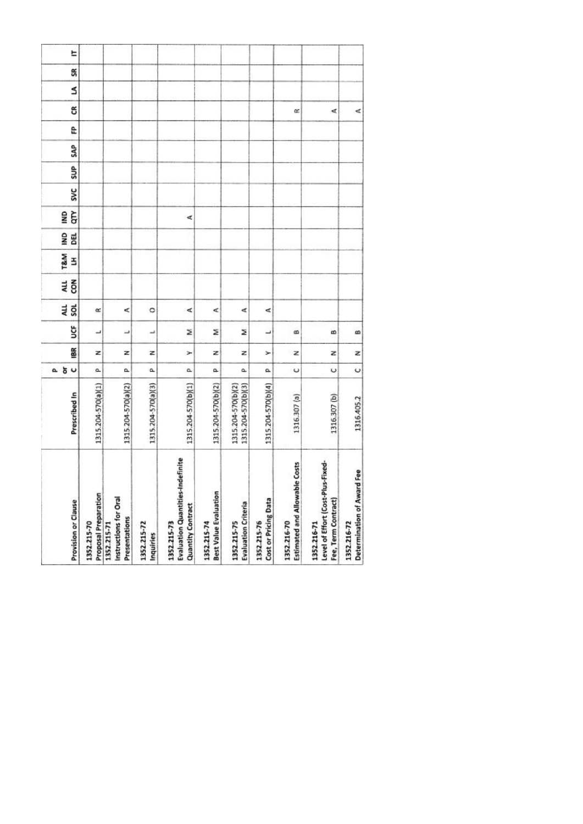| <b>Provision or Clause</b>                                                  | Prescribed In                            | 5 <sub>o</sub><br>۵. | 18R | ຮູ | 4L<br><b>SOL</b> | č<br>ALL | T&M<br>3 | BEL<br>ŝ | Ğ<br>SNI | <b>SVC</b> | SUP <sub></sub> | SAP | e | g | Ś | S | E |
|-----------------------------------------------------------------------------|------------------------------------------|----------------------|-----|----|------------------|----------|----------|----------|----------|------------|-----------------|-----|---|---|---|---|---|
| Proposal Preparation<br>1352.215-70                                         | 1315.204-570(a)(1)                       | a.                   | z   | ┙  | œ                |          |          |          |          |            |                 |     |   |   |   |   |   |
| Instructions for Oral<br>Presentations<br>1352.215-71                       | 1315.204-570(a)(2)                       | a.                   | z   | ┙  | ⋖                |          |          |          |          |            |                 |     |   |   |   |   |   |
| 1352.215-72<br>Inquiries                                                    | 1315.204-570(a)(3)                       | ۵                    | z   | پ  | ۰                |          |          |          |          |            |                 |     |   |   |   |   |   |
| Evaluation Quantities-Indefinite<br><b>Quantity Contract</b><br>1352.215-73 | 1315.204-570(b)(1)                       | a.                   | ×   | Σ  | ⋖                |          |          |          | ⋖        |            |                 |     |   |   |   |   |   |
| <b>Best Value Evaluation</b><br>1352.215-74                                 | 1315.204-570(b)(2)                       | a.                   | z   | ż  | ¢                |          |          |          |          |            |                 |     |   |   |   |   |   |
| <b>Evaluation Criteria</b><br>1352.215-75                                   | 1315.204-570(b)(3)<br>1315.204-570(b)(2) | a.                   | z   | z  | ⋖                |          |          |          |          |            |                 |     |   |   |   |   |   |
| Cost or Pricing Data<br>1352.215-76                                         | 1315.204-570(b)(4)                       | a.                   | ≻   | ب  | ⋖                |          |          |          |          |            |                 |     |   |   |   |   |   |
| Estimated and Allowable Costs<br>1352.216-70                                | 1316.307 (a)                             | ပ                    | z   | ß  |                  |          |          |          |          |            |                 |     |   | œ |   |   |   |
| Level of Effort (Cost-Plus-Fixed-<br>Fee, Term Contract)<br>1352.216-71     | 1316.307 (b)                             | U                    | z   | œ  |                  |          |          |          |          |            |                 |     |   | ∢ |   |   |   |
| Determination of Award Fee<br>1352.216-72                                   | 1316.405.2                               | $\circ$              | z   | œ  |                  |          |          |          |          |            |                 |     |   | ⋖ |   |   |   |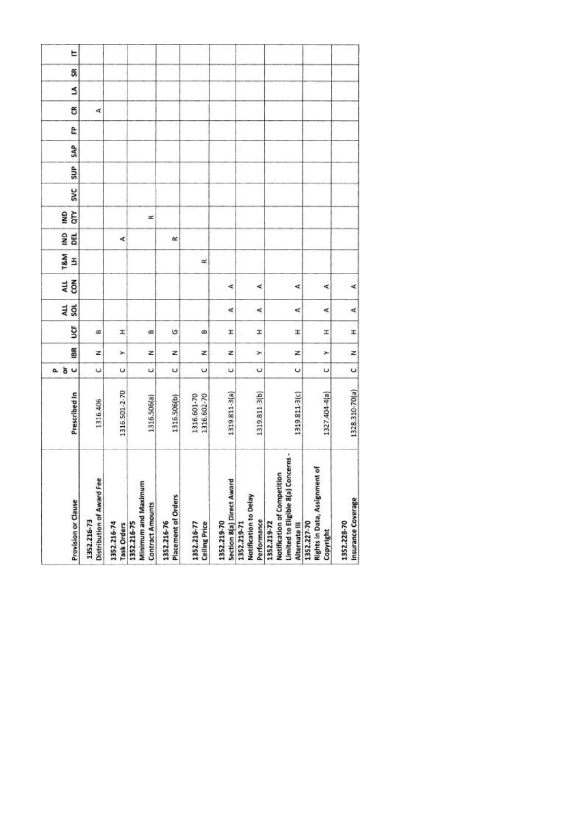| Distribution of Award Fee<br>Provision or Clause<br>1352.216-73<br>1352.216-74                        | Prescribed In<br>1316.406    | ăυ<br>$\ddot{\phantom{0}}$<br>۵ | BR<br>z | ğ<br>B | ALL<br><b>SOL</b> | č<br>ALL | T&M<br>E | gNI<br>BEL | GTY<br><b>ONI</b> | <b>SVC</b> | SUP | SAP | ĉ | g<br>₫ | S |
|-------------------------------------------------------------------------------------------------------|------------------------------|---------------------------------|---------|--------|-------------------|----------|----------|------------|-------------------|------------|-----|-----|---|--------|---|
| Minimum and Maximum<br><b>Contract Amounts</b><br>1352.216-75<br>Task Orders                          | 1316.501-2-70<br>1316.506(a) | $\circ$<br>U                    | Ż<br>Y  | H<br>œ |                   |          |          | ∢          | œ                 |            |     |     |   |        |   |
| Placement of Orders<br>1352.216-76                                                                    | 1316.506(b)                  | $\circ$                         | z       | O      |                   |          |          | œ          |                   |            |     |     |   |        |   |
| <b>Ceiling Price</b><br>1352.216-77                                                                   | 1316.601-70<br>1316.602-70   | U                               | z       | œ      |                   |          | œ        |            |                   |            |     |     |   |        |   |
| Section 8(a) Direct Award<br>1352.219-70                                                              | 1319811-3(a)                 | U                               | z       | I.     | ∢                 | ₫        |          |            |                   |            |     |     |   |        |   |
| Notification to Delay<br>Performance<br>1352.219-71                                                   | 1319.811-3(b)                | U                               | ×       | I.     | ∢                 | ∢        |          |            |                   |            |     |     |   |        |   |
| Concerns -<br>Notification of Competition<br>Limited to Eligible 8(a)<br>1352.219-72<br>Alternate III | 1319.811-3(c)                | U                               | z       | Ŧ      | ₫                 | ⋖        |          |            |                   |            |     |     |   |        |   |
| Rights in Data, Assignment of<br>1352.227-70<br>Copyright                                             | 1327.404-4(a)                | U                               | ×       | ×      | ∢                 | ¢        |          |            |                   |            |     |     |   |        |   |
| Insurance Coverage<br>1352.228-70                                                                     | 1328.310-70(a)               | $\circ$                         | z       | I      | ન                 | ⋖        |          |            |                   |            |     |     |   |        |   |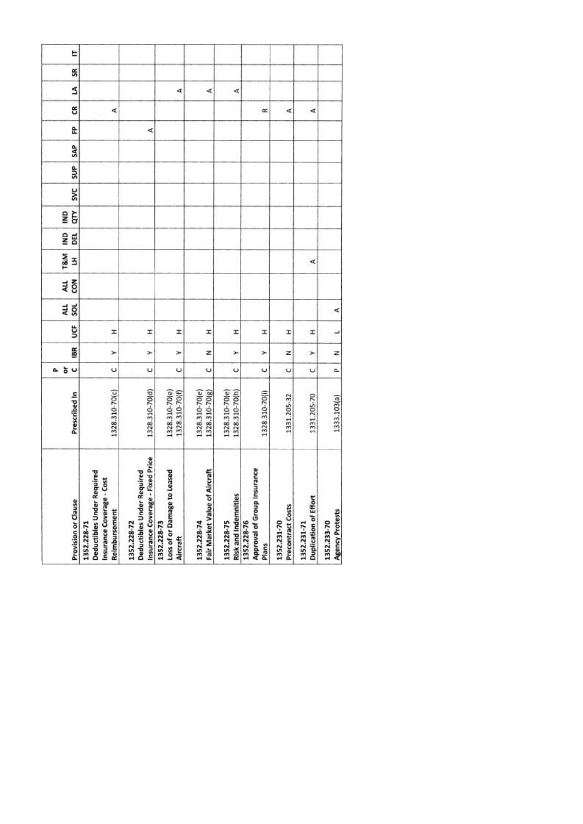| 1328.310-70(c) | 1328.310-70(d) | 1328.310-70(e)<br>1328.310-70(f) | 1328.310-70(e)<br>1328.310-70(g) | 1328.310-70(e)<br>1328.310-70(h) | 1328.310-70(i) | 1331.205-32 | 1331.205-70          | 1333.103(a) |
|----------------|----------------|----------------------------------|----------------------------------|----------------------------------|----------------|-------------|----------------------|-------------|
|                |                |                                  |                                  |                                  |                |             |                      |             |
| U              | U              | Ü                                | U                                | $\ddot{\phantom{0}}$             | ں              | Ü           | $\ddot{\phantom{0}}$ | ۵           |
| ×              | ×              | ×                                | z                                | ×                                | ×              | z           | ⊁                    | z           |
| Ŧ              | I              | I                                | I                                | I                                | I              | I           | x                    | پ           |
|                |                |                                  |                                  |                                  |                |             |                      | ∢           |
|                |                |                                  |                                  |                                  |                |             |                      |             |
|                |                |                                  |                                  |                                  |                |             | ₫                    |             |
|                |                |                                  |                                  |                                  |                |             |                      |             |
|                |                |                                  |                                  |                                  |                |             |                      |             |
|                |                |                                  |                                  |                                  |                |             |                      |             |
|                |                |                                  |                                  |                                  |                |             |                      |             |
|                |                |                                  |                                  |                                  |                |             |                      |             |
|                | 哎              |                                  |                                  |                                  |                |             |                      |             |
| ∢              |                |                                  |                                  |                                  | œ              | ₫           | ∢                    |             |
|                |                | A                                | ∢                                | d,                               |                |             |                      |             |
|                |                |                                  |                                  |                                  |                |             |                      |             |
|                |                |                                  |                                  |                                  |                |             |                      |             |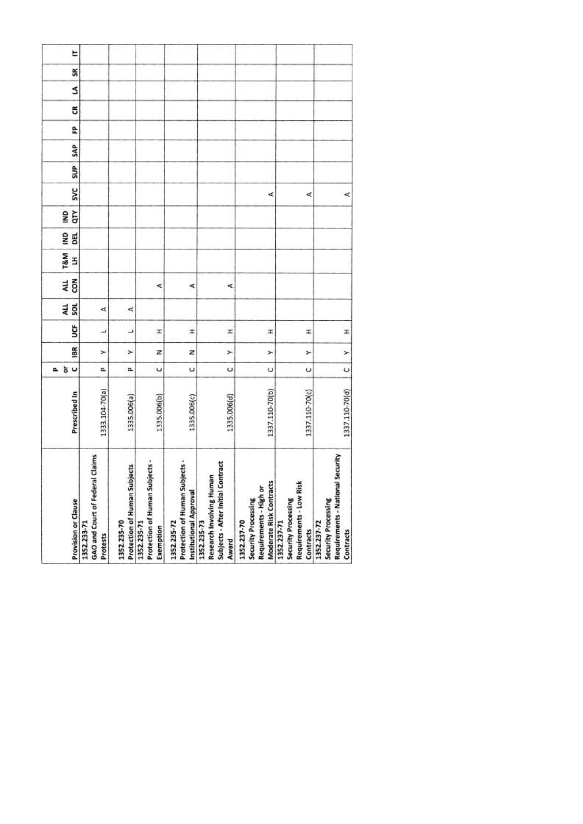| <b>Provision or Clause</b> | GAO and Court of Federal Claims<br>1352.233-71<br>Protests | Protection of Human Subjects<br>1352.235-70 | Protection of Human Subjects -<br>1352.235-71<br>Exemption | Protection of Human Subjects -<br>Institutional Approval<br>1352.235-72 | Subjects - After Initial Contract<br>Research Involving Human<br>1352.235-73<br>Award | Moderate Risk Contracts<br>Requirements - High or<br>Security Processing<br>1352.237-70 | Requirements - Low Risk<br>Security Processing<br>1352.237-71<br>Contracts | Requirements - National Security<br>Security Processing<br>1352.237-72<br>Contracts |
|----------------------------|------------------------------------------------------------|---------------------------------------------|------------------------------------------------------------|-------------------------------------------------------------------------|---------------------------------------------------------------------------------------|-----------------------------------------------------------------------------------------|----------------------------------------------------------------------------|-------------------------------------------------------------------------------------|
| Prescribed In              | 1333.104-70(a)                                             | 1335.006(a)                                 | 1335.006(b)                                                | 1335.006(c)                                                             | 1335.006(d)                                                                           | 1337.110-70(b)                                                                          | 1337.110-70(c)                                                             | 1337.110-70(d)                                                                      |
| 5 <sub>o</sub><br>o.       | a,                                                         | α                                           | $\circ$                                                    | $\cup$                                                                  | Ü                                                                                     | U                                                                                       | U                                                                          | $\cup$                                                                              |
| 18R                        | ≻                                                          | ⊁                                           | z                                                          | z                                                                       | ×                                                                                     | ×                                                                                       | ×                                                                          | $\geq$                                                                              |
| ğ                          | ٮ                                                          | ┙                                           | H                                                          | I                                                                       | I                                                                                     | Ŧ                                                                                       | x                                                                          | I                                                                                   |
| 4LL<br>š                   | ₫                                                          | ⋖                                           |                                                            |                                                                         |                                                                                       |                                                                                         |                                                                            |                                                                                     |
| con<br>ALL                 |                                                            |                                             | ₫                                                          | ⋖                                                                       | ⋖                                                                                     |                                                                                         |                                                                            |                                                                                     |
| T&M<br>3                   |                                                            |                                             |                                                            |                                                                         |                                                                                       |                                                                                         |                                                                            |                                                                                     |
| g<br>DEL                   |                                                            |                                             |                                                            |                                                                         |                                                                                       |                                                                                         |                                                                            |                                                                                     |
| qτγ<br>gMI                 |                                                            |                                             |                                                            |                                                                         |                                                                                       |                                                                                         |                                                                            |                                                                                     |
| <b>SVC</b>                 |                                                            |                                             |                                                            |                                                                         |                                                                                       | ¢                                                                                       | ⋖                                                                          | ₫                                                                                   |
| SUP                        |                                                            |                                             |                                                            |                                                                         |                                                                                       |                                                                                         |                                                                            |                                                                                     |
| SAP                        |                                                            |                                             |                                                            |                                                                         |                                                                                       |                                                                                         |                                                                            |                                                                                     |
| £                          |                                                            |                                             |                                                            |                                                                         |                                                                                       |                                                                                         |                                                                            |                                                                                     |
| g                          |                                                            |                                             |                                                            |                                                                         |                                                                                       |                                                                                         |                                                                            |                                                                                     |
| S                          |                                                            |                                             |                                                            |                                                                         |                                                                                       |                                                                                         |                                                                            |                                                                                     |
| SR                         |                                                            |                                             |                                                            |                                                                         |                                                                                       |                                                                                         |                                                                            |                                                                                     |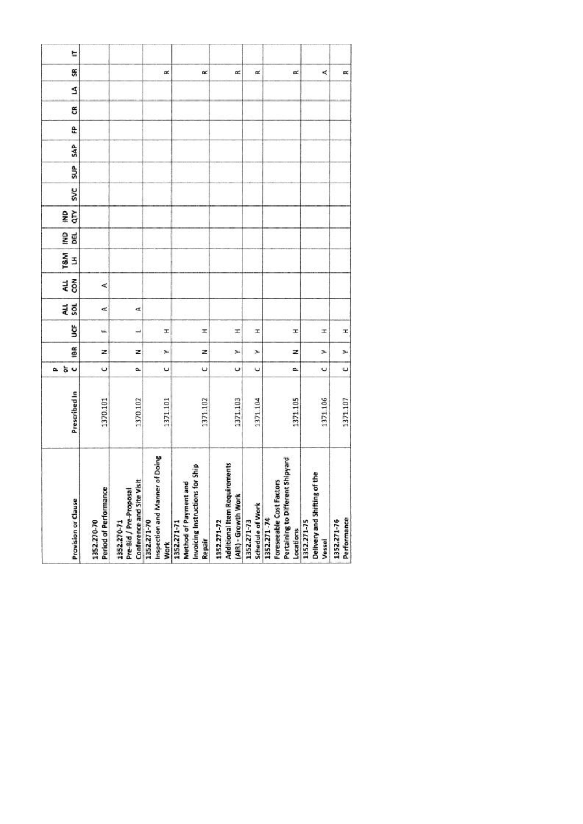| Provision or Clause  | Period of Performance<br>1352.270-70 | Conference and Site Visit<br>Pre-Bid / Pre-Proposal<br>1352.270-71 | of Doing<br>Inspection and Manner<br>1352.271-70<br><b>Work</b> | Invoicing Instructions for Ship<br>ъ<br>Method of Payment an<br>1352.271-71<br>Repair | <b>Additional Item Requirements</b><br>(AIR) - Growth Work<br>1352.271-72 | Schedule of Work<br>1352.271-73 | : Shipyard<br>Foreseeable Cost Factors<br>Pertaining to Different<br>1352.271-74<br>Locations | Delivery and Shifting of the<br>1352.271-75<br>Vessel | Performance<br>1352.271-76 |
|----------------------|--------------------------------------|--------------------------------------------------------------------|-----------------------------------------------------------------|---------------------------------------------------------------------------------------|---------------------------------------------------------------------------|---------------------------------|-----------------------------------------------------------------------------------------------|-------------------------------------------------------|----------------------------|
| Prescribed In        | 1370.101                             | 1370.102                                                           | 1371.101                                                        | 1371.102                                                                              | 1371.103                                                                  | 1371.104                        | 1371.105                                                                                      | 1371.106                                              | 1371.107                   |
| 5 <sub>o</sub><br>a. | $\circ$                              | û.                                                                 | U                                                               | ψ                                                                                     | U                                                                         | υ                               | o.                                                                                            | $\cup$                                                | $\cup$                     |
| iBR                  | z                                    | z                                                                  | ×                                                               | z                                                                                     | ×                                                                         | ×                               | z                                                                                             | ×                                                     | ×                          |
| ğ                    | u.                                   | $\overline{\phantom{a}}$                                           | T.                                                              | x                                                                                     | x                                                                         | x                               | x                                                                                             | x                                                     | x                          |
| au<br>Sol            | ⋖                                    | ₫                                                                  |                                                                 |                                                                                       |                                                                           |                                 |                                                                                               |                                                       |                            |
| 4LL<br>$\tilde{8}$   | ⋖                                    |                                                                    |                                                                 |                                                                                       |                                                                           |                                 |                                                                                               |                                                       |                            |
| <b>T&amp;M</b><br>3  |                                      |                                                                    |                                                                 |                                                                                       |                                                                           |                                 |                                                                                               |                                                       |                            |
| g<br><b>BEL</b>      |                                      |                                                                    |                                                                 |                                                                                       |                                                                           |                                 |                                                                                               |                                                       |                            |
| ξ<br>g               |                                      |                                                                    |                                                                 |                                                                                       |                                                                           |                                 |                                                                                               |                                                       |                            |
| <b>SVC</b>           |                                      |                                                                    |                                                                 |                                                                                       |                                                                           |                                 |                                                                                               |                                                       |                            |
| SUP <sub>1</sub>     |                                      |                                                                    |                                                                 |                                                                                       |                                                                           |                                 |                                                                                               |                                                       |                            |
| <b>SAP</b>           |                                      |                                                                    |                                                                 |                                                                                       |                                                                           |                                 |                                                                                               |                                                       |                            |
| £                    |                                      |                                                                    |                                                                 |                                                                                       |                                                                           |                                 |                                                                                               |                                                       |                            |
| g                    |                                      |                                                                    |                                                                 |                                                                                       |                                                                           |                                 |                                                                                               |                                                       |                            |
| S                    |                                      |                                                                    |                                                                 |                                                                                       |                                                                           |                                 |                                                                                               |                                                       |                            |
| SR                   |                                      |                                                                    | œ                                                               | œ                                                                                     | œ                                                                         | $\approx$                       | œ                                                                                             | ≺                                                     | œ                          |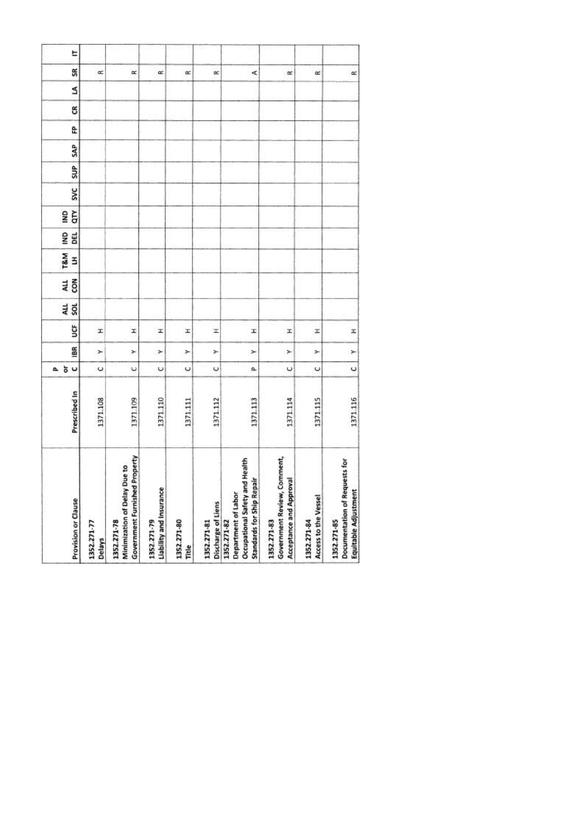| Provision or Clause                                                                                         | Prescribed In | $\cup$<br>ŏ<br>ā.    | 186 | ğ | au<br>sol | ALL<br>con | <b>T&amp;M</b><br>3 | g<br>DEL | qτγ<br>g | <b>SVC</b> | SUP | SAP | £ | g | S | SR        |
|-------------------------------------------------------------------------------------------------------------|---------------|----------------------|-----|---|-----------|------------|---------------------|----------|----------|------------|-----|-----|---|---|---|-----------|
| 1352.271-77<br>Delays                                                                                       | 1371.108      | U                    | ×   | x |           |            |                     |          |          |            |     |     |   |   |   | œ         |
| <b>Government Furnished Property</b><br>Minimization of Delay Due to<br>1352.271-78                         | 1371.109      | $\ddot{\phantom{0}}$ | ×   | I |           |            |                     |          |          |            |     |     |   |   |   | $\propto$ |
| Liability and Insurance<br>1352.271-79                                                                      | 1371.110      | U                    | ×   | x |           |            |                     |          |          |            |     |     |   |   |   | œ         |
| 1352.271-80<br>Title                                                                                        | 1371.111      | $\circ$              | ×   | x |           |            |                     |          |          |            |     |     |   |   |   | œ         |
| Discharge of Liens<br>1352.271-81                                                                           | 1371.112      | U                    | ×   | H |           |            |                     |          |          |            |     |     |   |   |   | œ         |
| Health<br><b>Standards for Ship Repair</b><br>Occupational Safety and<br>Department of Labor<br>1352.271-82 | 1371.113      | a                    | ×   | I |           |            |                     |          |          |            |     |     |   |   |   | ¢         |
| Government Review, Comment,<br>Acceptance and Approval<br>1352.271-83                                       | 1371.114      | $\circ$              | ×   | x |           |            |                     |          |          |            |     |     |   |   |   | œ         |
| Access to the Vessel<br>1352.271-84                                                                         | 1371.115      | U                    | ×   | z |           |            |                     |          |          |            |     |     |   |   |   | $\alpha$  |
| Documentation of Requests for<br>Equitable Adjustment<br>1352.271-85                                        | 1371.116      | $\circ$              | ×   | x |           |            |                     |          |          |            |     |     |   |   |   | $\simeq$  |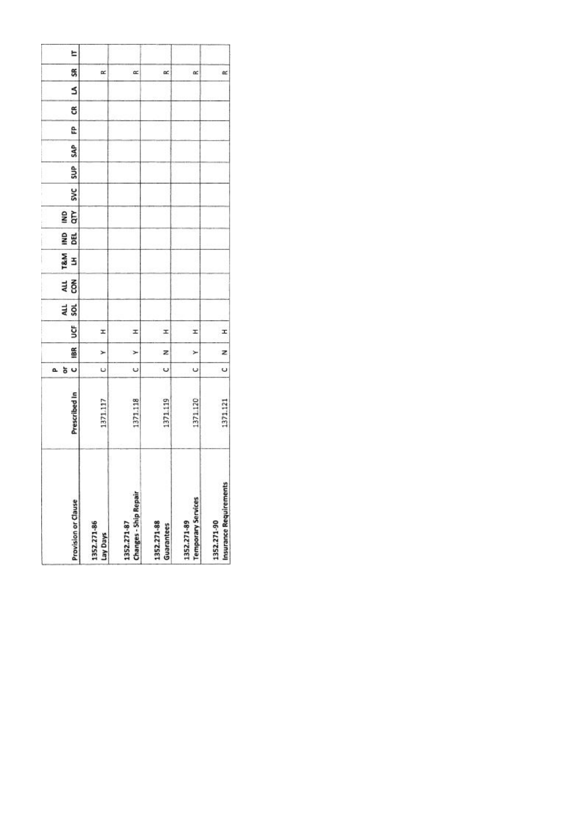|    | <b>Provision or Clause</b> | 1352.271-86<br>Lay Days | <b>Changes - Ship Repair</b><br>1352.271-87 | 1352.271-88<br>Guarantees | <b>Temporary Services</b><br>1352.271-89 | Insurance Requirements<br>1352.271-90 |
|----|----------------------------|-------------------------|---------------------------------------------|---------------------------|------------------------------------------|---------------------------------------|
|    | Prescribed In              | 1371.117                | 1371.118                                    | 1371.119                  | 371.120                                  | 1371.121                              |
| a. | U<br>ð                     | U                       | Ü                                           | U                         | U                                        | Ü                                     |
|    | 18R                        | ⊁                       | $\geq$                                      | z                         | ×                                        | z                                     |
|    | š                          | I                       | I                                           | x                         | I                                        | I                                     |
|    | an<br>Sol                  |                         |                                             |                           |                                          |                                       |
|    | 전<br>GR                    |                         |                                             |                           |                                          |                                       |
|    | T&M<br>3                   |                         |                                             |                           |                                          |                                       |
|    | gwl<br>瞗                   |                         |                                             |                           |                                          |                                       |
|    | qτγ<br>g                   |                         |                                             |                           |                                          |                                       |
|    | <b>SVC</b>                 |                         |                                             |                           |                                          |                                       |
|    | SUP <sub></sub>            |                         |                                             |                           |                                          |                                       |
|    | SAP                        |                         |                                             |                           |                                          |                                       |
|    | e                          |                         |                                             |                           |                                          |                                       |
|    | ස                          |                         |                                             |                           |                                          |                                       |
|    | s                          |                         |                                             |                           |                                          |                                       |
|    | SR                         | œ                       | œ                                           | œ                         | œ                                        | $\approx$                             |
|    | E                          |                         |                                             |                           |                                          |                                       |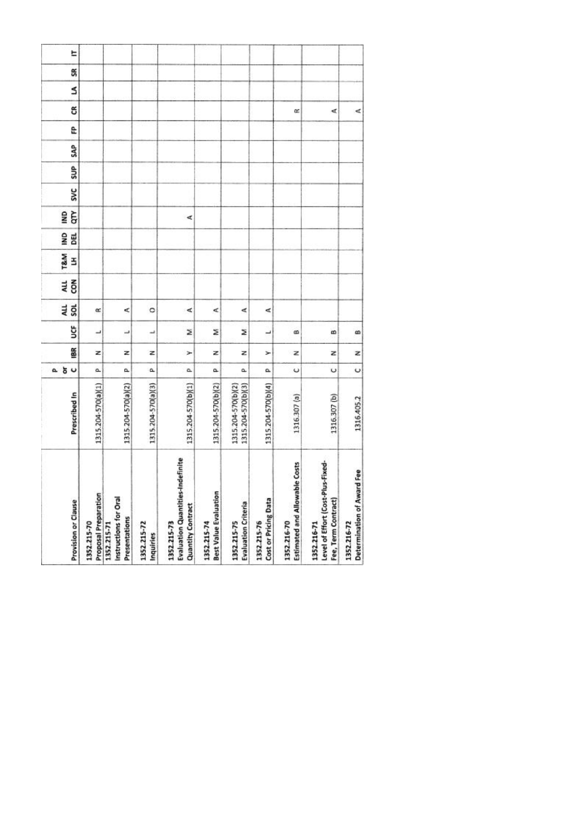| <b>Provision or Clause</b>                                                  | Prescribed In                            | 5 <sub>o</sub><br>۵. | 18R | ຮູ | 4L<br><b>SOL</b> | č<br>ALL | T&M<br>3 | BEL<br>9NI | Ğ<br>1ND | <b>SVC</b> | SUP <sub></sub> | SAP | e | g | Ś | S | E |
|-----------------------------------------------------------------------------|------------------------------------------|----------------------|-----|----|------------------|----------|----------|------------|----------|------------|-----------------|-----|---|---|---|---|---|
| Proposal Preparation<br>1352.215-70                                         | 1315.204-570(a)(1)                       | a.                   | z   | ┙  | œ                |          |          |            |          |            |                 |     |   |   |   |   |   |
| Instructions for Oral<br>Presentations<br>1352.215-71                       | 1315.204-570(a)(2)                       | a.                   | z   | ┙  | ⋖                |          |          |            |          |            |                 |     |   |   |   |   |   |
| 1352.215-72<br>Inquiries                                                    | 1315.204-570(a)(3)                       | ۵                    | z   | پ  | ۰                |          |          |            |          |            |                 |     |   |   |   |   |   |
| Evaluation Quantities-Indefinite<br><b>Quantity Contract</b><br>1352.215-73 | 1315.204-570(b)(1)                       | a.                   | ×   | Σ  | ⋖                |          |          |            | ⋖        |            |                 |     |   |   |   |   |   |
| <b>Best Value Evaluation</b><br>1352.215-74                                 | 1315.204-570(b)(2)                       | a.                   | z   | ż  | ¢                |          |          |            |          |            |                 |     |   |   |   |   |   |
| <b>Evaluation Criteria</b><br>1352.215-75                                   | 1315.204-570(b)(3)<br>1315.204-570(b)(2) | a.                   | z   | z  | ⋖                |          |          |            |          |            |                 |     |   |   |   |   |   |
| Cost or Pricing Data<br>1352.215-76                                         | 1315.204-570(b)(4)                       | a.                   | ≻   | ب  | ⋖                |          |          |            |          |            |                 |     |   |   |   |   |   |
| Estimated and Allowable Costs<br>1352.216-70                                | 1316.307 (a)                             | ပ                    | z   | ß  |                  |          |          |            |          |            |                 |     |   | œ |   |   |   |
| Level of Effort (Cost-Plus-Fixed-<br>Fee, Term Contract)<br>1352.216-71     | 1316.307 (b)                             | U                    | z   | œ  |                  |          |          |            |          |            |                 |     |   | ∢ |   |   |   |
| Determination of Award Fee<br>1352.216-72                                   | 1316.405.2                               | $\circ$              | z   | œ  |                  |          |          |            |          |            |                 |     |   | ⋖ |   |   |   |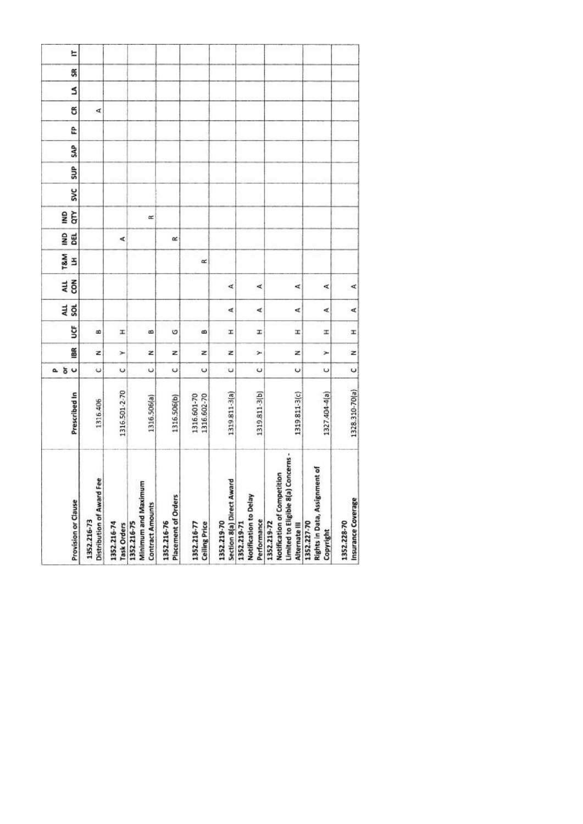| Distribution of Award Fee<br>Provision or Clause<br>1352.216-73<br>1352.216-74                        | Prescribed In<br>1316.406    | ăυ<br>$\ddot{\phantom{0}}$<br>۵ | BR<br>z | ğ<br>B | ALL<br><b>SOL</b> | č<br>ALL | T&M<br>E | gNI<br>BEL | GTY<br><b>ONI</b> | <b>SVC</b> | SUP | SAP | ĉ | g<br>₫ | S |
|-------------------------------------------------------------------------------------------------------|------------------------------|---------------------------------|---------|--------|-------------------|----------|----------|------------|-------------------|------------|-----|-----|---|--------|---|
| Minimum and Maximum<br><b>Contract Amounts</b><br>1352.216-75<br>Task Orders                          | 1316.501-2-70<br>1316.506(a) | $\circ$<br>U                    | Ż<br>Y  | H<br>œ |                   |          |          | ∢          | œ                 |            |     |     |   |        |   |
| Placement of Orders<br>1352.216-76                                                                    | 1316.506(b)                  | $\circ$                         | z       | O      |                   |          |          | œ          |                   |            |     |     |   |        |   |
| <b>Ceiling Price</b><br>1352.216-77                                                                   | 1316.601-70<br>1316.602-70   | U                               | z       | œ      |                   |          | œ        |            |                   |            |     |     |   |        |   |
| Section 8(a) Direct Award<br>1352.219-70                                                              | 1319811-3(a)                 | U                               | z       | I.     | ∢                 | ₫        |          |            |                   |            |     |     |   |        |   |
| Notification to Delay<br>Performance<br>1352.219-71                                                   | 1319.811-3(b)                | U                               | ×       | I.     | ∢                 | ∢        |          |            |                   |            |     |     |   |        |   |
| Concerns -<br>Notification of Competition<br>Limited to Eligible 8(a)<br>1352.219-72<br>Alternate III | 1319.811-3(c)                | U                               | z       | Ŧ      | ₫                 | ⋖        |          |            |                   |            |     |     |   |        |   |
| Rights in Data, Assignment of<br>1352.227-70<br>Copyright                                             | 1327.404-4(a)                | U                               | ×       | ×      | ∢                 | ¢        |          |            |                   |            |     |     |   |        |   |
| Insurance Coverage<br>1352.228-70                                                                     | 1328.310-70(a)               | $\circ$                         | z       | I      | ન                 | ⋖        |          |            |                   |            |     |     |   |        |   |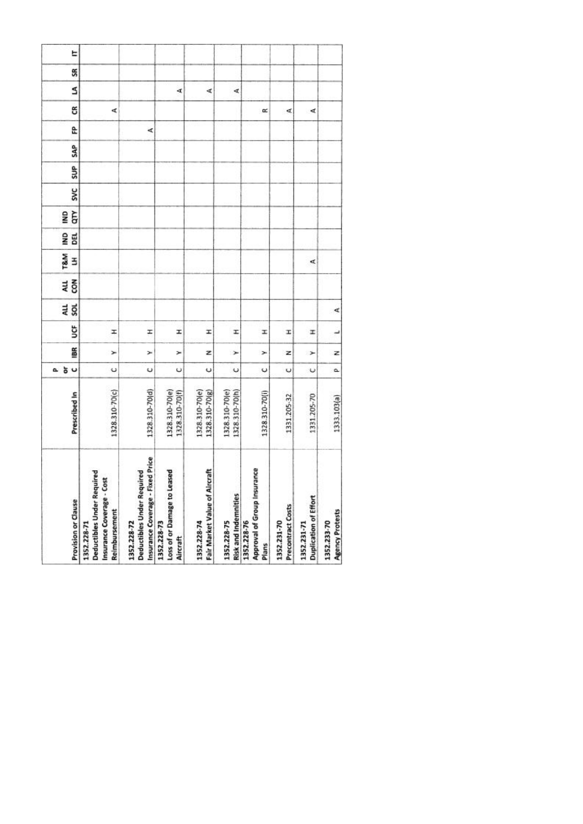| 1328.310-70(c) | 1328.310-70(d) | 1328.310-70(e)<br>1328.310-70(f) | 1328.310-70(e)<br>1328.310-70(g) | 1328.310-70(e)<br>1328.310-70(h) | 1328.310-70(i) | 1331.205-32 | 1331.205-70          | 1333.103(a) |
|----------------|----------------|----------------------------------|----------------------------------|----------------------------------|----------------|-------------|----------------------|-------------|
|                |                |                                  |                                  |                                  |                |             |                      |             |
| U              | U              | Ü                                | U                                | $\ddot{\phantom{0}}$             | ں              | Ü           | $\ddot{\phantom{0}}$ | ۵           |
| ×              | ×              | ×                                | z                                | ×                                | ×              | z           | ⊁                    | z           |
| Ŧ              | I              | I                                | I                                | I                                | I              | I           | x                    | پ           |
|                |                |                                  |                                  |                                  |                |             |                      | ∢           |
|                |                |                                  |                                  |                                  |                |             |                      |             |
|                |                |                                  |                                  |                                  |                |             | ₫                    |             |
|                |                |                                  |                                  |                                  |                |             |                      |             |
|                |                |                                  |                                  |                                  |                |             |                      |             |
|                |                |                                  |                                  |                                  |                |             |                      |             |
|                |                |                                  |                                  |                                  |                |             |                      |             |
|                |                |                                  |                                  |                                  |                |             |                      |             |
|                | 哎              |                                  |                                  |                                  |                |             |                      |             |
| ∢              |                |                                  |                                  |                                  | œ              | ₫           | ∢                    |             |
|                |                | A                                | ∢                                | d,                               |                |             |                      |             |
|                |                |                                  |                                  |                                  |                |             |                      |             |
|                |                |                                  |                                  |                                  |                |             |                      |             |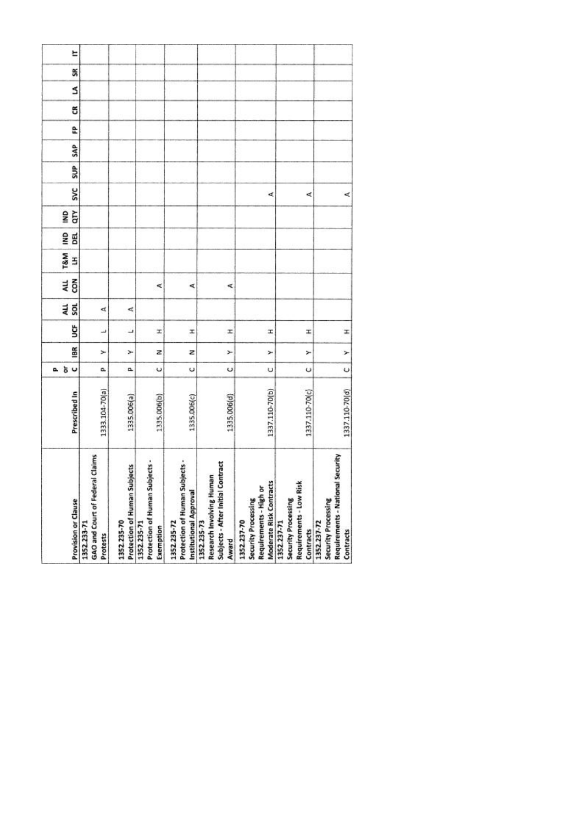| <b>Provision or Clause</b> | GAO and Court of Federal Claims<br>1352.233-71<br>Protests | Protection of Human Subjects<br>1352.235-70 | Protection of Human Subjects -<br>1352.235-71<br>Exemption | Protection of Human Subjects -<br>Institutional Approval<br>1352.235-72 | Subjects - After Initial Contract<br>Research Involving Human<br>1352.235-73<br>Award | Moderate Risk Contracts<br>Requirements - High or<br>Security Processing<br>1352.237-70 | Requirements - Low Risk<br>Security Processing<br>1352.237-71<br>Contracts | Requirements - National Security<br>Security Processing<br>1352.237-72<br>Contracts |
|----------------------------|------------------------------------------------------------|---------------------------------------------|------------------------------------------------------------|-------------------------------------------------------------------------|---------------------------------------------------------------------------------------|-----------------------------------------------------------------------------------------|----------------------------------------------------------------------------|-------------------------------------------------------------------------------------|
| Prescribed In              | 1333.104-70(a)                                             | 1335.006(a)                                 | 1335.006(b)                                                | 1335.006(c)                                                             | 1335.006(d)                                                                           | 1337.110-70(b)                                                                          | 1337.110-70(c)                                                             | 1337.110-70(d)                                                                      |
| 5 <sub>o</sub><br>o.       | a,                                                         | α                                           | $\circ$                                                    | $\cup$                                                                  | Ü                                                                                     | U                                                                                       | U                                                                          | $\cup$                                                                              |
| 18R                        | ≻                                                          | ⊁                                           | z                                                          | z                                                                       | ×                                                                                     | ×                                                                                       | ×                                                                          | $\geq$                                                                              |
| ğ                          | ٮ                                                          | ┙                                           | H                                                          | I                                                                       | I                                                                                     | Ŧ                                                                                       | x                                                                          | I                                                                                   |
| 4LL<br>š                   | ₫                                                          | ⋖                                           |                                                            |                                                                         |                                                                                       |                                                                                         |                                                                            |                                                                                     |
| con<br>ALL                 |                                                            |                                             | ₫                                                          | ⋖                                                                       | ⋖                                                                                     |                                                                                         |                                                                            |                                                                                     |
| T&M<br>3                   |                                                            |                                             |                                                            |                                                                         |                                                                                       |                                                                                         |                                                                            |                                                                                     |
| g<br>DEL                   |                                                            |                                             |                                                            |                                                                         |                                                                                       |                                                                                         |                                                                            |                                                                                     |
| qτγ<br>gMI                 |                                                            |                                             |                                                            |                                                                         |                                                                                       |                                                                                         |                                                                            |                                                                                     |
| <b>SVC</b>                 |                                                            |                                             |                                                            |                                                                         |                                                                                       | ¢                                                                                       | ⋖                                                                          | ₫                                                                                   |
| SUP                        |                                                            |                                             |                                                            |                                                                         |                                                                                       |                                                                                         |                                                                            |                                                                                     |
| SAP                        |                                                            |                                             |                                                            |                                                                         |                                                                                       |                                                                                         |                                                                            |                                                                                     |
| £                          |                                                            |                                             |                                                            |                                                                         |                                                                                       |                                                                                         |                                                                            |                                                                                     |
| g                          |                                                            |                                             |                                                            |                                                                         |                                                                                       |                                                                                         |                                                                            |                                                                                     |
| S                          |                                                            |                                             |                                                            |                                                                         |                                                                                       |                                                                                         |                                                                            |                                                                                     |
| SR                         |                                                            |                                             |                                                            |                                                                         |                                                                                       |                                                                                         |                                                                            |                                                                                     |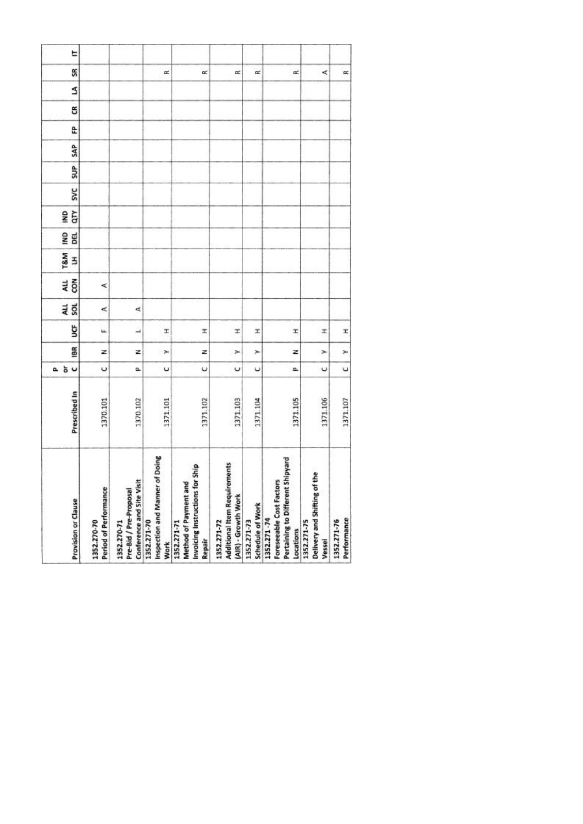| Provision or Clause  | Period of Performance<br>1352.270-70 | Conference and Site Visit<br>Pre-Bid / Pre-Proposal<br>1352.270-71 | of Doing<br>Inspection and Manner<br>1352.271-70<br><b>Work</b> | Invoicing Instructions for Ship<br>ъ<br>Method of Payment an<br>1352.271-71<br>Repair | <b>Additional Item Requirements</b><br>(AIR) - Growth Work<br>1352.271-72 | Schedule of Work<br>1352.271-73 | : Shipyard<br>Foreseeable Cost Factors<br>Pertaining to Different<br>1352.271-74<br>Locations | Delivery and Shifting of the<br>1352.271-75<br>Vessel | Performance<br>1352.271-76 |
|----------------------|--------------------------------------|--------------------------------------------------------------------|-----------------------------------------------------------------|---------------------------------------------------------------------------------------|---------------------------------------------------------------------------|---------------------------------|-----------------------------------------------------------------------------------------------|-------------------------------------------------------|----------------------------|
| Prescribed In        | 1370.101                             | 1370.102                                                           | 1371.101                                                        | 1371.102                                                                              | 1371.103                                                                  | 1371.104                        | 1371.105                                                                                      | 1371.106                                              | 1371.107                   |
| 5 <sub>o</sub><br>a. | $\circ$                              | û.                                                                 | U                                                               | ψ                                                                                     | U                                                                         | υ                               | o.                                                                                            | $\cup$                                                | $\cup$                     |
| iBR                  | z                                    | z                                                                  | ×                                                               | z                                                                                     | ×                                                                         | ×                               | z                                                                                             | ×                                                     | ×                          |
| ğ                    | u.                                   | $\overline{\phantom{a}}$                                           | T.                                                              | x                                                                                     | x                                                                         | x                               | x                                                                                             | x                                                     | x                          |
| au<br>Sol            | ⋖                                    | ₫                                                                  |                                                                 |                                                                                       |                                                                           |                                 |                                                                                               |                                                       |                            |
| 4LL<br>$\tilde{8}$   | ⋖                                    |                                                                    |                                                                 |                                                                                       |                                                                           |                                 |                                                                                               |                                                       |                            |
| <b>T&amp;M</b><br>3  |                                      |                                                                    |                                                                 |                                                                                       |                                                                           |                                 |                                                                                               |                                                       |                            |
| g<br><b>BEL</b>      |                                      |                                                                    |                                                                 |                                                                                       |                                                                           |                                 |                                                                                               |                                                       |                            |
| ξ<br>g               |                                      |                                                                    |                                                                 |                                                                                       |                                                                           |                                 |                                                                                               |                                                       |                            |
| <b>SVC</b>           |                                      |                                                                    |                                                                 |                                                                                       |                                                                           |                                 |                                                                                               |                                                       |                            |
| SUP <sub>1</sub>     |                                      |                                                                    |                                                                 |                                                                                       |                                                                           |                                 |                                                                                               |                                                       |                            |
| <b>SAP</b>           |                                      |                                                                    |                                                                 |                                                                                       |                                                                           |                                 |                                                                                               |                                                       |                            |
| £                    |                                      |                                                                    |                                                                 |                                                                                       |                                                                           |                                 |                                                                                               |                                                       |                            |
| g                    |                                      |                                                                    |                                                                 |                                                                                       |                                                                           |                                 |                                                                                               |                                                       |                            |
| S                    |                                      |                                                                    |                                                                 |                                                                                       |                                                                           |                                 |                                                                                               |                                                       |                            |
| SR                   |                                      |                                                                    | œ                                                               | œ                                                                                     | œ                                                                         | $\approx$                       | œ                                                                                             | ≺                                                     | œ                          |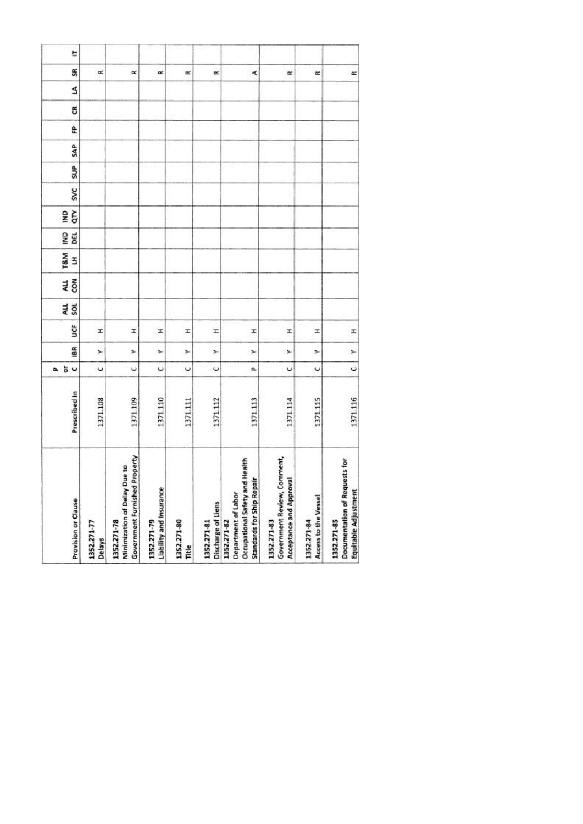| Provision or Clause                                                                                         | Prescribed In | $\cup$<br>ŏ<br>ā.    | 186 | ğ | au<br>sol | ALL<br>con | <b>T&amp;M</b><br>3 | g<br>DEL | qτγ<br>g | <b>SVC</b> | SUP | SAP | £ | g | S | SR        |
|-------------------------------------------------------------------------------------------------------------|---------------|----------------------|-----|---|-----------|------------|---------------------|----------|----------|------------|-----|-----|---|---|---|-----------|
| 1352.271-77<br>Delays                                                                                       | 1371.108      | U                    | ×   | x |           |            |                     |          |          |            |     |     |   |   |   | œ         |
| <b>Government Furnished Property</b><br>Minimization of Delay Due to<br>1352.271-78                         | 1371.109      | $\ddot{\phantom{0}}$ | ×   | I |           |            |                     |          |          |            |     |     |   |   |   | $\propto$ |
| Liability and Insurance<br>1352.271-79                                                                      | 1371.110      | U                    | ×   | x |           |            |                     |          |          |            |     |     |   |   |   | œ         |
| 1352.271-80<br>Title                                                                                        | 1371.111      | $\circ$              | ×   | x |           |            |                     |          |          |            |     |     |   |   |   | œ         |
| Discharge of Liens<br>1352.271-81                                                                           | 1371.112      | U                    | ×   | H |           |            |                     |          |          |            |     |     |   |   |   | œ         |
| Health<br><b>Standards for Ship Repair</b><br>Occupational Safety and<br>Department of Labor<br>1352.271-82 | 1371.113      | a                    | ×   | I |           |            |                     |          |          |            |     |     |   |   |   | ¢         |
| Government Review, Comment,<br>Acceptance and Approval<br>1352.271-83                                       | 1371.114      | $\circ$              | ×   | x |           |            |                     |          |          |            |     |     |   |   |   | œ         |
| Access to the Vessel<br>1352.271-84                                                                         | 1371.115      | U                    | ×   | z |           |            |                     |          |          |            |     |     |   |   |   | $\alpha$  |
| Documentation of Requests for<br>Equitable Adjustment<br>1352.271-85                                        | 1371.116      | $\circ$              | ×   | x |           |            |                     |          |          |            |     |     |   |   |   | $\simeq$  |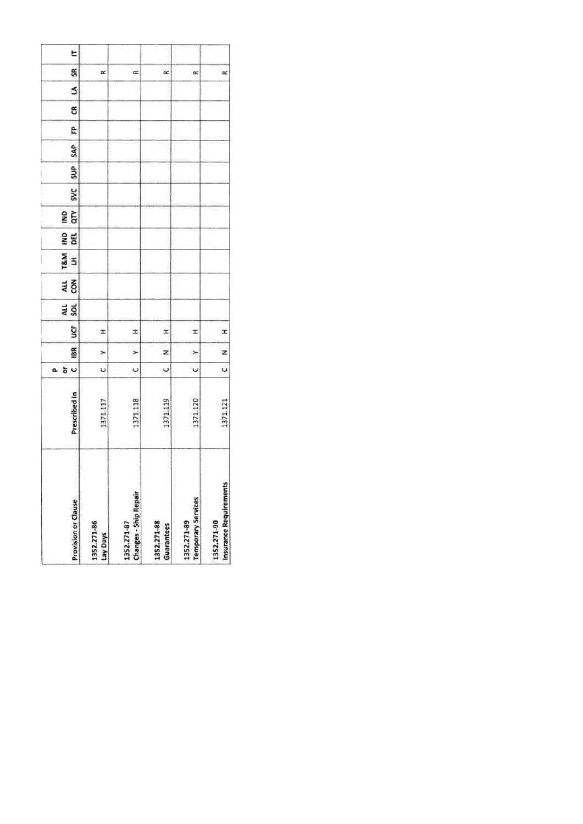|    | <b>Provision or Clause</b> | 1352.271-86<br>Lay Days | <b>Changes - Ship Repair</b><br>1352.271-87 | 1352.271-88<br>Guarantees | <b>Temporary Services</b><br>1352.271-89 | Insurance Requirements<br>1352.271-90 |
|----|----------------------------|-------------------------|---------------------------------------------|---------------------------|------------------------------------------|---------------------------------------|
|    | Prescribed In              | 1371.117                | 1371.118                                    | 1371.119                  | 371.120                                  | 1371.121                              |
| a. | U<br>ð                     | U                       | Ü                                           | U                         | U                                        | Ü                                     |
|    | 18R                        | ⊁                       | $\geq$                                      | z                         | ×                                        | z                                     |
|    | š                          | I                       | I                                           | x                         | I                                        | I                                     |
|    | an<br>Sol                  |                         |                                             |                           |                                          |                                       |
|    | 전<br>GR                    |                         |                                             |                           |                                          |                                       |
|    | T&M<br>3                   |                         |                                             |                           |                                          |                                       |
|    | gwl<br>瞗                   |                         |                                             |                           |                                          |                                       |
|    | qτγ<br>g                   |                         |                                             |                           |                                          |                                       |
|    | <b>SVC</b>                 |                         |                                             |                           |                                          |                                       |
|    | SUP <sub></sub>            |                         |                                             |                           |                                          |                                       |
|    | SAP                        |                         |                                             |                           |                                          |                                       |
|    | e                          |                         |                                             |                           |                                          |                                       |
|    | ස                          |                         |                                             |                           |                                          |                                       |
|    | s                          |                         |                                             |                           |                                          |                                       |
|    | SR                         | œ                       | œ                                           | œ                         | œ                                        | $\approx$                             |
|    | E                          |                         |                                             |                           |                                          |                                       |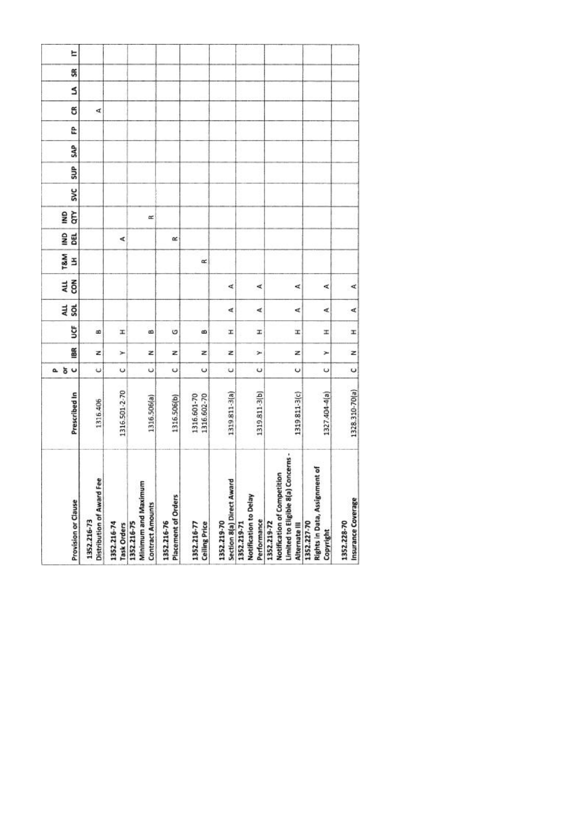| Distribution of Award Fee<br>Provision or Clause<br>1352.216-73<br>1352.216-74                        | Prescribed In<br>1316.406    | ăυ<br>$\ddot{\phantom{0}}$<br>۵ | BR<br>z | ğ<br>B | ALL<br><b>SOL</b> | č<br>ALL | T&M<br>E | gNI<br>BEL | GTY<br><b>ONI</b> | <b>SVC</b> | SUP | SAP | ĉ | g<br>₫ | S |
|-------------------------------------------------------------------------------------------------------|------------------------------|---------------------------------|---------|--------|-------------------|----------|----------|------------|-------------------|------------|-----|-----|---|--------|---|
| Minimum and Maximum<br><b>Contract Amounts</b><br>1352.216-75<br>Task Orders                          | 1316.501-2-70<br>1316.506(a) | $\circ$<br>U                    | Ż<br>Y  | H<br>œ |                   |          |          | ∢          | œ                 |            |     |     |   |        |   |
| Placement of Orders<br>1352.216-76                                                                    | 1316.506(b)                  | $\circ$                         | z       | O      |                   |          |          | œ          |                   |            |     |     |   |        |   |
| <b>Ceiling Price</b><br>1352.216-77                                                                   | 1316.601-70<br>1316.602-70   | U                               | z       | œ      |                   |          | œ        |            |                   |            |     |     |   |        |   |
| Section 8(a) Direct Award<br>1352.219-70                                                              | 1319811-3(a)                 | U                               | z       | I.     | ∢                 | ₫        |          |            |                   |            |     |     |   |        |   |
| Notification to Delay<br>Performance<br>1352.219-71                                                   | 1319.811-3(b)                | U                               | ×       | I.     | ∢                 | ∢        |          |            |                   |            |     |     |   |        |   |
| Concerns -<br>Notification of Competition<br>Limited to Eligible 8(a)<br>1352.219-72<br>Alternate III | 1319.811-3(c)                | U                               | z       | Ŧ      | ₫                 | ⋖        |          |            |                   |            |     |     |   |        |   |
| Rights in Data, Assignment of<br>1352.227-70<br>Copyright                                             | 1327.404-4(a)                | U                               | ×       | ×      | ∢                 | ¢        |          |            |                   |            |     |     |   |        |   |
| Insurance Coverage<br>1352.228-70                                                                     | 1328.310-70(a)               | $\circ$                         | z       | I      | ન                 | ⋖        |          |            |                   |            |     |     |   |        |   |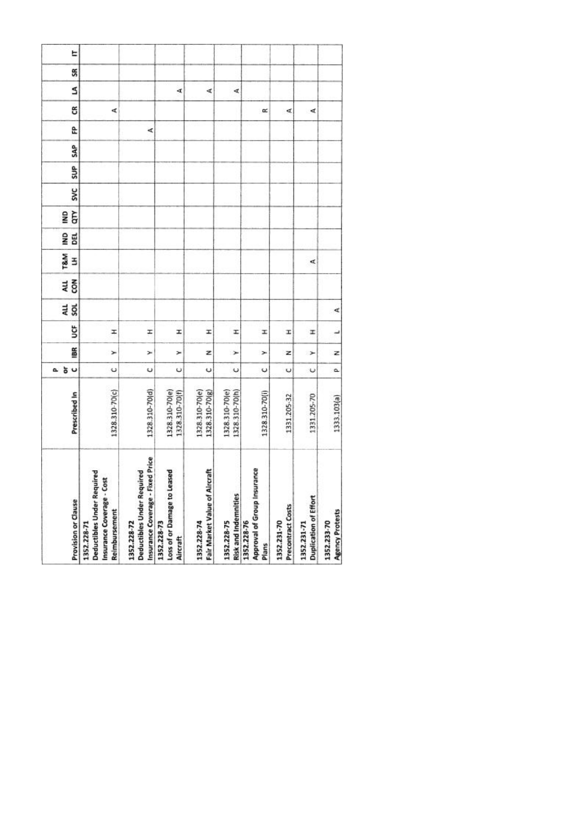| 1328.310-70(c) | 1328.310-70(d) | 1328.310-70(e)<br>1328.310-70(f) | 1328.310-70(e)<br>1328.310-70(g) | 1328.310-70(e)<br>1328.310-70(h) | 1328.310-70(i) | 1331.205-32 | 1331.205-70          | 1333.103(a) |
|----------------|----------------|----------------------------------|----------------------------------|----------------------------------|----------------|-------------|----------------------|-------------|
|                |                |                                  |                                  |                                  |                |             |                      |             |
| U              | U              | Ü                                | U                                | $\ddot{\phantom{0}}$             | ပ              | Ü           | $\ddot{\phantom{0}}$ | ۵           |
| ×              | ×              | ×                                | z                                | ×                                | ×              | z           | ⊁                    | z           |
| Ŧ              | I              | I                                | I                                | I                                | I              | I           | x                    | پ           |
|                |                |                                  |                                  |                                  |                |             |                      | ∢           |
|                |                |                                  |                                  |                                  |                |             |                      |             |
|                |                |                                  |                                  |                                  |                |             | ₫                    |             |
|                |                |                                  |                                  |                                  |                |             |                      |             |
|                |                |                                  |                                  |                                  |                |             |                      |             |
|                |                |                                  |                                  |                                  |                |             |                      |             |
|                |                |                                  |                                  |                                  |                |             |                      |             |
|                |                |                                  |                                  |                                  |                |             |                      |             |
|                | 哎              |                                  |                                  |                                  |                |             |                      |             |
| ∢              |                |                                  |                                  |                                  | œ              | ₫           | ∢                    |             |
|                |                | A                                | ∢                                | d,                               |                |             |                      |             |
|                |                |                                  |                                  |                                  |                |             |                      |             |
|                |                |                                  |                                  |                                  |                |             |                      |             |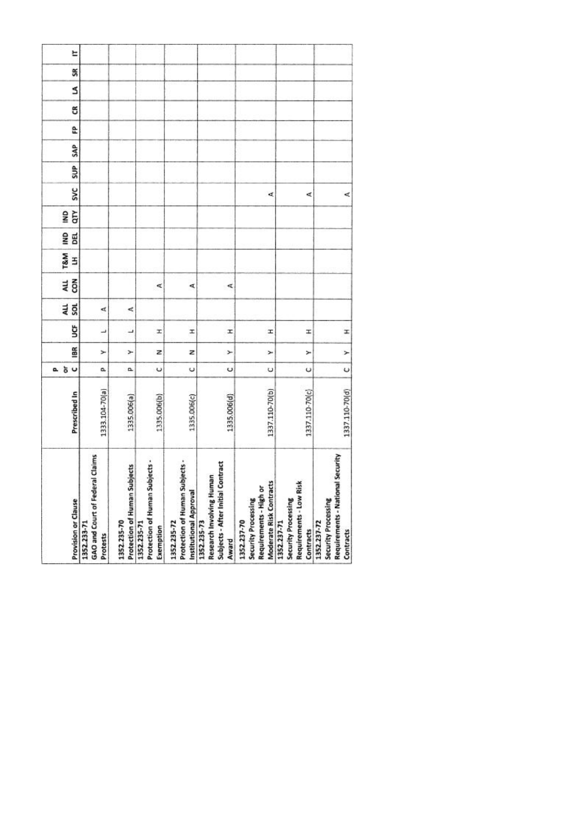| <b>Provision or Clause</b> | GAO and Court of Federal Claims<br>1352.233-71<br>Protests | Protection of Human Subjects<br>1352.235-70 | Protection of Human Subjects -<br>1352.235-71<br>Exemption | Protection of Human Subjects -<br>Institutional Approval<br>1352.235-72 | Subjects - After Initial Contract<br>Research Involving Human<br>1352.235-73<br>Award | Moderate Risk Contracts<br>Requirements - High or<br>Security Processing<br>1352.237-70 | Requirements - Low Risk<br>Security Processing<br>1352.237-71<br>Contracts | Requirements - National Security<br>Security Processing<br>1352.237-72<br>Contracts |
|----------------------------|------------------------------------------------------------|---------------------------------------------|------------------------------------------------------------|-------------------------------------------------------------------------|---------------------------------------------------------------------------------------|-----------------------------------------------------------------------------------------|----------------------------------------------------------------------------|-------------------------------------------------------------------------------------|
| Prescribed In              | 1333.104-70(a)                                             | 1335.006(a)                                 | 1335.006(b)                                                | 1335.006(c)                                                             | 1335.006(d)                                                                           | 1337.110-70(b)                                                                          | 1337.110-70(c)                                                             | 1337.110-70(d)                                                                      |
| 5 <sub>o</sub><br>o.       | a,                                                         | α                                           | $\circ$                                                    | $\cup$                                                                  | Ü                                                                                     | U                                                                                       | U                                                                          | $\cup$                                                                              |
| 18R                        | ≻                                                          | ⊁                                           | z                                                          | z                                                                       | ×                                                                                     | ×                                                                                       | ×                                                                          | $\geq$                                                                              |
| ğ                          | ٮ                                                          | ┙                                           | H                                                          | I                                                                       | I                                                                                     | Ŧ                                                                                       | x                                                                          | I                                                                                   |
| 4LL<br>š                   | ₫                                                          | ⋖                                           |                                                            |                                                                         |                                                                                       |                                                                                         |                                                                            |                                                                                     |
| con<br>ALL                 |                                                            |                                             | ₫                                                          | ⋖                                                                       | ⋖                                                                                     |                                                                                         |                                                                            |                                                                                     |
| T&M<br>3                   |                                                            |                                             |                                                            |                                                                         |                                                                                       |                                                                                         |                                                                            |                                                                                     |
| g<br>DEL                   |                                                            |                                             |                                                            |                                                                         |                                                                                       |                                                                                         |                                                                            |                                                                                     |
| qτγ<br>gMI                 |                                                            |                                             |                                                            |                                                                         |                                                                                       |                                                                                         |                                                                            |                                                                                     |
| <b>SVC</b>                 |                                                            |                                             |                                                            |                                                                         |                                                                                       | ¢                                                                                       | ⋖                                                                          | ₫                                                                                   |
| SUP                        |                                                            |                                             |                                                            |                                                                         |                                                                                       |                                                                                         |                                                                            |                                                                                     |
| SAP                        |                                                            |                                             |                                                            |                                                                         |                                                                                       |                                                                                         |                                                                            |                                                                                     |
| £                          |                                                            |                                             |                                                            |                                                                         |                                                                                       |                                                                                         |                                                                            |                                                                                     |
| g                          |                                                            |                                             |                                                            |                                                                         |                                                                                       |                                                                                         |                                                                            |                                                                                     |
| S                          |                                                            |                                             |                                                            |                                                                         |                                                                                       |                                                                                         |                                                                            |                                                                                     |
| SR                         |                                                            |                                             |                                                            |                                                                         |                                                                                       |                                                                                         |                                                                            |                                                                                     |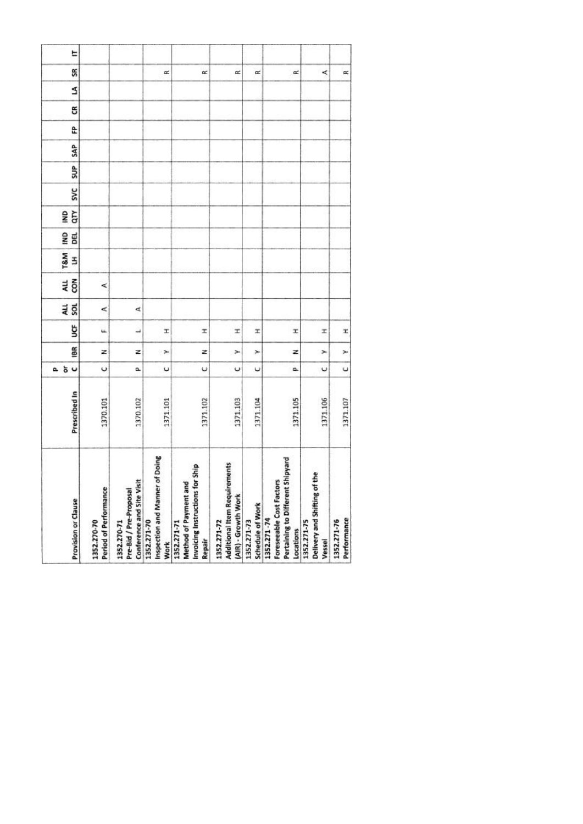| Provision or Clause  | Period of Performance<br>1352.270-70 | Conference and Site Visit<br>Pre-Bid / Pre-Proposal<br>1352.270-71 | of Doing<br>Inspection and Manner<br>1352.271-70<br><b>Work</b> | Invoicing Instructions for Ship<br>ъ<br>Method of Payment an<br>1352.271-71<br>Repair | <b>Additional Item Requirements</b><br>(AIR) - Growth Work<br>1352.271-72 | Schedule of Work<br>1352.271-73 | : Shipyard<br>Foreseeable Cost Factors<br>Pertaining to Different<br>1352.271-74<br>Locations | Delivery and Shifting of the<br>1352.271-75<br>Vessel | Performance<br>1352.271-76 |
|----------------------|--------------------------------------|--------------------------------------------------------------------|-----------------------------------------------------------------|---------------------------------------------------------------------------------------|---------------------------------------------------------------------------|---------------------------------|-----------------------------------------------------------------------------------------------|-------------------------------------------------------|----------------------------|
| Prescribed In        | 1370.101                             | 1370.102                                                           | 1371.101                                                        | 1371.102                                                                              | 1371.103                                                                  | 1371.104                        | 1371.105                                                                                      | 1371.106                                              | 1371.107                   |
| 5 <sub>o</sub><br>a. | $\circ$                              | û.                                                                 | U                                                               | ψ                                                                                     | U                                                                         | υ                               | o.                                                                                            | $\cup$                                                | $\cup$                     |
| iBR                  | z                                    | z                                                                  | ×                                                               | z                                                                                     | ×                                                                         | ×                               | z                                                                                             | ×                                                     | ×                          |
| ğ                    | u.                                   | $\overline{\phantom{a}}$                                           | T.                                                              | x                                                                                     | x                                                                         | x                               | x                                                                                             | x                                                     | x                          |
| au<br>Sol            | ⋖                                    | ₫                                                                  |                                                                 |                                                                                       |                                                                           |                                 |                                                                                               |                                                       |                            |
| 4LL<br>$\tilde{8}$   | ⋖                                    |                                                                    |                                                                 |                                                                                       |                                                                           |                                 |                                                                                               |                                                       |                            |
| <b>T&amp;M</b><br>3  |                                      |                                                                    |                                                                 |                                                                                       |                                                                           |                                 |                                                                                               |                                                       |                            |
| g<br><b>BEL</b>      |                                      |                                                                    |                                                                 |                                                                                       |                                                                           |                                 |                                                                                               |                                                       |                            |
| ξ<br>g               |                                      |                                                                    |                                                                 |                                                                                       |                                                                           |                                 |                                                                                               |                                                       |                            |
| <b>SVC</b>           |                                      |                                                                    |                                                                 |                                                                                       |                                                                           |                                 |                                                                                               |                                                       |                            |
| SUP <sub>1</sub>     |                                      |                                                                    |                                                                 |                                                                                       |                                                                           |                                 |                                                                                               |                                                       |                            |
| <b>SAP</b>           |                                      |                                                                    |                                                                 |                                                                                       |                                                                           |                                 |                                                                                               |                                                       |                            |
| £                    |                                      |                                                                    |                                                                 |                                                                                       |                                                                           |                                 |                                                                                               |                                                       |                            |
| g                    |                                      |                                                                    |                                                                 |                                                                                       |                                                                           |                                 |                                                                                               |                                                       |                            |
| S                    |                                      |                                                                    |                                                                 |                                                                                       |                                                                           |                                 |                                                                                               |                                                       |                            |
| SR                   |                                      |                                                                    | œ                                                               | œ                                                                                     | œ                                                                         | $\approx$                       | œ                                                                                             | ≺                                                     | œ                          |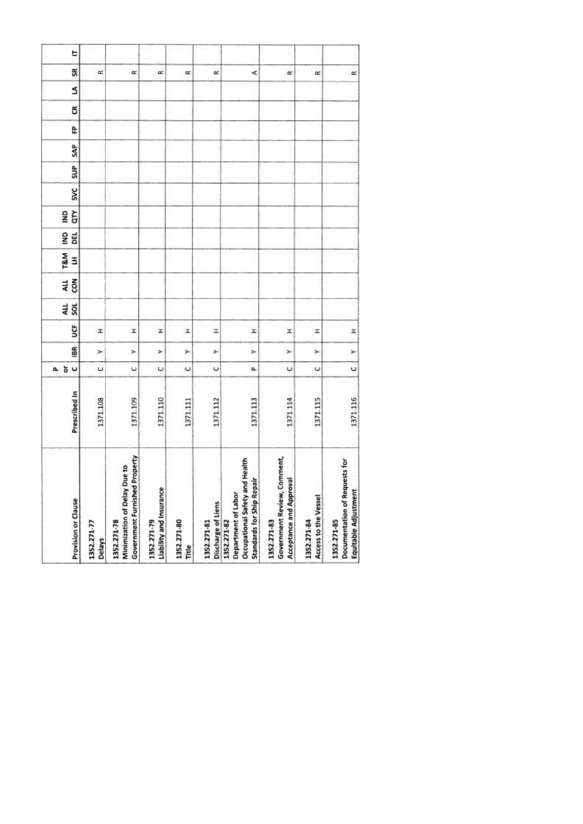| Provision or Clause                                                                                         | Prescribed In | $\cup$<br>ŏ<br>ā.    | 186 | ğ | au<br>sol | ALL<br>con | <b>T&amp;M</b><br>3 | g<br>DEL | qτγ<br>g | <b>SVC</b> | SUP | SAP | £ | g | S | SR        |
|-------------------------------------------------------------------------------------------------------------|---------------|----------------------|-----|---|-----------|------------|---------------------|----------|----------|------------|-----|-----|---|---|---|-----------|
| 1352.271-77<br>Delays                                                                                       | 1371.108      | U                    | ×   | x |           |            |                     |          |          |            |     |     |   |   |   | œ         |
| <b>Government Furnished Property</b><br>Minimization of Delay Due to<br>1352.271-78                         | 1371.109      | $\ddot{\phantom{0}}$ | ×   | I |           |            |                     |          |          |            |     |     |   |   |   | $\propto$ |
| Liability and Insurance<br>1352.271-79                                                                      | 1371.110      | U                    | ×   | x |           |            |                     |          |          |            |     |     |   |   |   | œ         |
| 1352.271-80<br>Title                                                                                        | 1371.111      | $\circ$              | ×   | x |           |            |                     |          |          |            |     |     |   |   |   | œ         |
| Discharge of Liens<br>1352.271-81                                                                           | 1371.112      | U                    | ×   | H |           |            |                     |          |          |            |     |     |   |   |   | œ         |
| Health<br><b>Standards for Ship Repair</b><br>Occupational Safety and<br>Department of Labor<br>1352.271-82 | 1371.113      | a                    | ×   | I |           |            |                     |          |          |            |     |     |   |   |   | ¢         |
| Government Review, Comment,<br>Acceptance and Approval<br>1352.271-83                                       | 1371.114      | $\circ$              | ×   | x |           |            |                     |          |          |            |     |     |   |   |   | œ         |
| Access to the Vessel<br>1352.271-84                                                                         | 1371.115      | U                    | ×   | z |           |            |                     |          |          |            |     |     |   |   |   | $\alpha$  |
| Documentation of Requests for<br>Equitable Adjustment<br>1352.271-85                                        | 1371.116      | $\circ$              | ×   | x |           |            |                     |          |          |            |     |     |   |   |   | $\simeq$  |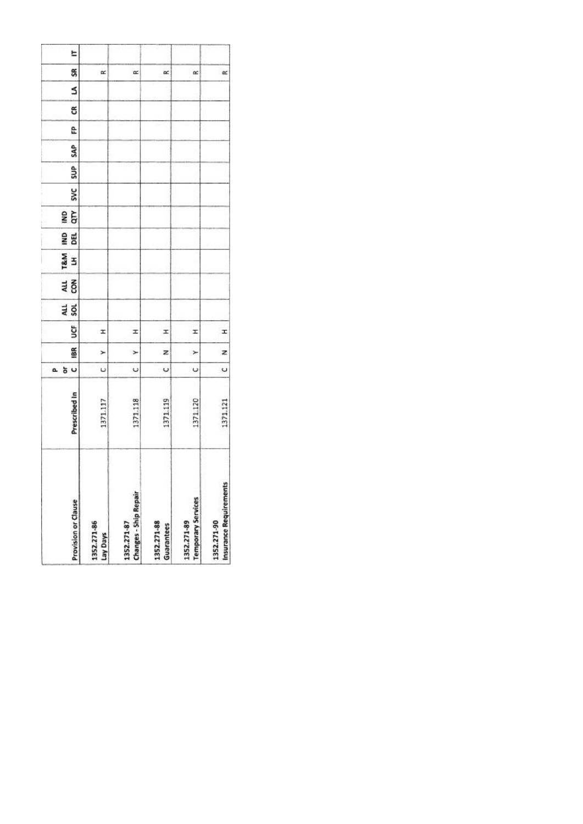|    | <b>Provision or Clause</b> | 1352.271-86<br>Lay Days | <b>Changes - Ship Repair</b><br>1352.271-87 | 1352.271-88<br>Guarantees | <b>Temporary Services</b><br>1352.271-89 | Insurance Requirements<br>1352.271-90 |
|----|----------------------------|-------------------------|---------------------------------------------|---------------------------|------------------------------------------|---------------------------------------|
|    | Prescribed In              | 1371.117                | 1371.118                                    | 1371.119                  | 371.120                                  | 1371.121                              |
| a. | U<br>ð                     | U                       | Ü                                           | U                         | U                                        | Ü                                     |
|    | 18R                        | ⊁                       | $\geq$                                      | z                         | ×                                        | z                                     |
|    | š                          | I                       | I                                           | x                         | I                                        | I                                     |
|    | an<br>Sol                  |                         |                                             |                           |                                          |                                       |
|    | 전<br>GR                    |                         |                                             |                           |                                          |                                       |
|    | T&M<br>3                   |                         |                                             |                           |                                          |                                       |
|    | gwl<br>闻                   |                         |                                             |                           |                                          |                                       |
|    | qτγ<br>g                   |                         |                                             |                           |                                          |                                       |
|    | <b>SVC</b>                 |                         |                                             |                           |                                          |                                       |
|    | SUP <sub></sub>            |                         |                                             |                           |                                          |                                       |
|    | SAP                        |                         |                                             |                           |                                          |                                       |
|    | e                          |                         |                                             |                           |                                          |                                       |
|    | ස                          |                         |                                             |                           |                                          |                                       |
|    | s                          |                         |                                             |                           |                                          |                                       |
|    | SR                         | œ                       | œ                                           | œ                         | œ                                        | $\approx$                             |
|    | E                          |                         |                                             |                           |                                          |                                       |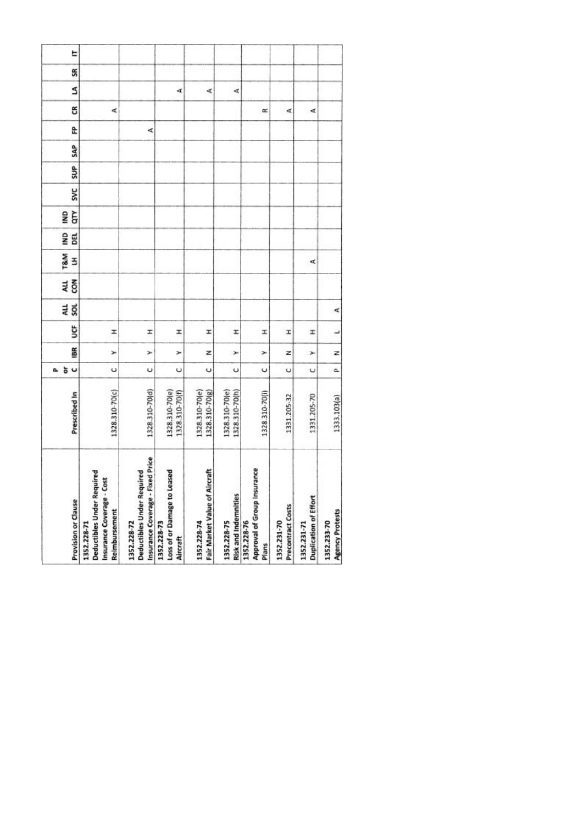| 1328.310-70(c) | 1328.310-70(d) | 1328.310-70(e)<br>1328.310-70(f) | 1328.310-70(e)<br>1328.310-70(g) | 1328.310-70(e)<br>1328.310-70(h) | 1328.310-70(i) | 1331.205-32 | 1331.205-70          | 1333.103(a) |
|----------------|----------------|----------------------------------|----------------------------------|----------------------------------|----------------|-------------|----------------------|-------------|
|                |                |                                  |                                  |                                  |                |             |                      |             |
| U              | U              | Ü                                | U                                | $\ddot{\phantom{0}}$             | ں              | Ü           | $\ddot{\phantom{0}}$ | ۵           |
| ×              | ×              | ×                                | z                                | ×                                | ×              | z           | ⊁                    | z           |
| Ŧ              | I              | I                                | I                                | I                                | I              | I           | x                    | پ           |
|                |                |                                  |                                  |                                  |                |             |                      | ∢           |
|                |                |                                  |                                  |                                  |                |             |                      |             |
|                |                |                                  |                                  |                                  |                |             | ₫                    |             |
|                |                |                                  |                                  |                                  |                |             |                      |             |
|                |                |                                  |                                  |                                  |                |             |                      |             |
|                |                |                                  |                                  |                                  |                |             |                      |             |
|                |                |                                  |                                  |                                  |                |             |                      |             |
|                |                |                                  |                                  |                                  |                |             |                      |             |
|                | 哎              |                                  |                                  |                                  |                |             |                      |             |
| ∢              |                |                                  |                                  |                                  | œ              | ₫           | ∢                    |             |
|                |                | A                                | ∢                                | d,                               |                |             |                      |             |
|                |                |                                  |                                  |                                  |                |             |                      |             |
|                |                |                                  |                                  |                                  |                |             |                      |             |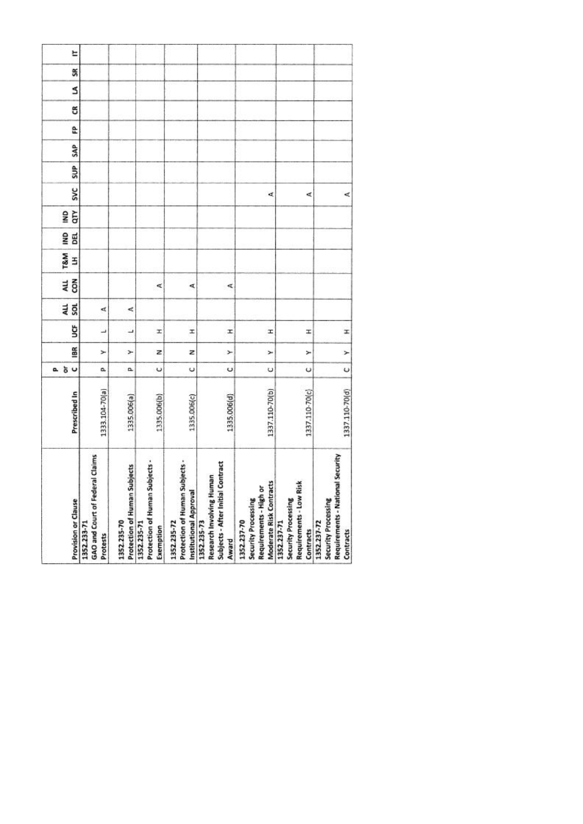| <b>Provision or Clause</b> | GAO and Court of Federal Claims<br>1352.233-71<br>Protests | Protection of Human Subjects<br>1352.235-70 | Protection of Human Subjects -<br>1352.235-71<br>Exemption | Protection of Human Subjects -<br>Institutional Approval<br>1352.235-72 | Subjects - After Initial Contract<br>Research Involving Human<br>1352.235-73<br>Award | Moderate Risk Contracts<br>Requirements - High or<br>Security Processing<br>1352.237-70 | Requirements - Low Risk<br>Security Processing<br>1352.237-71<br>Contracts | Requirements - National Security<br>Security Processing<br>1352.237-72<br>Contracts |
|----------------------------|------------------------------------------------------------|---------------------------------------------|------------------------------------------------------------|-------------------------------------------------------------------------|---------------------------------------------------------------------------------------|-----------------------------------------------------------------------------------------|----------------------------------------------------------------------------|-------------------------------------------------------------------------------------|
| Prescribed In              | 1333.104-70(a)                                             | 1335.006(a)                                 | 1335.006(b)                                                | 1335.006(c)                                                             | 1335.006(d)                                                                           | 1337.110-70(b)                                                                          | 1337.110-70(c)                                                             | 1337.110-70(d)                                                                      |
| 5 <sub>o</sub><br>o.       | a,                                                         | α                                           | $\circ$                                                    | $\cup$                                                                  | Ü                                                                                     | U                                                                                       | U                                                                          | $\cup$                                                                              |
| 18R                        | ≻                                                          | ⊁                                           | z                                                          | z                                                                       | ×                                                                                     | ×                                                                                       | ×                                                                          | $\geq$                                                                              |
| ğ                          | ٮ                                                          | ┙                                           | H                                                          | I                                                                       | I                                                                                     | Ŧ                                                                                       | x                                                                          | I                                                                                   |
| 4LL<br>š                   | ₫                                                          | ⋖                                           |                                                            |                                                                         |                                                                                       |                                                                                         |                                                                            |                                                                                     |
| con<br>ALL                 |                                                            |                                             | ₫                                                          | ⋖                                                                       | ⋖                                                                                     |                                                                                         |                                                                            |                                                                                     |
| T&M<br>3                   |                                                            |                                             |                                                            |                                                                         |                                                                                       |                                                                                         |                                                                            |                                                                                     |
| g<br>DEL                   |                                                            |                                             |                                                            |                                                                         |                                                                                       |                                                                                         |                                                                            |                                                                                     |
| qτγ<br>gMI                 |                                                            |                                             |                                                            |                                                                         |                                                                                       |                                                                                         |                                                                            |                                                                                     |
| <b>SVC</b>                 |                                                            |                                             |                                                            |                                                                         |                                                                                       | ¢                                                                                       | ⋖                                                                          | ₫                                                                                   |
| SUP                        |                                                            |                                             |                                                            |                                                                         |                                                                                       |                                                                                         |                                                                            |                                                                                     |
| SAP                        |                                                            |                                             |                                                            |                                                                         |                                                                                       |                                                                                         |                                                                            |                                                                                     |
| £                          |                                                            |                                             |                                                            |                                                                         |                                                                                       |                                                                                         |                                                                            |                                                                                     |
| g                          |                                                            |                                             |                                                            |                                                                         |                                                                                       |                                                                                         |                                                                            |                                                                                     |
| S                          |                                                            |                                             |                                                            |                                                                         |                                                                                       |                                                                                         |                                                                            |                                                                                     |
| SR                         |                                                            |                                             |                                                            |                                                                         |                                                                                       |                                                                                         |                                                                            |                                                                                     |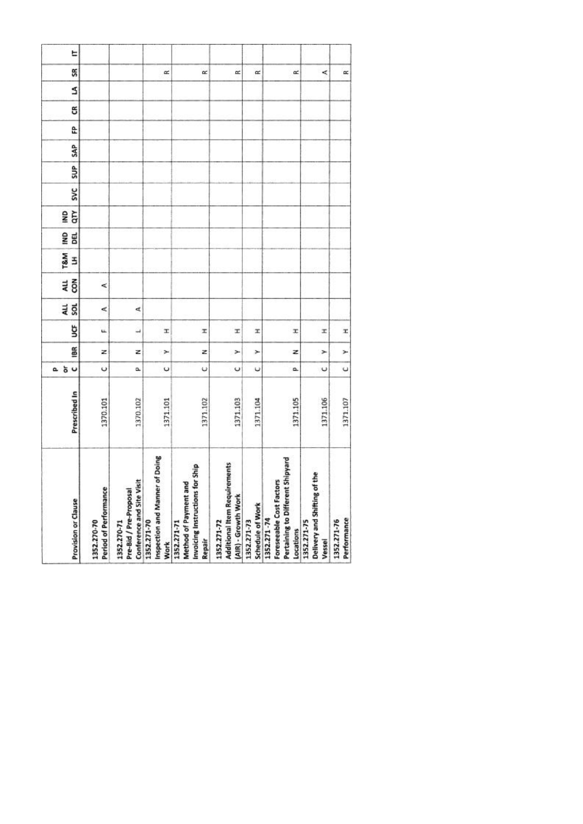| Provision or Clause  | Period of Performance<br>1352.270-70 | Conference and Site Visit<br>Pre-Bid / Pre-Proposal<br>1352.270-71 | of Doing<br>Inspection and Manner<br>1352.271-70<br><b>Work</b> | Invoicing Instructions for Ship<br>ъ<br>Method of Payment an<br>1352.271-71<br>Repair | <b>Additional Item Requirements</b><br>(AIR) - Growth Work<br>1352.271-72 | Schedule of Work<br>1352.271-73 | : Shipyard<br>Foreseeable Cost Factors<br>Pertaining to Different<br>1352.271-74<br>Locations | Delivery and Shifting of the<br>1352.271-75<br>Vessel | Performance<br>1352.271-76 |
|----------------------|--------------------------------------|--------------------------------------------------------------------|-----------------------------------------------------------------|---------------------------------------------------------------------------------------|---------------------------------------------------------------------------|---------------------------------|-----------------------------------------------------------------------------------------------|-------------------------------------------------------|----------------------------|
| Prescribed In        | 1370.101                             | 1370.102                                                           | 1371.101                                                        | 1371.102                                                                              | 1371.103                                                                  | 1371.104                        | 1371.105                                                                                      | 1371.106                                              | 1371.107                   |
| 5 <sub>o</sub><br>a. | $\circ$                              | û.                                                                 | U                                                               | ψ                                                                                     | U                                                                         | υ                               | o.                                                                                            | $\cup$                                                | $\cup$                     |
| iBR                  | z                                    | z                                                                  | ×                                                               | z                                                                                     | ×                                                                         | ×                               | z                                                                                             | ×                                                     | ×                          |
| ğ                    | u.                                   | $\overline{\phantom{a}}$                                           | T.                                                              | x                                                                                     | x                                                                         | x                               | x                                                                                             | x                                                     | x                          |
| au<br>Sol            | ⋖                                    | ₫                                                                  |                                                                 |                                                                                       |                                                                           |                                 |                                                                                               |                                                       |                            |
| 4LL<br>$\tilde{8}$   | ⋖                                    |                                                                    |                                                                 |                                                                                       |                                                                           |                                 |                                                                                               |                                                       |                            |
| <b>T&amp;M</b><br>3  |                                      |                                                                    |                                                                 |                                                                                       |                                                                           |                                 |                                                                                               |                                                       |                            |
| g<br><b>BEL</b>      |                                      |                                                                    |                                                                 |                                                                                       |                                                                           |                                 |                                                                                               |                                                       |                            |
| ξ<br>g               |                                      |                                                                    |                                                                 |                                                                                       |                                                                           |                                 |                                                                                               |                                                       |                            |
| <b>SVC</b>           |                                      |                                                                    |                                                                 |                                                                                       |                                                                           |                                 |                                                                                               |                                                       |                            |
| SUP <sub>1</sub>     |                                      |                                                                    |                                                                 |                                                                                       |                                                                           |                                 |                                                                                               |                                                       |                            |
| <b>SAP</b>           |                                      |                                                                    |                                                                 |                                                                                       |                                                                           |                                 |                                                                                               |                                                       |                            |
| £                    |                                      |                                                                    |                                                                 |                                                                                       |                                                                           |                                 |                                                                                               |                                                       |                            |
| g                    |                                      |                                                                    |                                                                 |                                                                                       |                                                                           |                                 |                                                                                               |                                                       |                            |
| S                    |                                      |                                                                    |                                                                 |                                                                                       |                                                                           |                                 |                                                                                               |                                                       |                            |
| SR                   |                                      |                                                                    | œ                                                               | œ                                                                                     | œ                                                                         | $\approx$                       | œ                                                                                             | ≺                                                     | œ                          |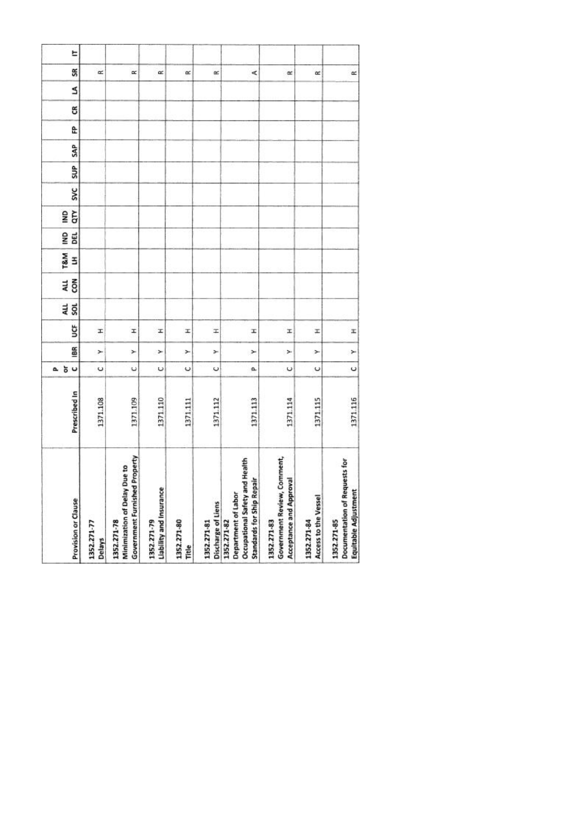| Provision or Clause                                                                                         | Prescribed In | $\cup$<br>ŏ<br>ā.    | 186 | ğ | au<br>sol | ALL<br>con | <b>T&amp;M</b><br>3 | g<br>DEL | qτγ<br>g | <b>SVC</b> | SUP | SAP | £ | g | S | SR        |
|-------------------------------------------------------------------------------------------------------------|---------------|----------------------|-----|---|-----------|------------|---------------------|----------|----------|------------|-----|-----|---|---|---|-----------|
| 1352.271-77<br>Delays                                                                                       | 1371.108      | U                    | ×   | x |           |            |                     |          |          |            |     |     |   |   |   | œ         |
| <b>Government Furnished Property</b><br>Minimization of Delay Due to<br>1352.271-78                         | 1371.109      | $\ddot{\phantom{0}}$ | ×   | I |           |            |                     |          |          |            |     |     |   |   |   | $\propto$ |
| Liability and Insurance<br>1352.271-79                                                                      | 1371.110      | U                    | ×   | x |           |            |                     |          |          |            |     |     |   |   |   | œ         |
| 1352.271-80<br>Title                                                                                        | 1371.111      | $\circ$              | ×   | x |           |            |                     |          |          |            |     |     |   |   |   | œ         |
| Discharge of Liens<br>1352.271-81                                                                           | 1371.112      | U                    | ×   | H |           |            |                     |          |          |            |     |     |   |   |   | œ         |
| Health<br><b>Standards for Ship Repair</b><br>Occupational Safety and<br>Department of Labor<br>1352.271-82 | 1371.113      | a                    | ×   | I |           |            |                     |          |          |            |     |     |   |   |   | ¢         |
| Government Review, Comment,<br>Acceptance and Approval<br>1352.271-83                                       | 1371.114      | $\circ$              | ×   | x |           |            |                     |          |          |            |     |     |   |   |   | œ         |
| Access to the Vessel<br>1352.271-84                                                                         | 1371.115      | U                    | ×   | z |           |            |                     |          |          |            |     |     |   |   |   | $\alpha$  |
| Documentation of Requests for<br>Equitable Adjustment<br>1352.271-85                                        | 1371.116      | $\circ$              | ×   | x |           |            |                     |          |          |            |     |     |   |   |   | $\simeq$  |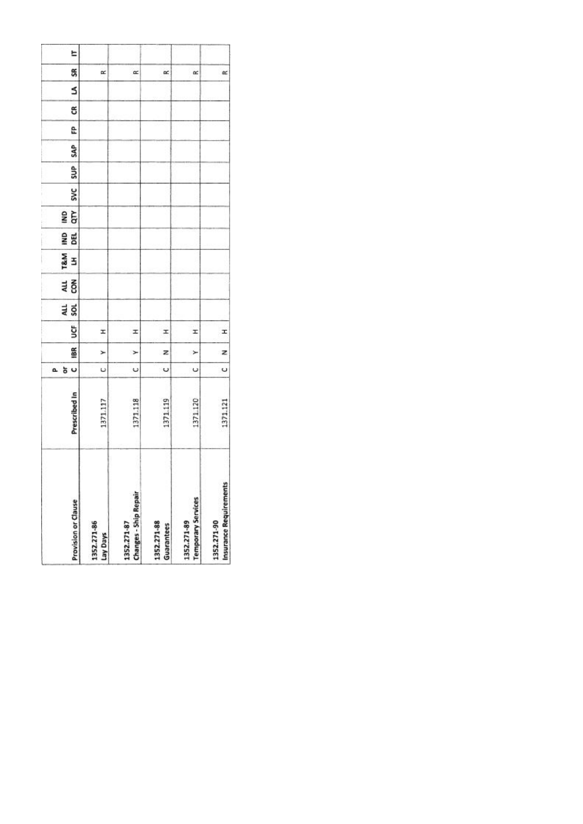|    | <b>Provision or Clause</b> | 1352.271-86<br>Lay Days | <b>Changes - Ship Repair</b><br>1352.271-87 | 1352.271-88<br>Guarantees | <b>Temporary Services</b><br>1352.271-89 | Insurance Requirements<br>1352.271-90 |
|----|----------------------------|-------------------------|---------------------------------------------|---------------------------|------------------------------------------|---------------------------------------|
|    | Prescribed In              | 1371.117                | 1371.118                                    | 1371.119                  | 371.120                                  | 1371.121                              |
| a. | U<br>ð                     | U                       | Ü                                           | U                         | U                                        | Ü                                     |
|    | 18R                        | ⊁                       | $\geq$                                      | z                         | ×                                        | z                                     |
|    | š                          | I                       | I                                           | x                         | I                                        | I                                     |
|    | an<br>Sol                  |                         |                                             |                           |                                          |                                       |
|    | 전<br>GR                    |                         |                                             |                           |                                          |                                       |
|    | T&M<br>3                   |                         |                                             |                           |                                          |                                       |
|    | gwl<br>闻                   |                         |                                             |                           |                                          |                                       |
|    | qτγ<br>g                   |                         |                                             |                           |                                          |                                       |
|    | <b>SVC</b>                 |                         |                                             |                           |                                          |                                       |
|    | SUP <sub>1</sub>           |                         |                                             |                           |                                          |                                       |
|    | SAP                        |                         |                                             |                           |                                          |                                       |
|    | e                          |                         |                                             |                           |                                          |                                       |
|    | ස                          |                         |                                             |                           |                                          |                                       |
|    | s                          |                         |                                             |                           |                                          |                                       |
|    | SR                         | œ                       | œ                                           | œ                         | œ                                        | $\approx$                             |
|    | E                          |                         |                                             |                           |                                          |                                       |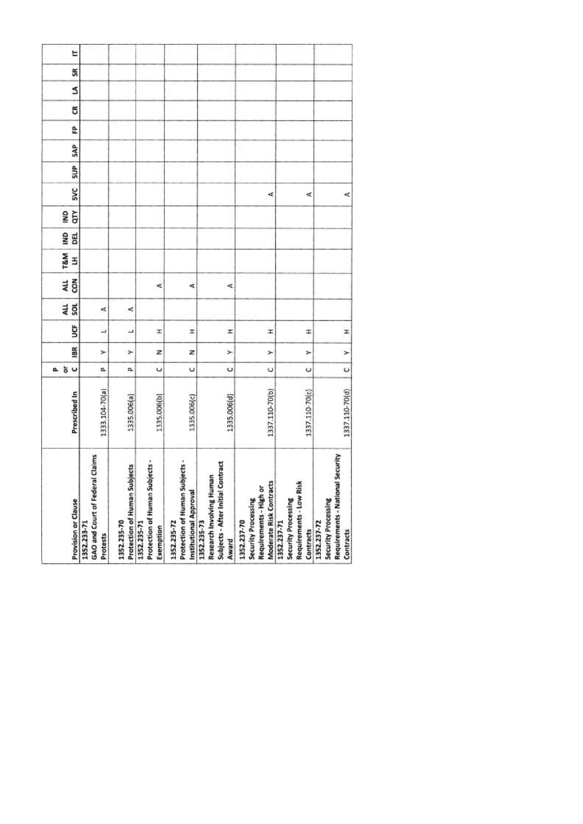| <b>Provision or Clause</b> | GAO and Court of Federal Claims<br>1352.233-71<br>Protests | Protection of Human Subjects<br>1352.235-70 | Protection of Human Subjects -<br>1352.235-71<br>Exemption | Protection of Human Subjects -<br>Institutional Approval<br>1352.235-72 | Subjects - After Initial Contract<br>Research Involving Human<br>1352.235-73<br>Award | Moderate Risk Contracts<br>Requirements - High or<br>Security Processing<br>1352.237-70 | Requirements - Low Risk<br>Security Processing<br>1352.237-71<br>Contracts | Requirements - National Security<br>Security Processing<br>1352.237-72<br>Contracts |
|----------------------------|------------------------------------------------------------|---------------------------------------------|------------------------------------------------------------|-------------------------------------------------------------------------|---------------------------------------------------------------------------------------|-----------------------------------------------------------------------------------------|----------------------------------------------------------------------------|-------------------------------------------------------------------------------------|
| Prescribed In              | 1333.104-70(a)                                             | 1335.006(a)                                 | 1335.006(b)                                                | 1335.006(c)                                                             | 1335.006(d)                                                                           | 1337.110-70(b)                                                                          | 1337.110-70(c)                                                             | 1337.110-70(d)                                                                      |
| 5 <sub>o</sub><br>o.       | a,                                                         | α                                           | $\circ$                                                    | $\cup$                                                                  | Ü                                                                                     | U                                                                                       | U                                                                          | $\cup$                                                                              |
| 18R                        | ≻                                                          | ⊁                                           | z                                                          | z                                                                       | ×                                                                                     | ×                                                                                       | ×                                                                          | $\geq$                                                                              |
| ğ                          | ٮ                                                          | ┙                                           | H                                                          | I                                                                       | I                                                                                     | Ŧ                                                                                       | x                                                                          | I                                                                                   |
| 4LL<br>š                   | ₫                                                          | ⋖                                           |                                                            |                                                                         |                                                                                       |                                                                                         |                                                                            |                                                                                     |
| con<br>ALL                 |                                                            |                                             | ₫                                                          | ⋖                                                                       | ⋖                                                                                     |                                                                                         |                                                                            |                                                                                     |
| T&M<br>3                   |                                                            |                                             |                                                            |                                                                         |                                                                                       |                                                                                         |                                                                            |                                                                                     |
| g<br>DEL                   |                                                            |                                             |                                                            |                                                                         |                                                                                       |                                                                                         |                                                                            |                                                                                     |
| qτγ<br>gMI                 |                                                            |                                             |                                                            |                                                                         |                                                                                       |                                                                                         |                                                                            |                                                                                     |
| <b>SVC</b>                 |                                                            |                                             |                                                            |                                                                         |                                                                                       | ¢                                                                                       | ⋖                                                                          | ₫                                                                                   |
| SUP                        |                                                            |                                             |                                                            |                                                                         |                                                                                       |                                                                                         |                                                                            |                                                                                     |
| SAP                        |                                                            |                                             |                                                            |                                                                         |                                                                                       |                                                                                         |                                                                            |                                                                                     |
| £                          |                                                            |                                             |                                                            |                                                                         |                                                                                       |                                                                                         |                                                                            |                                                                                     |
| g                          |                                                            |                                             |                                                            |                                                                         |                                                                                       |                                                                                         |                                                                            |                                                                                     |
| S                          |                                                            |                                             |                                                            |                                                                         |                                                                                       |                                                                                         |                                                                            |                                                                                     |
| SR                         |                                                            |                                             |                                                            |                                                                         |                                                                                       |                                                                                         |                                                                            |                                                                                     |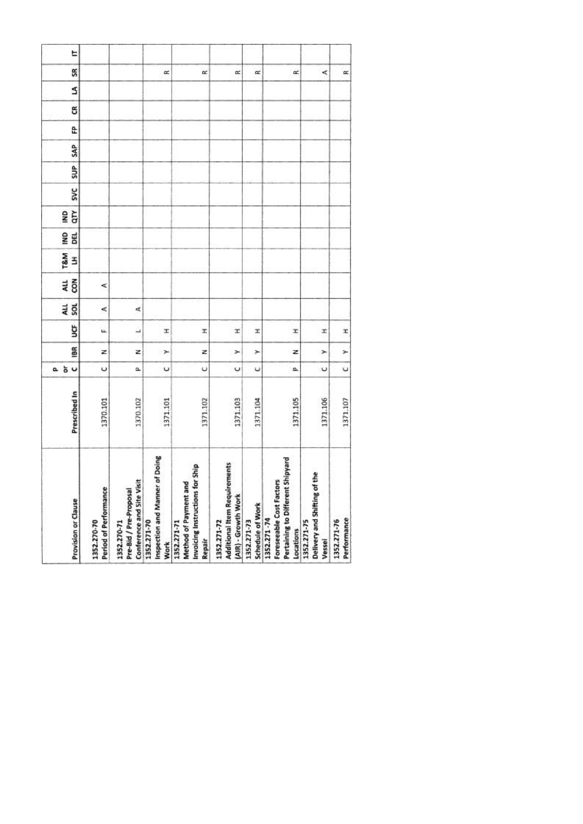| Provision or Clause  | Period of Performance<br>1352.270-70 | Conference and Site Visit<br>Pre-Bid / Pre-Proposal<br>1352.270-71 | of Doing<br>Inspection and Manner<br>1352.271-70<br><b>Work</b> | Invoicing Instructions for Ship<br>ъ<br>Method of Payment an<br>1352.271-71<br>Repair | <b>Additional Item Requirements</b><br>(AIR) - Growth Work<br>1352.271-72 | Schedule of Work<br>1352.271-73 | : Shipyard<br>Foreseeable Cost Factors<br>Pertaining to Different<br>1352.271-74<br>Locations | Delivery and Shifting of the<br>1352.271-75<br>Vessel | Performance<br>1352.271-76 |
|----------------------|--------------------------------------|--------------------------------------------------------------------|-----------------------------------------------------------------|---------------------------------------------------------------------------------------|---------------------------------------------------------------------------|---------------------------------|-----------------------------------------------------------------------------------------------|-------------------------------------------------------|----------------------------|
| Prescribed In        | 1370.101                             | 1370.102                                                           | 1371.101                                                        | 1371.102                                                                              | 1371.103                                                                  | 1371.104                        | 1371.105                                                                                      | 1371.106                                              | 1371.107                   |
| 5 <sub>o</sub><br>a. | $\circ$                              | û.                                                                 | U                                                               | ψ                                                                                     | U                                                                         | υ                               | o.                                                                                            | $\cup$                                                | $\cup$                     |
| iBR                  | z                                    | z                                                                  | ×                                                               | z                                                                                     | ×                                                                         | ×                               | z                                                                                             | ×                                                     | ×                          |
| ğ                    | u.                                   | $\overline{\phantom{a}}$                                           | T.                                                              | x                                                                                     | x                                                                         | x                               | x                                                                                             | x                                                     | x                          |
| au<br>Sol            | ⋖                                    | ₫                                                                  |                                                                 |                                                                                       |                                                                           |                                 |                                                                                               |                                                       |                            |
| 4LL<br>$\tilde{8}$   | ⋖                                    |                                                                    |                                                                 |                                                                                       |                                                                           |                                 |                                                                                               |                                                       |                            |
| <b>T&amp;M</b><br>3  |                                      |                                                                    |                                                                 |                                                                                       |                                                                           |                                 |                                                                                               |                                                       |                            |
| g<br><b>BEL</b>      |                                      |                                                                    |                                                                 |                                                                                       |                                                                           |                                 |                                                                                               |                                                       |                            |
| ξ<br>g               |                                      |                                                                    |                                                                 |                                                                                       |                                                                           |                                 |                                                                                               |                                                       |                            |
| <b>SVC</b>           |                                      |                                                                    |                                                                 |                                                                                       |                                                                           |                                 |                                                                                               |                                                       |                            |
| SUP <sub>1</sub>     |                                      |                                                                    |                                                                 |                                                                                       |                                                                           |                                 |                                                                                               |                                                       |                            |
| <b>SAP</b>           |                                      |                                                                    |                                                                 |                                                                                       |                                                                           |                                 |                                                                                               |                                                       |                            |
| £                    |                                      |                                                                    |                                                                 |                                                                                       |                                                                           |                                 |                                                                                               |                                                       |                            |
| g                    |                                      |                                                                    |                                                                 |                                                                                       |                                                                           |                                 |                                                                                               |                                                       |                            |
| S                    |                                      |                                                                    |                                                                 |                                                                                       |                                                                           |                                 |                                                                                               |                                                       |                            |
| SR                   |                                      |                                                                    | œ                                                               | œ                                                                                     | œ                                                                         | $\approx$                       | œ                                                                                             | ≺                                                     | œ                          |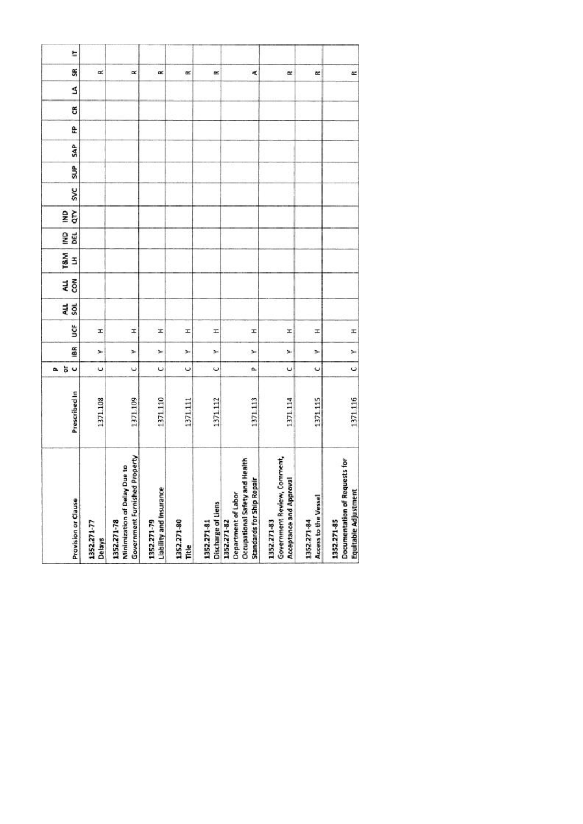| Provision or Clause                                                                                         | Prescribed In | $\cup$<br>ŏ<br>ā.    | 186 | ğ | au<br>sol | ALL<br>con | <b>T&amp;M</b><br>3 | g<br>DEL | qτγ<br>g | <b>SVC</b> | SUP | SAP | £ | g | S | SR        |
|-------------------------------------------------------------------------------------------------------------|---------------|----------------------|-----|---|-----------|------------|---------------------|----------|----------|------------|-----|-----|---|---|---|-----------|
| 1352.271-77<br>Delays                                                                                       | 1371.108      | U                    | ×   | x |           |            |                     |          |          |            |     |     |   |   |   | œ         |
| <b>Government Furnished Property</b><br>Minimization of Delay Due to<br>1352.271-78                         | 1371.109      | $\ddot{\phantom{0}}$ | ×   | I |           |            |                     |          |          |            |     |     |   |   |   | $\propto$ |
| Liability and Insurance<br>1352.271-79                                                                      | 1371.110      | U                    | ×   | x |           |            |                     |          |          |            |     |     |   |   |   | œ         |
| 1352.271-80<br>Title                                                                                        | 1371.111      | $\circ$              | ×   | x |           |            |                     |          |          |            |     |     |   |   |   | œ         |
| Discharge of Liens<br>1352.271-81                                                                           | 1371.112      | U                    | ×   | H |           |            |                     |          |          |            |     |     |   |   |   | œ         |
| Health<br><b>Standards for Ship Repair</b><br>Occupational Safety and<br>Department of Labor<br>1352.271-82 | 1371.113      | a                    | ×   | I |           |            |                     |          |          |            |     |     |   |   |   | ¢         |
| Government Review, Comment,<br>Acceptance and Approval<br>1352.271-83                                       | 1371.114      | $\circ$              | ×   | x |           |            |                     |          |          |            |     |     |   |   |   | œ         |
| Access to the Vessel<br>1352.271-84                                                                         | 1371.115      | U                    | ×   | z |           |            |                     |          |          |            |     |     |   |   |   | $\alpha$  |
| Documentation of Requests for<br>Equitable Adjustment<br>1352.271-85                                        | 1371.116      | $\circ$              | ×   | x |           |            |                     |          |          |            |     |     |   |   |   | $\simeq$  |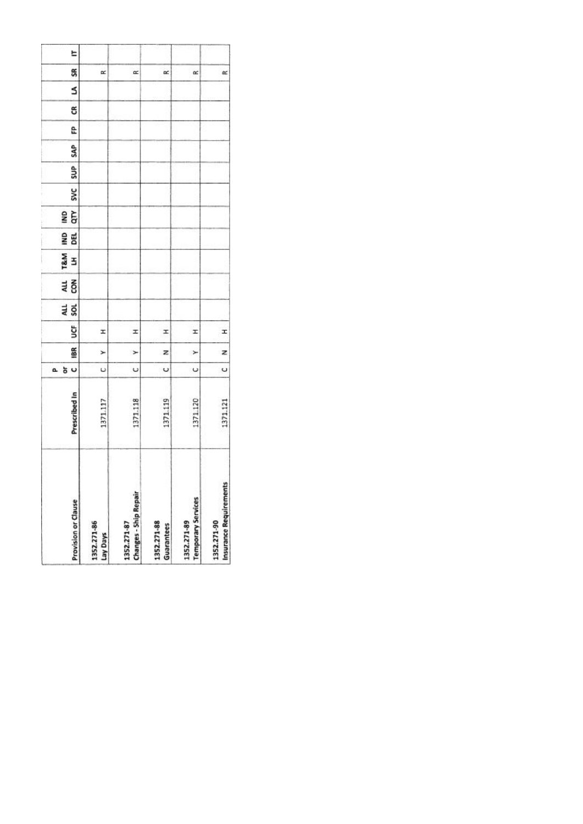|    | <b>Provision or Clause</b> | 1352.271-86<br>Lay Days | <b>Changes - Ship Repair</b><br>1352.271-87 | 1352.271-88<br>Guarantees | <b>Temporary Services</b><br>1352.271-89 | Insurance Requirements<br>1352.271-90 |
|----|----------------------------|-------------------------|---------------------------------------------|---------------------------|------------------------------------------|---------------------------------------|
|    | Prescribed In              | 1371.117                | 1371.118                                    | 1371.119                  | 371.120                                  | 1371.121                              |
| a. | U<br>ð                     | U                       | Ü                                           | U                         | U                                        | Ü                                     |
|    | 18R                        | ⊁                       | $\geq$                                      | z                         | ×                                        | z                                     |
|    | š                          | I                       | I                                           | x                         | I                                        | I                                     |
|    | an<br>Sol                  |                         |                                             |                           |                                          |                                       |
|    | 전<br>GR                    |                         |                                             |                           |                                          |                                       |
|    | T&M<br>3                   |                         |                                             |                           |                                          |                                       |
|    | gwl<br>闻                   |                         |                                             |                           |                                          |                                       |
|    | qτγ<br>g                   |                         |                                             |                           |                                          |                                       |
|    | <b>SVC</b>                 |                         |                                             |                           |                                          |                                       |
|    | SUP <sub></sub>            |                         |                                             |                           |                                          |                                       |
|    | SAP                        |                         |                                             |                           |                                          |                                       |
|    | e                          |                         |                                             |                           |                                          |                                       |
|    | ස                          |                         |                                             |                           |                                          |                                       |
|    | s                          |                         |                                             |                           |                                          |                                       |
|    | SR                         | œ                       | œ                                           | œ                         | œ                                        | $\approx$                             |
|    | E                          |                         |                                             |                           |                                          |                                       |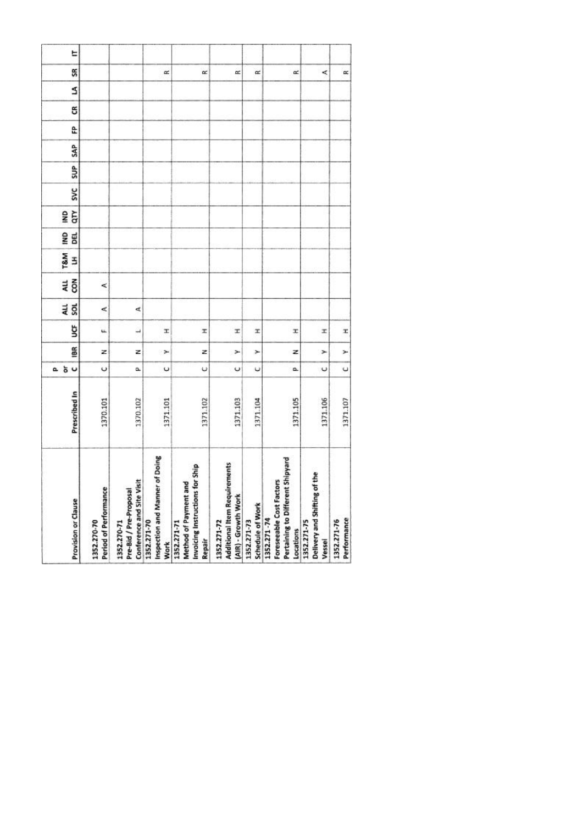| Provision or Clause  | Period of Performance<br>1352.270-70 | Conference and Site Visit<br>Pre-Bid / Pre-Proposal<br>1352.270-71 | of Doing<br>Inspection and Manner<br>1352.271-70<br><b>Work</b> | Invoicing Instructions for Ship<br>ъ<br>Method of Payment an<br>1352.271-71<br>Repair | <b>Additional Item Requirements</b><br>(AIR) - Growth Work<br>1352.271-72 | Schedule of Work<br>1352.271-73 | : Shipyard<br>Foreseeable Cost Factors<br>Pertaining to Different<br>1352.271-74<br>Locations | Delivery and Shifting of the<br>1352.271-75<br>Vessel | Performance<br>1352.271-76 |
|----------------------|--------------------------------------|--------------------------------------------------------------------|-----------------------------------------------------------------|---------------------------------------------------------------------------------------|---------------------------------------------------------------------------|---------------------------------|-----------------------------------------------------------------------------------------------|-------------------------------------------------------|----------------------------|
| Prescribed In        | 1370.101                             | 1370.102                                                           | 1371.101                                                        | 1371.102                                                                              | 1371.103                                                                  | 1371.104                        | 1371.105                                                                                      | 1371.106                                              | 1371.107                   |
| 5 <sub>o</sub><br>a. | $\circ$                              | û.                                                                 | U                                                               | ψ                                                                                     | U                                                                         | υ                               | o.                                                                                            | $\cup$                                                | $\cup$                     |
| iBR                  | z                                    | z                                                                  | ×                                                               | z                                                                                     | ×                                                                         | ×                               | z                                                                                             | ×                                                     | ×                          |
| ğ                    | u.                                   | $\overline{\phantom{a}}$                                           | T.                                                              | x                                                                                     | x                                                                         | x                               | x                                                                                             | x                                                     | x                          |
| au<br>Sol            | ⋖                                    | ₫                                                                  |                                                                 |                                                                                       |                                                                           |                                 |                                                                                               |                                                       |                            |
| 4LL<br>$\tilde{8}$   | ⋖                                    |                                                                    |                                                                 |                                                                                       |                                                                           |                                 |                                                                                               |                                                       |                            |
| <b>T&amp;M</b><br>3  |                                      |                                                                    |                                                                 |                                                                                       |                                                                           |                                 |                                                                                               |                                                       |                            |
| g<br><b>BEL</b>      |                                      |                                                                    |                                                                 |                                                                                       |                                                                           |                                 |                                                                                               |                                                       |                            |
| ξ<br>g               |                                      |                                                                    |                                                                 |                                                                                       |                                                                           |                                 |                                                                                               |                                                       |                            |
| <b>SVC</b>           |                                      |                                                                    |                                                                 |                                                                                       |                                                                           |                                 |                                                                                               |                                                       |                            |
| SUP <sub>1</sub>     |                                      |                                                                    |                                                                 |                                                                                       |                                                                           |                                 |                                                                                               |                                                       |                            |
| <b>SAP</b>           |                                      |                                                                    |                                                                 |                                                                                       |                                                                           |                                 |                                                                                               |                                                       |                            |
| £                    |                                      |                                                                    |                                                                 |                                                                                       |                                                                           |                                 |                                                                                               |                                                       |                            |
| g                    |                                      |                                                                    |                                                                 |                                                                                       |                                                                           |                                 |                                                                                               |                                                       |                            |
| S                    |                                      |                                                                    |                                                                 |                                                                                       |                                                                           |                                 |                                                                                               |                                                       |                            |
| SR                   |                                      |                                                                    | œ                                                               | œ                                                                                     | œ                                                                         | $\approx$                       | œ                                                                                             | ≺                                                     | œ                          |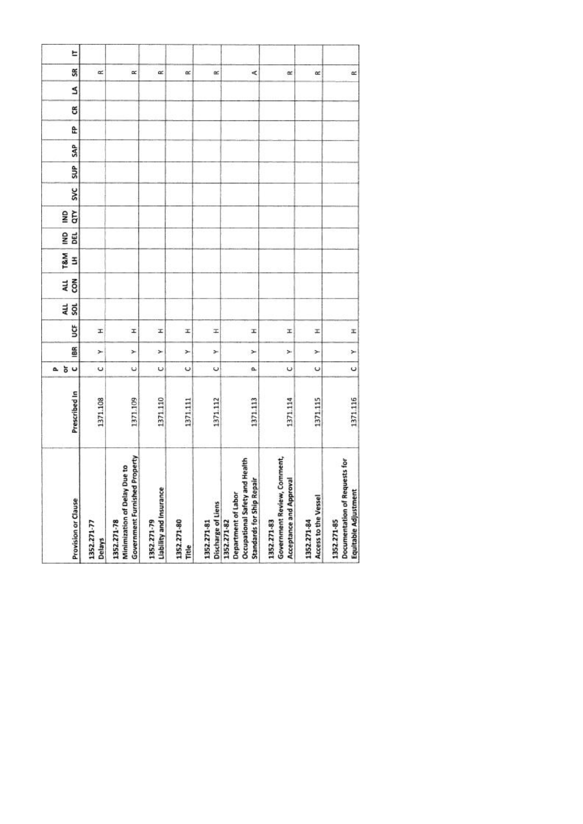| Provision or Clause                                                                                         | Prescribed In | $\cup$<br>ŏ<br>ā.    | 186 | ğ | au<br>sol | ALL<br>con | <b>T&amp;M</b><br>3 | g<br>DEL | qτγ<br>g | <b>SVC</b> | SUP | SAP | £ | g | S | SR        |
|-------------------------------------------------------------------------------------------------------------|---------------|----------------------|-----|---|-----------|------------|---------------------|----------|----------|------------|-----|-----|---|---|---|-----------|
| 1352.271-77<br>Delays                                                                                       | 1371.108      | U                    | ×   | x |           |            |                     |          |          |            |     |     |   |   |   | œ         |
| <b>Government Furnished Property</b><br>Minimization of Delay Due to<br>1352.271-78                         | 1371.109      | $\ddot{\phantom{0}}$ | ×   | I |           |            |                     |          |          |            |     |     |   |   |   | $\propto$ |
| Liability and Insurance<br>1352.271-79                                                                      | 1371.110      | U                    | ×   | x |           |            |                     |          |          |            |     |     |   |   |   | œ         |
| 1352.271-80<br>Title                                                                                        | 1371.111      | $\circ$              | ×   | x |           |            |                     |          |          |            |     |     |   |   |   | œ         |
| Discharge of Liens<br>1352.271-81                                                                           | 1371.112      | U                    | ×   | H |           |            |                     |          |          |            |     |     |   |   |   | œ         |
| Health<br><b>Standards for Ship Repair</b><br>Occupational Safety and<br>Department of Labor<br>1352.271-82 | 1371.113      | a                    | ×   | I |           |            |                     |          |          |            |     |     |   |   |   | ¢         |
| Government Review, Comment,<br>Acceptance and Approval<br>1352.271-83                                       | 1371.114      | $\circ$              | ×   | x |           |            |                     |          |          |            |     |     |   |   |   | œ         |
| Access to the Vessel<br>1352.271-84                                                                         | 1371.115      | U                    | ×   | z |           |            |                     |          |          |            |     |     |   |   |   | $\alpha$  |
| Documentation of Requests for<br>Equitable Adjustment<br>1352.271-85                                        | 1371.116      | $\circ$              | ×   | x |           |            |                     |          |          |            |     |     |   |   |   | $\simeq$  |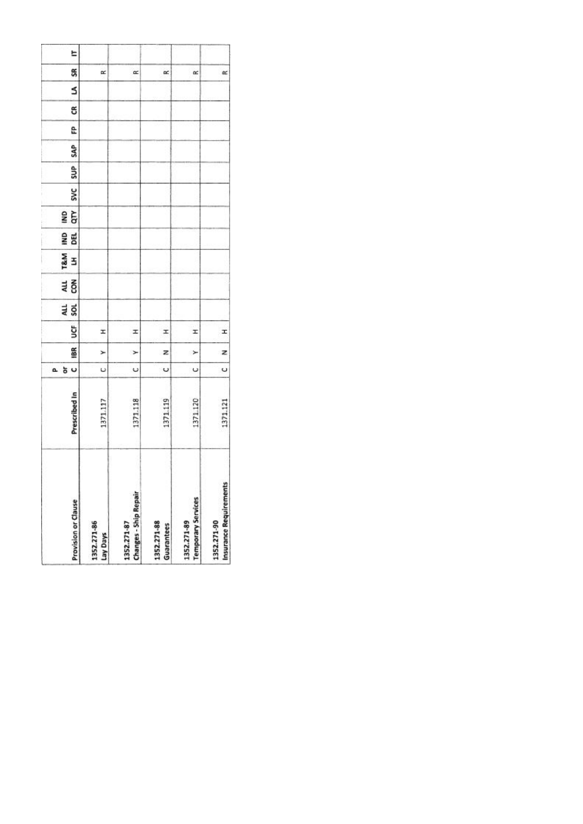|    | <b>Provision or Clause</b> | 1352.271-86<br>Lay Days | <b>Changes - Ship Repair</b><br>1352.271-87 | 1352.271-88<br>Guarantees | <b>Temporary Services</b><br>1352.271-89 | Insurance Requirements<br>1352.271-90 |
|----|----------------------------|-------------------------|---------------------------------------------|---------------------------|------------------------------------------|---------------------------------------|
|    | Prescribed In              | 1371.117                | 1371.118                                    | 1371.119                  | 371.120                                  | 1371.121                              |
| a. | U<br>ð                     | U                       | Ü                                           | U                         | U                                        | Ü                                     |
|    | 18R                        | ⊁                       | $\geq$                                      | z                         | ×                                        | z                                     |
|    | š                          | I                       | I                                           | x                         | I                                        | I                                     |
|    | an<br>Sol                  |                         |                                             |                           |                                          |                                       |
|    | 전<br>GR                    |                         |                                             |                           |                                          |                                       |
|    | T&M<br>3                   |                         |                                             |                           |                                          |                                       |
|    | gwl<br>闻                   |                         |                                             |                           |                                          |                                       |
|    | qτγ<br>g                   |                         |                                             |                           |                                          |                                       |
|    | <b>SVC</b>                 |                         |                                             |                           |                                          |                                       |
|    | SUP <sub></sub>            |                         |                                             |                           |                                          |                                       |
|    | SAP                        |                         |                                             |                           |                                          |                                       |
|    | e                          |                         |                                             |                           |                                          |                                       |
|    | ස                          |                         |                                             |                           |                                          |                                       |
|    | s                          |                         |                                             |                           |                                          |                                       |
|    | SR                         | œ                       | œ                                           | œ                         | œ                                        | $\approx$                             |
|    | E                          |                         |                                             |                           |                                          |                                       |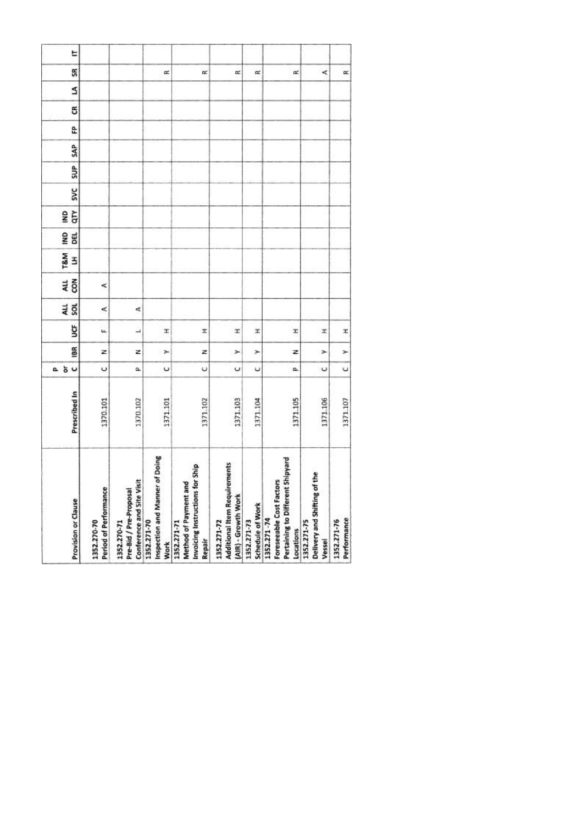| Provision or Clause  | Period of Performance<br>1352.270-70 | Conference and Site Visit<br>Pre-Bid / Pre-Proposal<br>1352.270-71 | of Doing<br>Inspection and Manner<br>1352.271-70<br><b>Work</b> | Invoicing Instructions for Ship<br>ъ<br>Method of Payment an<br>1352.271-71<br>Repair | <b>Additional Item Requirements</b><br>(AIR) - Growth Work<br>1352.271-72 | Schedule of Work<br>1352.271-73 | : Shipyard<br>Foreseeable Cost Factors<br>Pertaining to Different<br>1352.271-74<br>Locations | Delivery and Shifting of the<br>1352.271-75<br>Vessel | Performance<br>1352.271-76 |
|----------------------|--------------------------------------|--------------------------------------------------------------------|-----------------------------------------------------------------|---------------------------------------------------------------------------------------|---------------------------------------------------------------------------|---------------------------------|-----------------------------------------------------------------------------------------------|-------------------------------------------------------|----------------------------|
| Prescribed In        | 1370.101                             | 1370.102                                                           | 1371.101                                                        | 1371.102                                                                              | 1371.103                                                                  | 1371.104                        | 1371.105                                                                                      | 1371.106                                              | 1371.107                   |
| 5 <sub>o</sub><br>a. | $\circ$                              | û.                                                                 | U                                                               | ψ                                                                                     | U                                                                         | υ                               | o.                                                                                            | $\cup$                                                | $\cup$                     |
| iBR                  | z                                    | z                                                                  | ×                                                               | z                                                                                     | ×                                                                         | ×                               | z                                                                                             | ×                                                     | ×                          |
| ğ                    | u.                                   | $\overline{\phantom{a}}$                                           | T.                                                              | x                                                                                     | x                                                                         | x                               | x                                                                                             | x                                                     | x                          |
| au<br>Sol            | ⋖                                    | ₫                                                                  |                                                                 |                                                                                       |                                                                           |                                 |                                                                                               |                                                       |                            |
| 4LL<br>$\tilde{8}$   | ⋖                                    |                                                                    |                                                                 |                                                                                       |                                                                           |                                 |                                                                                               |                                                       |                            |
| <b>T&amp;M</b><br>3  |                                      |                                                                    |                                                                 |                                                                                       |                                                                           |                                 |                                                                                               |                                                       |                            |
| g<br><b>BEL</b>      |                                      |                                                                    |                                                                 |                                                                                       |                                                                           |                                 |                                                                                               |                                                       |                            |
| ξ<br>g               |                                      |                                                                    |                                                                 |                                                                                       |                                                                           |                                 |                                                                                               |                                                       |                            |
| <b>SVC</b>           |                                      |                                                                    |                                                                 |                                                                                       |                                                                           |                                 |                                                                                               |                                                       |                            |
| SUP <sub>1</sub>     |                                      |                                                                    |                                                                 |                                                                                       |                                                                           |                                 |                                                                                               |                                                       |                            |
| <b>SAP</b>           |                                      |                                                                    |                                                                 |                                                                                       |                                                                           |                                 |                                                                                               |                                                       |                            |
| £                    |                                      |                                                                    |                                                                 |                                                                                       |                                                                           |                                 |                                                                                               |                                                       |                            |
| g                    |                                      |                                                                    |                                                                 |                                                                                       |                                                                           |                                 |                                                                                               |                                                       |                            |
| S                    |                                      |                                                                    |                                                                 |                                                                                       |                                                                           |                                 |                                                                                               |                                                       |                            |
| SR                   |                                      |                                                                    | œ                                                               | œ                                                                                     | œ                                                                         | $\approx$                       | œ                                                                                             | ≺                                                     | œ                          |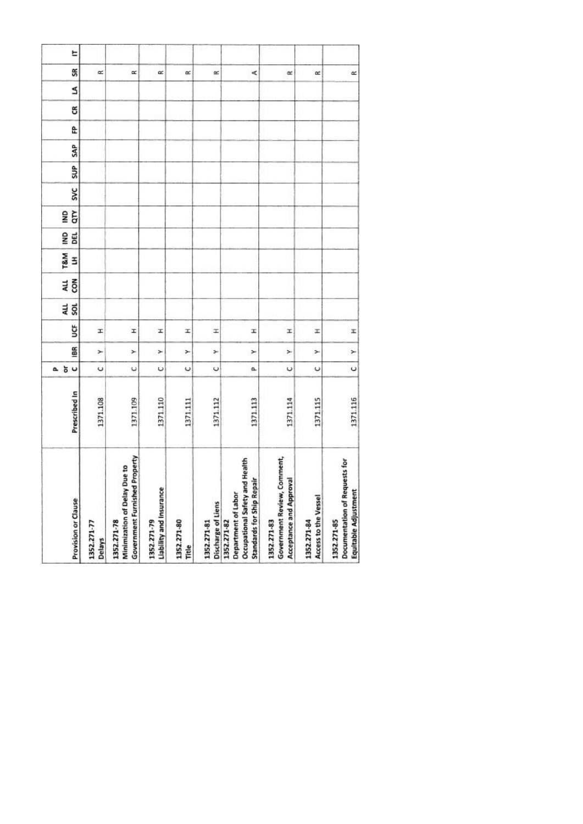| Provision or Clause                                                                                         | Prescribed In | $\cup$<br>ŏ<br>ā.    | 186 | ğ | au<br>sol | ALL<br>con | <b>T&amp;M</b><br>3 | g<br>DEL | qτγ<br>g | <b>SVC</b> | SUP | SAP | £ | g | S | SR        |
|-------------------------------------------------------------------------------------------------------------|---------------|----------------------|-----|---|-----------|------------|---------------------|----------|----------|------------|-----|-----|---|---|---|-----------|
| 1352.271-77<br>Delays                                                                                       | 1371.108      | U                    | ×   | x |           |            |                     |          |          |            |     |     |   |   |   | œ         |
| <b>Government Furnished Property</b><br>Minimization of Delay Due to<br>1352.271-78                         | 1371.109      | $\ddot{\phantom{0}}$ | ×   | I |           |            |                     |          |          |            |     |     |   |   |   | $\propto$ |
| Liability and Insurance<br>1352.271-79                                                                      | 1371.110      | U                    | ×   | x |           |            |                     |          |          |            |     |     |   |   |   | œ         |
| 1352.271-80<br>Title                                                                                        | 1371.111      | $\circ$              | ×   | x |           |            |                     |          |          |            |     |     |   |   |   | œ         |
| Discharge of Liens<br>1352.271-81                                                                           | 1371.112      | U                    | ×   | H |           |            |                     |          |          |            |     |     |   |   |   | œ         |
| Health<br><b>Standards for Ship Repair</b><br>Occupational Safety and<br>Department of Labor<br>1352.271-82 | 1371.113      | a                    | ×   | I |           |            |                     |          |          |            |     |     |   |   |   | ¢         |
| Government Review, Comment,<br>Acceptance and Approval<br>1352.271-83                                       | 1371.114      | $\circ$              | ×   | x |           |            |                     |          |          |            |     |     |   |   |   | œ         |
| Access to the Vessel<br>1352.271-84                                                                         | 1371.115      | U                    | ×   | z |           |            |                     |          |          |            |     |     |   |   |   | $\alpha$  |
| Documentation of Requests for<br>Equitable Adjustment<br>1352.271-85                                        | 1371.116      | $\circ$              | ×   | x |           |            |                     |          |          |            |     |     |   |   |   | $\simeq$  |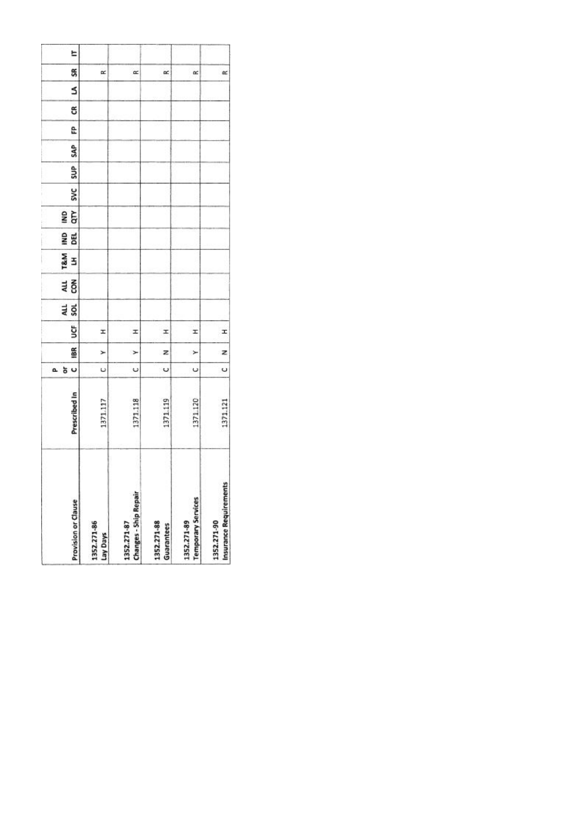|    | <b>Provision or Clause</b> | 1352.271-86<br>Lay Days | <b>Changes - Ship Repair</b><br>1352.271-87 | 1352.271-88<br>Guarantees | <b>Temporary Services</b><br>1352.271-89 | Insurance Requirements<br>1352.271-90 |
|----|----------------------------|-------------------------|---------------------------------------------|---------------------------|------------------------------------------|---------------------------------------|
|    | Prescribed In              | 1371.117                | 1371.118                                    | 1371.119                  | 371.120                                  | 1371.121                              |
| a. | U<br>ð                     | U                       | Ü                                           | U                         | U                                        | Ü                                     |
|    | 18R                        | ⊁                       | $\geq$                                      | z                         | ×                                        | z                                     |
|    | š                          | I                       | I                                           | x                         | I                                        | I                                     |
|    | an<br>Sol                  |                         |                                             |                           |                                          |                                       |
|    | 전<br>GR                    |                         |                                             |                           |                                          |                                       |
|    | T&M<br>3                   |                         |                                             |                           |                                          |                                       |
|    | gwl<br>闻                   |                         |                                             |                           |                                          |                                       |
|    | qτγ<br>g                   |                         |                                             |                           |                                          |                                       |
|    | <b>SVC</b>                 |                         |                                             |                           |                                          |                                       |
|    | SUP <sub></sub>            |                         |                                             |                           |                                          |                                       |
|    | SAP                        |                         |                                             |                           |                                          |                                       |
|    | e                          |                         |                                             |                           |                                          |                                       |
|    | ස                          |                         |                                             |                           |                                          |                                       |
|    | s                          |                         |                                             |                           |                                          |                                       |
|    | SR                         | œ                       | œ                                           | œ                         | œ                                        | $\approx$                             |
|    | E                          |                         |                                             |                           |                                          |                                       |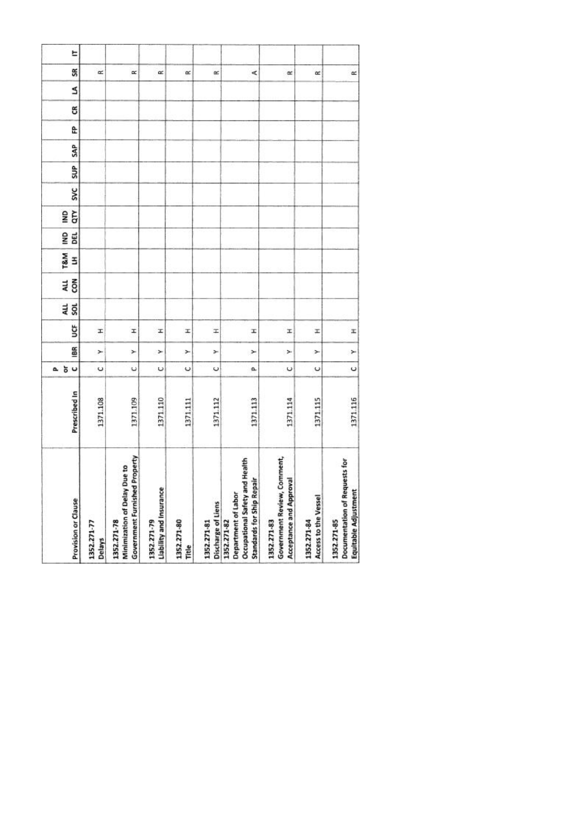| Provision or Clause                                                                                         | Prescribed In | $\cup$<br>ŏ<br>ā.    | 186 | ğ | au<br>sol | ALL<br>con | <b>T&amp;M</b><br>3 | g<br>DEL | qτγ<br>g | <b>SVC</b> | SUP | SAP | £ | g | S | SR        |
|-------------------------------------------------------------------------------------------------------------|---------------|----------------------|-----|---|-----------|------------|---------------------|----------|----------|------------|-----|-----|---|---|---|-----------|
| 1352.271-77<br>Delays                                                                                       | 1371.108      | U                    | ×   | x |           |            |                     |          |          |            |     |     |   |   |   | œ         |
| <b>Government Furnished Property</b><br>Minimization of Delay Due to<br>1352.271-78                         | 1371.109      | $\ddot{\phantom{0}}$ | ×   | I |           |            |                     |          |          |            |     |     |   |   |   | $\propto$ |
| Liability and Insurance<br>1352.271-79                                                                      | 1371.110      | U                    | ×   | x |           |            |                     |          |          |            |     |     |   |   |   | œ         |
| 1352.271-80<br>Title                                                                                        | 1371.111      | $\circ$              | ×   | x |           |            |                     |          |          |            |     |     |   |   |   | œ         |
| Discharge of Liens<br>1352.271-81                                                                           | 1371.112      | U                    | ×   | H |           |            |                     |          |          |            |     |     |   |   |   | œ         |
| Health<br><b>Standards for Ship Repair</b><br>Occupational Safety and<br>Department of Labor<br>1352.271-82 | 1371.113      | a                    | ×   | I |           |            |                     |          |          |            |     |     |   |   |   | ¢         |
| Government Review, Comment,<br>Acceptance and Approval<br>1352.271-83                                       | 1371.114      | $\circ$              | ×   | x |           |            |                     |          |          |            |     |     |   |   |   | œ         |
| Access to the Vessel<br>1352.271-84                                                                         | 1371.115      | U                    | ×   | z |           |            |                     |          |          |            |     |     |   |   |   | $\alpha$  |
| Documentation of Requests for<br>Equitable Adjustment<br>1352.271-85                                        | 1371.116      | $\circ$              | ×   | x |           |            |                     |          |          |            |     |     |   |   |   | $\simeq$  |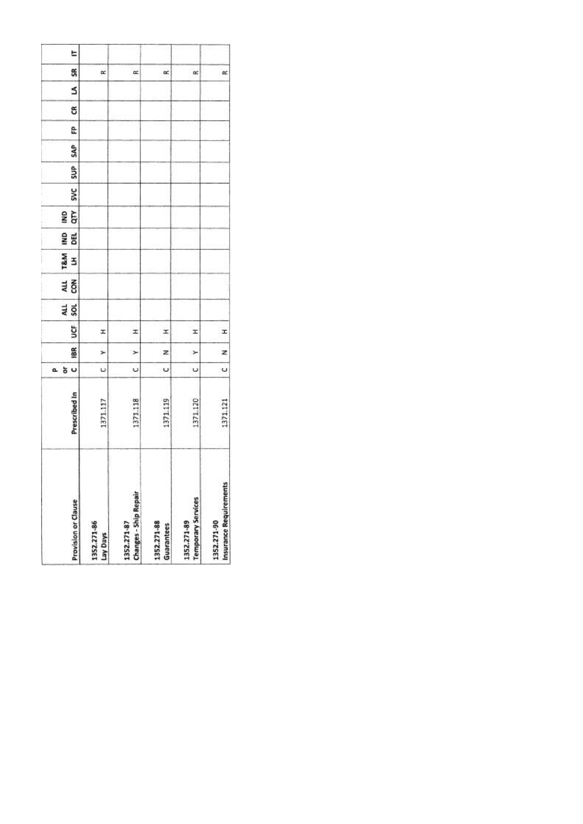|    | <b>Provision or Clause</b> | 1352.271-86<br>Lay Days | <b>Changes - Ship Repair</b><br>1352.271-87 | 1352.271-88<br>Guarantees | <b>Temporary Services</b><br>1352.271-89 | Insurance Requirements<br>1352.271-90 |
|----|----------------------------|-------------------------|---------------------------------------------|---------------------------|------------------------------------------|---------------------------------------|
|    | Prescribed In              | 1371.117                | 1371.118                                    | 1371.119                  | 371.120                                  | 1371.121                              |
| a. | U<br>ð                     | U                       | Ü                                           | U                         | U                                        | Ü                                     |
|    | 18R                        | ⊁                       | $\geq$                                      | z                         | ×                                        | z                                     |
|    | š                          | I                       | I                                           | x                         | I                                        | I                                     |
|    | an<br>Sol                  |                         |                                             |                           |                                          |                                       |
|    | 전<br>GR                    |                         |                                             |                           |                                          |                                       |
|    | T&M<br>3                   |                         |                                             |                           |                                          |                                       |
|    | gwl<br>闻                   |                         |                                             |                           |                                          |                                       |
|    | qτγ<br>g                   |                         |                                             |                           |                                          |                                       |
|    | <b>SVC</b>                 |                         |                                             |                           |                                          |                                       |
|    | SUP <sub></sub>            |                         |                                             |                           |                                          |                                       |
|    | SAP                        |                         |                                             |                           |                                          |                                       |
|    | e                          |                         |                                             |                           |                                          |                                       |
|    | ස                          |                         |                                             |                           |                                          |                                       |
|    | s                          |                         |                                             |                           |                                          |                                       |
|    | SR                         | œ                       | œ                                           | œ                         | œ                                        | $\approx$                             |
|    | E                          |                         |                                             |                           |                                          |                                       |